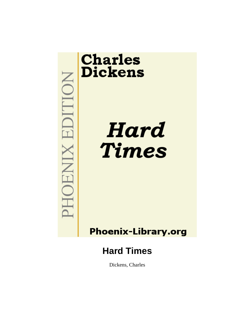

# **Phoenix-Library.org**

# **Hard Times**

Dickens, Charles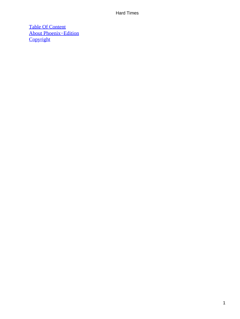[Table Of Content](#page-250-0) [About Phoenix−Edition](#page-252-0) **[Copyright](#page-255-0)**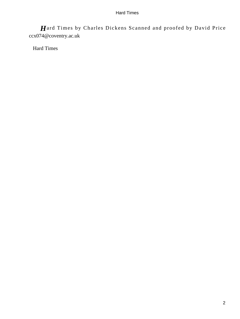*H*ard Times by Charles Dickens Scanned and proofed by David Price ccx074@coventry.ac.uk

Hard Times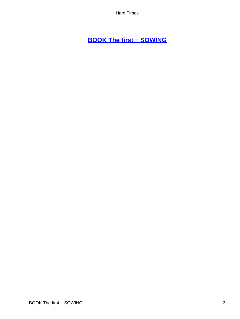# **[BOOK The first − SOWING](#page-250-0)**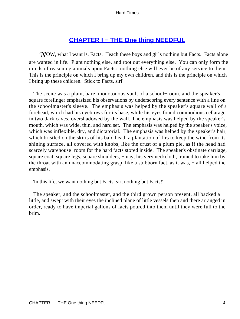# **[CHAPTER I − THE One thing NEEDFUL](#page-250-0)**

*'N*OW, what I want is, Facts. Teach these boys and girls nothing but Facts. Facts alone are wanted in life. Plant nothing else, and root out everything else. You can only form the minds of reasoning animals upon Facts: nothing else will ever be of any service to them. This is the principle on which I bring up my own children, and this is the principle on which I bring up these children. Stick to Facts, sir!'

 The scene was a plain, bare, monotonous vault of a school−room, and the speaker's square forefinger emphasized his observations by underscoring every sentence with a line on the schoolmaster's sleeve. The emphasis was helped by the speaker's square wall of a forehead, which had his eyebrows for its base, while his eyes found commodious cellarage in two dark caves, overshadowed by the wall. The emphasis was helped by the speaker's mouth, which was wide, thin, and hard set. The emphasis was helped by the speaker's voice, which was inflexible, dry, and dictatorial. The emphasis was helped by the speaker's hair, which bristled on the skirts of his bald head, a plantation of firs to keep the wind from its shining surface, all covered with knobs, like the crust of a plum pie, as if the head had scarcely warehouse−room for the hard facts stored inside. The speaker's obstinate carriage, square coat, square legs, square shoulders, – nay, his very neckcloth, trained to take him by the throat with an unaccommodating grasp, like a stubborn fact, as it was, − all helped the emphasis.

'In this life, we want nothing but Facts, sir; nothing but Facts!'

 The speaker, and the schoolmaster, and the third grown person present, all backed a little, and swept with their eyes the inclined plane of little vessels then and there arranged in order, ready to have imperial gallons of facts poured into them until they were full to the brim.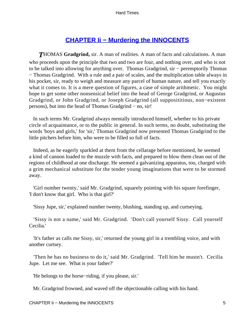# **[CHAPTER Ii − Murdering the INNOCENTS](#page-250-0)**

*T*HOMAS **Gradgrind,** sir. A man of realities. A man of facts and calculations. A man who proceeds upon the principle that two and two are four, and nothing over, and who is not to be talked into allowing for anything over. Thomas Gradgrind, sir – peremptorily Thomas − Thomas Gradgrind. With a rule and a pair of scales, and the multiplication table always in his pocket, sir, ready to weigh and measure any parcel of human nature, and tell you exactly what it comes to. It is a mere question of figures, a case of simple arithmetic. You might hope to get some other nonsensical belief into the head of George Gradgrind, or Augustus Gradgrind, or John Gradgrind, or Joseph Gradgrind (all supposititious, non−existent persons), but into the head of Thomas Gradgrind − no, sir!

 In such terms Mr. Gradgrind always mentally introduced himself, whether to his private circle of acquaintance, or to the public in general. In such terms, no doubt, substituting the words 'boys and girls,' for 'sir,' Thomas Gradgrind now presented Thomas Gradgrind to the little pitchers before him, who were to be filled so full of facts.

 Indeed, as he eagerly sparkled at them from the cellarage before mentioned, he seemed a kind of cannon loaded to the muzzle with facts, and prepared to blow them clean out of the regions of childhood at one discharge. He seemed a galvanizing apparatus, too, charged with a grim mechanical substitute for the tender young imaginations that were to be stormed away.

 'Girl number twenty,' said Mr. Gradgrind, squarely pointing with his square forefinger, 'I don't know that girl. Who is that girl?'

'Sissy Jupe, sir,' explained number twenty, blushing, standing up, and curtseying.

 'Sissy is not a name,' said Mr. Gradgrind. 'Don't call yourself Sissy. Call yourself Cecilia.'

 'It's father as calls me Sissy, sir,' returned the young girl in a trembling voice, and with another curtsey.

 'Then he has no business to do it,' said Mr. Gradgrind. 'Tell him he mustn't. Cecilia Jupe. Let me see. What is your father?'

'He belongs to the horse−riding, if you please, sir.'

Mr. Gradgrind frowned, and waved off the objectionable calling with his hand.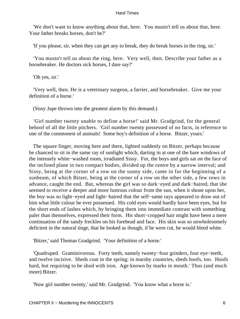'We don't want to know anything about that, here. You mustn't tell us about that, here. Your father breaks horses, don't he?'

'If you please, sir, when they can get any to break, they do break horses in the ring, sir.'

 'You mustn't tell us about the ring, here. Very well, then. Describe your father as a horsebreaker. He doctors sick horses, I dare say?'

'Oh yes, sir.'

 'Very well, then. He is a veterinary surgeon, a farrier, and horsebreaker. Give me your definition of a horse.'

(Sissy Jupe thrown into the greatest alarm by this demand.)

 'Girl number twenty unable to define a horse!' said Mr. Gradgrind, for the general behoof of all the little pitchers. 'Girl number twenty possessed of no facts, in reference to one of the commonest of animals! Some boy's definition of a horse. Bitzer, yours.'

 The square finger, moving here and there, lighted suddenly on Bitzer, perhaps because he chanced to sit in the same ray of sunlight which, darting in at one of the bare windows of the intensely white−washed room, irradiated Sissy. For, the boys and girls sat on the face of the inclined plane in two compact bodies, divided up the centre by a narrow interval; and Sissy, being at the corner of a row on the sunny side, came in for the beginning of a sunbeam, of which Bitzer, being at the corner of a row on the other side, a few rows in advance, caught the end. But, whereas the girl was so dark−eyed and dark−haired, that she seemed to receive a deeper and more lustrous colour from the sun, when it shone upon her, the boy was so light−eyed and light−haired that the self−same rays appeared to draw out of him what little colour he ever possessed. His cold eyes would hardly have been eyes, but for the short ends of lashes which, by bringing them into immediate contrast with something paler than themselves, expressed their form. His short−cropped hair might have been a mere continuation of the sandy freckles on his forehead and face. His skin was so unwholesomely deficient in the natural tinge, that he looked as though, if he were cut, he would bleed white.

'Bitzer,' said Thomas Gradgrind. 'Your definition of a horse.'

 'Quadruped. Graminivorous. Forty teeth, namely twenty−four grinders, four eye−teeth, and twelve incisive. Sheds coat in the spring; in marshy countries, sheds hoofs, too. Hoofs hard, but requiring to be shod with iron. Age known by marks in mouth.' Thus (and much more) Bitzer.

'Now girl number twenty,' said Mr. Gradgrind. 'You know what a horse is.'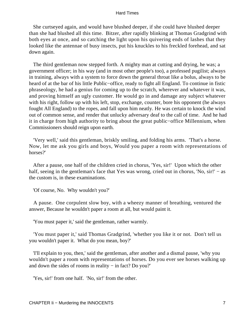She curtseyed again, and would have blushed deeper, if she could have blushed deeper than she had blushed all this time. Bitzer, after rapidly blinking at Thomas Gradgrind with both eyes at once, and so catching the light upon his quivering ends of lashes that they looked like the antennae of busy insects, put his knuckles to his freckled forehead, and sat down again.

 The third gentleman now stepped forth. A mighty man at cutting and drying, he was; a government officer; in his way (and in most other people's too), a professed pugilist; always in training, always with a system to force down the general throat like a bolus, always to be heard of at the bar of his little Public−office, ready to fight all England. To continue in fistic phraseology, he had a genius for coming up to the scratch, wherever and whatever it was, and proving himself an ugly customer. He would go in and damage any subject whatever with his right, follow up with his left, stop, exchange, counter, bore his opponent (he always fought All England) to the ropes, and fall upon him neatly. He was certain to knock the wind out of common sense, and render that unlucky adversary deaf to the call of time. And he had it in charge from high authority to bring about the great public−office Millennium, when Commissioners should reign upon earth.

 'Very well,' said this gentleman, briskly smiling, and folding his arms. 'That's a horse. Now, let me ask you girls and boys, Would you paper a room with representations of horses?'

 After a pause, one half of the children cried in chorus, 'Yes, sir!' Upon which the other half, seeing in the gentleman's face that Yes was wrong, cried out in chorus, 'No, sir!' – as the custom is, in these examinations.

'Of course, No. Why wouldn't you?'

 A pause. One corpulent slow boy, with a wheezy manner of breathing, ventured the answer, Because he wouldn't paper a room at all, but would paint it.

'You must paper it,' said the gentleman, rather warmly.

 'You must paper it,' said Thomas Gradgrind, 'whether you like it or not. Don't tell us you wouldn't paper it. What do you mean, boy?'

 'I'll explain to you, then,' said the gentleman, after another and a dismal pause, 'why you wouldn't paper a room with representations of horses. Do you ever see horses walking up and down the sides of rooms in reality − in fact? Do you?'

'Yes, sir!' from one half. 'No, sir!' from the other.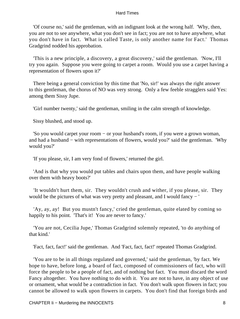'Of course no,' said the gentleman, with an indignant look at the wrong half. 'Why, then, you are not to see anywhere, what you don't see in fact; you are not to have anywhere, what you don't have in fact. What is called Taste, is only another name for Fact.' Thomas Gradgrind nodded his approbation.

 'This is a new principle, a discovery, a great discovery,' said the gentleman. 'Now, I'll try you again. Suppose you were going to carpet a room. Would you use a carpet having a representation of flowers upon it?'

 There being a general conviction by this time that 'No, sir!' was always the right answer to this gentleman, the chorus of NO was very strong. Only a few feeble stragglers said Yes: among them Sissy Jupe.

'Girl number twenty,' said the gentleman, smiling in the calm strength of knowledge.

Sissy blushed, and stood up.

 'So you would carpet your room − or your husband's room, if you were a grown woman, and had a husband − with representations of flowers, would you?' said the gentleman. 'Why would you?'

'If you please, sir, I am very fond of flowers,' returned the girl.

 'And is that why you would put tables and chairs upon them, and have people walking over them with heavy boots?'

 'It wouldn't hurt them, sir. They wouldn't crush and wither, if you please, sir. They would be the pictures of what was very pretty and pleasant, and I would fancy − '

 'Ay, ay, ay! But you mustn't fancy,' cried the gentleman, quite elated by coming so happily to his point. 'That's it! You are never to fancy.'

 'You are not, Cecilia Jupe,' Thomas Gradgrind solemnly repeated, 'to do anything of that kind.'

'Fact, fact, fact!' said the gentleman. And 'Fact, fact, fact!' repeated Thomas Gradgrind.

 'You are to be in all things regulated and governed,' said the gentleman, 'by fact. We hope to have, before long, a board of fact, composed of commissioners of fact, who will force the people to be a people of fact, and of nothing but fact. You must discard the word Fancy altogether. You have nothing to do with it. You are not to have, in any object of use or ornament, what would be a contradiction in fact. You don't walk upon flowers in fact; you cannot be allowed to walk upon flowers in carpets. You don't find that foreign birds and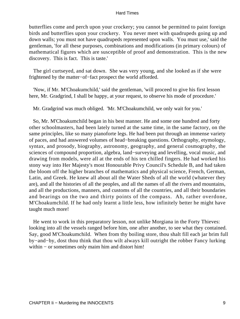butterflies come and perch upon your crockery; you cannot be permitted to paint foreign birds and butterflies upon your crockery. You never meet with quadrupeds going up and down walls; you must not have quadrupeds represented upon walls. You must use,' said the gentleman, 'for all these purposes, combinations and modifications (in primary colours) of mathematical figures which are susceptible of proof and demonstration. This is the new discovery. This is fact. This is taste.'

 The girl curtseyed, and sat down. She was very young, and she looked as if she were frightened by the matter−of−fact prospect the world afforded.

 'Now, if Mr. M'Choakumchild,' said the gentleman, 'will proceed to give his first lesson here, Mr. Gradgrind, I shall be happy, at your request, to observe his mode of procedure.'

Mr. Gradgrind was much obliged. 'Mr. M'Choakumchild, we only wait for you.'

 So, Mr. M'Choakumchild began in his best manner. He and some one hundred and forty other schoolmasters, had been lately turned at the same time, in the same factory, on the same principles, like so many pianoforte legs. He had been put through an immense variety of paces, and had answered volumes of head−breaking questions. Orthography, etymology, syntax, and prosody, biography, astronomy, geography, and general cosmography, the sciences of compound proportion, algebra, land−surveying and levelling, vocal music, and drawing from models, were all at the ends of his ten chilled fingers. He had worked his stony way into Her Majesty's most Honourable Privy Council's Schedule B, and had taken the bloom off the higher branches of mathematics and physical science, French, German, Latin, and Greek. He knew all about all the Water Sheds of all the world (whatever they are), and all the histories of all the peoples, and all the names of all the rivers and mountains, and all the productions, manners, and customs of all the countries, and all their boundaries and bearings on the two and thirty points of the compass. Ah, rather overdone, M'Choakumchild. If he had only learnt a little less, how infinitely better he might have taught much more!

 He went to work in this preparatory lesson, not unlike Morgiana in the Forty Thieves: looking into all the vessels ranged before him, one after another, to see what they contained. Say, good M'Choakumchild. When from thy boiling store, thou shalt fill each jar brim full by−and−by, dost thou think that thou wilt always kill outright the robber Fancy lurking within − or sometimes only maim him and distort him!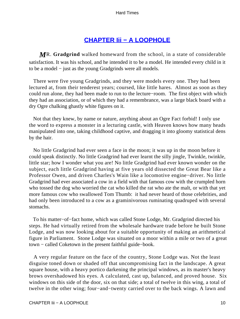# **[CHAPTER Iii − A LOOPHOLE](#page-250-0)**

*M*R. **Gradgrind** walked homeward from the school, in a state of considerable satisfaction. It was his school, and he intended it to be a model. He intended every child in it to be a model − just as the young Gradgrinds were all models.

 There were five young Gradgrinds, and they were models every one. They had been lectured at, from their tenderest years; coursed, like little hares. Almost as soon as they could run alone, they had been made to run to the lecture−room. The first object with which they had an association, or of which they had a remembrance, was a large black board with a dry Ogre chalking ghastly white figures on it.

 Not that they knew, by name or nature, anything about an Ogre Fact forbid! I only use the word to express a monster in a lecturing castle, with Heaven knows how many heads manipulated into one, taking childhood captive, and dragging it into gloomy statistical dens by the hair.

 No little Gradgrind had ever seen a face in the moon; it was up in the moon before it could speak distinctly. No little Gradgrind had ever learnt the silly jingle, Twinkle, twinkle, little star; how I wonder what you are! No little Gradgrind had ever known wonder on the subject, each little Gradgrind having at five years old dissected the Great Bear like a Professor Owen, and driven Charles's Wain like a locomotive engine−driver. No little Gradgrind had ever associated a cow in a field with that famous cow with the crumpled horn who tossed the dog who worried the cat who killed the rat who ate the malt, or with that yet more famous cow who swallowed Tom Thumb: it had never heard of those celebrities, and had only been introduced to a cow as a graminivorous ruminating quadruped with several stomachs.

 To his matter−of−fact home, which was called Stone Lodge, Mr. Gradgrind directed his steps. He had virtually retired from the wholesale hardware trade before he built Stone Lodge, and was now looking about for a suitable opportunity of making an arithmetical figure in Parliament. Stone Lodge was situated on a moor within a mile or two of a great town − called Coketown in the present faithful guide−book.

 A very regular feature on the face of the country, Stone Lodge was. Not the least disguise toned down or shaded off that uncompromising fact in the landscape. A great square house, with a heavy portico darkening the principal windows, as its master's heavy brows overshadowed his eyes. A calculated, cast up, balanced, and proved house. Six windows on this side of the door, six on that side; a total of twelve in this wing, a total of twelve in the other wing; four−and−twenty carried over to the back wings. A lawn and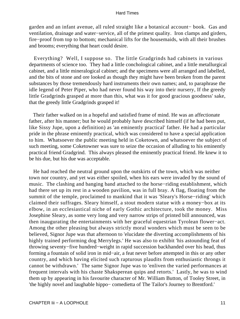garden and an infant avenue, all ruled straight like a botanical account− book. Gas and ventilation, drainage and water−service, all of the primest quality. Iron clamps and girders, fire−proof from top to bottom; mechanical lifts for the housemaids, with all their brushes and brooms; everything that heart could desire.

 Everything? Well, I suppose so. The little Gradgrinds had cabinets in various departments of science too. They had a little conchological cabinet, and a little metallurgical cabinet, and a little mineralogical cabinet; and the specimens were all arranged and labelled, and the bits of stone and ore looked as though they might have been broken from the parent substances by those tremendously hard instruments their own names; and, to paraphrase the idle legend of Peter Piper, who had never found his way into their nursery, If the greedy little Gradgrinds grasped at more than this, what was it for good gracious goodness' sake, that the greedy little Gradgrinds grasped it!

 Their father walked on in a hopeful and satisfied frame of mind. He was an affectionate father, after his manner; but he would probably have described himself (if he had been put, like Sissy Jupe, upon a definition) as 'an eminently practical' father. He had a particular pride in the phrase eminently practical, which was considered to have a special application to him. Whatsoever the public meeting held in Coketown, and whatsoever the subject of such meeting, some Coketowner was sure to seize the occasion of alluding to his eminently practical friend Gradgrind. This always pleased the eminently practical friend. He knew it to be his due, but his due was acceptable.

 He had reached the neutral ground upon the outskirts of the town, which was neither town nor country, and yet was either spoiled, when his ears were invaded by the sound of music. The clashing and banging band attached to the horse−riding establishment, which had there set up its rest in a wooden pavilion, was in full bray. A flag, floating from the summit of the temple, proclaimed to mankind that it was 'Sleary's Horse−riding' which claimed their suffrages. Sleary himself, a stout modern statue with a money−box at its elbow, in an ecclesiastical niche of early Gothic architecture, took the money. Miss Josephine Sleary, as some very long and very narrow strips of printed bill announced, was then inaugurating the entertainments with her graceful equestrian Tyrolean flower−act. Among the other pleasing but always strictly moral wonders which must be seen to be believed, Signor Jupe was that afternoon to 'elucidate the diverting accomplishments of his highly trained performing dog Merrylegs.' He was also to exhibit 'his astounding feat of throwing seventy−five hundred−weight in rapid succession backhanded over his head, thus forming a fountain of solid iron in mid−air, a feat never before attempted in this or any other country, and which having elicited such rapturous plaudits from enthusiastic throngs it cannot be withdrawn.' The same Signor Jupe was to 'enliven the varied performances at frequent intervals with his chaste Shaksperean quips and retorts.' Lastly, he was to wind them up by appearing in his favourite character of Mr. William Button, of Tooley Street, in 'the highly novel and laughable hippo− comedietta of The Tailor's Journey to Brentford.'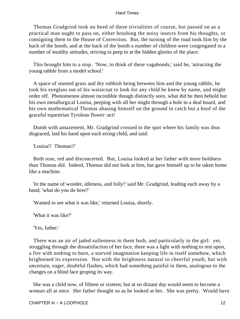Thomas Gradgrind took no heed of these trivialities of course, but passed on as a practical man ought to pass on, either brushing the noisy insects from his thoughts, or consigning them to the House of Correction. But, the turning of the road took him by the back of the booth, and at the back of the booth a number of children were congregated in a number of stealthy attitudes, striving to peep in at the hidden glories of the place.

 This brought him to a stop. 'Now, to think of these vagabonds,' said he, 'attracting the young rabble from a model school.'

 A space of stunted grass and dry rubbish being between him and the young rabble, he took his eyeglass out of his waistcoat to look for any child he knew by name, and might order off. Phenomenon almost incredible though distinctly seen, what did he then behold but his own metallurgical Louisa, peeping with all her might through a hole in a deal board, and his own mathematical Thomas abasing himself on the ground to catch but a hoof of the graceful equestrian Tyrolean flower−act!

 Dumb with amazement, Mr. Gradgrind crossed to the spot where his family was thus disgraced, laid his hand upon each erring child, and said:

'Louisa!! Thomas!!'

 Both rose, red and disconcerted. But, Louisa looked at her father with more boldness than Thomas did. Indeed, Thomas did not look at him, but gave himself up to be taken home like a machine.

 'In the name of wonder, idleness, and folly!' said Mr. Gradgrind, leading each away by a hand; 'what do you do here?'

'Wanted to see what it was like,' returned Louisa, shortly.

'What it was like?'

'Yes, father.'

 There was an air of jaded sullenness in them both, and particularly in the girl: yet, struggling through the dissatisfaction of her face, there was a light with nothing to rest upon, a fire with nothing to burn, a starved imagination keeping life in itself somehow, which brightened its expression. Not with the brightness natural to cheerful youth, but with uncertain, eager, doubtful flashes, which had something painful in them, analogous to the changes on a blind face groping its way.

 She was a child now, of fifteen or sixteen; but at no distant day would seem to become a woman all at once. Her father thought so as he looked at her. She was pretty. Would have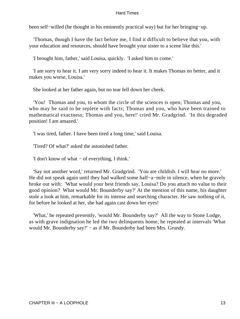been self−willed (he thought in his eminently practical way) but for her bringing−up.

 'Thomas, though I have the fact before me, I find it difficult to believe that you, with your education and resources, should have brought your sister to a scene like this.'

'I brought him, father,' said Louisa, quickly. 'I asked him to come.'

 'I am sorry to hear it. I am very sorry indeed to hear it. It makes Thomas no better, and it makes you worse, Louisa.'

She looked at her father again, but no tear fell down her cheek.

 'You! Thomas and you, to whom the circle of the sciences is open; Thomas and you, who may be said to be replete with facts; Thomas and you, who have been trained to mathematical exactness; Thomas and you, here!' cried Mr. Gradgrind. 'In this degraded position! I am amazed.'

'I was tired, father. I have been tired a long time,' said Louisa.

'Tired? Of what?' asked the astonished father.

'I don't know of what − of everything, I think.'

 'Say not another word,' returned Mr. Gradgrind. 'You are childish. I will hear no more.' He did not speak again until they had walked some half−a−mile in silence, when he gravely broke out with: 'What would your best friends say, Louisa? Do you attach no value to their good opinion? What would Mr. Bounderby say?' At the mention of this name, his daughter stole a look at him, remarkable for its intense and searching character. He saw nothing of it, for before he looked at her, she had again cast down her eyes!

 'What,' he repeated presently, 'would Mr. Bounderby say?' All the way to Stone Lodge, as with grave indignation he led the two delinquents home, he repeated at intervals 'What would Mr. Bounderby say?' − as if Mr. Bounderby had been Mrs. Grundy.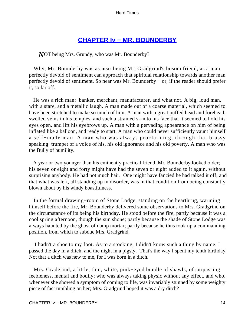## **[CHAPTER Iv − MR. BOUNDERBY](#page-250-0)**

*N*OT being Mrs. Grundy, who was Mr. Bounderby?

 Why, Mr. Bounderby was as near being Mr. Gradgrind's bosom friend, as a man perfectly devoid of sentiment can approach that spiritual relationship towards another man perfectly devoid of sentiment. So near was Mr. Bounderby − or, if the reader should prefer it, so far off.

 He was a rich man: banker, merchant, manufacturer, and what not. A big, loud man, with a stare, and a metallic laugh. A man made out of a coarse material, which seemed to have been stretched to make so much of him. A man with a great puffed head and forehead, swelled veins in his temples, and such a strained skin to his face that it seemed to hold his eyes open, and lift his eyebrows up. A man with a pervading appearance on him of being inflated like a balloon, and ready to start. A man who could never sufficiently vaunt himself a self−made man. A man who was always proclaiming, through that brassy speaking−trumpet of a voice of his, his old ignorance and his old poverty. A man who was the Bully of humility.

 A year or two younger than his eminently practical friend, Mr. Bounderby looked older; his seven or eight and forty might have had the seven or eight added to it again, without surprising anybody. He had not much hair. One might have fancied he had talked it off; and that what was left, all standing up in disorder, was in that condition from being constantly blown about by his windy boastfulness.

 In the formal drawing−room of Stone Lodge, standing on the hearthrug, warming himself before the fire, Mr. Bounderby delivered some observations to Mrs. Gradgrind on the circumstance of its being his birthday. He stood before the fire, partly because it was a cool spring afternoon, though the sun shone; partly because the shade of Stone Lodge was always haunted by the ghost of damp mortar; partly because he thus took up a commanding position, from which to subdue Mrs. Gradgrind.

 'I hadn't a shoe to my foot. As to a stocking, I didn't know such a thing by name. I passed the day in a ditch, and the night in a pigsty. That's the way I spent my tenth birthday. Not that a ditch was new to me, for I was born in a ditch.'

 Mrs. Gradgrind, a little, thin, white, pink−eyed bundle of shawls, of surpassing feebleness, mental and bodily; who was always taking physic without any effect, and who, whenever she showed a symptom of coming to life, was invariably stunned by some weighty piece of fact tumbling on her; Mrs. Gradgrind hoped it was a dry ditch?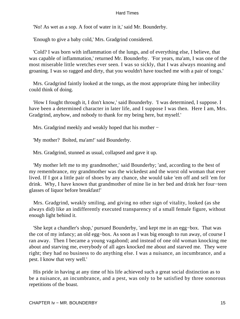'No! As wet as a sop. A foot of water in it,' said Mr. Bounderby.

'Enough to give a baby cold,' Mrs. Gradgrind considered.

 'Cold? I was born with inflammation of the lungs, and of everything else, I believe, that was capable of inflammation,' returned Mr. Bounderby. 'For years, ma'am, I was one of the most miserable little wretches ever seen. I was so sickly, that I was always moaning and groaning. I was so ragged and dirty, that you wouldn't have touched me with a pair of tongs.'

 Mrs. Gradgrind faintly looked at the tongs, as the most appropriate thing her imbecility could think of doing.

 'How I fought through it, I don't know,' said Bounderby. 'I was determined, I suppose. I have been a determined character in later life, and I suppose I was then. Here I am, Mrs. Gradgrind, anyhow, and nobody to thank for my being here, but myself.'

Mrs. Gradgrind meekly and weakly hoped that his mother −

'My mother? Bolted, ma'am!' said Bounderby.

Mrs. Gradgrind, stunned as usual, collapsed and gave it up.

 'My mother left me to my grandmother,' said Bounderby; 'and, according to the best of my remembrance, my grandmother was the wickedest and the worst old woman that ever lived. If I got a little pair of shoes by any chance, she would take 'em off and sell 'em for drink. Why, I have known that grandmother of mine lie in her bed and drink her four−teen glasses of liquor before breakfast!'

 Mrs. Gradgrind, weakly smiling, and giving no other sign of vitality, looked (as she always did) like an indifferently executed transparency of a small female figure, without enough light behind it.

 'She kept a chandler's shop,' pursued Bounderby, 'and kept me in an egg−box. That was the cot of my infancy; an old egg−box. As soon as I was big enough to run away, of course I ran away. Then I became a young vagabond; and instead of one old woman knocking me about and starving me, everybody of all ages knocked me about and starved me. They were right; they had no business to do anything else. I was a nuisance, an incumbrance, and a pest. I know that very well.'

 His pride in having at any time of his life achieved such a great social distinction as to be a nuisance, an incumbrance, and a pest, was only to be satisfied by three sonorous repetitions of the boast.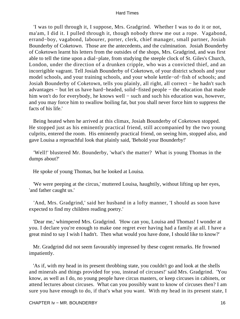'I was to pull through it, I suppose, Mrs. Gradgrind. Whether I was to do it or not, ma'am, I did it. I pulled through it, though nobody threw me out a rope. Vagabond, errand−boy, vagabond, labourer, porter, clerk, chief manager, small partner, Josiah Bounderby of Coketown. Those are the antecedents, and the culmination. Josiah Bounderby of Coketown learnt his letters from the outsides of the shops, Mrs. Gradgrind, and was first able to tell the time upon a dial−plate, from studying the steeple clock of St. Giles's Church, London, under the direction of a drunken cripple, who was a convicted thief, and an incorrigible vagrant. Tell Josiah Bounderby of Coketown, of your district schools and your model schools, and your training schools, and your whole kettle−of−fish of schools; and Josiah Bounderby of Coketown, tells you plainly, all right, all correct − he hadn't such advantages − but let us have hard−headed, solid−fisted people − the education that made him won't do for everybody, he knows well − such and such his education was, however, and you may force him to swallow boiling fat, but you shall never force him to suppress the facts of his life.'

 Being heated when he arrived at this climax, Josiah Bounderby of Coketown stopped. He stopped just as his eminently practical friend, still accompanied by the two young culprits, entered the room. His eminently practical friend, on seeing him, stopped also, and gave Louisa a reproachful look that plainly said, 'Behold your Bounderby!'

 'Well!' blustered Mr. Bounderby, 'what's the matter? What is young Thomas in the dumps about?'

He spoke of young Thomas, but he looked at Louisa.

 'We were peeping at the circus,' muttered Louisa, haughtily, without lifting up her eyes, 'and father caught us.'

 'And, Mrs. Gradgrind,' said her husband in a lofty manner, 'I should as soon have expected to find my children reading poetry.'

 'Dear me,' whimpered Mrs. Gradgrind. 'How can you, Louisa and Thomas! I wonder at you. I declare you're enough to make one regret ever having had a family at all. I have a great mind to say I wish I hadn't. Then what would you have done, I should like to know?'

 Mr. Gradgrind did not seem favourably impressed by these cogent remarks. He frowned impatiently.

 'As if, with my head in its present throbbing state, you couldn't go and look at the shells and minerals and things provided for you, instead of circuses!' said Mrs. Gradgrind. 'You know, as well as I do, no young people have circus masters, or keep circuses in cabinets, or attend lectures about circuses. What can you possibly want to know of circuses then? I am sure you have enough to do, if that's what you want. With my head in its present state, I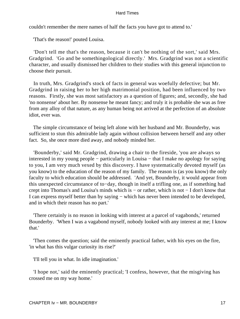couldn't remember the mere names of half the facts you have got to attend to.'

'That's the reason!' pouted Louisa.

 'Don't tell me that's the reason, because it can't be nothing of the sort,' said Mrs. Gradgrind. 'Go and be somethingological directly.' Mrs. Gradgrind was not a scientific character, and usually dismissed her children to their studies with this general injunction to choose their pursuit.

 In truth, Mrs. Gradgrind's stock of facts in general was woefully defective; but Mr. Gradgrind in raising her to her high matrimonial position, had been influenced by two reasons. Firstly, she was most satisfactory as a question of figures; and, secondly, she had 'no nonsense' about her. By nonsense he meant fancy; and truly it is probable she was as free from any alloy of that nature, as any human being not arrived at the perfection of an absolute idiot, ever was.

 The simple circumstance of being left alone with her husband and Mr. Bounderby, was sufficient to stun this admirable lady again without collision between herself and any other fact. So, she once more died away, and nobody minded her.

 'Bounderby,' said Mr. Gradgrind, drawing a chair to the fireside, 'you are always so interested in my young people − particularly in Louisa − that I make no apology for saying to you, I am very much vexed by this discovery. I have systematically devoted myself (as you know) to the education of the reason of my family. The reason is (as you know) the only faculty to which education should be addressed. 'And yet, Bounderby, it would appear from this unexpected circumstance of to−day, though in itself a trifling one, as if something had crept into Thomas's and Louisa's minds which is − or rather, which is not − I don't know that I can express myself better than by saying − which has never been intended to be developed, and in which their reason has no part.'

 'There certainly is no reason in looking with interest at a parcel of vagabonds,' returned Bounderby. 'When I was a vagabond myself, nobody looked with any interest at me; I know that.'

 'Then comes the question; said the eminently practical father, with his eyes on the fire, 'in what has this vulgar curiosity its rise?'

'I'll tell you in what. In idle imagination.'

 'I hope not,' said the eminently practical; 'I confess, however, that the misgiving has crossed me on my way home.'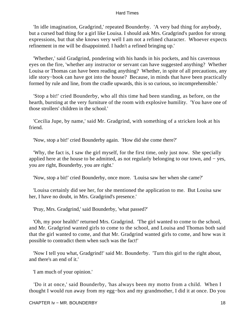'In idle imagination, Gradgrind,' repeated Bounderby. 'A very bad thing for anybody, but a cursed bad thing for a girl like Louisa. I should ask Mrs. Gradgrind's pardon for strong expressions, but that she knows very well I am not a refined character. Whoever expects refinement in me will be disappointed. I hadn't a refined bringing up.'

 'Whether,' said Gradgrind, pondering with his hands in his pockets, and his cavernous eyes on the fire, 'whether any instructor or servant can have suggested anything? Whether Louisa or Thomas can have been reading anything? Whether, in spite of all precautions, any idle story−book can have got into the house? Because, in minds that have been practically formed by rule and line, from the cradle upwards, this is so curious, so incomprehensible.'

 'Stop a bit!' cried Bounderby, who all this time had been standing, as before, on the hearth, bursting at the very furniture of the room with explosive humility. 'You have one of those strollers' children in the school.'

 'Cecilia Jupe, by name,' said Mr. Gradgrind, with something of a stricken look at his friend.

'Now, stop a bit!' cried Bounderby again. 'How did she come there?'

 'Why, the fact is, I saw the girl myself, for the first time, only just now. She specially applied here at the house to be admitted, as not regularly belonging to our town, and − yes, you are right, Bounderby, you are right.'

'Now, stop a bit!' cried Bounderby, once more. 'Louisa saw her when she came?'

 'Louisa certainly did see her, for she mentioned the application to me. But Louisa saw her, I have no doubt, in Mrs. Gradgrind's presence.'

'Pray, Mrs. Gradgrind,' said Bounderby, 'what passed?'

 'Oh, my poor health!' returned Mrs. Gradgrind. 'The girl wanted to come to the school, and Mr. Gradgrind wanted girls to come to the school, and Louisa and Thomas both said that the girl wanted to come, and that Mr. Gradgrind wanted girls to come, and how was it possible to contradict them when such was the fact!'

 'Now I tell you what, Gradgrind!' said Mr. Bounderby. 'Turn this girl to the right about, and there's an end of it.'

'I am much of your opinion.'

 'Do it at once,' said Bounderby, 'has always been my motto from a child. When I thought I would run away from my egg−box and my grandmother, I did it at once. Do you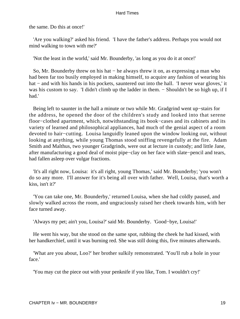the same. Do this at once!'

 'Are you walking?' asked his friend. 'I have the father's address. Perhaps you would not mind walking to town with me?'

'Not the least in the world,' said Mr. Bounderby, 'as long as you do it at once!'

 So, Mr. Bounderby threw on his hat − he always threw it on, as expressing a man who had been far too busily employed in making himself, to acquire any fashion of wearing his hat – and with his hands in his pockets, sauntered out into the hall. 'I never wear gloves,' it was his custom to say. 'I didn't climb up the ladder in them. – Shouldn't be so high up, if I had.'

 Being left to saunter in the hall a minute or two while Mr. Gradgrind went up−stairs for the address, he opened the door of the children's study and looked into that serene floor−clothed apartment, which, notwithstanding its book−cases and its cabinets and its variety of learned and philosophical appliances, had much of the genial aspect of a room devoted to hair−cutting. Louisa languidly leaned upon the window looking out, without looking at anything, while young Thomas stood sniffing revengefully at the fire. Adam Smith and Malthus, two younger Gradgrinds, were out at lecture in custody; and little Jane, after manufacturing a good deal of moist pipe−clay on her face with slate−pencil and tears, had fallen asleep over vulgar fractions.

 'It's all right now, Louisa: it's all right, young Thomas,' said Mr. Bounderby; 'you won't do so any more. I'll answer for it's being all over with father. Well, Louisa, that's worth a kiss, isn't it?'

 'You can take one, Mr. Bounderby,' returned Louisa, when she had coldly paused, and slowly walked across the room, and ungraciously raised her cheek towards him, with her face turned away.

'Always my pet; ain't you, Louisa?' said Mr. Bounderby. 'Good−bye, Louisa!'

 He went his way, but she stood on the same spot, rubbing the cheek he had kissed, with her handkerchief, until it was burning red. She was still doing this, five minutes afterwards.

 'What are you about, Loo?' her brother sulkily remonstrated. 'You'll rub a hole in your face.'

'You may cut the piece out with your penknife if you like, Tom. I wouldn't cry!'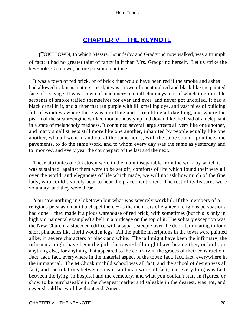## **[CHAPTER V − THE KEYNOTE](#page-250-0)**

*C*OKETOWN, to which Messrs. Bounderby and Gradgrind now walked, was a triumph of fact; it had no greater taint of fancy in it than Mrs. Gradgrind herself. Let us strike the key−note, Coketown, before pursuing our tune.

 It was a town of red brick, or of brick that would have been red if the smoke and ashes had allowed it; but as matters stood, it was a town of unnatural red and black like the painted face of a savage. It was a town of machinery and tall chimneys, out of which interminable serpents of smoke trailed themselves for ever and ever, and never got uncoiled. It had a black canal in it, and a river that ran purple with ill−smelling dye, and vast piles of building full of windows where there was a rattling and a trembling all day long, and where the piston of the steam−engine worked monotonously up and down, like the head of an elephant in a state of melancholy madness. It contained several large streets all very like one another, and many small streets still more like one another, inhabited by people equally like one another, who all went in and out at the same hours, with the same sound upon the same pavements, to do the same work, and to whom every day was the same as yesterday and to−morrow, and every year the counterpart of the last and the next.

 These attributes of Coketown were in the main inseparable from the work by which it was sustained; against them were to be set off, comforts of life which found their way all over the world, and elegancies of life which made, we will not ask how much of the fine lady, who could scarcely bear to hear the place mentioned. The rest of its features were voluntary, and they were these.

 You saw nothing in Coketown but what was severely workful. If the members of a religious persuasion built a chapel there − as the members of eighteen religious persuasions had done – they made it a pious warehouse of red brick, with sometimes (but this is only in highly ornamental examples) a bell in a birdcage on the top of it. The solitary exception was the New Church; a stuccoed edifice with a square steeple over the door, terminating in four short pinnacles like florid wooden legs. All the public inscriptions in the town were painted alike, in severe characters of black and white. The jail might have been the infirmary, the infirmary might have been the jail, the town−hall might have been either, or both, or anything else, for anything that appeared to the contrary in the graces of their construction. Fact, fact, fact, everywhere in the material aspect of the town; fact, fact, fact, everywhere in the immaterial. The M'Choakumchild school was all fact, and the school of design was all fact, and the relations between master and man were all fact, and everything was fact between the lying−in hospital and the cemetery, and what you couldn't state in figures, or show to be purchaseable in the cheapest market and saleable in the dearest, was not, and never should be, world without end, Amen.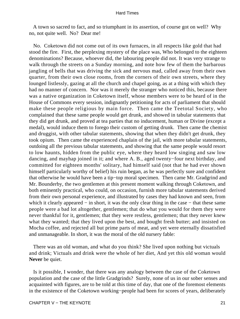A town so sacred to fact, and so triumphant in its assertion, of course got on well? Why no, not quite well. No? Dear me!

 No. Coketown did not come out of its own furnaces, in all respects like gold that had stood the fire. First, the perplexing mystery of the place was, Who belonged to the eighteen denominations? Because, whoever did, the labouring people did not. It was very strange to walk through the streets on a Sunday morning, and note how few of them the barbarous jangling of bells that was driving the sick and nervous mad, called away from their own quarter, from their own close rooms, from the corners of their own streets, where they lounged listlessly, gazing at all the church and chapel going, as at a thing with which they had no manner of concern. Nor was it merely the stranger who noticed this, because there was a native organization in Coketown itself, whose members were to be heard of in the House of Commons every session, indignantly petitioning for acts of parliament that should make these people religious by main force. Then came the Teetotal Society, who complained that these same people would get drunk, and showed in tabular statements that they did get drunk, and proved at tea parties that no inducement, human or Divine (except a medal), would induce them to forego their custom of getting drunk. Then came the chemist and druggist, with other tabular statements, showing that when they didn't get drunk, they took opium. Then came the experienced chaplain of the jail, with more tabular statements, outdoing all the previous tabular statements, and showing that the same people would resort to low haunts, hidden from the public eye, where they heard low singing and saw low dancing, and mayhap joined in it; and where A. B., aged twenty−four next birthday, and committed for eighteen months' solitary, had himself said (not that he had ever shown himself particularly worthy of belief) his ruin began, as he was perfectly sure and confident that otherwise he would have been a tip−top moral specimen. Then came Mr. Gradgrind and Mr. Bounderby, the two gentlemen at this present moment walking through Coketown, and both eminently practical, who could, on occasion, furnish more tabular statements derived from their own personal experience, and illustrated by cases they had known and seen, from which it clearly appeared – in short, it was the only clear thing in the case – that these same people were a bad lot altogether, gentlemen; that do what you would for them they were never thankful for it, gentlemen; that they were restless, gentlemen; that they never knew what they wanted; that they lived upon the best, and bought fresh butter; and insisted on Mocha coffee, and rejected all but prime parts of meat, and yet were eternally dissatisfied and unmanageable. In short, it was the moral of the old nursery fable:

 There was an old woman, and what do you think? She lived upon nothing but victuals and drink; Victuals and drink were the whole of her diet, And yet this old woman would **Never** be quiet.

 Is it possible, I wonder, that there was any analogy between the case of the Coketown population and the case of the little Gradgrinds? Surely, none of us in our sober senses and acquainted with figures, are to be told at this time of day, that one of the foremost elements in the existence of the Coketown working−people had been for scores of years, deliberately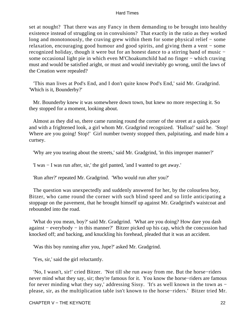set at nought? That there was any Fancy in them demanding to be brought into healthy existence instead of struggling on in convulsions? That exactly in the ratio as they worked long and monotonously, the craving grew within them for some physical relief − some relaxation, encouraging good humour and good spirits, and giving them a vent − some recognized holiday, though it were but for an honest dance to a stirring band of music − some occasional light pie in which even M'Choakumchild had no finger – which craving must and would be satisfied aright, or must and would inevitably go wrong, until the laws of the Creation were repealed?

 'This man lives at Pod's End, and I don't quite know Pod's End,' said Mr. Gradgrind. 'Which is it, Bounderby?'

 Mr. Bounderby knew it was somewhere down town, but knew no more respecting it. So they stopped for a moment, looking about.

 Almost as they did so, there came running round the corner of the street at a quick pace and with a frightened look, a girl whom Mr. Gradgrind recognized. 'Halloa!' said he. 'Stop! Where are you going! Stop!' Girl number twenty stopped then, palpitating, and made him a curtsey.

'Why are you tearing about the streets,' said Mr. Gradgrind, 'in this improper manner?'

'I was − I was run after, sir,' the girl panted, 'and I wanted to get away.'

'Run after?' repeated Mr. Gradgrind. 'Who would run after you?'

 The question was unexpectedly and suddenly answered for her, by the colourless boy, Bitzer, who came round the corner with such blind speed and so little anticipating a stoppage on the pavement, that he brought himself up against Mr. Gradgrind's waistcoat and rebounded into the road.

 'What do you mean, boy?' said Mr. Gradgrind. 'What are you doing? How dare you dash against − everybody − in this manner?' Bitzer picked up his cap, which the concussion had knocked off; and backing, and knuckling his forehead, pleaded that it was an accident.

'Was this boy running after you, Jupe?' asked Mr. Gradgrind.

'Yes, sir,' said the girl reluctantly.

 'No, I wasn't, sir!' cried Bitzer. 'Not till she run away from me. But the horse−riders never mind what they say, sir; they're famous for it. You know the horse−riders are famous for never minding what they say,' addressing Sissy. 'It's as well known in the town as − please, sir, as the multiplication table isn't known to the horse−riders.' Bitzer tried Mr.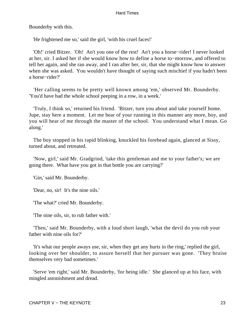Bounderby with this.

'He frightened me so,' said the girl, 'with his cruel faces!'

 'Oh!' cried Bitzer. 'Oh! An't you one of the rest! An't you a horse−rider! I never looked at her, sir. I asked her if she would know how to define a horse to−morrow, and offered to tell her again, and she ran away, and I ran after her, sir, that she might know how to answer when she was asked. You wouldn't have thought of saying such mischief if you hadn't been a horse−rider?'

 'Her calling seems to be pretty well known among 'em,' observed Mr. Bounderby. 'You'd have had the whole school peeping in a row, in a week.'

 'Truly, I think so,' returned his friend. 'Bitzer, turn you about and take yourself home. Jupe, stay here a moment. Let me hear of your running in this manner any more, boy, and you will hear of me through the master of the school. You understand what I mean. Go along.'

 The boy stopped in his rapid blinking, knuckled his forehead again, glanced at Sissy, turned about, and retreated.

 'Now, girl,' said Mr. Gradgrind, 'take this gentleman and me to your father's; we are going there. What have you got in that bottle you are carrying?'

'Gin,' said Mr. Bounderby.

'Dear, no, sir! It's the nine oils.'

'The what?' cried Mr. Bounderby.

'The nine oils, sir, to rub father with.'

 'Then,' said Mr. Bounderby, with a loud short laugh, 'what the devil do you rub your father with nine oils for?'

 'It's what our people aways use, sir, when they get any hurts in the ring,' replied the girl, looking over her shoulder, to assure herself that her pursuer was gone. 'They bruise themselves very bad sometimes.'

 'Serve 'em right,' said Mr. Bounderby, 'for being idle.' She glanced up at his face, with mingled astonishment and dread.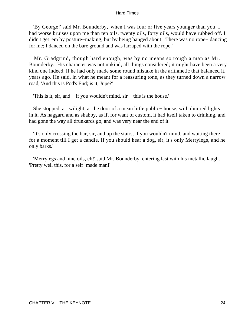'By George!' said Mr. Bounderby, 'when I was four or five years younger than you, I had worse bruises upon me than ten oils, twenty oils, forty oils, would have rubbed off. I didn't get 'em by posture−making, but by being banged about. There was no rope− dancing for me; I danced on the bare ground and was larruped with the rope.'

 Mr. Gradgrind, though hard enough, was by no means so rough a man as Mr. Bounderby. His character was not unkind, all things considered; it might have been a very kind one indeed, if he had only made some round mistake in the arithmetic that balanced it, years ago. He said, in what he meant for a reassuring tone, as they turned down a narrow road, 'And this is Pod's End; is it, Jupe?'

'This is it, sir, and − if you wouldn't mind, sir − this is the house.'

 She stopped, at twilight, at the door of a mean little public− house, with dim red lights in it. As haggard and as shabby, as if, for want of custom, it had itself taken to drinking, and had gone the way all drunkards go, and was very near the end of it.

 'It's only crossing the bar, sir, and up the stairs, if you wouldn't mind, and waiting there for a moment till I get a candle. If you should hear a dog, sir, it's only Merrylegs, and he only barks.'

 'Merrylegs and nine oils, eh!' said Mr. Bounderby, entering last with his metallic laugh. 'Pretty well this, for a self−made man!'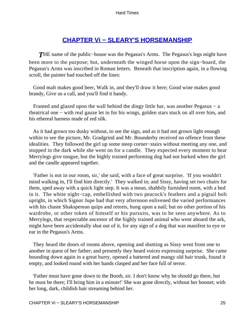# **[CHAPTER Vi − SLEARY'S HORSEMANSHIP](#page-250-0)**

*T*HE name of the public−house was the Pegasus's Arms. The Pegasus's legs might have been more to the purpose; but, underneath the winged horse upon the sign−board, the Pegasus's Arms was inscribed in Roman letters. Beneath that inscription again, in a flowing scroll, the painter had touched off the lines:

 Good malt makes good beer, Walk in, and they'll draw it here; Good wine makes good brandy, Give us a call, and you'll find it handy.

 Framed and glazed upon the wall behind the dingy little bar, was another Pegasus − a theatrical one − with real gauze let in for his wings, golden stars stuck on all over him, and his ethereal harness made of red silk.

 As it had grown too dusky without, to see the sign, and as it had not grown light enough within to see the picture, Mr. Gradgrind and Mr. Bounderby received no offence from these idealities. They followed the girl up some steep corner−stairs without meeting any one, and stopped in the dark while she went on for a candle. They expected every moment to hear Merrylegs give tongue, but the highly trained performing dog had not barked when the girl and the candle appeared together.

 'Father is not in our room, sir,' she said, with a face of great surprise. 'If you wouldn't mind walking in, I'll find him directly.' They walked in; and Sissy, having set two chairs for them, sped away with a quick light step. It was a mean, shabbily furnished room, with a bed in it. The white night−cap, embellished with two peacock's feathers and a pigtail bolt upright, in which Signor Jupe had that very afternoon enlivened the varied performances with his chaste Shaksperean quips and retorts, hung upon a nail; but no other portion of his wardrobe, or other token of himself or his pursuits, was to be seen anywhere. As to Merrylegs, that respectable ancestor of the highly trained animal who went aboard the ark, might have been accidentally shut out of it, for any sign of a dog that was manifest to eye or ear in the Pegasus's Arms.

 They heard the doors of rooms above, opening and shutting as Sissy went from one to another in quest of her father; and presently they heard voices expressing surprise. She came bounding down again in a great hurry, opened a battered and mangy old hair trunk, found it empty, and looked round with her hands clasped and her face full of terror.

 'Father must have gone down to the Booth, sir. I don't know why he should go there, but he must be there; I'll bring him in a minute!' She was gone directly, without her bonnet; with her long, dark, childish hair streaming behind her.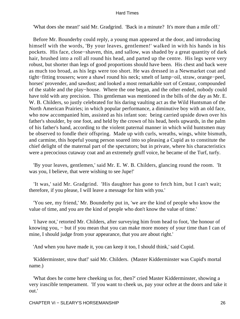'What does she mean!' said Mr. Gradgrind. 'Back in a minute? It's more than a mile off.'

 Before Mr. Bounderby could reply, a young man appeared at the door, and introducing himself with the words, 'By your leaves, gentlemen!' walked in with his hands in his pockets. His face, close−shaven, thin, and sallow, was shaded by a great quantity of dark hair, brushed into a roll all round his head, and parted up the centre. His legs were very robust, but shorter than legs of good proportions should have been. His chest and back were as much too broad, as his legs were too short. He was dressed in a Newmarket coat and tight−fitting trousers; wore a shawl round his neck; smelt of lamp−oil, straw, orange−peel, horses' provender, and sawdust; and looked a most remarkable sort of Centaur, compounded of the stable and the play−house. Where the one began, and the other ended, nobody could have told with any precision. This gentleman was mentioned in the bills of the day as Mr. E. W. B. Childers, so justly celebrated for his daring vaulting act as the Wild Huntsman of the North American Prairies; in which popular performance, a diminutive boy with an old face, who now accompanied him, assisted as his infant son: being carried upside down over his father's shoulder, by one foot, and held by the crown of his head, heels upwards, in the palm of his father's hand, according to the violent paternal manner in which wild huntsmen may be observed to fondle their offspring. Made up with curls, wreaths, wings, white bismuth, and carmine, this hopeful young person soared into so pleasing a Cupid as to constitute the chief delight of the maternal part of the spectators; but in private, where his characteristics were a precocious cutaway coat and an extremely gruff voice, he became of the Turf, turfy.

 'By your leaves, gentlemen,' said Mr. E. W. B. Childers, glancing round the room. 'It was you, I believe, that were wishing to see Jupe!'

 'It was,' said Mr. Gradgrind. 'His daughter has gone to fetch him, but I can't wait; therefore, if you please, I will leave a message for him with you.'

 'You see, my friend,' Mr. Bounderby put in, 'we are the kind of people who know the value of time, and you are the kind of people who don't know the value of time.'

 'I have not,' retorted Mr. Childers, after surveying him from head to foot, 'the honour of knowing you, − but if you mean that you can make more money of your time than I can of mine, I should judge from your appearance, that you are about right.'

'And when you have made it, you can keep it too, I should think,' said Cupid.

 'Kidderminster, stow that!' said Mr. Childers. (Master Kidderminster was Cupid's mortal name.)

 'What does he come here cheeking us for, then?' cried Master Kidderminster, showing a very irascible temperament. 'If you want to cheek us, pay your ochre at the doors and take it out.'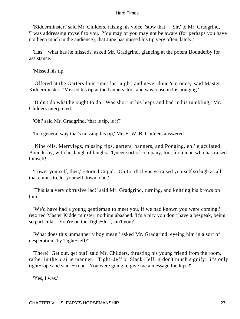'Kidderminster,' said Mr. Childers, raising his voice, 'stow that! − Sir,' to Mr. Gradgrind, 'I was addressing myself to you. You may or you may not be aware (for perhaps you have not been much in the audience), that Jupe has missed his tip very often, lately.'

 'Has − what has he missed?' asked Mr. Gradgrind, glancing at the potent Bounderby for assistance.

'Missed his tip.'

 'Offered at the Garters four times last night, and never done 'em once,' said Master Kidderminster. 'Missed his tip at the banners, too, and was loose in his ponging.'

 'Didn't do what he ought to do. Was short in his leaps and bad in his tumbling,' Mr. Childers interpreted.

'Oh!' said Mr. Gradgrind, 'that is tip, is it?'

'In a general way that's missing his tip,' Mr. E. W. B. Childers answered.

 'Nine oils, Merrylegs, missing tips, garters, banners, and Ponging, eh!' ejaculated Bounderby, with his laugh of laughs. 'Queer sort of company, too, for a man who has raised himself!'

 'Lower yourself, then,' retorted Cupid. 'Oh Lord! if you've raised yourself so high as all that comes to, let yourself down a bit.'

 'This is a very obtrusive lad!' said Mr. Gradgrind, turning, and knitting his brows on him.

 'We'd have had a young gentleman to meet you, if we had known you were coming,' retorted Master Kidderminster, nothing abashed. 'It's a pity you don't have a bespeak, being so particular. You're on the Tight−Jeff, ain't you?'

 'What does this unmannerly boy mean,' asked Mr. Gradgrind, eyeing him in a sort of desperation, 'by Tight−Jeff?'

 'There! Get out, get out!' said Mr. Childers, thrusting his young friend from the room, rather in the prairie manner. 'Tight−Jeff or Slack−Jeff, it don't much signify: it's only tight−rope and slack− rope. You were going to give me a message for Jupe?'

'Yes, I was.'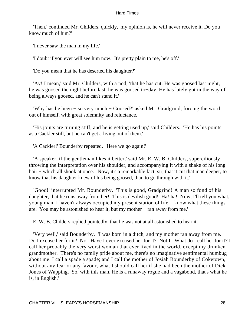'Then,' continued Mr. Childers, quickly, 'my opinion is, he will never receive it. Do you know much of him?'

'I never saw the man in my life.'

'I doubt if you ever will see him now. It's pretty plain to me, he's off.'

'Do you mean that he has deserted his daughter?'

 'Ay! I mean,' said Mr. Childers, with a nod, 'that he has cut. He was goosed last night, he was goosed the night before last, he was goosed to−day. He has lately got in the way of being always goosed, and he can't stand it.'

 'Why has he been − so very much − Goosed?' asked Mr. Gradgrind, forcing the word out of himself, with great solemnity and reluctance.

 'His joints are turning stiff, and he is getting used up,' said Childers. 'He has his points as a Cackler still, but he can't get a living out of them.'

'A Cackler!' Bounderby repeated. 'Here we go again!'

 'A speaker, if the gentleman likes it better,' said Mr. E. W. B. Childers, superciliously throwing the interpretation over his shoulder, and accompanying it with a shake of his long hair − which all shook at once. 'Now, it's a remarkable fact, sir, that it cut that man deeper, to know that his daughter knew of his being goosed, than to go through with it.'

 'Good!' interrupted Mr. Bounderby. 'This is good, Gradgrind! A man so fond of his daughter, that he runs away from her! This is devilish good! Ha! ha! Now, I'll tell you what, young man. I haven't always occupied my present station of life. I know what these things are. You may be astonished to hear it, but my mother − ran away from me.'

E. W. B. Childers replied pointedly, that he was not at all astonished to hear it.

 'Very well,' said Bounderby. 'I was born in a ditch, and my mother ran away from me. Do I excuse her for it? No. Have I ever excused her for it? Not I. What do I call her for it? I call her probably the very worst woman that ever lived in the world, except my drunken grandmother. There's no family pride about me, there's no imaginative sentimental humbug about me. I call a spade a spade; and I call the mother of Josiah Bounderby of Coketown, without any fear or any favour, what I should call her if she had been the mother of Dick Jones of Wapping. So, with this man. He is a runaway rogue and a vagabond, that's what he is, in English.'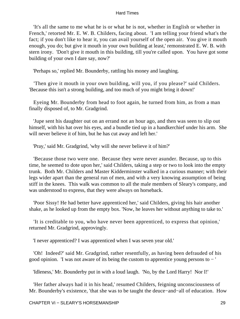'It's all the same to me what he is or what he is not, whether in English or whether in French,' retorted Mr. E. W. B. Childers, facing about. 'I am telling your friend what's the fact; if you don't like to hear it, you can avail yourself of the open air. You give it mouth enough, you do; but give it mouth in your own building at least,' remonstrated E. W. B. with stern irony. 'Don't give it mouth in this building, till you're called upon. You have got some building of your own I dare say, now?'

'Perhaps so,' replied Mr. Bounderby, rattling his money and laughing.

 'Then give it mouth in your own building, will you, if you please?' said Childers. 'Because this isn't a strong building, and too much of you might bring it down!'

 Eyeing Mr. Bounderby from head to foot again, he turned from him, as from a man finally disposed of, to Mr. Gradgrind.

 'Jupe sent his daughter out on an errand not an hour ago, and then was seen to slip out himself, with his hat over his eyes, and a bundle tied up in a handkerchief under his arm. She will never believe it of him, but he has cut away and left her.'

'Pray,' said Mr. Gradgrind, 'why will she never believe it of him?'

 'Because those two were one. Because they were never asunder. Because, up to this time, he seemed to dote upon her,' said Childers, taking a step or two to look into the empty trunk. Both Mr. Childers and Master Kidderminster walked in a curious manner; with their legs wider apart than the general run of men, and with a very knowing assumption of being stiff in the knees. This walk was common to all the male members of Sleary's company, and was understood to express, that they were always on horseback.

 'Poor Sissy! He had better have apprenticed her,' said Childers, giving his hair another shake, as he looked up from the empty box. 'Now, he leaves her without anything to take to.'

 'It is creditable to you, who have never been apprenticed, to express that opinion,' returned Mr. Gradgrind, approvingly.

'I never apprenticed? I was apprenticed when I was seven year old.'

 'Oh! Indeed?' said Mr. Gradgrind, rather resentfully, as having been defrauded of his good opinion. 'I was not aware of its being the custom to apprentice young persons to − '

'Idleness,' Mr. Bounderby put in with a loud laugh. 'No, by the Lord Harry! Nor I!'

 'Her father always had it in his head,' resumed Childers, feigning unconsciousness of Mr. Bounderby's existence, 'that she was to be taught the deuce−and−all of education. How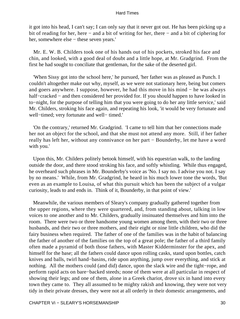it got into his head, I can't say; I can only say that it never got out. He has been picking up a bit of reading for her, here − and a bit of writing for her, there − and a bit of ciphering for her, somewhere else − these seven years.'

 Mr. E. W. B. Childers took one of his hands out of his pockets, stroked his face and chin, and looked, with a good deal of doubt and a little hope, at Mr. Gradgrind. From the first he had sought to conciliate that gentleman, for the sake of the deserted girl.

 'When Sissy got into the school here,' he pursued, 'her father was as pleased as Punch. I couldn't altogether make out why, myself, as we were not stationary here, being but comers and goers anywhere. I suppose, however, he had this move in his mind − he was always half−cracked − and then considered her provided for. If you should happen to have looked in to−night, for the purpose of telling him that you were going to do her any little service,' said Mr. Childers, stroking his face again, and repeating his look, 'it would be very fortunate and well−timed; very fortunate and well− timed.'

 'On the contrary,' returned Mr. Gradgrind. 'I came to tell him that her connections made her not an object for the school, and that she must not attend any more. Still, if her father really has left her, without any connivance on her part − Bounderby, let me have a word with you.'

 Upon this, Mr. Childers politely betook himself, with his equestrian walk, to the landing outside the door, and there stood stroking his face, and softly whistling. While thus engaged, he overheard such phrases in Mr. Bounderby's voice as 'No. I say no. I advise you not. I say by no means.' While, from Mr. Gradgrind, he heard in his much lower tone the words, 'But even as an example to Louisa, of what this pursuit which has been the subject of a vulgar curiosity, leads to and ends in. Think of it, Bounderby, in that point of view.'

 Meanwhile, the various members of Sleary's company gradually gathered together from the upper regions, where they were quartered, and, from standing about, talking in low voices to one another and to Mr. Childers, gradually insinuated themselves and him into the room. There were two or three handsome young women among them, with their two or three husbands, and their two or three mothers, and their eight or nine little children, who did the fairy business when required. The father of one of the families was in the habit of balancing the father of another of the families on the top of a great pole; the father of a third family often made a pyramid of both those fathers, with Master Kidderminster for the apex, and himself for the base; all the fathers could dance upon rolling casks, stand upon bottles, catch knives and balls, twirl hand−basins, ride upon anything, jump over everything, and stick at nothing. All the mothers could (and did) dance, upon the slack wire and the tight−rope, and perform rapid acts on bare−backed steeds; none of them were at all particular in respect of showing their legs; and one of them, alone in a Greek chariot, drove six in hand into every town they came to. They all assumed to be mighty rakish and knowing, they were not very tidy in their private dresses, they were not at all orderly in their domestic arrangements, and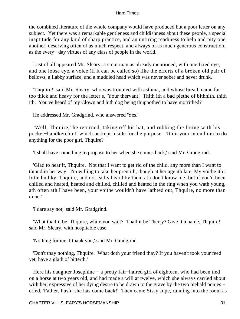the combined literature of the whole company would have produced but a poor letter on any subject. Yet there was a remarkable gentleness and childishness about these people, a special inaptitude for any kind of sharp practice, and an untiring readiness to help and pity one another, deserving often of as much respect, and always of as much generous construction, as the every− day virtues of any class of people in the world.

 Last of all appeared Mr. Sleary: a stout man as already mentioned, with one fixed eye, and one loose eye, a voice (if it can be called so) like the efforts of a broken old pair of bellows, a flabby surface, and a muddled head which was never sober and never drunk.

 'Thquire!' said Mr. Sleary, who was troubled with asthma, and whose breath came far too thick and heavy for the letter s, 'Your thervant! Thith ith a bad piethe of bithnith, thith ith. You've heard of my Clown and hith dog being thuppothed to have morrithed?'

He addressed Mr. Gradgrind, who answered 'Yes.'

 'Well, Thquire,' he returned, taking off his hat, and rubbing the lining with his pocket−handkerchief, which he kept inside for the purpose. 'Ith it your intenthion to do anything for the poor girl, Thquire?'

'I shall have something to propose to her when she comes back,' said Mr. Gradgrind.

 'Glad to hear it, Thquire. Not that I want to get rid of the child, any more than I want to thtand in her way. I'm willing to take her prentith, though at her age ith late. My voithe ith a little huthky, Thquire, and not eathy heard by them ath don't know me; but if you'd been chilled and heated, heated and chilled, chilled and heated in the ring when you wath young, ath often ath I have been, your voithe wouldn't have lathted out, Thquire, no more than mine.'

'I dare say not,' said Mr. Gradgrind.

 'What thall it be, Thquire, while you wait? Thall it be Therry? Give it a name, Thquire!' said Mr. Sleary, with hospitable ease.

'Nothing for me, I thank you,' said Mr. Gradgrind.

 'Don't thay nothing, Thquire. What doth your friend thay? If you haven't took your feed yet, have a glath of bitterth.'

Here his daughter Josephine – a pretty fair–haired girl of eighteen, who had been tied on a horse at two years old, and had made a will at twelve, which she always carried about with her, expressive of her dying desire to be drawn to the grave by the two piebald ponies − cried, 'Father, hush! she has come back!' Then came Sissy Jupe, running into the room as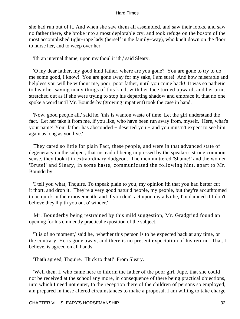she had run out of it. And when she saw them all assembled, and saw their looks, and saw no father there, she broke into a most deplorable cry, and took refuge on the bosom of the most accomplished tight−rope lady (herself in the family−way), who knelt down on the floor to nurse her, and to weep over her.

'Ith an internal thame, upon my thoul it ith,' said Sleary.

 'O my dear father, my good kind father, where are you gone? You are gone to try to do me some good, I know! You are gone away for my sake, I am sure! And how miserable and helpless you will be without me, poor, poor father, until you come back!' It was so pathetic to hear her saying many things of this kind, with her face turned upward, and her arms stretched out as if she were trying to stop his departing shadow and embrace it, that no one spoke a word until Mr. Bounderby (growing impatient) took the case in hand.

 'Now, good people all,' said he, 'this is wanton waste of time. Let the girl understand the fact. Let her take it from me, if you like, who have been run away from, myself. Here, what's your name! Your father has absconded − deserted you − and you mustn't expect to see him again as long as you live.'

 They cared so little for plain Fact, these people, and were in that advanced state of degeneracy on the subject, that instead of being impressed by the speaker's strong common sense, they took it in extraordinary dudgeon. The men muttered 'Shame!' and the women 'Brute!' and Sleary, in some haste, communicated the following hint, apart to Mr. Bounderby.

 'I tell you what, Thquire. To thpeak plain to you, my opinion ith that you had better cut it thort, and drop it. They're a very good natur'd people, my people, but they're accuthtomed to be quick in their movementh; and if you don't act upon my advithe, I'm damned if I don't believe they'll pith you out o' winder.'

 Mr. Bounderby being restrained by this mild suggestion, Mr. Gradgrind found an opening for his eminently practical exposition of the subject.

 'It is of no moment,' said he, 'whether this person is to be expected back at any time, or the contrary. He is gone away, and there is no present expectation of his return. That, I believe, is agreed on all hands.'

'Thath agreed, Thquire. Thick to that!' From Sleary.

 'Well then. I, who came here to inform the father of the poor girl, Jupe, that she could not be received at the school any more, in consequence of there being practical objections, into which I need not enter, to the reception there of the children of persons so employed, am prepared in these altered circumstances to make a proposal. I am willing to take charge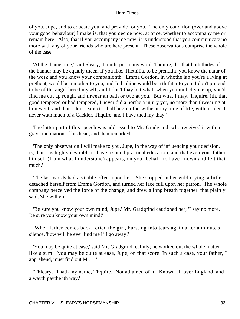of you, Jupe, and to educate you, and provide for you. The only condition (over and above your good behaviour) I make is, that you decide now, at once, whether to accompany me or remain here. Also, that if you accompany me now, it is understood that you communicate no more with any of your friends who are here present. These observations comprise the whole of the case.'

 'At the thame time,' said Sleary, 'I mutht put in my word, Thquire, tho that both thides of the banner may be equally theen. If you like, Thethilia, to be prentitht, you know the natur of the work and you know your companionth. Emma Gordon, in whothe lap you're a lying at prethent, would be a mother to you, and Joth'phine would be a thithter to you. I don't pretend to be of the angel breed myself, and I don't thay but what, when you mith'd your tip, you'd find me cut up rough, and thwear an oath or two at you. But what I thay, Thquire, ith, that good tempered or bad tempered, I never did a horthe a injury yet, no more than thwearing at him went, and that I don't expect I thall begin otherwithe at my time of life, with a rider. I never wath much of a Cackler, Thquire, and I have thed my thay.'

 The latter part of this speech was addressed to Mr. Gradgrind, who received it with a grave inclination of his head, and then remarked:

 'The only observation I will make to you, Jupe, in the way of influencing your decision, is, that it is highly desirable to have a sound practical education, and that even your father himself (from what I understand) appears, on your behalf, to have known and felt that much.'

 The last words had a visible effect upon her. She stopped in her wild crying, a little detached herself from Emma Gordon, and turned her face full upon her patron. The whole company perceived the force of the change, and drew a long breath together, that plainly said, 'she will go!'

 'Be sure you know your own mind, Jupe,' Mr. Gradgrind cautioned her; 'I say no more. Be sure you know your own mind!'

 'When father comes back,' cried the girl, bursting into tears again after a minute's silence, 'how will he ever find me if I go away!'

 'You may be quite at ease,' said Mr. Gradgrind, calmly; he worked out the whole matter like a sum: 'you may be quite at ease, Jupe, on that score. In such a case, your father, I apprehend, must find out Mr. − '

 'Thleary. Thath my name, Thquire. Not athamed of it. Known all over England, and alwayth paythe ith way.'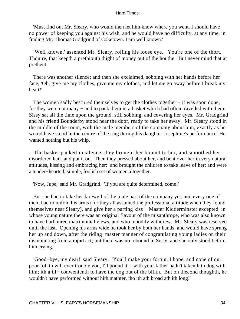'Must find out Mr. Sleary, who would then let him know where you went. I should have no power of keeping you against his wish, and he would have no difficulty, at any time, in finding Mr. Thomas Gradgrind of Coketown. I am well known.'

 'Well known,' assented Mr. Sleary, rolling his loose eye. 'You're one of the thort, Thquire, that keepth a prethiouth thight of money out of the houthe. But never mind that at prethent.'

 There was another silence; and then she exclaimed, sobbing with her hands before her face, 'Oh, give me my clothes, give me my clothes, and let me go away before I break my heart!'

The women sadly bestirred themselves to get the clothes together – it was soon done, for they were not many – and to pack them in a basket which had often travelled with them. Sissy sat all the time upon the ground, still sobbing, and covering her eyes. Mr. Gradgrind and his friend Bounderby stood near the door, ready to take her away. Mr. Sleary stood in the middle of the room, with the male members of the company about him, exactly as he would have stood in the centre of the ring during his daughter Josephine's performance. He wanted nothing but his whip.

 The basket packed in silence, they brought her bonnet to her, and smoothed her disordered hair, and put it on. Then they pressed about her, and bent over her in very natural attitudes, kissing and embracing her: and brought the children to take leave of her; and were a tender−hearted, simple, foolish set of women altogether.

'Now, Jupe,' said Mr. Gradgrind. 'If you are quite determined, come!'

 But she had to take her farewell of the male part of the company yet, and every one of them had to unfold his arms (for they all assumed the professional attitude when they found themselves near Sleary), and give her a parting kiss − Master Kidderminster excepted, in whose young nature there was an original flavour of the misanthrope, who was also known to have harboured matrimonial views, and who moodily withdrew. Mr. Sleary was reserved until the last. Opening his arms wide he took her by both her hands, and would have sprung her up and down, after the riding−master manner of congratulating young ladies on their dismounting from a rapid act; but there was no rebound in Sissy, and she only stood before him crying.

 'Good−bye, my dear!' said Sleary. 'You'll make your fortun, I hope, and none of our poor folkth will ever trouble you, I'll pound it. I with your father hadn't taken hith dog with him; ith a ill− conwenienth to have the dog out of the billth. But on thecond thoughth, he wouldn't have performed without hith mathter, tho ith ath broad ath ith long!'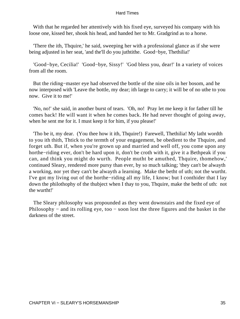With that he regarded her attentively with his fixed eye, surveyed his company with his loose one, kissed her, shook his head, and handed her to Mr. Gradgrind as to a horse.

 'There the ith, Thquire,' he said, sweeping her with a professional glance as if she were being adjusted in her seat, 'and the'll do you juthtithe. Good−bye, Thethilia!'

 'Good−bye, Cecilia!' 'Good−bye, Sissy!' 'God bless you, dear!' In a variety of voices from all the room.

 But the riding−master eye had observed the bottle of the nine oils in her bosom, and he now interposed with 'Leave the bottle, my dear; ith large to carry; it will be of no uthe to you now. Give it to me!'

 'No, no!' she said, in another burst of tears. 'Oh, no! Pray let me keep it for father till he comes back! He will want it when he comes back. He had never thought of going away, when he sent me for it. I must keep it for him, if you please!'

 'Tho be it, my dear. (You thee how it ith, Thquire!) Farewell, Thethilia! My latht wordth to you ith thith, Thtick to the termth of your engagement, be obedient to the Thquire, and forget uth. But if, when you're grown up and married and well off, you come upon any horthe−riding ever, don't be hard upon it, don't be croth with it, give it a Bethpeak if you can, and think you might do wurth. People mutht be amuthed, Thquire, thomehow,' continued Sleary, rendered more pursy than ever, by so much talking; 'they can't be alwayth a working, nor yet they can't be alwayth a learning. Make the betht of uth; not the wurtht. I've got my living out of the horthe−riding all my life, I know; but I conthider that I lay down the philothophy of the thubject when I thay to you, Thquire, make the betht of uth: not the wurtht!'

 The Sleary philosophy was propounded as they went downstairs and the fixed eye of Philosophy − and its rolling eye, too − soon lost the three figures and the basket in the darkness of the street.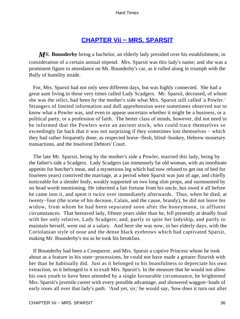# **[CHAPTER Vii − MRS. SPARSIT](#page-250-0)**

*M*R. **Bounderby** being a bachelor, an elderly lady presided over his establishment, in consideration of a certain annual stipend. Mrs. Sparsit was this lady's name; and she was a prominent figure in attendance on Mr. Bounderby's car, as it rolled along in triumph with the Bully of humility inside.

 For, Mrs. Sparsit had not only seen different days, but was highly connected. She had a great aunt living in these very times called Lady Scadgers. Mr. Sparsit, deceased, of whom she was the relict, had been by the mother's side what Mrs. Sparsit still called 'a Powler.' Strangers of limited information and dull apprehension were sometimes observed not to know what a Powler was, and even to appear uncertain whether it might be a business, or a political party, or a profession of faith. The better class of minds, however, did not need to be informed that the Powlers were an ancient stock, who could trace themselves so exceedingly far back that it was not surprising if they sometimes lost themselves − which they had rather frequently done, as respected horse−flesh, blind−hookey, Hebrew monetary transactions, and the Insolvent Debtors' Court.

 The late Mr. Sparsit, being by the mother's side a Powler, married this lady, being by the father's side a Scadgers. Lady Scadgers (an immensely fat old woman, with an inordinate appetite for butcher's meat, and a mysterious leg which had now refused to get out of bed for fourteen years) contrived the marriage, at a period when Sparsit was just of age, and chiefly noticeable for a slender body, weakly supported on two long slim props, and surmounted by no head worth mentioning. He inherited a fair fortune from his uncle, but owed it all before he came into it, and spent it twice over immediately afterwards. Thus, when he died, at twenty−four (the scene of his decease, Calais, and the cause, brandy), he did not leave his widow, from whom he had been separated soon after the honeymoon, in affluent circumstances. That bereaved lady, fifteen years older than he, fell presently at deadly feud with her only relative, Lady Scadgers; and, partly to spite her ladyship, and partly to maintain herself, went out at a salary. And here she was now, in her elderly days, with the Coriolanian style of nose and the dense black eyebrows which had captivated Sparsit, making Mr. Bounderby's tea as he took his breakfast.

 If Bounderby had been a Conqueror, and Mrs. Sparsit a captive Princess whom he took about as a feature in his state−processions, he could not have made a greater flourish with her than he habitually did. Just as it belonged to his boastfulness to depreciate his own extraction, so it belonged to it to exalt Mrs. Sparsit's. In the measure that he would not allow his own youth to have been attended by a single favourable circumstance, he brightened Mrs. Sparsit's juvenile career with every possible advantage, and showered waggon−loads of early roses all over that lady's path. 'And yet, sir,' he would say, 'how does it turn out after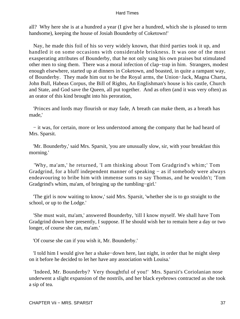all? Why here she is at a hundred a year (I give her a hundred, which she is pleased to term handsome), keeping the house of Josiah Bounderby of Coketown!'

 Nay, he made this foil of his so very widely known, that third parties took it up, and handled it on some occasions with considerable briskness. It was one of the most exasperating attributes of Bounderby, that he not only sang his own praises but stimulated other men to sing them. There was a moral infection of clap−trap in him. Strangers, modest enough elsewhere, started up at dinners in Coketown, and boasted, in quite a rampant way, of Bounderby. They made him out to be the Royal arms, the Union−Jack, Magna Charta, John Bull, Habeas Corpus, the Bill of Rights, An Englishman's house is his castle, Church and State, and God save the Queen, all put together. And as often (and it was very often) as an orator of this kind brought into his peroration,

 'Princes and lords may flourish or may fade, A breath can make them, as a breath has made,'

 − it was, for certain, more or less understood among the company that he had heard of Mrs. Sparsit.

 'Mr. Bounderby,' said Mrs. Sparsit, 'you are unusually slow, sir, with your breakfast this morning.'

 'Why, ma'am,' he returned, 'I am thinking about Tom Gradgrind's whim;' Tom Gradgrind, for a bluff independent manner of speaking − as if somebody were always endeavouring to bribe him with immense sums to say Thomas, and he wouldn't; 'Tom Gradgrind's whim, ma'am, of bringing up the tumbling−girl.'

 'The girl is now waiting to know,' said Mrs. Sparsit, 'whether she is to go straight to the school, or up to the Lodge.'

 'She must wait, ma'am,' answered Bounderby, 'till I know myself. We shall have Tom Gradgrind down here presently, I suppose. If he should wish her to remain here a day or two longer, of course she can, ma'am.'

'Of course she can if you wish it, Mr. Bounderby.'

 'I told him I would give her a shake−down here, last night, in order that he might sleep on it before he decided to let her have any association with Louisa.'

 'Indeed, Mr. Bounderby? Very thoughtful of you!' Mrs. Sparsit's Coriolanian nose underwent a slight expansion of the nostrils, and her black eyebrows contracted as she took a sip of tea.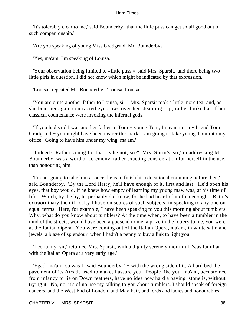'It's tolerably clear to me,' said Bounderby, 'that the little puss can get small good out of such companionship.'

'Are you speaking of young Miss Gradgrind, Mr. Bounderby?'

'Yes, ma'am, I'm speaking of Louisa.'

 'Your observation being limited to «little puss,»' said Mrs. Sparsit, 'and there being two little girls in question, I did not know which might be indicated by that expression.'

'Louisa,' repeated Mr. Bounderby. 'Louisa, Louisa.'

 'You are quite another father to Louisa, sir.' Mrs. Sparsit took a little more tea; and, as she bent her again contracted eyebrows over her steaming cup, rather looked as if her classical countenance were invoking the infernal gods.

 'If you had said I was another father to Tom − young Tom, I mean, not my friend Tom Gradgrind − you might have been nearer the mark. I am going to take young Tom into my office. Going to have him under my wing, ma'am.'

 'Indeed? Rather young for that, is he not, sir?' Mrs. Spirit's 'sir,' in addressing Mr. Bounderby, was a word of ceremony, rather exacting consideration for herself in the use, than honouring him.

 'I'm not going to take him at once; he is to finish his educational cramming before then,' said Bounderby. 'By the Lord Harry, he'll have enough of it, first and last! He'd open his eyes, that boy would, if he knew how empty of learning my young maw was, at his time of life.' Which, by the by, he probably did know, for he had heard of it often enough. 'But it's extraordinary the difficulty I have on scores of such subjects, in speaking to any one on equal terms. Here, for example, I have been speaking to you this morning about tumblers. Why, what do you know about tumblers? At the time when, to have been a tumbler in the mud of the streets, would have been a godsend to me, a prize in the lottery to me, you were at the Italian Opera. You were coming out of the Italian Opera, ma'am, in white satin and jewels, a blaze of splendour, when I hadn't a penny to buy a link to light you.'

 'I certainly, sir,' returned Mrs. Sparsit, with a dignity serenely mournful, 'was familiar with the Italian Opera at a very early age.'

 'Egad, ma'am, so was I,' said Bounderby, ' − with the wrong side of it. A hard bed the pavement of its Arcade used to make, I assure you. People like you, ma'am, accustomed from infancy to lie on Down feathers, have no idea how hard a paving−stone is, without trying it. No, no, it's of no use my talking to you about tumblers. I should speak of foreign dancers, and the West End of London, and May Fair, and lords and ladies and honourables.'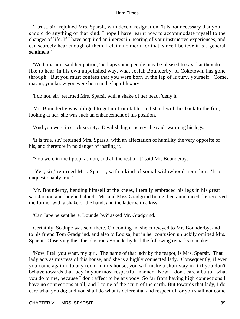'I trust, sir,' rejoined Mrs. Sparsit, with decent resignation, 'it is not necessary that you should do anything of that kind. I hope I have learnt how to accommodate myself to the changes of life. If I have acquired an interest in hearing of your instructive experiences, and can scarcely hear enough of them, I claim no merit for that, since I believe it is a general sentiment<sup>'</sup>

 'Well, ma'am,' said her patron, 'perhaps some people may be pleased to say that they do like to hear, in his own unpolished way, what Josiah Bounderby, of Coketown, has gone through. But you must confess that you were born in the lap of luxury, yourself. Come, ma'am, you know you were born in the lap of luxury.'

'I do not, sir,' returned Mrs. Sparsit with a shake of her head, 'deny it.'

 Mr. Bounderby was obliged to get up from table, and stand with his back to the fire, looking at her; she was such an enhancement of his position.

'And you were in crack society. Devilish high society,' he said, warming his legs.

 'It is true, sir,' returned Mrs. Sparsit, with an affectation of humility the very opposite of his, and therefore in no danger of jostling it.

'You were in the tiptop fashion, and all the rest of it,' said Mr. Bounderby.

 'Yes, sir,' returned Mrs. Sparsit, with a kind of social widowhood upon her. 'It is unquestionably true.'

 Mr. Bounderby, bending himself at the knees, literally embraced his legs in his great satisfaction and laughed aloud. Mr. and Miss Gradgrind being then announced, he received the former with a shake of the hand, and the latter with a kiss.

'Can Jupe be sent here, Bounderby?' asked Mr. Gradgrind.

 Certainly. So Jupe was sent there. On coming in, she curtseyed to Mr. Bounderby, and to his friend Tom Gradgrind, and also to Louisa; but in her confusion unluckily omitted Mrs. Sparsit. Observing this, the blustrous Bounderby had the following remarks to make:

 'Now, I tell you what, my girl. The name of that lady by the teapot, is Mrs. Sparsit. That lady acts as mistress of this house, and she is a highly connected lady. Consequently, if ever you come again into any room in this house, you will make a short stay in it if you don't behave towards that lady in your most respectful manner. Now, I don't care a button what you do to me, because I don't affect to be anybody. So far from having high connections I have no connections at all, and I come of the scum of the earth. But towards that lady, I do care what you do; and you shall do what is deferential and respectful, or you shall not come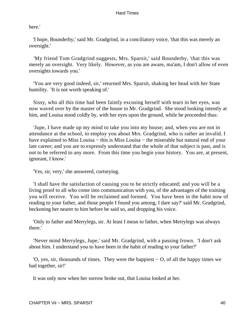here.'

 'I hope, Bounderby,' said Mr. Gradgrind, in a conciliatory voice, 'that this was merely an oversight.'

 'My friend Tom Gradgrind suggests, Mrs. Sparsit,' said Bounderby, 'that this was merely an oversight. Very likely. However, as you are aware, ma'am, I don't allow of even oversights towards you.'

 'You are very good indeed, sir,' returned Mrs. Sparsit, shaking her head with her State humility. 'It is not worth speaking of.'

 Sissy, who all this time had been faintly excusing herself with tears in her eyes, was now waved over by the master of the house to Mr. Gradgrind. She stood looking intently at him, and Louisa stood coldly by, with her eyes upon the ground, while he proceeded thus:

 'Jupe, I have made up my mind to take you into my house; and, when you are not in attendance at the school, to employ you about Mrs. Gradgrind, who is rather an invalid. I have explained to Miss Louisa − this is Miss Louisa − the miserable but natural end of your late career; and you are to expressly understand that the whole of that subject is past, and is not to be referred to any more. From this time you begin your history. You are, at present, ignorant, I know.'

'Yes, sir, very,' she answered, curtseying.

 'I shall have the satisfaction of causing you to be strictly educated; and you will be a living proof to all who come into communication with you, of the advantages of the training you will receive. You will be reclaimed and formed. You have been in the habit now of reading to your father, and those people I found you among, I dare say?' said Mr. Gradgrind, beckoning her nearer to him before he said so, and dropping his voice.

 'Only to father and Merrylegs, sir. At least I mean to father, when Merrylegs was always there.'

 'Never mind Merrylegs, Jupe,' said Mr. Gradgrind, with a passing frown. 'I don't ask about him. I understand you to have been in the habit of reading to your father?'

 'O, yes, sir, thousands of times. They were the happiest − O, of all the happy times we had together, sir!'

It was only now when her sorrow broke out, that Louisa looked at her.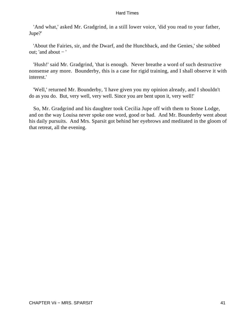'And what,' asked Mr. Gradgrind, in a still lower voice, 'did you read to your father, Jupe?'

 'About the Fairies, sir, and the Dwarf, and the Hunchback, and the Genies,' she sobbed out; 'and about − '

 'Hush!' said Mr. Gradgrind, 'that is enough. Never breathe a word of such destructive nonsense any more. Bounderby, this is a case for rigid training, and I shall observe it with interest.'

 'Well,' returned Mr. Bounderby, 'I have given you my opinion already, and I shouldn't do as you do. But, very well, very well. Since you are bent upon it, very well!'

 So, Mr. Gradgrind and his daughter took Cecilia Jupe off with them to Stone Lodge, and on the way Louisa never spoke one word, good or bad. And Mr. Bounderby went about his daily pursuits. And Mrs. Sparsit got behind her eyebrows and meditated in the gloom of that retreat, all the evening.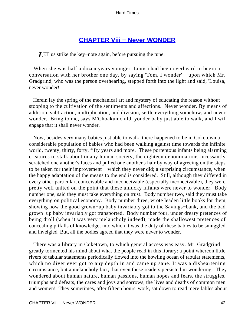# **[CHAPTER Viii − Never WONDER](#page-250-0)**

*L*ET us strike the key−note again, before pursuing the tune.

 When she was half a dozen years younger, Louisa had been overheard to begin a conversation with her brother one day, by saying 'Tom, I wonder' − upon which Mr. Gradgrind, who was the person overhearing, stepped forth into the light and said, 'Louisa, never wonder!'

 Herein lay the spring of the mechanical art and mystery of educating the reason without stooping to the cultivation of the sentiments and affections. Never wonder. By means of addition, subtraction, multiplication, and division, settle everything somehow, and never wonder. Bring to me, says M'Choakumchild, yonder baby just able to walk, and I will engage that it shall never wonder.

 Now, besides very many babies just able to walk, there happened to be in Coketown a considerable population of babies who had been walking against time towards the infinite world, twenty, thirty, forty, fifty years and more. These portentous infants being alarming creatures to stalk about in any human society, the eighteen denominations incessantly scratched one another's faces and pulled one another's hair by way of agreeing on the steps to be taken for their improvement – which they never did; a surprising circumstance, when the happy adaptation of the means to the end is considered. Still, although they differed in every other particular, conceivable and inconceivable (especially inconceivable), they were pretty well united on the point that these unlucky infants were never to wonder. Body number one, said they must take everything on trust. Body number two, said they must take everything on political economy. Body number three, wrote leaden little books for them, showing how the good grown−up baby invariably got to the Savings−bank, and the bad grown−up baby invariably got transported. Body number four, under dreary pretences of being droll (when it was very melancholy indeed), made the shallowest pretences of concealing pitfalls of knowledge, into which it was the duty of these babies to be smuggled and inveigled. But, all the bodies agreed that they were never to wonder.

 There was a library in Coketown, to which general access was easy. Mr. Gradgrind greatly tormented his mind about what the people read in this library: a point whereon little rivers of tabular statements periodically flowed into the howling ocean of tabular statements, which no diver ever got to any depth in and came up sane. It was a disheartening circumstance, but a melancholy fact, that even these readers persisted in wondering. They wondered about human nature, human passions, human hopes and fears, the struggles, triumphs and defeats, the cares and joys and sorrows, the lives and deaths of common men and women! They sometimes, after fifteen hours' work, sat down to read mere fables about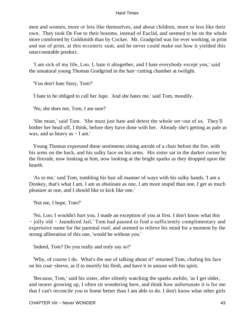men and women, more or less like themselves, and about children, more or less like their own. They took De Foe to their bosoms, instead of Euclid, and seemed to be on the whole more comforted by Goldsmith than by Cocker. Mr. Gradgrind was for ever working, in print and out of print, at this eccentric sum, and he never could make out how it yielded this unaccountable product.

 'I am sick of my life, Loo. I, hate it altogether, and I hate everybody except you,' said the unnatural young Thomas Gradgrind in the hair−cutting chamber at twilight.

'You don't hate Sissy, Tom?'

'I hate to be obliged to call her Jupe. And she hates me,' said Tom, moodily.

'No, she does not, Tom, I am sure!'

 'She must,' said Tom. 'She must just hate and detest the whole set−out of us. They'll bother her head off, I think, before they have done with her. Already she's getting as pale as wax, and as heavy as − I am.'

 Young Thomas expressed these sentiments sitting astride of a chair before the fire, with his arms on the back, and his sulky face on his arms. His sister sat in the darker corner by the fireside, now looking at him, now looking at the bright sparks as they dropped upon the hearth.

 'As to me,' said Tom, tumbling his hair all manner of ways with his sulky hands, 'I am a Donkey, that's what I am. I am as obstinate as one, I am more stupid than one, I get as much pleasure as one, and I should like to kick like one.'

'Not me, I hope, Tom?'

 'No, Loo; I wouldn't hurt you. I made an exception of you at first. I don't know what this − jolly old − Jaundiced Jail,' Tom had paused to find a sufficiently complimentary and expressive name for the parental roof, and seemed to relieve his mind for a moment by the strong alliteration of this one, 'would be without you.'

'Indeed, Tom? Do you really and truly say so?'

 'Why, of course I do. What's the use of talking about it!' returned Tom, chafing his face on his coat−sleeve, as if to mortify his flesh, and have it in unison with his spirit.

 'Because, Tom,' said his sister, after silently watching the sparks awhile, 'as I get older, and nearer growing up, I often sit wondering here, and think how unfortunate it is for me that I can't reconcile you to home better than I am able to do. I don't know what other girls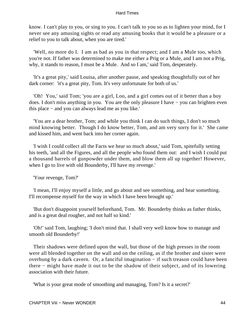know. I can't play to you, or sing to you. I can't talk to you so as to lighten your mind, for I never see any amusing sights or read any amusing books that it would be a pleasure or a relief to you to talk about, when you are tired.'

 'Well, no more do I. I am as bad as you in that respect; and I am a Mule too, which you're not. If father was determined to make me either a Prig or a Mule, and I am not a Prig, why, it stands to reason, I must be a Mule. And so I am,' said Tom, desperately.

 'It's a great pity,' said Louisa, after another pause, and speaking thoughtfully out of her dark corner: 'it's a great pity, Tom. It's very unfortunate for both of us.'

 'Oh! You,' said Tom; 'you are a girl, Loo, and a girl comes out of it better than a boy does. I don't miss anything in you. You are the only pleasure I have − you can brighten even this place − and you can always lead me as you like.'

 'You are a dear brother, Tom; and while you think I can do such things, I don't so much mind knowing better. Though I do know better, Tom, and am very sorry for it.' She came and kissed him, and went back into her corner again.

 'I wish I could collect all the Facts we hear so much about,' said Tom, spitefully setting his teeth, 'and all the Figures, and all the people who found them out: and I wish I could put a thousand barrels of gunpowder under them, and blow them all up together! However, when I go to live with old Bounderby, I'll have my revenge.'

'Your revenge, Tom?'

 'I mean, I'll enjoy myself a little, and go about and see something, and hear something. I'll recompense myself for the way in which I have been brought up.'

 'But don't disappoint yourself beforehand, Tom. Mr. Bounderby thinks as father thinks, and is a great deal rougher, and not half so kind.'

 'Oh!' said Tom, laughing; 'I don't mind that. I shall very well know how to manage and smooth old Bounderby!'

 Their shadows were defined upon the wall, but those of the high presses in the room were all blended together on the wall and on the ceiling, as if the brother and sister were overhung by a dark cavern. Or, a fanciful imagination − if such treason could have been there − might have made it out to be the shadow of their subject, and of its lowering association with their future.

'What is your great mode of smoothing and managing, Tom? Is it a secret?'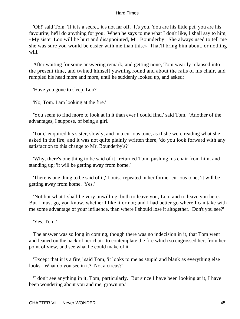'Oh!' said Tom, 'if it is a secret, it's not far off. It's you. You are his little pet, you are his favourite; he'll do anything for you. When he says to me what I don't like, I shall say to him, «My sister Loo will be hurt and disappointed, Mr. Bounderby. She always used to tell me she was sure you would be easier with me than this.» That'll bring him about, or nothing will.'

 After waiting for some answering remark, and getting none, Tom wearily relapsed into the present time, and twined himself yawning round and about the rails of his chair, and rumpled his head more and more, until he suddenly looked up, and asked:

'Have you gone to sleep, Loo?'

'No, Tom. I am looking at the fire.'

 'You seem to find more to look at in it than ever I could find,' said Tom. 'Another of the advantages, I suppose, of being a girl.'

 'Tom,' enquired his sister, slowly, and in a curious tone, as if she were reading what she asked in the fire, and it was not quite plainly written there, 'do you look forward with any satisfaction to this change to Mr. Bounderby's?'

 'Why, there's one thing to be said of it,' returned Tom, pushing his chair from him, and standing up; 'it will be getting away from home.'

 'There is one thing to be said of it,' Louisa repeated in her former curious tone; 'it will be getting away from home. Yes.'

 'Not but what I shall be very unwilling, both to leave you, Loo, and to leave you here. But I must go, you know, whether I like it or not; and I had better go where I can take with me some advantage of your influence, than where I should lose it altogether. Don't you see?'

'Yes, Tom.'

 The answer was so long in coming, though there was no indecision in it, that Tom went and leaned on the back of her chair, to contemplate the fire which so engrossed her, from her point of view, and see what he could make of it.

 'Except that it is a fire,' said Tom, 'it looks to me as stupid and blank as everything else looks. What do you see in it? Not a circus?'

 'I don't see anything in it, Tom, particularly. But since I have been looking at it, I have been wondering about you and me, grown up.'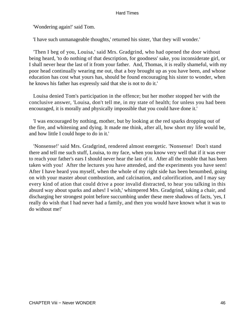'Wondering again!' said Tom.

'I have such unmanageable thoughts,' returned his sister, 'that they will wonder.'

 'Then I beg of you, Louisa,' said Mrs. Gradgrind, who had opened the door without being heard, 'to do nothing of that description, for goodness' sake, you inconsiderate girl, or I shall never hear the last of it from your father. And, Thomas, it is really shameful, with my poor head continually wearing me out, that a boy brought up as you have been, and whose education has cost what yours has, should be found encouraging his sister to wonder, when he knows his father has expressly said that she is not to do it.'

 Louisa denied Tom's participation in the offence; but her mother stopped her with the conclusive answer, 'Louisa, don't tell me, in my state of health; for unless you had been encouraged, it is morally and physically impossible that you could have done it.'

 'I was encouraged by nothing, mother, but by looking at the red sparks dropping out of the fire, and whitening and dying. It made me think, after all, how short my life would be, and how little I could hope to do in it.'

 'Nonsense!' said Mrs. Gradgrind, rendered almost energetic. 'Nonsense! Don't stand there and tell me such stuff, Louisa, to my face, when you know very well that if it was ever to reach your father's ears I should never hear the last of it. After all the trouble that has been taken with you! After the lectures you have attended, and the experiments you have seen! After I have heard you myself, when the whole of my right side has been benumbed, going on with your master about combustion, and calcination, and calorification, and I may say every kind of ation that could drive a poor invalid distracted, to hear you talking in this absurd way about sparks and ashes! I wish,' whimpered Mrs. Gradgrind, taking a chair, and discharging her strongest point before succumbing under these mere shadows of facts, 'yes, I really do wish that I had never had a family, and then you would have known what it was to do without me!'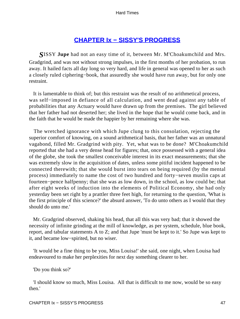# **[CHAPTER Ix − SISSY'S PROGRESS](#page-250-0)**

*S*ISSY **Jupe** had not an easy time of it, between Mr. M'Choakumchild and Mrs. Gradgrind, and was not without strong impulses, in the first months of her probation, to run away. It hailed facts all day long so very hard, and life in general was opened to her as such a closely ruled ciphering−book, that assuredly she would have run away, but for only one restraint.

 It is lamentable to think of; but this restraint was the result of no arithmetical process, was self−imposed in defiance of all calculation, and went dead against any table of probabilities that any Actuary would have drawn up from the premises. The girl believed that her father had not deserted her; she lived in the hope that he would come back, and in the faith that he would be made the happier by her remaining where she was.

 The wretched ignorance with which Jupe clung to this consolation, rejecting the superior comfort of knowing, on a sound arithmetical basis, that her father was an unnatural vagabond, filled Mr. Gradgrind with pity. Yet, what was to be done? M'Choakumchild reported that she had a very dense head for figures; that, once possessed with a general idea of the globe, she took the smallest conceivable interest in its exact measurements; that she was extremely slow in the acquisition of dates, unless some pitiful incident happened to be connected therewith; that she would burst into tears on being required (by the mental process) immediately to name the cost of two hundred and forty−seven muslin caps at fourteen−pence halfpenny; that she was as low down, in the school, as low could be; that after eight weeks of induction into the elements of Political Economy, she had only yesterday been set right by a prattler three feet high, for returning to the question, 'What is the first principle of this science?' the absurd answer, 'To do unto others as I would that they should do unto me.'

 Mr. Gradgrind observed, shaking his head, that all this was very bad; that it showed the necessity of infinite grinding at the mill of knowledge, as per system, schedule, blue book, report, and tabular statements A to Z; and that Jupe 'must be kept to it.' So Jupe was kept to it, and became low−spirited, but no wiser.

 'It would be a fine thing to be you, Miss Louisa!' she said, one night, when Louisa had endeavoured to make her perplexities for next day something clearer to her.

'Do you think so?'

 'I should know so much, Miss Louisa. All that is difficult to me now, would be so easy then.'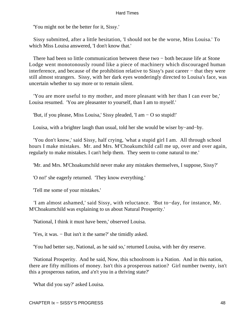'You might not be the better for it, Sissy.'

 Sissy submitted, after a little hesitation, 'I should not be the worse, Miss Louisa.' To which Miss Louisa answered, 'I don't know that.'

There had been so little communication between these two – both because life at Stone Lodge went monotonously round like a piece of machinery which discouraged human interference, and because of the prohibition relative to Sissy's past career − that they were still almost strangers. Sissy, with her dark eyes wonderingly directed to Louisa's face, was uncertain whether to say more or to remain silent.

 'You are more useful to my mother, and more pleasant with her than I can ever be,' Louisa resumed. 'You are pleasanter to yourself, than I am to myself.'

'But, if you please, Miss Louisa,' Sissy pleaded, 'I am − O so stupid!'

Louisa, with a brighter laugh than usual, told her she would be wiser by−and−by.

 'You don't know,' said Sissy, half crying, 'what a stupid girl I am. All through school hours I make mistakes. Mr. and Mrs. M'Choakumchild call me up, over and over again, regularly to make mistakes. I can't help them. They seem to come natural to me.'

'Mr. and Mrs. M'Choakumchild never make any mistakes themselves, I suppose, Sissy?'

'O no!' she eagerly returned. 'They know everything.'

'Tell me some of your mistakes.'

 'I am almost ashamed,' said Sissy, with reluctance. 'But to−day, for instance, Mr. M'Choakumchild was explaining to us about Natural Prosperity.'

'National, I think it must have been,' observed Louisa.

'Yes, it was. − But isn't it the same?' she timidly asked.

'You had better say, National, as he said so,' returned Louisa, with her dry reserve.

 'National Prosperity. And he said, Now, this schoolroom is a Nation. And in this nation, there are fifty millions of money. Isn't this a prosperous nation? Girl number twenty, isn't this a prosperous nation, and a'n't you in a thriving state?'

'What did you say?' asked Louisa.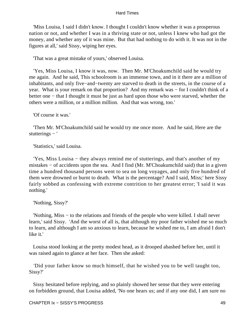'Miss Louisa, I said I didn't know. I thought I couldn't know whether it was a prosperous nation or not, and whether I was in a thriving state or not, unless I knew who had got the money, and whether any of it was mine. But that had nothing to do with it. It was not in the figures at all,' said Sissy, wiping her eyes.

'That was a great mistake of yours,' observed Louisa.

 'Yes, Miss Louisa, I know it was, now. Then Mr. M'Choakumchild said he would try me again. And he said, This schoolroom is an immense town, and in it there are a million of inhabitants, and only five−and−twenty are starved to death in the streets, in the course of a year. What is your remark on that proportion? And my remark was − for I couldn't think of a better one − that I thought it must be just as hard upon those who were starved, whether the others were a million, or a million million. And that was wrong, too.'

'Of course it was.'

 'Then Mr. M'Choakumchild said he would try me once more. And he said, Here are the stutterings − '

'Statistics,' said Louisa.

 'Yes, Miss Louisa − they always remind me of stutterings, and that's another of my mistakes − of accidents upon the sea. And I find (Mr. M'Choakumchild said) that in a given time a hundred thousand persons went to sea on long voyages, and only five hundred of them were drowned or burnt to death. What is the percentage? And I said, Miss;' here Sissy fairly sobbed as confessing with extreme contrition to her greatest error; 'I said it was nothing.'

'Nothing, Sissy?'

 'Nothing, Miss − to the relations and friends of the people who were killed. I shall never learn,' said Sissy. 'And the worst of all is, that although my poor father wished me so much to learn, and although I am so anxious to learn, because he wished me to, I am afraid I don't like it.'

 Louisa stood looking at the pretty modest head, as it drooped abashed before her, until it was raised again to glance at her face. Then she asked:

 'Did your father know so much himself, that he wished you to be well taught too, Sissy?'

 Sissy hesitated before replying, and so plainly showed her sense that they were entering on forbidden ground, that Louisa added, 'No one hears us; and if any one did, I am sure no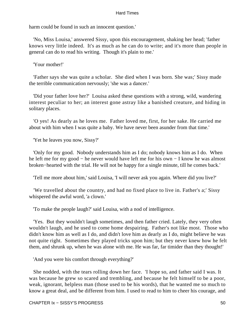harm could be found in such an innocent question.'

 'No, Miss Louisa,' answered Sissy, upon this encouragement, shaking her head; 'father knows very little indeed. It's as much as he can do to write; and it's more than people in general can do to read his writing. Though it's plain to me.'

'Your mother!'

 'Father says she was quite a scholar. She died when I was born. She was;' Sissy made the terrible communication nervously; 'she was a dancer.'

 'Did your father love her?' Louisa asked these questions with a strong, wild, wandering interest peculiar to her; an interest gone astray like a banished creature, and hiding in solitary places.

 'O yes! As dearly as he loves me. Father loved me, first, for her sake. He carried me about with him when I was quite a baby. We have never been asunder from that time.'

'Yet he leaves you now, Sissy?'

 'Only for my good. Nobody understands him as I do; nobody knows him as I do. When he left me for my good – he never would have left me for his own – I know he was almost broken−hearted with the trial. He will not be happy for a single minute, till he comes back.'

'Tell me more about him,' said Louisa, 'I will never ask you again. Where did you live?'

 'We travelled about the country, and had no fixed place to live in. Father's a;' Sissy whispered the awful word, 'a clown.'

'To make the people laugh?' said Louisa, with a nod of intelligence.

 'Yes. But they wouldn't laugh sometimes, and then father cried. Lately, they very often wouldn't laugh, and he used to come home despairing. Father's not like most. Those who didn't know him as well as I do, and didn't love him as dearly as I do, might believe he was not quite right. Sometimes they played tricks upon him; but they never knew how he felt them, and shrunk up, when he was alone with me. He was far, far timider than they thought!'

'And you were his comfort through everything?'

 She nodded, with the tears rolling down her face. 'I hope so, and father said I was. It was because he grew so scared and trembling, and because he felt himself to be a poor, weak, ignorant, helpless man (those used to be his words), that he wanted me so much to know a great deal, and be different from him. I used to read to him to cheer his courage, and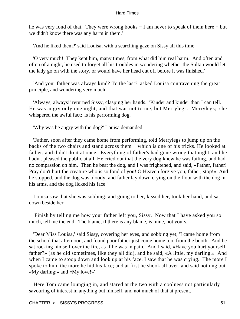he was very fond of that. They were wrong books – I am never to speak of them here – but we didn't know there was any harm in them.'

'And he liked them?' said Louisa, with a searching gaze on Sissy all this time.

 'O very much! They kept him, many times, from what did him real harm. And often and often of a night, he used to forget all his troubles in wondering whether the Sultan would let the lady go on with the story, or would have her head cut off before it was finished.'

 'And your father was always kind? To the last?' asked Louisa contravening the great principle, and wondering very much.

 'Always, always!' returned Sissy, clasping her hands. 'Kinder and kinder than I can tell. He was angry only one night, and that was not to me, but Merrylegs. Merrylegs;' she whispered the awful fact; 'is his performing dog.'

'Why was he angry with the dog?' Louisa demanded.

 'Father, soon after they came home from performing, told Merrylegs to jump up on the backs of the two chairs and stand across them − which is one of his tricks. He looked at father, and didn't do it at once. Everything of father's had gone wrong that night, and he hadn't pleased the public at all. He cried out that the very dog knew he was failing, and had no compassion on him. Then he beat the dog, and I was frightened, and said, «Father, father! Pray don't hurt the creature who is so fond of you! O Heaven forgive you, father, stop!» And he stopped, and the dog was bloody, and father lay down crying on the floor with the dog in his arms, and the dog licked his face.'

 Louisa saw that she was sobbing; and going to her, kissed her, took her hand, and sat down beside her.

 'Finish by telling me how your father left you, Sissy. Now that I have asked you so much, tell me the end. The blame, if there is any blame, is mine, not yours.'

 'Dear Miss Louisa,' said Sissy, covering her eyes, and sobbing yet; 'I came home from the school that afternoon, and found poor father just come home too, from the booth. And he sat rocking himself over the fire, as if he was in pain. And I said, «Have you hurt yourself, father?» (as he did sometimes, like they all did), and he said, «A little, my darling.» And when I came to stoop down and look up at his face, I saw that he was crying. The more I spoke to him, the more he hid his face; and at first he shook all over, and said nothing but «My darling;» and «My love!»'

 Here Tom came lounging in, and stared at the two with a coolness not particularly savouring of interest in anything but himself, and not much of that at present.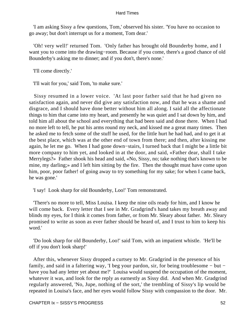'I am asking Sissy a few questions, Tom,' observed his sister. 'You have no occasion to go away; but don't interrupt us for a moment, Tom dear.'

 'Oh! very well!' returned Tom. 'Only father has brought old Bounderby home, and I want you to come into the drawing−room. Because if you come, there's a good chance of old Bounderby's asking me to dinner; and if you don't, there's none.'

'I'll come directly.'

'I'll wait for you,' said Tom, 'to make sure.'

 Sissy resumed in a lower voice. 'At last poor father said that he had given no satisfaction again, and never did give any satisfaction now, and that he was a shame and disgrace, and I should have done better without him all along. I said all the affectionate things to him that came into my heart, and presently he was quiet and I sat down by him, and told him all about the school and everything that had been said and done there. When I had no more left to tell, he put his arms round my neck, and kissed me a great many times. Then he asked me to fetch some of the stuff he used, for the little hurt he had had, and to get it at the best place, which was at the other end of town from there; and then, after kissing me again, he let me go. When I had gone down−stairs, I turned back that I might be a little bit more company to him yet, and looked in at the door, and said, «Father dear, shall I take Merrylegs?» Father shook his head and said, «No, Sissy, no; take nothing that's known to be mine, my darling;» and I left him sitting by the fire. Then the thought must have come upon him, poor, poor father! of going away to try something for my sake; for when I came back, he was gone.'

'I say! Look sharp for old Bounderby, Loo!' Tom remonstrated.

 'There's no more to tell, Miss Louisa. I keep the nine oils ready for him, and I know he will come back. Every letter that I see in Mr. Gradgrind's hand takes my breath away and blinds my eyes, for I think it comes from father, or from Mr. Sleary about father. Mr. Sleary promised to write as soon as ever father should be heard of, and I trust to him to keep his word.'

 'Do look sharp for old Bounderby, Loo!' said Tom, with an impatient whistle. 'He'll be off if you don't look sharp!'

 After this, whenever Sissy dropped a curtsey to Mr. Gradgrind in the presence of his family, and said in a faltering way, 'I beg your pardon, sir, for being troublesome − but − have you had any letter yet about me?' Louisa would suspend the occupation of the moment, whatever it was, and look for the reply as earnestly as Sissy did. And when Mr. Gradgrind regularly answered, 'No, Jupe, nothing of the sort,' the trembling of Sissy's lip would be repeated in Louisa's face, and her eyes would follow Sissy with compassion to the door. Mr.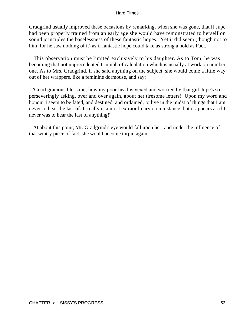Gradgrind usually improved these occasions by remarking, when she was gone, that if Jupe had been properly trained from an early age she would have remonstrated to herself on sound principles the baselessness of these fantastic hopes. Yet it did seem (though not to him, for he saw nothing of it) as if fantastic hope could take as strong a hold as Fact.

 This observation must be limited exclusively to his daughter. As to Tom, he was becoming that not unprecedented triumph of calculation which is usually at work on number one. As to Mrs. Gradgrind, if she said anything on the subject, she would come a little way out of her wrappers, like a feminine dormouse, and say:

 'Good gracious bless me, how my poor head is vexed and worried by that girl Jupe's so perseveringly asking, over and over again, about her tiresome letters! Upon my word and honour I seem to be fated, and destined, and ordained, to live in the midst of things that I am never to hear the last of. It really is a most extraordinary circumstance that it appears as if I never was to hear the last of anything!'

 At about this point, Mr. Gradgrind's eye would fall upon her; and under the influence of that wintry piece of fact, she would become torpid again.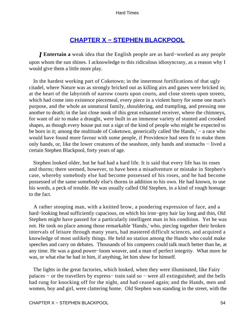# **[CHAPTER X − STEPHEN BLACKPOOL](#page-250-0)**

*I* **Entertain a** weak idea that the English people are as hard−worked as any people upon whom the sun shines. I acknowledge to this ridiculous idiosyncrasy, as a reason why I would give them a little more play.

 In the hardest working part of Coketown; in the innermost fortifications of that ugly citadel, where Nature was as strongly bricked out as killing airs and gases were bricked in; at the heart of the labyrinth of narrow courts upon courts, and close streets upon streets, which had come into existence piecemeal, every piece in a violent hurry for some one man's purpose, and the whole an unnatural family, shouldering, and trampling, and pressing one another to death; in the last close nook of this great exhausted receiver, where the chimneys, for want of air to make a draught, were built in an immense variety of stunted and crooked shapes, as though every house put out a sign of the kind of people who might be expected to be born in it; among the multitude of Coketown, generically called 'the Hands,' − a race who would have found more favour with some people, if Providence had seen fit to make them only hands, or, like the lower creatures of the seashore, only hands and stomachs − lived a certain Stephen Blackpool, forty years of age.

 Stephen looked older, but he had had a hard life. It is said that every life has its roses and thorns; there seemed, however, to have been a misadventure or mistake in Stephen's case, whereby somebody else had become possessed of his roses, and he had become possessed of the same somebody else's thorns in addition to his own. He had known, to use his words, a peck of trouble. He was usually called Old Stephen, in a kind of rough homage to the fact.

 A rather stooping man, with a knitted brow, a pondering expression of face, and a hard−looking head sufficiently capacious, on which his iron−grey hair lay long and thin, Old Stephen might have passed for a particularly intelligent man in his condition. Yet he was not. He took no place among those remarkable 'Hands,' who, piecing together their broken intervals of leisure through many years, had mastered difficult sciences, and acquired a knowledge of most unlikely things. He held no station among the Hands who could make speeches and carry on debates. Thousands of his compeers could talk much better than he, at any time. He was a good power−loom weaver, and a man of perfect integrity. What more he was, or what else he had in him, if anything, let him show for himself.

 The lights in the great factories, which looked, when they were illuminated, like Fairy palaces − or the travellers by express− train said so − were all extinguished; and the bells had rung for knocking off for the night, and had ceased again; and the Hands, men and women, boy and girl, were clattering home. Old Stephen was standing in the street, with the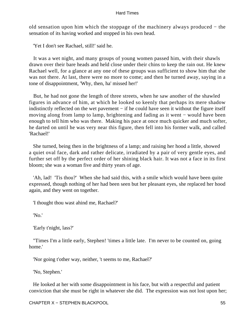old sensation upon him which the stoppage of the machinery always produced − the sensation of its having worked and stopped in his own head.

'Yet I don't see Rachael, still!' said he.

 It was a wet night, and many groups of young women passed him, with their shawls drawn over their bare heads and held close under their chins to keep the rain out. He knew Rachael well, for a glance at any one of these groups was sufficient to show him that she was not there. At last, there were no more to come; and then he turned away, saying in a tone of disappointment, 'Why, then, ha' missed her!'

 But, he had not gone the length of three streets, when he saw another of the shawled figures in advance of him, at which he looked so keenly that perhaps its mere shadow indistinctly reflected on the wet pavement − if he could have seen it without the figure itself moving along from lamp to lamp, brightening and fading as it went − would have been enough to tell him who was there. Making his pace at once much quicker and much softer, he darted on until he was very near this figure, then fell into his former walk, and called 'Rachael!'

 She turned, being then in the brightness of a lamp; and raising her hood a little, showed a quiet oval face, dark and rather delicate, irradiated by a pair of very gentle eyes, and further set off by the perfect order of her shining black hair. It was not a face in its first bloom; she was a woman five and thirty years of age.

 'Ah, lad! 'Tis thou?' When she had said this, with a smile which would have been quite expressed, though nothing of her had been seen but her pleasant eyes, she replaced her hood again, and they went on together.

'I thought thou wast ahind me, Rachael?'

'No.'

'Early t'night, lass?'

 ''Times I'm a little early, Stephen! 'times a little late. I'm never to be counted on, going home.'

'Nor going t'other way, neither, 't seems to me, Rachael?'

'No, Stephen.'

 He looked at her with some disappointment in his face, but with a respectful and patient conviction that she must be right in whatever she did. The expression was not lost upon her;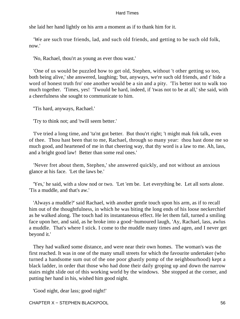she laid her hand lightly on his arm a moment as if to thank him for it.

 'We are such true friends, lad, and such old friends, and getting to be such old folk, now.'

'No, Rachael, thou'rt as young as ever thou wast.'

 'One of us would be puzzled how to get old, Stephen, without 't other getting so too, both being alive,' she answered, laughing; 'but, anyways, we're such old friends, and t' hide a word of honest truth fro' one another would be a sin and a pity. 'Tis better not to walk too much together. 'Times, yes! 'Twould be hard, indeed, if 'twas not to be at all,' she said, with a cheerfulness she sought to communicate to him.

''Tis hard, anyways, Rachael.'

'Try to think not; and 'twill seem better.'

 'I've tried a long time, and 'ta'nt got better. But thou'rt right; 't might mak fok talk, even of thee. Thou hast been that to me, Rachael, through so many year: thou hast done me so much good, and heartened of me in that cheering way, that thy word is a law to me. Ah, lass, and a bright good law! Better than some real ones.'

 'Never fret about them, Stephen,' she answered quickly, and not without an anxious glance at his face. 'Let the laws be.'

 'Yes,' he said, with a slow nod or two. 'Let 'em be. Let everything be. Let all sorts alone. 'Tis a muddle, and that's aw.'

 'Always a muddle?' said Rachael, with another gentle touch upon his arm, as if to recall him out of the thoughtfulness, in which he was biting the long ends of his loose neckerchief as he walked along. The touch had its instantaneous effect. He let them fall, turned a smiling face upon her, and said, as he broke into a good−humoured laugh, 'Ay, Rachael, lass, awlus a muddle. That's where I stick. I come to the muddle many times and agen, and I never get beyond it.'

 They had walked some distance, and were near their own homes. The woman's was the first reached. It was in one of the many small streets for which the favourite undertaker (who turned a handsome sum out of the one poor ghastly pomp of the neighbourhood) kept a black ladder, in order that those who had done their daily groping up and down the narrow stairs might slide out of this working world by the windows. She stopped at the corner, and putting her hand in his, wished him good night.

'Good night, dear lass; good night!'

CHAPTER X – STEPHEN BLACKPOOL 56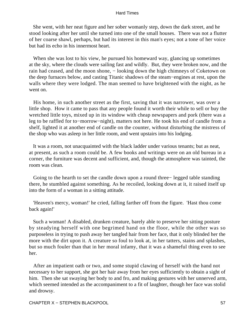She went, with her neat figure and her sober womanly step, down the dark street, and he stood looking after her until she turned into one of the small houses. There was not a flutter of her coarse shawl, perhaps, but had its interest in this man's eyes; not a tone of her voice but had its echo in his innermost heart.

 When she was lost to his view, he pursued his homeward way, glancing up sometimes at the sky, where the clouds were sailing fast and wildly. But, they were broken now, and the rain had ceased, and the moon shone, – looking down the high chimneys of Coketown on the deep furnaces below, and casting Titanic shadows of the steam−engines at rest, upon the walls where they were lodged. The man seemed to have brightened with the night, as he went on.

 His home, in such another street as the first, saving that it was narrower, was over a little shop. How it came to pass that any people found it worth their while to sell or buy the wretched little toys, mixed up in its window with cheap newspapers and pork (there was a leg to be raffled for to−morrow−night), matters not here. He took his end of candle from a shelf, lighted it at another end of candle on the counter, without disturbing the mistress of the shop who was asleep in her little room, and went upstairs into his lodging.

 It was a room, not unacquainted with the black ladder under various tenants; but as neat, at present, as such a room could be. A few books and writings were on an old bureau in a corner, the furniture was decent and sufficient, and, though the atmosphere was tainted, the room was clean.

 Going to the hearth to set the candle down upon a round three− legged table standing there, he stumbled against something. As he recoiled, looking down at it, it raised itself up into the form of a woman in a sitting attitude.

 'Heaven's mercy, woman!' he cried, falling farther off from the figure. 'Hast thou come back again!'

 Such a woman! A disabled, drunken creature, barely able to preserve her sitting posture by steadying herself with one begrimed hand on the floor, while the other was so purposeless in trying to push away her tangled hair from her face, that it only blinded her the more with the dirt upon it. A creature so foul to look at, in her tatters, stains and splashes, but so much fouler than that in her moral infamy, that it was a shameful thing even to see her.

 After an impatient oath or two, and some stupid clawing of herself with the hand not necessary to her support, she got her hair away from her eyes sufficiently to obtain a sight of him. Then she sat swaying her body to and fro, and making gestures with her unnerved arm, which seemed intended as the accompaniment to a fit of laughter, though her face was stolid and drowsy.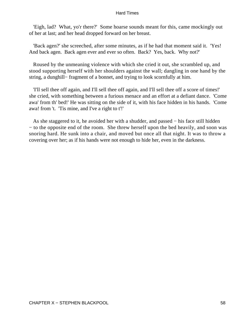'Eigh, lad? What, yo'r there?' Some hoarse sounds meant for this, came mockingly out of her at last; and her head dropped forward on her breast.

 'Back agen?' she screeched, after some minutes, as if he had that moment said it. 'Yes! And back agen. Back agen ever and ever so often. Back? Yes, back. Why not?'

 Roused by the unmeaning violence with which she cried it out, she scrambled up, and stood supporting herself with her shoulders against the wall; dangling in one hand by the string, a dunghill− fragment of a bonnet, and trying to look scornfully at him.

 'I'll sell thee off again, and I'll sell thee off again, and I'll sell thee off a score of times!' she cried, with something between a furious menace and an effort at a defiant dance. 'Come awa' from th' bed!' He was sitting on the side of it, with his face hidden in his hands. 'Come awa! from 't. 'Tis mine, and I've a right to t'!'

 As she staggered to it, he avoided her with a shudder, and passed − his face still hidden − to the opposite end of the room. She threw herself upon the bed heavily, and soon was snoring hard. He sunk into a chair, and moved but once all that night. It was to throw a covering over her; as if his hands were not enough to hide her, even in the darkness.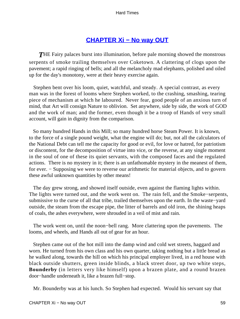# **[CHAPTER Xi − No way OUT](#page-250-0)**

**THE Fairy palaces burst into illumination, before pale morning showed the monstrous** serpents of smoke trailing themselves over Coketown. A clattering of clogs upon the pavement; a rapid ringing of bells; and all the melancholy mad elephants, polished and oiled up for the day's monotony, were at their heavy exercise again.

 Stephen bent over his loom, quiet, watchful, and steady. A special contrast, as every man was in the forest of looms where Stephen worked, to the crashing, smashing, tearing piece of mechanism at which he laboured. Never fear, good people of an anxious turn of mind, that Art will consign Nature to oblivion. Set anywhere, side by side, the work of GOD and the work of man; and the former, even though it be a troop of Hands of very small account, will gain in dignity from the comparison.

 So many hundred Hands in this Mill; so many hundred horse Steam Power. It is known, to the force of a single pound weight, what the engine will do; but, not all the calculators of the National Debt can tell me the capacity for good or evil, for love or hatred, for patriotism or discontent, for the decomposition of virtue into vice, or the reverse, at any single moment in the soul of one of these its quiet servants, with the composed faces and the regulated actions. There is no mystery in it; there is an unfathomable mystery in the meanest of them, for ever. – Supposing we were to reverse our arithmetic for material objects, and to govern these awful unknown quantities by other means!

 The day grew strong, and showed itself outside, even against the flaming lights within. The lights were turned out, and the work went on. The rain fell, and the Smoke−serpents, submissive to the curse of all that tribe, trailed themselves upon the earth. In the waste−yard outside, the steam from the escape pipe, the litter of barrels and old iron, the shining heaps of coals, the ashes everywhere, were shrouded in a veil of mist and rain.

 The work went on, until the noon−bell rang. More clattering upon the pavements. The looms, and wheels, and Hands all out of gear for an hour.

 Stephen came out of the hot mill into the damp wind and cold wet streets, haggard and worn. He turned from his own class and his own quarter, taking nothing but a little bread as he walked along, towards the hill on which his principal employer lived, in a red house with black outside shutters, green inside blinds, a black street door, up two white steps, **Bounderby** (in letters very like himself) upon a brazen plate, and a round brazen door−handle underneath it, like a brazen full−stop.

Mr. Bounderby was at his lunch. So Stephen had expected. Would his servant say that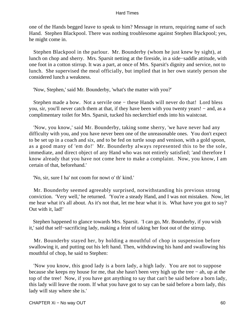one of the Hands begged leave to speak to him? Message in return, requiring name of such Hand. Stephen Blackpool. There was nothing troublesome against Stephen Blackpool; yes, he might come in.

 Stephen Blackpool in the parlour. Mr. Bounderby (whom he just knew by sight), at lunch on chop and sherry. Mrs. Sparsit netting at the fireside, in a side−saddle attitude, with one foot in a cotton stirrup. It was a part, at once of Mrs. Sparsit's dignity and service, not to lunch. She supervised the meal officially, but implied that in her own stately person she considered lunch a weakness.

'Now, Stephen,' said Mr. Bounderby, 'what's the matter with you?'

 Stephen made a bow. Not a servile one − these Hands will never do that! Lord bless you, sir, you'll never catch them at that, if they have been with you twenty years! − and, as a complimentary toilet for Mrs. Sparsit, tucked his neckerchief ends into his waistcoat.

 'Now, you know,' said Mr. Bounderby, taking some sherry, 'we have never had any difficulty with you, and you have never been one of the unreasonable ones. You don't expect to be set up in a coach and six, and to be fed on turtle soup and venison, with a gold spoon, as a good many of 'em do!' Mr. Bounderby always represented this to be the sole, immediate, and direct object of any Hand who was not entirely satisfied; 'and therefore I know already that you have not come here to make a complaint. Now, you know, I am certain of that, beforehand.'

'No, sir, sure I ha' not coom for nowt o' th' kind.'

 Mr. Bounderby seemed agreeably surprised, notwithstanding his previous strong conviction. 'Very well,' he returned. 'You're a steady Hand, and I was not mistaken. Now, let me hear what it's all about. As it's not that, let me hear what it is. What have you got to say? Out with it, lad!'

 Stephen happened to glance towards Mrs. Sparsit. 'I can go, Mr. Bounderby, if you wish it,' said that self−sacrificing lady, making a feint of taking her foot out of the stirrup.

 Mr. Bounderby stayed her, by holding a mouthful of chop in suspension before swallowing it, and putting out his left hand. Then, withdrawing his hand and swallowing his mouthful of chop, he said to Stephen:

 'Now you know, this good lady is a born lady, a high lady. You are not to suppose because she keeps my house for me, that she hasn't been very high up the tree − ah, up at the top of the tree! Now, if you have got anything to say that can't be said before a born lady, this lady will leave the room. If what you have got to say can be said before a born lady, this lady will stay where she is.'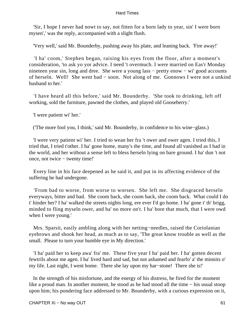'Sir, I hope I never had nowt to say, not fitten for a born lady to year, sin' I were born mysen',' was the reply, accompanied with a slight flush.

'Very well,' said Mr. Bounderby, pushing away his plate, and leaning back. 'Fire away!'

 'I ha' coom,' Stephen began, raising his eyes from the floor, after a moment's consideration, 'to ask yo yor advice. I need 't overmuch. I were married on Eas'r Monday nineteen year sin, long and dree. She were a young lass – pretty enow – wi' good accounts of herseln. Well! She went bad − soon. Not along of me. Gonnows I were not a unkind husband to her.'

 'I have heard all this before,' said Mr. Bounderby. 'She took to drinking, left off working, sold the furniture, pawned the clothes, and played old Gooseberry.'

'I were patient wi' her.'

('The more fool you, I think,' said Mr. Bounderby, in confidence to his wine−glass.)

 'I were very patient wi' her. I tried to wean her fra 't ower and ower agen. I tried this, I tried that, I tried t'other. I ha' gone home, many's the time, and found all vanished as I had in the world, and her without a sense left to bless herseln lying on bare ground. I ha' dun 't not once, not twice − twenty time!'

 Every line in his face deepened as he said it, and put in its affecting evidence of the suffering he had undergone.

 'From bad to worse, from worse to worsen. She left me. She disgraced herseln everyways, bitter and bad. She coom back, she coom back, she coom back. What could I do t' hinder her? I ha' walked the streets nights long, ere ever I'd go home. I ha' gone t' th' brigg, minded to fling myseln ower, and ha' no more on't. I ha' bore that much, that I were owd when I were young.'

 Mrs. Sparsit, easily ambling along with her netting−needles, raised the Coriolanian eyebrows and shook her head, as much as to say, 'The great know trouble as well as the small. Please to turn your humble eye in My direction.'

 'I ha' paid her to keep awa' fra' me. These five year I ha' paid her. I ha' gotten decent fewtrils about me agen. I ha' lived hard and sad, but not ashamed and fearfo' a' the minnits o' my life. Last night, I went home. There she lay upon my har−stone! There she is!'

 In the strength of his misfortune, and the energy of his distress, he fired for the moment like a proud man. In another moment, he stood as he had stood all the time − his usual stoop upon him; his pondering face addressed to Mr. Bounderby, with a curious expression on it,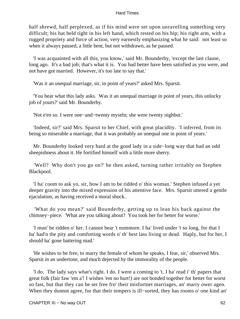half shrewd, half perplexed, as if his mind were set upon unravelling something very difficult; his hat held tight in his left hand, which rested on his hip; his right arm, with a rugged propriety and force of action, very earnestly emphasizing what he said: not least so when it always paused, a little bent, but not withdrawn, as he paused.

 'I was acquainted with all this, you know,' said Mr. Bounderby, 'except the last clause, long ago. It's a bad job; that's what it is. You had better have been satisfied as you were, and not have got married. However, it's too late to say that.'

'Was it an unequal marriage, sir, in point of years?' asked Mrs. Sparsit.

 'You hear what this lady asks. Was it an unequal marriage in point of years, this unlucky job of yours?' said Mr. Bounderby.

'Not e'en so. I were one−and−twenty myseln; she were twenty nighbut.'

 'Indeed, sir?' said Mrs. Sparsit to her Chief, with great placidity. 'I inferred, from its being so miserable a marriage, that it was probably an unequal one in point of years.'

 Mr. Bounderby looked very hard at the good lady in a side−long way that had an odd sheepishness about it. He fortified himself with a little more sherry.

 'Well? Why don't you go on?' he then asked, turning rather irritably on Stephen Blackpool.

 'I ha' coom to ask yo, sir, how I am to be ridded o' this woman.' Stephen infused a yet deeper gravity into the mixed expression of his attentive face. Mrs. Sparsit uttered a gentle ejaculation, as having received a moral shock.

 'What do you mean?' said Bounderby, getting up to lean his back against the chimney−piece. 'What are you talking about? You took her for better for worse.'

 'I mun' be ridden o' her. I cannot bear 't nommore. I ha' lived under 't so long, for that I ha' had'n the pity and comforting words o' th' best lass living or dead. Haply, but for her, I should ha' gone battering mad.'

 'He wishes to be free, to marry the female of whom he speaks, I fear, sir,' observed Mrs. Sparsit in an undertone, and much dejected by the immorality of the people.

 'I do. The lady says what's right. I do. I were a coming to 't. I ha' read i' th' papers that great folk (fair faw 'em a'! I wishes 'em no hurt!) are not bonded together for better for worst so fast, but that they can be set free fro' their misfortnet marriages, an' marry ower agen. When they dunnot agree, for that their tempers is ill−sorted, they has rooms o' one kind an'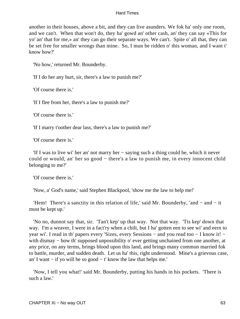another in their houses, above a bit, and they can live asunders. We fok ha' only one room, and we can't. When that won't do, they ha' gowd an' other cash, an' they can say «This for yo' an' that for me,» an' they can go their separate ways. We can't. Spite o' all that, they can be set free for smaller wrongs than mine. So, I mun be ridden o' this woman, and I want t' know how?'

'No how,' returned Mr. Bounderby.

'If I do her any hurt, sir, there's a law to punish me?'

'Of course there is.'

'If I flee from her, there's a law to punish me?'

'Of course there is.'

'If I marry t'oother dear lass, there's a law to punish me?'

'Of course there is.'

 'If I was to live wi' her an' not marry her − saying such a thing could be, which it never could or would, an' her so good − there's a law to punish me, in every innocent child belonging to me?'

'Of course there is.'

'Now, a' God's name,' said Stephen Blackpool, 'show me the law to help me!'

 'Hem! There's a sanctity in this relation of life,' said Mr. Bounderby, 'and − and − it must be kept up.'

 'No no, dunnot say that, sir. 'Tan't kep' up that way. Not that way. 'Tis kep' down that way. I'm a weaver, I were in a fact'ry when a chilt, but I ha' gotten een to see wi' and eern to year wi'. I read in th' papers every 'Sizes, every Sessions – and you read too – I know it! – with dismay – how th' supposed unpossibility o' ever getting unchained from one another, at any price, on any terms, brings blood upon this land, and brings many common married fok to battle, murder, and sudden death. Let us ha' this, right understood. Mine's a grievous case, an' I want − if yo will be so good − t' know the law that helps me.'

 'Now, I tell you what!' said Mr. Bounderby, putting his hands in his pockets. 'There is such a law.'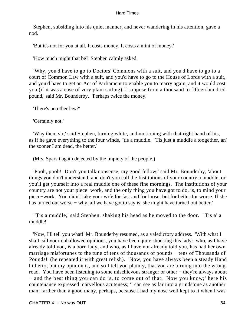Stephen, subsiding into his quiet manner, and never wandering in his attention, gave a nod.

'But it's not for you at all. It costs money. It costs a mint of money.'

'How much might that be?' Stephen calmly asked.

 'Why, you'd have to go to Doctors' Commons with a suit, and you'd have to go to a court of Common Law with a suit, and you'd have to go to the House of Lords with a suit, and you'd have to get an Act of Parliament to enable you to marry again, and it would cost you (if it was a case of very plain sailing), I suppose from a thousand to fifteen hundred pound,' said Mr. Bounderby. 'Perhaps twice the money.'

'There's no other law?'

'Certainly not.'

 'Why then, sir,' said Stephen, turning white, and motioning with that right hand of his, as if he gave everything to the four winds, ''tis a muddle. 'Tis just a muddle a'toogether, an' the sooner I am dead, the better.'

(Mrs. Sparsit again dejected by the impiety of the people.)

 'Pooh, pooh! Don't you talk nonsense, my good fellow,' said Mr. Bounderby, 'about things you don't understand; and don't you call the Institutions of your country a muddle, or you'll get yourself into a real muddle one of these fine mornings. The institutions of your country are not your piece−work, and the only thing you have got to do, is, to mind your piece−work. You didn't take your wife for fast and for loose; but for better for worse. If she has turned out worse – why, all we have got to say is, she might have turned out better.'

 ''Tis a muddle,' said Stephen, shaking his head as he moved to the door. ''Tis a' a muddle!'

 'Now, I'll tell you what!' Mr. Bounderby resumed, as a valedictory address. 'With what I shall call your unhallowed opinions, you have been quite shocking this lady: who, as I have already told you, is a born lady, and who, as I have not already told you, has had her own marriage misfortunes to the tune of tens of thousands of pounds − tens of Thousands of Pounds!' (he repeated it with great relish). 'Now, you have always been a steady Hand hitherto; but my opinion is, and so I tell you plainly, that you are turning into the wrong road. You have been listening to some mischievous stranger or other − they're always about − and the best thing you can do is, to come out of that. Now you know;' here his countenance expressed marvellous acuteness; 'I can see as far into a grindstone as another man; farther than a good many, perhaps, because I had my nose well kept to it when I was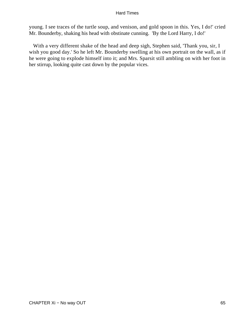young. I see traces of the turtle soup, and venison, and gold spoon in this. Yes, I do!' cried Mr. Bounderby, shaking his head with obstinate cunning. 'By the Lord Harry, I do!'

 With a very different shake of the head and deep sigh, Stephen said, 'Thank you, sir, I wish you good day.' So he left Mr. Bounderby swelling at his own portrait on the wall, as if he were going to explode himself into it; and Mrs. Sparsit still ambling on with her foot in her stirrup, looking quite cast down by the popular vices.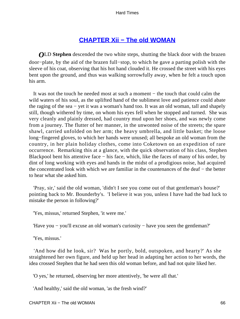# **[CHAPTER Xii − The old WOMAN](#page-250-0)**

*O*LD **Stephen** descended the two white steps, shutting the black door with the brazen door−plate, by the aid of the brazen full−stop, to which he gave a parting polish with the sleeve of his coat, observing that his hot hand clouded it. He crossed the street with his eyes bent upon the ground, and thus was walking sorrowfully away, when he felt a touch upon his arm.

 It was not the touch he needed most at such a moment − the touch that could calm the wild waters of his soul, as the uplifted hand of the sublimest love and patience could abate the raging of the sea − yet it was a woman's hand too. It was an old woman, tall and shapely still, though withered by time, on whom his eyes fell when he stopped and turned. She was very cleanly and plainly dressed, had country mud upon her shoes, and was newly come from a journey. The flutter of her manner, in the unwonted noise of the streets; the spare shawl, carried unfolded on her arm; the heavy umbrella, and little basket; the loose long−fingered gloves, to which her hands were unused; all bespoke an old woman from the country, in her plain holiday clothes, come into Coketown on an expedition of rare occurrence. Remarking this at a glance, with the quick observation of his class, Stephen Blackpool bent his attentive face − his face, which, like the faces of many of his order, by dint of long working with eyes and hands in the midst of a prodigious noise, had acquired the concentrated look with which we are familiar in the countenances of the deaf − the better to hear what she asked him.

 'Pray, sir,' said the old woman, 'didn't I see you come out of that gentleman's house?' pointing back to Mr. Bounderby's. 'I believe it was you, unless I have had the bad luck to mistake the person in following?'

'Yes, missus,' returned Stephen, 'it were me.'

'Have you − you'll excuse an old woman's curiosity − have you seen the gentleman?'

'Yes, missus.'

 'And how did he look, sir? Was he portly, bold, outspoken, and hearty?' As she straightened her own figure, and held up her head in adapting her action to her words, the idea crossed Stephen that he had seen this old woman before, and had not quite liked her.

'O yes,' he returned, observing her more attentively, 'he were all that.'

'And healthy,' said the old woman, 'as the fresh wind?'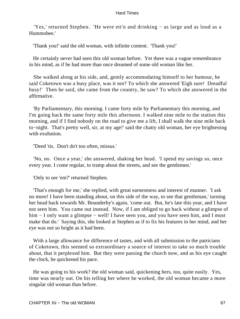'Yes,' returned Stephen. 'He were ett'n and drinking − as large and as loud as a Hummobee.'

'Thank you!' said the old woman, with infinite content. 'Thank you!'

 He certainly never had seen this old woman before. Yet there was a vague remembrance in his mind, as if he had more than once dreamed of some old woman like her.

 She walked along at his side, and, gently accommodating himself to her humour, he said Coketown was a busy place, was it not? To which she answered 'Eigh sure! Dreadful busy!' Then he said, she came from the country, he saw? To which she answered in the affirmative.

 'By Parliamentary, this morning. I came forty mile by Parliamentary this morning, and I'm going back the same forty mile this afternoon. I walked nine mile to the station this morning, and if I find nobody on the road to give me a lift, I shall walk the nine mile back to−night. That's pretty well, sir, at my age!' said the chatty old woman, her eye brightening with exultation.

''Deed 'tis. Don't do't too often, missus.'

 'No, no. Once a year,' she answered, shaking her head. 'I spend my savings so, once every year. I come regular, to tramp about the streets, and see the gentlemen.'

'Only to see 'em?' returned Stephen.

 'That's enough for me,' she replied, with great earnestness and interest of manner. 'I ask no more! I have been standing about, on this side of the way, to see that gentleman,' turning her head back towards Mr. Bounderby's again, 'come out. But, he's late this year, and I have not seen him. You came out instead. Now, if I am obliged to go back without a glimpse of him − I only want a glimpse − well! I have seen you, and you have seen him, and I must make that do.' Saying this, she looked at Stephen as if to fix his features in her mind, and her eye was not so bright as it had been.

With a large allowance for difference of tastes, and with all submission to the patricians of Coketown, this seemed so extraordinary a source of interest to take so much trouble about, that it perplexed him. But they were passing the church now, and as his eye caught the clock, he quickened his pace.

 He was going to his work? the old woman said, quickening hers, too, quite easily. Yes, time was nearly out. On his telling her where he worked, the old woman became a more singular old woman than before.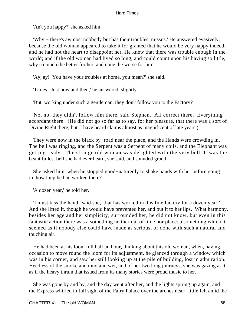'An't you happy?' she asked him.

 'Why − there's awmost nobbody but has their troubles, missus.' He answered evasively, because the old woman appeared to take it for granted that he would be very happy indeed, and he had not the heart to disappoint her. He knew that there was trouble enough in the world; and if the old woman had lived so long, and could count upon his having so little, why so much the better for her, and none the worse for him.

'Ay, ay! You have your troubles at home, you mean?' she said.

'Times. Just now and then,' he answered, slightly.

'But, working under such a gentleman, they don't follow you to the Factory?'

 No, no; they didn't follow him there, said Stephen. All correct there. Everything accordant there. (He did not go so far as to say, for her pleasure, that there was a sort of Divine Right there; but, I have heard claims almost as magnificent of late years.)

They were now in the black by–road near the place, and the Hands were crowding in. The bell was ringing, and the Serpent was a Serpent of many coils, and the Elephant was getting ready. The strange old woman was delighted with the very bell. It was the beautifullest bell she had ever heard, she said, and sounded grand!

 She asked him, when he stopped good−naturedly to shake hands with her before going in, how long he had worked there?

'A dozen year,' he told her.

 'I must kiss the hand,' said she, 'that has worked in this fine factory for a dozen year!' And she lifted it, though he would have prevented her, and put it to her lips. What harmony, besides her age and her simplicity, surrounded her, he did not know, but even in this fantastic action there was a something neither out of time nor place: a something which it seemed as if nobody else could have made as serious, or done with such a natural and touching air.

 He had been at his loom full half an hour, thinking about this old woman, when, having occasion to move round the loom for its adjustment, he glanced through a window which was in his corner, and saw her still looking up at the pile of building, lost in admiration. Heedless of the smoke and mud and wet, and of her two long journeys, she was gazing at it, as if the heavy thrum that issued from its many stories were proud music to her.

 She was gone by and by, and the day went after her, and the lights sprung up again, and the Express whirled in full sight of the Fairy Palace over the arches near: little felt amid the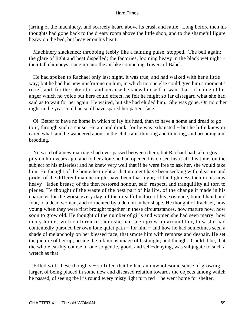jarring of the machinery, and scarcely heard above its crash and rattle. Long before then his thoughts had gone back to the dreary room above the little shop, and to the shameful figure heavy on the bed, but heavier on his heart.

 Machinery slackened; throbbing feebly like a fainting pulse; stopped. The bell again; the glare of light and heat dispelled; the factories, looming heavy in the black wet night − their tall chimneys rising up into the air like competing Towers of Babel.

 He had spoken to Rachael only last night, it was true, and had walked with her a little way; but he had his new misfortune on him, in which no one else could give him a moment's relief, and, for the sake of it, and because he knew himself to want that softening of his anger which no voice but hers could effect, he felt he might so far disregard what she had said as to wait for her again. He waited, but she had eluded him. She was gone. On no other night in the year could he so ill have spared her patient face.

 O! Better to have no home in which to lay his head, than to have a home and dread to go to it, through such a cause. He ate and drank, for he was exhausted − but he little knew or cared what; and he wandered about in the chill rain, thinking and thinking, and brooding and brooding.

 No word of a new marriage had ever passed between them; but Rachael had taken great pity on him years ago, and to her alone he had opened his closed heart all this time, on the subject of his miseries; and he knew very well that if he were free to ask her, she would take him. He thought of the home he might at that moment have been seeking with pleasure and pride; of the different man he might have been that night; of the lightness then in his now heavy− laden breast; of the then restored honour, self−respect, and tranquillity all torn to pieces. He thought of the waste of the best part of his life, of the change it made in his character for the worse every day, of the dreadful nature of his existence, bound hand and foot, to a dead woman, and tormented by a demon in her shape. He thought of Rachael, how young when they were first brought together in these circumstances, how mature now, how soon to grow old. He thought of the number of girls and women she had seen marry, how many homes with children in them she had seen grow up around her, how she had contentedly pursued her own lone quiet path − for him − and how he had sometimes seen a shade of melancholy on her blessed face, that smote him with remorse and despair. He set the picture of her up, beside the infamous image of last night; and thought, Could it be, that the whole earthly course of one so gentle, good, and self−denying, was subjugate to such a wretch as that!

 Filled with these thoughts − so filled that he had an unwholesome sense of growing larger, of being placed in some new and diseased relation towards the objects among which he passed, of seeing the iris round every misty light turn red − he went home for shelter.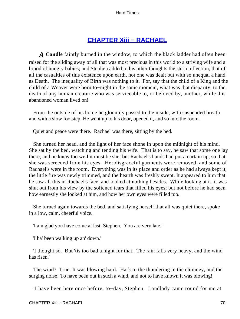# **[CHAPTER Xiii − RACHAEL](#page-250-0)**

*A* **Candle** faintly burned in the window, to which the black ladder had often been raised for the sliding away of all that was most precious in this world to a striving wife and a brood of hungry babies; and Stephen added to his other thoughts the stern reflection, that of all the casualties of this existence upon earth, not one was dealt out with so unequal a hand as Death. The inequality of Birth was nothing to it. For, say that the child of a King and the child of a Weaver were born to−night in the same moment, what was that disparity, to the death of any human creature who was serviceable to, or beloved by, another, while this abandoned woman lived on!

 From the outside of his home he gloomily passed to the inside, with suspended breath and with a slow footstep. He went up to his door, opened it, and so into the room.

Quiet and peace were there. Rachael was there, sitting by the bed.

 She turned her head, and the light of her face shone in upon the midnight of his mind. She sat by the bed, watching and tending his wife. That is to say, he saw that some one lay there, and he knew too well it must be she; but Rachael's hands had put a curtain up, so that she was screened from his eyes. Her disgraceful garments were removed, and some of Rachael's were in the room. Everything was in its place and order as he had always kept it, the little fire was newly trimmed, and the hearth was freshly swept. It appeared to him that he saw all this in Rachael's face, and looked at nothing besides. While looking at it, it was shut out from his view by the softened tears that filled his eyes; but not before he had seen how earnestly she looked at him, and how her own eyes were filled too.

 She turned again towards the bed, and satisfying herself that all was quiet there, spoke in a low, calm, cheerful voice.

'I am glad you have come at last, Stephen. You are very late.'

'I ha' been walking up an' down.'

 'I thought so. But 'tis too bad a night for that. The rain falls very heavy, and the wind has risen.'

 The wind? True. It was blowing hard. Hark to the thundering in the chimney, and the surging noise! To have been out in such a wind, and not to have known it was blowing!

'I have been here once before, to−day, Stephen. Landlady came round for me at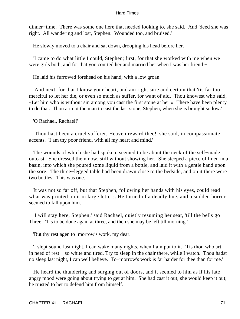dinner−time. There was some one here that needed looking to, she said. And 'deed she was right. All wandering and lost, Stephen. Wounded too, and bruised.'

He slowly moved to a chair and sat down, drooping his head before her.

 'I came to do what little I could, Stephen; first, for that she worked with me when we were girls both, and for that you courted her and married her when I was her friend − '

He laid his furrowed forehead on his hand, with a low groan.

 'And next, for that I know your heart, and am right sure and certain that 'tis far too merciful to let her die, or even so much as suffer, for want of aid. Thou knowest who said, «Let him who is without sin among you cast the first stone at her!» There have been plenty to do that. Thou art not the man to cast the last stone, Stephen, when she is brought so low.'

'O Rachael, Rachael!'

 'Thou hast been a cruel sufferer, Heaven reward thee!' she said, in compassionate accents. 'I am thy poor friend, with all my heart and mind.'

 The wounds of which she had spoken, seemed to be about the neck of the self−made outcast. She dressed them now, still without showing her. She steeped a piece of linen in a basin, into which she poured some liquid from a bottle, and laid it with a gentle hand upon the sore. The three−legged table had been drawn close to the bedside, and on it there were two bottles. This was one.

 It was not so far off, but that Stephen, following her hands with his eyes, could read what was printed on it in large letters. He turned of a deadly hue, and a sudden horror seemed to fall upon him.

 'I will stay here, Stephen,' said Rachael, quietly resuming her seat, 'till the bells go Three. 'Tis to be done again at three, and then she may be left till morning.'

'But thy rest agen to−morrow's work, my dear.'

 'I slept sound last night. I can wake many nights, when I am put to it. 'Tis thou who art in need of rest − so white and tired. Try to sleep in the chair there, while I watch. Thou hadst no sleep last night, I can well believe. To−morrow's work is far harder for thee than for me.'

 He heard the thundering and surging out of doors, and it seemed to him as if his late angry mood were going about trying to get at him. She had cast it out; she would keep it out; he trusted to her to defend him from himself.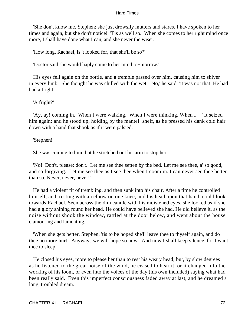'She don't know me, Stephen; she just drowsily mutters and stares. I have spoken to her times and again, but she don't notice! 'Tis as well so. When she comes to her right mind once more, I shall have done what I can, and she never the wiser.'

'How long, Rachael, is 't looked for, that she'll be so?'

'Doctor said she would haply come to her mind to−morrow.'

 His eyes fell again on the bottle, and a tremble passed over him, causing him to shiver in every limb. She thought he was chilled with the wet. 'No,' he said, 'it was not that. He had had a fright.'

'A fright?'

 'Ay, ay! coming in. When I were walking. When I were thinking. When I − ' It seized him again; and he stood up, holding by the mantel−shelf, as he pressed his dank cold hair down with a hand that shook as if it were palsied.

'Stephen!'

She was coming to him, but he stretched out his arm to stop her.

 'No! Don't, please; don't. Let me see thee setten by the bed. Let me see thee, a' so good, and so forgiving. Let me see thee as I see thee when I coom in. I can never see thee better than so. Never, never, never!'

 He had a violent fit of trembling, and then sunk into his chair. After a time he controlled himself, and, resting with an elbow on one knee, and his head upon that hand, could look towards Rachael. Seen across the dim candle with his moistened eyes, she looked as if she had a glory shining round her head. He could have believed she had. He did believe it, as the noise without shook the window, rattled at the door below, and went about the house clamouring and lamenting.

 'When she gets better, Stephen, 'tis to be hoped she'll leave thee to thyself again, and do thee no more hurt. Anyways we will hope so now. And now I shall keep silence, for I want thee to sleep.'

 He closed his eyes, more to please her than to rest his weary head; but, by slow degrees as he listened to the great noise of the wind, he ceased to hear it, or it changed into the working of his loom, or even into the voices of the day (his own included) saying what had been really said. Even this imperfect consciousness faded away at last, and he dreamed a long, troubled dream.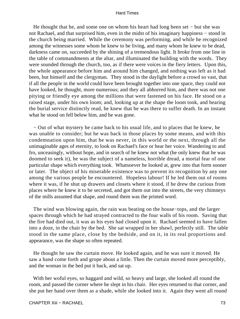He thought that he, and some one on whom his heart had long been set – but she was not Rachael, and that surprised him, even in the midst of his imaginary happiness − stood in the church being married. While the ceremony was performing, and while he recognized among the witnesses some whom he knew to be living, and many whom he knew to be dead, darkness came on, succeeded by the shining of a tremendous light. It broke from one line in the table of commandments at the altar, and illuminated the building with the words. They were sounded through the church, too, as if there were voices in the fiery letters. Upon this, the whole appearance before him and around him changed, and nothing was left as it had been, but himself and the clergyman. They stood in the daylight before a crowd so vast, that if all the people in the world could have been brought together into one space, they could not have looked, he thought, more numerous; and they all abhorred him, and there was not one pitying or friendly eye among the millions that were fastened on his face. He stood on a raised stage, under his own loom; and, looking up at the shape the loom took, and hearing the burial service distinctly read, he knew that he was there to suffer death. In an instant what he stood on fell below him, and he was gone.

 − Out of what mystery he came back to his usual life, and to places that he knew, he was unable to consider; but he was back in those places by some means, and with this condemnation upon him, that he was never, in this world or the next, through all the unimaginable ages of eternity, to look on Rachael's face or hear her voice. Wandering to and fro, unceasingly, without hope, and in search of he knew not what (he only knew that he was doomed to seek it), he was the subject of a nameless, horrible dread, a mortal fear of one particular shape which everything took. Whatsoever he looked at, grew into that form sooner or later. The object of his miserable existence was to prevent its recognition by any one among the various people he encountered. Hopeless labour! If he led them out of rooms where it was, if he shut up drawers and closets where it stood, if he drew the curious from places where he knew it to be secreted, and got them out into the streets, the very chimneys of the mills assumed that shape, and round them was the printed word.

 The wind was blowing again, the rain was beating on the house−tops, and the larger spaces through which he had strayed contracted to the four walls of his room. Saving that the fire had died out, it was as his eyes had closed upon it. Rachael seemed to have fallen into a doze, in the chair by the bed. She sat wrapped in her shawl, perfectly still. The table stood in the same place, close by the bedside, and on it, in its real proportions and appearance, was the shape so often repeated.

 He thought he saw the curtain move. He looked again, and he was sure it moved. He saw a hand come forth and grope about a little. Then the curtain moved more perceptibly, and the woman in the bed put it back, and sat up.

 With her woful eyes, so haggard and wild, so heavy and large, she looked all round the room, and passed the corner where he slept in his chair. Her eyes returned to that corner, and she put her hand over them as a shade, while she looked into it. Again they went all round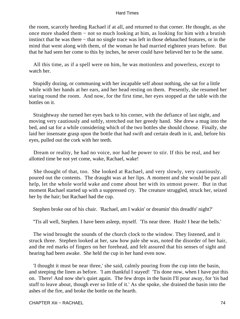the room, scarcely heeding Rachael if at all, and returned to that corner. He thought, as she once more shaded them − not so much looking at him, as looking for him with a brutish instinct that he was there − that no single trace was left in those debauched features, or in the mind that went along with them, of the woman he had married eighteen years before. But that he had seen her come to this by inches, he never could have believed her to be the same.

 All this time, as if a spell were on him, he was motionless and powerless, except to watch her.

 Stupidly dozing, or communing with her incapable self about nothing, she sat for a little while with her hands at her ears, and her head resting on them. Presently, she resumed her staring round the room. And now, for the first time, her eyes stopped at the table with the bottles on it.

 Straightway she turned her eyes back to his corner, with the defiance of last night, and moving very cautiously and softly, stretched out her greedy hand. She drew a mug into the bed, and sat for a while considering which of the two bottles she should choose. Finally, she laid her insensate grasp upon the bottle that had swift and certain death in it, and, before his eyes, pulled out the cork with her teeth.

 Dream or reality, he had no voice, nor had he power to stir. If this be real, and her allotted time be not yet come, wake, Rachael, wake!

 She thought of that, too. She looked at Rachael, and very slowly, very cautiously, poured out the contents. The draught was at her lips. A moment and she would be past all help, let the whole world wake and come about her with its utmost power. But in that moment Rachael started up with a suppressed cry. The creature struggled, struck her, seized her by the hair; but Rachael had the cup.

Stephen broke out of his chair. 'Rachael, am I wakin' or dreamin' this dreadfo' night?'

''Tis all well, Stephen. I have been asleep, myself. 'Tis near three. Hush! I hear the bells.'

 The wind brought the sounds of the church clock to the window. They listened, and it struck three. Stephen looked at her, saw how pale she was, noted the disorder of her hair, and the red marks of fingers on her forehead, and felt assured that his senses of sight and hearing had been awake. She held the cup in her hand even now.

 'I thought it must be near three,' she said, calmly pouring from the cup into the basin, and steeping the linen as before. 'I am thankful I stayed! 'Tis done now, when I have put this on. There! And now she's quiet again. The few drops in the basin I'll pour away, for 'tis bad stuff to leave about, though ever so little of it.' As she spoke, she drained the basin into the ashes of the fire, and broke the bottle on the hearth.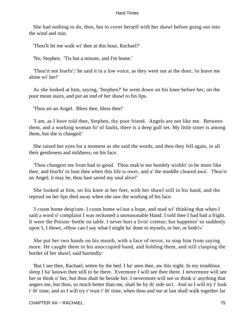She had nothing to do, then, but to cover herself with her shawl before going out into the wind and rain.

'Thou'lt let me walk wi' thee at this hour, Rachael?'

'No, Stephen. 'Tis but a minute, and I'm home.'

 'Thou'rt not fearfo';' he said it in a low voice, as they went out at the door; 'to leave me alone wi' her!'

 As she looked at him, saying, 'Stephen?' he went down on his knee before her, on the poor mean stairs, and put an end of her shawl to his lips.

'Thou art an Angel. Bless thee, bless thee!'

 'I am, as I have told thee, Stephen, thy poor friend. Angels are not like me. Between them, and a working woman fu' of faults, there is a deep gulf set. My little sister is among them, but she is changed.'

 She raised her eyes for a moment as she said the words; and then they fell again, in all their gentleness and mildness, on his face.

 'Thou changest me from bad to good. Thou mak'st me humbly wishfo' to be more like thee, and fearfo' to lose thee when this life is ower, and a' the muddle cleared awa'. Thou'rt an Angel; it may be, thou hast saved my soul alive!'

 She looked at him, on his knee at her feet, with her shawl still in his hand, and the reproof on her lips died away when she saw the working of his face.

 'I coom home desp'rate. I coom home wi'out a hope, and mad wi' thinking that when I said a word o' complaint I was reckoned a unreasonable Hand. I told thee I had had a fright. It were the Poison−bottle on table. I never hurt a livin' creetur; but happenin' so suddenly upon 't, I thowt, «How can I say what I might ha' done to myseln, or her, or both!»'

 She put her two hands on his mouth, with a face of terror, to stop him from saying more. He caught them in his unoccupied hand, and holding them, and still clasping the border of her shawl, said hurriedly:

 'But I see thee, Rachael, setten by the bed. I ha' seen thee, aw this night. In my troublous sleep I ha' known thee still to be there. Evermore I will see thee there. I nevermore will see her or think o' her, but thou shalt be beside her. I nevermore will see or think o' anything that angers me, but thou, so much better than me, shalt be by th' side on't. And so I will try t' look t' th' time, and so I will try t' trust t' th' time, when thou and me at last shall walk together far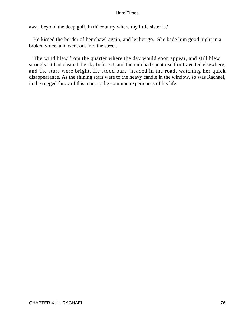awa', beyond the deep gulf, in th' country where thy little sister is.'

 He kissed the border of her shawl again, and let her go. She bade him good night in a broken voice, and went out into the street.

 The wind blew from the quarter where the day would soon appear, and still blew strongly. It had cleared the sky before it, and the rain had spent itself or travelled elsewhere, and the stars were bright. He stood bare−headed in the road, watching her quick disappearance. As the shining stars were to the heavy candle in the window, so was Rachael, in the rugged fancy of this man, to the common experiences of his life.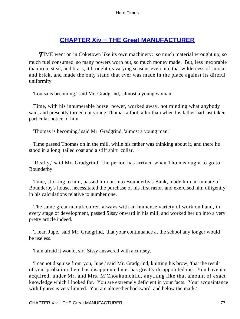# **[CHAPTER Xiv − THE Great MANUFACTURER](#page-250-0)**

**TIME** went on in Coketown like its own machinery: so much material wrought up, so much fuel consumed, so many powers worn out, so much money made. But, less inexorable than iron, steal, and brass, it brought its varying seasons even into that wilderness of smoke and brick, and made the only stand that ever was made in the place against its direful uniformity.

'Louisa is becoming,' said Mr. Gradgrind, 'almost a young woman.'

 Time, with his innumerable horse−power, worked away, not minding what anybody said, and presently turned out young Thomas a foot taller than when his father had last taken particular notice of him.

'Thomas is becoming,' said Mr. Gradgrind, 'almost a young man.'

 Time passed Thomas on in the mill, while his father was thinking about it, and there he stood in a long−tailed coat and a stiff shirt−collar.

 'Really,' said Mr. Gradgrind, 'the period has arrived when Thomas ought to go to Bounderby.'

 Time, sticking to him, passed him on into Bounderby's Bank, made him an inmate of Bounderby's house, necessitated the purchase of his first razor, and exercised him diligently in his calculations relative to number one.

 The same great manufacturer, always with an immense variety of work on hand, in every stage of development, passed Sissy onward in his mill, and worked her up into a very pretty article indeed.

 'I fear, Jupe,' said Mr. Gradgrind, 'that your continuance at the school any longer would be useless.'

'I am afraid it would, sir,' Sissy answered with a curtsey.

 'I cannot disguise from you, Jupe,' said Mr. Gradgrind, knitting his brow, 'that the result of your probation there has disappointed me; has greatly disappointed me. You have not acquired, under Mr. and Mrs. M'Choakumchild, anything like that amount of exact knowledge which I looked for. You are extremely deficient in your facts. Your acquaintance with figures is very limited. You are altogether backward, and below the mark.'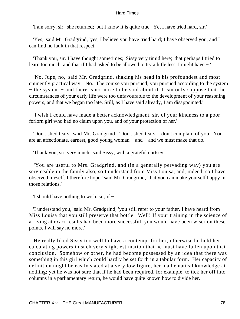'I am sorry, sir,' she returned; 'but I know it is quite true. Yet I have tried hard, sir.'

 'Yes,' said Mr. Gradgrind, 'yes, I believe you have tried hard; I have observed you, and I can find no fault in that respect.'

 'Thank you, sir. I have thought sometimes;' Sissy very timid here; 'that perhaps I tried to learn too much, and that if I had asked to be allowed to try a little less, I might have − '

 'No, Jupe, no,' said Mr. Gradgrind, shaking his head in his profoundest and most eminently practical way. 'No. The course you pursued, you pursued according to the system − the system − and there is no more to be said about it. I can only suppose that the circumstances of your early life were too unfavourable to the development of your reasoning powers, and that we began too late. Still, as I have said already, I am disappointed.'

 'I wish I could have made a better acknowledgment, sir, of your kindness to a poor forlorn girl who had no claim upon you, and of your protection of her.'

 'Don't shed tears,' said Mr. Gradgrind. 'Don't shed tears. I don't complain of you. You are an affectionate, earnest, good young woman − and − and we must make that do.'

'Thank you, sir, very much,' said Sissy, with a grateful curtsey.

 'You are useful to Mrs. Gradgrind, and (in a generally pervading way) you are serviceable in the family also; so I understand from Miss Louisa, and, indeed, so I have observed myself. I therefore hope,' said Mr. Gradgrind, 'that you can make yourself happy in those relations.'

'I should have nothing to wish, sir, if − '

 'I understand you,' said Mr. Gradgrind; 'you still refer to your father. I have heard from Miss Louisa that you still preserve that bottle. Well! If your training in the science of arriving at exact results had been more successful, you would have been wiser on these points. I will say no more.'

 He really liked Sissy too well to have a contempt for her; otherwise he held her calculating powers in such very slight estimation that he must have fallen upon that conclusion. Somehow or other, he had become possessed by an idea that there was something in this girl which could hardly be set forth in a tabular form. Her capacity of definition might be easily stated at a very low figure, her mathematical knowledge at nothing; yet he was not sure that if he had been required, for example, to tick her off into columns in a parliamentary return, he would have quite known how to divide her.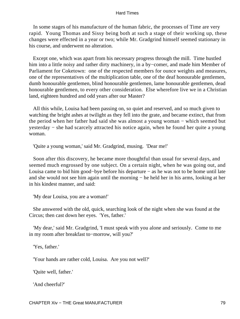In some stages of his manufacture of the human fabric, the processes of Time are very rapid. Young Thomas and Sissy being both at such a stage of their working up, these changes were effected in a year or two; while Mr. Gradgrind himself seemed stationary in his course, and underwent no alteration.

 Except one, which was apart from his necessary progress through the mill. Time hustled him into a little noisy and rather dirty machinery, in a by−comer, and made him Member of Parliament for Coketown: one of the respected members for ounce weights and measures, one of the representatives of the multiplication table, one of the deaf honourable gentlemen, dumb honourable gentlemen, blind honourable gentlemen, lame honourable gentlemen, dead honourable gentlemen, to every other consideration. Else wherefore live we in a Christian land, eighteen hundred and odd years after our Master?

 All this while, Louisa had been passing on, so quiet and reserved, and so much given to watching the bright ashes at twilight as they fell into the grate, and became extinct, that from the period when her father had said she was almost a young woman − which seemed but yesterday − she had scarcely attracted his notice again, when he found her quite a young woman.

'Quite a young woman,' said Mr. Gradgrind, musing. 'Dear me!'

 Soon after this discovery, he became more thoughtful than usual for several days, and seemed much engrossed by one subject. On a certain night, when he was going out, and Louisa came to bid him good−bye before his departure − as he was not to be home until late and she would not see him again until the morning − he held her in his arms, looking at her in his kindest manner, and said:

'My dear Louisa, you are a woman!'

 She answered with the old, quick, searching look of the night when she was found at the Circus; then cast down her eyes. 'Yes, father.'

 'My dear,' said Mr. Gradgrind, 'I must speak with you alone and seriously. Come to me in my room after breakfast to−morrow, will you?'

'Yes, father.'

'Your hands are rather cold, Louisa. Are you not well?'

'Quite well, father.'

'And cheerful?'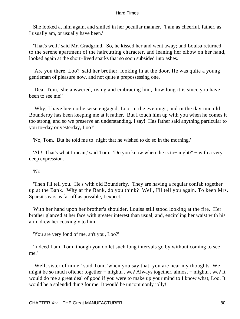She looked at him again, and smiled in her peculiar manner. 'I am as cheerful, father, as I usually am, or usually have been.'

 'That's well,' said Mr. Gradgrind. So, he kissed her and went away; and Louisa returned to the serene apartment of the haircutting character, and leaning her elbow on her hand, looked again at the short−lived sparks that so soon subsided into ashes.

 'Are you there, Loo?' said her brother, looking in at the door. He was quite a young gentleman of pleasure now, and not quite a prepossessing one.

 'Dear Tom,' she answered, rising and embracing him, 'how long it is since you have been to see me!'

 'Why, I have been otherwise engaged, Loo, in the evenings; and in the daytime old Bounderby has been keeping me at it rather. But I touch him up with you when he comes it too strong, and so we preserve an understanding. I say! Has father said anything particular to you to−day or yesterday, Loo?'

'No, Tom. But he told me to−night that he wished to do so in the morning.'

 'Ah! That's what I mean,' said Tom. 'Do you know where he is to− night?' − with a very deep expression.

'No.'

 'Then I'll tell you. He's with old Bounderby. They are having a regular confab together up at the Bank. Why at the Bank, do you think? Well, I'll tell you again. To keep Mrs. Sparsit's ears as far off as possible, I expect.'

 With her hand upon her brother's shoulder, Louisa still stood looking at the fire. Her brother glanced at her face with greater interest than usual, and, encircling her waist with his arm, drew her coaxingly to him.

'You are very fond of me, an't you, Loo?'

 'Indeed I am, Tom, though you do let such long intervals go by without coming to see me.'

 'Well, sister of mine,' said Tom, 'when you say that, you are near my thoughts. We might be so much oftener together − mightn't we? Always together, almost − mightn't we? It would do me a great deal of good if you were to make up your mind to I know what, Loo. It would be a splendid thing for me. It would be uncommonly jolly!'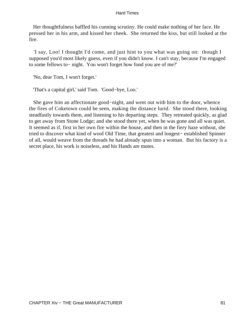Her thoughtfulness baffled his cunning scrutiny. He could make nothing of her face. He pressed her in his arm, and kissed her cheek. She returned the kiss, but still looked at the fire.

 'I say, Loo! I thought I'd come, and just hint to you what was going on: though I supposed you'd most likely guess, even if you didn't know. I can't stay, because I'm engaged to some fellows to− night. You won't forget how fond you are of me?'

'No, dear Tom, I won't forget.'

'That's a capital girl,' said Tom. 'Good−bye, Loo.'

 She gave him an affectionate good−night, and went out with him to the door, whence the fires of Coketown could be seen, making the distance lurid. She stood there, looking steadfastly towards them, and listening to his departing steps. They retreated quickly, as glad to get away from Stone Lodge; and she stood there yet, when he was gone and all was quiet. It seemed as if, first in her own fire within the house, and then in the fiery haze without, she tried to discover what kind of woof Old Time, that greatest and longest− established Spinner of all, would weave from the threads he had already spun into a woman. But his factory is a secret place, his work is noiseless, and his Hands are mutes.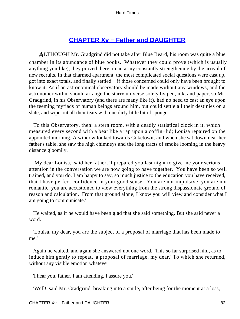# **[CHAPTER Xv − Father and DAUGHTER](#page-250-0)**

*A*LTHOUGH Mr. Gradgrind did not take after Blue Beard, his room was quite a blue chamber in its abundance of blue books. Whatever they could prove (which is usually anything you like), they proved there, in an army constantly strengthening by the arrival of new recruits. In that charmed apartment, the most complicated social questions were cast up, got into exact totals, and finally settled − if those concerned could only have been brought to know it. As if an astronomical observatory should be made without any windows, and the astronomer within should arrange the starry universe solely by pen, ink, and paper, so Mr. Gradgrind, in his Observatory (and there are many like it), had no need to cast an eye upon the teeming myriads of human beings around him, but could settle all their destinies on a slate, and wipe out all their tears with one dirty little bit of sponge.

 To this Observatory, then: a stern room, with a deadly statistical clock in it, which measured every second with a beat like a rap upon a coffin−lid; Louisa repaired on the appointed morning. A window looked towards Coketown; and when she sat down near her father's table, she saw the high chimneys and the long tracts of smoke looming in the heavy distance gloomily.

 'My dear Louisa,' said her father, 'I prepared you last night to give me your serious attention in the conversation we are now going to have together. You have been so well trained, and you do, I am happy to say, so much justice to the education you have received, that I have perfect confidence in your good sense. You are not impulsive, you are not romantic, you are accustomed to view everything from the strong dispassionate ground of reason and calculation. From that ground alone, I know you will view and consider what I am going to communicate.'

 He waited, as if he would have been glad that she said something. But she said never a word.

 'Louisa, my dear, you are the subject of a proposal of marriage that has been made to me.'

 Again he waited, and again she answered not one word. This so far surprised him, as to induce him gently to repeat, 'a proposal of marriage, my dear.' To which she returned, without any visible emotion whatever:

'I hear you, father. I am attending, I assure you.'

'Well!' said Mr. Gradgrind, breaking into a smile, after being for the moment at a loss,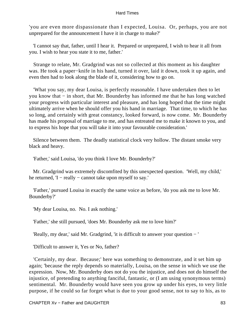'you are even more dispassionate than I expected, Louisa. Or, perhaps, you are not unprepared for the announcement I have it in charge to make?'

 'I cannot say that, father, until I hear it. Prepared or unprepared, I wish to hear it all from you. I wish to hear you state it to me, father.'

 Strange to relate, Mr. Gradgrind was not so collected at this moment as his daughter was. He took a paper−knife in his hand, turned it over, laid it down, took it up again, and even then had to look along the blade of it, considering how to go on.

 'What you say, my dear Louisa, is perfectly reasonable. I have undertaken then to let you know that − in short, that Mr. Bounderby has informed me that he has long watched your progress with particular interest and pleasure, and has long hoped that the time might ultimately arrive when he should offer you his hand in marriage. That time, to which he has so long, and certainly with great constancy, looked forward, is now come. Mr. Bounderby has made his proposal of marriage to me, and has entreated me to make it known to you, and to express his hope that you will take it into your favourable consideration.'

 Silence between them. The deadly statistical clock very hollow. The distant smoke very black and heavy.

'Father,' said Louisa, 'do you think I love Mr. Bounderby?'

 Mr. Gradgrind was extremely discomfited by this unexpected question. 'Well, my child,' he returned, 'I – really – cannot take upon myself to say.'

 'Father,' pursued Louisa in exactly the same voice as before, 'do you ask me to love Mr. Bounderby?'

'My dear Louisa, no. No. I ask nothing.'

'Father,' she still pursued, 'does Mr. Bounderby ask me to love him?'

'Really, my dear,' said Mr. Gradgrind, 'it is difficult to answer your question − '

'Difficult to answer it, Yes or No, father?

 'Certainly, my dear. Because;' here was something to demonstrate, and it set him up again; 'because the reply depends so materially, Louisa, on the sense in which we use the expression. Now, Mr. Bounderby does not do you the injustice, and does not do himself the injustice, of pretending to anything fanciful, fantastic, or (I am using synonymous terms) sentimental. Mr. Bounderby would have seen you grow up under his eyes, to very little purpose, if he could so far forget what is due to your good sense, not to say to his, as to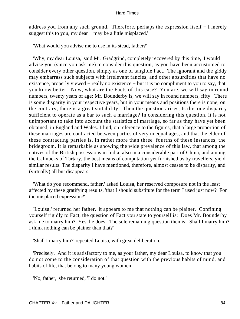address you from any such ground. Therefore, perhaps the expression itself − I merely suggest this to you, my dear – may be a little misplaced.'

'What would you advise me to use in its stead, father?'

 'Why, my dear Louisa,' said Mr. Gradgrind, completely recovered by this time, 'I would advise you (since you ask me) to consider this question, as you have been accustomed to consider every other question, simply as one of tangible Fact. The ignorant and the giddy may embarrass such subjects with irrelevant fancies, and other absurdities that have no existence, properly viewed − really no existence − but it is no compliment to you to say, that you know better. Now, what are the Facts of this case? You are, we will say in round numbers, twenty years of age; Mr. Bounderby is, we will say in round numbers, fifty. There is some disparity in your respective years, but in your means and positions there is none; on the contrary, there is a great suitability. Then the question arises, Is this one disparity sufficient to operate as a bar to such a marriage? In considering this question, it is not unimportant to take into account the statistics of marriage, so far as they have yet been obtained, in England and Wales. I find, on reference to the figures, that a large proportion of these marriages are contracted between parties of very unequal ages, and that the elder of these contracting parties is, in rather more than three−fourths of these instances, the bridegroom. It is remarkable as showing the wide prevalence of this law, that among the natives of the British possessions in India, also in a considerable part of China, and among the Calmucks of Tartary, the best means of computation yet furnished us by travellers, yield similar results. The disparity I have mentioned, therefore, almost ceases to be disparity, and (virtually) all but disappears.'

 'What do you recommend, father,' asked Louisa, her reserved composure not in the least affected by these gratifying results, 'that I should substitute for the term I used just now? For the misplaced expression?'

 'Louisa,' returned her father, 'it appears to me that nothing can be plainer. Confining yourself rigidly to Fact, the question of Fact you state to yourself is: Does Mr. Bounderby ask me to marry him? Yes, he does. The sole remaining question then is: Shall I marry him? I think nothing can be plainer than that?'

'Shall I marry him?' repeated Louisa, with great deliberation.

 'Precisely. And it is satisfactory to me, as your father, my dear Louisa, to know that you do not come to the consideration of that question with the previous habits of mind, and habits of life, that belong to many young women.'

'No, father,' she returned, 'I do not.'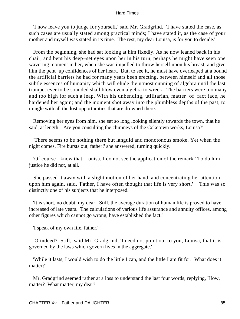'I now leave you to judge for yourself,' said Mr. Gradgrind. 'I have stated the case, as such cases are usually stated among practical minds; I have stated it, as the case of your mother and myself was stated in its time. The rest, my dear Louisa, is for you to decide.'

 From the beginning, she had sat looking at him fixedly. As he now leaned back in his chair, and bent his deep−set eyes upon her in his turn, perhaps he might have seen one wavering moment in her, when she was impelled to throw herself upon his breast, and give him the pent−up confidences of her heart. But, to see it, he must have overleaped at a bound the artificial barriers he had for many years been erecting, between himself and all those subtle essences of humanity which will elude the utmost cunning of algebra until the last trumpet ever to be sounded shall blow even algebra to wreck. The barriers were too many and too high for such a leap. With his unbending, utilitarian, matter−of−fact face, he hardened her again; and the moment shot away into the plumbless depths of the past, to mingle with all the lost opportunities that are drowned there.

 Removing her eyes from him, she sat so long looking silently towards the town, that he said, at length: 'Are you consulting the chimneys of the Coketown works, Louisa?'

 'There seems to be nothing there but languid and monotonous smoke. Yet when the night comes, Fire bursts out, father!' she answered, turning quickly.

 'Of course I know that, Louisa. I do not see the application of the remark.' To do him justice he did not, at all.

 She passed it away with a slight motion of her hand, and concentrating her attention upon him again, said, 'Father, I have often thought that life is very short.' – This was so distinctly one of his subjects that he interposed.

 'It is short, no doubt, my dear. Still, the average duration of human life is proved to have increased of late years. The calculations of various life assurance and annuity offices, among other figures which cannot go wrong, have established the fact.'

'I speak of my own life, father.'

 'O indeed? Still,' said Mr. Gradgrind, 'I need not point out to you, Louisa, that it is governed by the laws which govern lives in the aggregate.'

 'While it lasts, I would wish to do the little I can, and the little I am fit for. What does it matter?'

 Mr. Gradgrind seemed rather at a loss to understand the last four words; replying, 'How, matter? What matter, my dear?'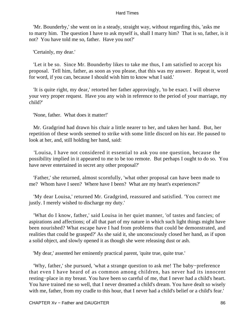'Mr. Bounderby,' she went on in a steady, straight way, without regarding this, 'asks me to marry him. The question I have to ask myself is, shall I marry him? That is so, father, is it not? You have told me so, father. Have you not?'

'Certainly, my dear.'

 'Let it be so. Since Mr. Bounderby likes to take me thus, I am satisfied to accept his proposal. Tell him, father, as soon as you please, that this was my answer. Repeat it, word for word, if you can, because I should wish him to know what I said.'

 'It is quite right, my dear,' retorted her father approvingly, 'to be exact. I will observe your very proper request. Have you any wish in reference to the period of your marriage, my child?'

'None, father. What does it matter!'

 Mr. Gradgrind had drawn his chair a little nearer to her, and taken her hand. But, her repetition of these words seemed to strike with some little discord on his ear. He paused to look at her, and, still holding her hand, said:

 'Louisa, I have not considered it essential to ask you one question, because the possibility implied in it appeared to me to be too remote. But perhaps I ought to do so. You have never entertained in secret any other proposal?'

 'Father,' she returned, almost scornfully, 'what other proposal can have been made to me? Whom have I seen? Where have I been? What are my heart's experiences?'

 'My dear Louisa,' returned Mr. Gradgrind, reassured and satisfied. 'You correct me justly. I merely wished to discharge my duty.'

 'What do I know, father,' said Louisa in her quiet manner, 'of tastes and fancies; of aspirations and affections; of all that part of my nature in which such light things might have been nourished? What escape have I had from problems that could be demonstrated, and realities that could be grasped?' As she said it, she unconsciously closed her hand, as if upon a solid object, and slowly opened it as though she were releasing dust or ash.

'My dear,' assented her eminently practical parent, 'quite true, quite true.'

 'Why, father,' she pursued, 'what a strange question to ask me! The baby−preference that even I have heard of as common among children, has never had its innocent resting−place in my breast. You have been so careful of me, that I never had a child's heart. You have trained me so well, that I never dreamed a child's dream. You have dealt so wisely with me, father, from my cradle to this hour, that I never had a child's belief or a child's fear.'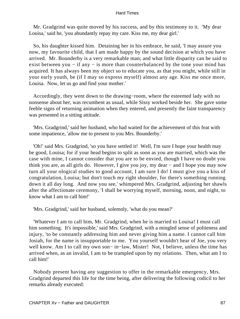Mr. Gradgrind was quite moved by his success, and by this testimony to it. 'My dear Louisa,' said he, 'you abundantly repay my care. Kiss me, my dear girl.'

 So, his daughter kissed him. Detaining her in his embrace, he said, 'I may assure you now, my favourite child, that I am made happy by the sound decision at which you have arrived. Mr. Bounderby is a very remarkable man; and what little disparity can be said to exist between you – if any – is more than counterbalanced by the tone your mind has acquired. It has always been my object so to educate you, as that you might, while still in your early youth, be (if I may so express myself) almost any age. Kiss me once more, Louisa. Now, let us go and find your mother.'

 Accordingly, they went down to the drawing−room, where the esteemed lady with no nonsense about her, was recumbent as usual, while Sissy worked beside her. She gave some feeble signs of returning animation when they entered, and presently the faint transparency was presented in a sitting attitude.

 'Mrs. Gradgrind,' said her husband, who had waited for the achievement of this feat with some impatience, 'allow me to present to you Mrs. Bounderby.'

 'Oh!' said Mrs. Gradgrind, 'so you have settled it! Well, I'm sure I hope your health may be good, Louisa; for if your head begins to split as soon as you are married, which was the case with mine, I cannot consider that you are to be envied, though I have no doubt you think you are, as all girls do. However, I give you joy, my dear − and I hope you may now turn all your ological studies to good account, I am sure I do! I must give you a kiss of congratulation, Louisa; but don't touch my right shoulder, for there's something running down it all day long. And now you see,' whimpered Mrs. Gradgrind, adjusting her shawls after the affectionate ceremony, 'I shall be worrying myself, morning, noon, and night, to know what I am to call him!'

'Mrs. Gradgrind,' said her husband, solemnly, 'what do you mean?'

 'Whatever I am to call him, Mr. Gradgrind, when he is married to Louisa! I must call him something. It's impossible,' said Mrs. Gradgrind, with a mingled sense of politeness and injury, 'to be constantly addressing him and never giving him a name. I cannot call him Josiah, for the name is insupportable to me. You yourself wouldn't hear of Joe, you very well know. Am I to call my own son− in−law, Mister! Not, I believe, unless the time has arrived when, as an invalid, I am to be trampled upon by my relations. Then, what am I to call him!'

 Nobody present having any suggestion to offer in the remarkable emergency, Mrs. Gradgrind departed this life for the time being, after delivering the following codicil to her remarks already executed: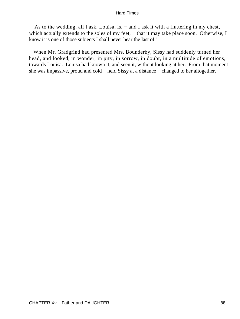'As to the wedding, all I ask, Louisa, is, − and I ask it with a fluttering in my chest, which actually extends to the soles of my feet, – that it may take place soon. Otherwise, I know it is one of those subjects I shall never hear the last of.'

 When Mr. Gradgrind had presented Mrs. Bounderby, Sissy had suddenly turned her head, and looked, in wonder, in pity, in sorrow, in doubt, in a multitude of emotions, towards Louisa. Louisa had known it, and seen it, without looking at her. From that moment she was impassive, proud and cold − held Sissy at a distance − changed to her altogether.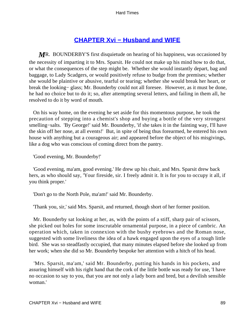# **CHAPTER Xvi – Husband and WIFE**

*M*R. BOUNDERBY'S first disquietude on hearing of his happiness, was occasioned by the necessity of imparting it to Mrs. Sparsit. He could not make up his mind how to do that, or what the consequences of the step might be. Whether she would instantly depart, bag and baggage, to Lady Scadgers, or would positively refuse to budge from the premises; whether she would be plaintive or abusive, tearful or tearing; whether she would break her heart, or break the looking− glass; Mr. Bounderby could not all foresee. However, as it must be done, he had no choice but to do it; so, after attempting several letters, and failing in them all, he resolved to do it by word of mouth.

 On his way home, on the evening he set aside for this momentous purpose, he took the precaution of stepping into a chemist's shop and buying a bottle of the very strongest smelling–salts. 'By George!' said Mr. Bounderby, 'if she takes it in the fainting way, I'll have the skin off her nose, at all events!' But, in spite of being thus forearmed, he entered his own house with anything but a courageous air; and appeared before the object of his misgivings, like a dog who was conscious of coming direct from the pantry.

'Good evening, Mr. Bounderby!'

 'Good evening, ma'am, good evening.' He drew up his chair, and Mrs. Sparsit drew back hers, as who should say, 'Your fireside, sir. I freely admit it. It is for you to occupy it all, if you think proper.'

'Don't go to the North Pole, ma'am!' said Mr. Bounderby.

'Thank you, sir,' said Mrs. Sparsit, and returned, though short of her former position.

 Mr. Bounderby sat looking at her, as, with the points of a stiff, sharp pair of scissors, she picked out holes for some inscrutable ornamental purpose, in a piece of cambric. An operation which, taken in connexion with the bushy eyebrows and the Roman nose, suggested with some liveliness the idea of a hawk engaged upon the eyes of a tough little bird. She was so steadfastly occupied, that many minutes elapsed before she looked up from her work; when she did so Mr. Bounderby bespoke her attention with a hitch of his head.

 'Mrs. Sparsit, ma'am,' said Mr. Bounderby, putting his hands in his pockets, and assuring himself with his right hand that the cork of the little bottle was ready for use, 'I have no occasion to say to you, that you are not only a lady born and bred, but a devilish sensible woman.'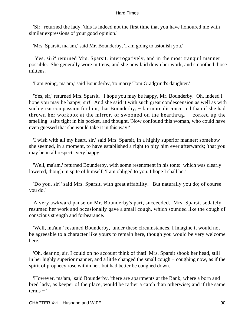'Sir,' returned the lady, 'this is indeed not the first time that you have honoured me with similar expressions of your good opinion.'

'Mrs. Sparsit, ma'am,' said Mr. Bounderby, 'I am going to astonish you.'

 'Yes, sir?' returned Mrs. Sparsit, interrogatively, and in the most tranquil manner possible. She generally wore mittens, and she now laid down her work, and smoothed those mittens.

'I am going, ma'am,' said Bounderby, 'to marry Tom Gradgrind's daughter.'

 'Yes, sir,' returned Mrs. Sparsit. 'I hope you may be happy, Mr. Bounderby. Oh, indeed I hope you may be happy, sir!' And she said it with such great condescension as well as with such great compassion for him, that Bounderby, – far more disconcerted than if she had thrown her workbox at the mirror, or swooned on the hearthrug, − corked up the smelling−salts tight in his pocket, and thought, 'Now confound this woman, who could have even guessed that she would take it in this way!'

 'I wish with all my heart, sir,' said Mrs. Sparsit, in a highly superior manner; somehow she seemed, in a moment, to have established a right to pity him ever afterwards; 'that you may be in all respects very happy.'

 'Well, ma'am,' returned Bounderby, with some resentment in his tone: which was clearly lowered, though in spite of himself, 'I am obliged to you. I hope I shall be.'

 'Do you, sir!' said Mrs. Sparsit, with great affability. 'But naturally you do; of course you do.'

 A very awkward pause on Mr. Bounderby's part, succeeded. Mrs. Sparsit sedately resumed her work and occasionally gave a small cough, which sounded like the cough of conscious strength and forbearance.

 'Well, ma'am,' resumed Bounderby, 'under these circumstances, I imagine it would not be agreeable to a character like yours to remain here, though you would be very welcome here.'

 'Oh, dear no, sir, I could on no account think of that!' Mrs. Sparsit shook her head, still in her highly superior manner, and a little changed the small cough − coughing now, as if the spirit of prophecy rose within her, but had better be coughed down.

 'However, ma'am,' said Bounderby, 'there are apartments at the Bank, where a born and bred lady, as keeper of the place, would be rather a catch than otherwise; and if the same terms − '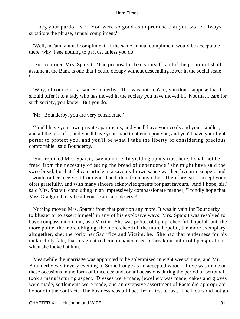'I beg your pardon, sir. You were so good as to promise that you would always substitute the phrase, annual compliment.'

 'Well, ma'am, annual compliment. If the same annual compliment would be acceptable there, why, I see nothing to part us, unless you do.'

 'Sir,' returned Mrs. Sparsit. 'The proposal is like yourself, and if the position I shall assume at the Bank is one that I could occupy without descending lower in the social scale − '

 'Why, of course it is,' said Bounderby. 'If it was not, ma'am, you don't suppose that I should offer it to a lady who has moved in the society you have moved in. Not that I care for such society, you know! But you do.'

'Mr. Bounderby, you are very considerate.'

 'You'll have your own private apartments, and you'll have your coals and your candles, and all the rest of it, and you'll have your maid to attend upon you, and you'll have your light porter to protect you, and you'll be what I take the liberty of considering precious comfortable,' said Bounderby.

 'Sir,' rejoined Mrs. Sparsit, 'say no more. In yielding up my trust here, I shall not be freed from the necessity of eating the bread of dependence:' she might have said the sweetbread, for that delicate article in a savoury brown sauce was her favourite supper: 'and I would rather receive it from your hand, than from any other. Therefore, sir, I accept your offer gratefully, and with many sincere acknowledgments for past favours. And I hope, sir,' said Mrs. Sparsit, concluding in an impressively compassionate manner, 'I fondly hope that Miss Gradgrind may be all you desire, and deserve!'

 Nothing moved Mrs. Sparsit from that position any more. It was in vain for Bounderby to bluster or to assert himself in any of his explosive ways; Mrs. Sparsit was resolved to have compassion on him, as a Victim. She was polite, obliging, cheerful, hopeful; but, the more polite, the more obliging, the more cheerful, the more hopeful, the more exemplary altogether, she; the forlorner Sacrifice and Victim, he. She had that tenderness for his melancholy fate, that his great red countenance used to break out into cold perspirations when she looked at him.

 Meanwhile the marriage was appointed to be solemnized in eight weeks' time, and Mr. Bounderby went every evening to Stone Lodge as an accepted wooer. Love was made on these occasions in the form of bracelets; and, on all occasions during the period of betrothal, took a manufacturing aspect. Dresses were made, jewellery was made, cakes and gloves were made, settlements were made, and an extensive assortment of Facts did appropriate honour to the contract. The business was all Fact, from first to last. The Hours did not go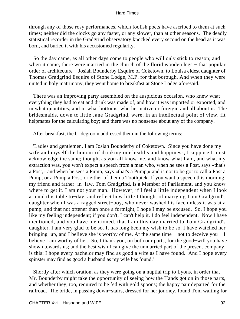through any of those rosy performances, which foolish poets have ascribed to them at such times; neither did the clocks go any faster, or any slower, than at other seasons. The deadly statistical recorder in the Gradgrind observatory knocked every second on the head as it was born, and buried it with his accustomed regularity.

 So the day came, as all other days come to people who will only stick to reason; and when it came, there were married in the church of the florid wooden legs – that popular order of architecture − Josiah Bounderby Esquire of Coketown, to Louisa eldest daughter of Thomas Gradgrind Esquire of Stone Lodge, M.P. for that borough. And when they were united in holy matrimony, they went home to breakfast at Stone Lodge aforesaid.

 There was an improving party assembled on the auspicious occasion, who knew what everything they had to eat and drink was made of, and how it was imported or exported, and in what quantities, and in what bottoms, whether native or foreign, and all about it. The bridesmaids, down to little Jane Gradgrind, were, in an intellectual point of view, fit helpmates for the calculating boy; and there was no nonsense about any of the company.

After breakfast, the bridegroom addressed them in the following terms:

 'Ladies and gentlemen, I am Josiah Bounderby of Coketown. Since you have done my wife and myself the honour of drinking our healths and happiness, I suppose I must acknowledge the same; though, as you all know me, and know what I am, and what my extraction was, you won't expect a speech from a man who, when he sees a Post, says «that's a Post,» and when he sees a Pump, says «that's a Pump,» and is not to be got to call a Post a Pump, or a Pump a Post, or either of them a Toothpick. If you want a speech this morning, my friend and father−in−law, Tom Gradgrind, is a Member of Parliament, and you know where to get it. I am not your man. However, if I feel a little independent when I look around this table to−day, and reflect how little I thought of marrying Tom Gradgrind's daughter when I was a ragged street−boy, who never washed his face unless it was at a pump, and that not oftener than once a fortnight, I hope I may be excused. So, I hope you like my feeling independent; if you don't, I can't help it. I do feel independent. Now I have mentioned, and you have mentioned, that I am this day married to Tom Gradgrind's daughter. I am very glad to be so. It has long been my wish to be so. I have watched her bringing−up, and I believe she is worthy of me. At the same time − not to deceive you − I believe I am worthy of her. So, I thank you, on both our parts, for the good−will you have shown towards us; and the best wish I can give the unmarried part of the present company, is this: I hope every bachelor may find as good a wife as I have found. And I hope every spinster may find as good a husband as my wife has found.'

 Shortly after which oration, as they were going on a nuptial trip to Lyons, in order that Mr. Bounderby might take the opportunity of seeing how the Hands got on in those parts, and whether they, too, required to be fed with gold spoons; the happy pair departed for the railroad. The bride, in passing down−stairs, dressed for her journey, found Tom waiting for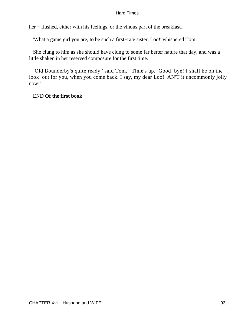her − flushed, either with his feelings, or the vinous part of the breakfast.

'What a game girl you are, to be such a first−rate sister, Loo!' whispered Tom.

 She clung to him as she should have clung to some far better nature that day, and was a little shaken in her reserved composure for the first time.

 'Old Bounderby's quite ready,' said Tom. 'Time's up. Good−bye! I shall be on the look−out for you, when you come back. I say, my dear Loo! AN'T it uncommonly jolly now!'

END **Of the first book**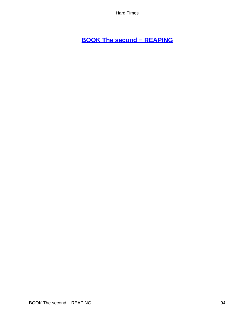# **[BOOK The second − REAPING](#page-250-0)**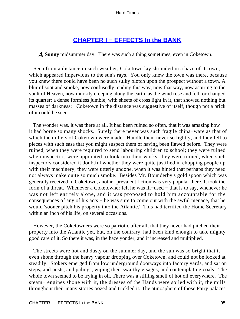# **[CHAPTER I − EFFECTS In the BANK](#page-250-0)**

*A* **Sunny** midsummer day. There was such a thing sometimes, even in Coketown.

 Seen from a distance in such weather, Coketown lay shrouded in a haze of its own, which appeared impervious to the sun's rays. You only knew the town was there, because you knew there could have been no such sulky blotch upon the prospect without a town. A blur of soot and smoke, now confusedly tending this way, now that way, now aspiring to the vault of Heaven, now murkily creeping along the earth, as the wind rose and fell, or changed its quarter: a dense formless jumble, with sheets of cross light in it, that showed nothing but masses of darkness: – Coketown in the distance was suggestive of itself, though not a brick of it could be seen.

 The wonder was, it was there at all. It had been ruined so often, that it was amazing how it had borne so many shocks. Surely there never was such fragile china−ware as that of which the millers of Coketown were made. Handle them never so lightly, and they fell to pieces with such ease that you might suspect them of having been flawed before. They were ruined, when they were required to send labouring children to school; they were ruined when inspectors were appointed to look into their works; they were ruined, when such inspectors considered it doubtful whether they were quite justified in chopping people up with their machinery; they were utterly undone, when it was hinted that perhaps they need not always make quite so much smoke. Besides Mr. Bounderby's gold spoon which was generally received in Coketown, another prevalent fiction was very popular there. It took the form of a threat. Whenever a Coketowner felt he was ill−used − that is to say, whenever he was not left entirely alone, and it was proposed to hold him accountable for the consequences of any of his acts − he was sure to come out with the awful menace, that he would 'sooner pitch his property into the Atlantic.' This had terrified the Home Secretary within an inch of his life, on several occasions.

 However, the Coketowners were so patriotic after all, that they never had pitched their property into the Atlantic yet, but, on the contrary, had been kind enough to take mighty good care of it. So there it was, in the haze yonder; and it increased and multiplied.

 The streets were hot and dusty on the summer day, and the sun was so bright that it even shone through the heavy vapour drooping over Coketown, and could not be looked at steadily. Stokers emerged from low underground doorways into factory yards, and sat on steps, and posts, and palings, wiping their swarthy visages, and contemplating coals. The whole town seemed to be frying in oil. There was a stifling smell of hot oil everywhere. The steam− engines shone with it, the dresses of the Hands were soiled with it, the mills throughout their many stories oozed and trickled it. The atmosphere of those Fairy palaces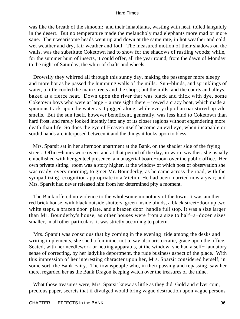was like the breath of the simoom: and their inhabitants, wasting with heat, toiled languidly in the desert. But no temperature made the melancholy mad elephants more mad or more sane. Their wearisome heads went up and down at the same rate, in hot weather and cold, wet weather and dry, fair weather and foul. The measured motion of their shadows on the walls, was the substitute Coketown had to show for the shadows of rustling woods; while, for the summer hum of insects, it could offer, all the year round, from the dawn of Monday to the night of Saturday, the whirr of shafts and wheels.

 Drowsily they whirred all through this sunny day, making the passenger more sleepy and more hot as he passed the humming walls of the mills. Sun−blinds, and sprinklings of water, a little cooled the main streets and the shops; but the mills, and the courts and alleys, baked at a fierce heat. Down upon the river that was black and thick with dye, some Coketown boys who were at large − a rare sight there − rowed a crazy boat, which made a spumous track upon the water as it jogged along, while every dip of an oar stirred up vile smells. But the sun itself, however beneficent, generally, was less kind to Coketown than hard frost, and rarely looked intently into any of its closer regions without engendering more death than life. So does the eye of Heaven itself become an evil eye, when incapable or sordid hands are interposed between it and the things it looks upon to bless.

 Mrs. Sparsit sat in her afternoon apartment at the Bank, on the shadier side of the frying street. Office−hours were over: and at that period of the day, in warm weather, she usually embellished with her genteel presence, a managerial board−room over the public office. Her own private sitting−room was a story higher, at the window of which post of observation she was ready, every morning, to greet Mr. Bounderby, as he came across the road, with the sympathizing recognition appropriate to a Victim. He had been married now a year; and Mrs. Sparsit had never released him from her determined pity a moment.

 The Bank offered no violence to the wholesome monotony of the town. It was another red brick house, with black outside shutters, green inside blinds, a black street−door up two white steps, a brazen door−plate, and a brazen door−handle full stop. It was a size larger than Mr. Bounderby's house, as other houses were from a size to half−a−dozen sizes smaller; in all other particulars, it was strictly according to pattern.

 Mrs. Sparsit was conscious that by coming in the evening−tide among the desks and writing implements, she shed a feminine, not to say also aristocratic, grace upon the office. Seated, with her needlework or netting apparatus, at the window, she had a self− laudatory sense of correcting, by her ladylike deportment, the rude business aspect of the place. With this impression of her interesting character upon her, Mrs. Sparsit considered herself, in some sort, the Bank Fairy. The townspeople who, in their passing and repassing, saw her there, regarded her as the Bank Dragon keeping watch over the treasures of the mine.

 What those treasures were, Mrs. Sparsit knew as little as they did. Gold and silver coin, precious paper, secrets that if divulged would bring vague destruction upon vague persons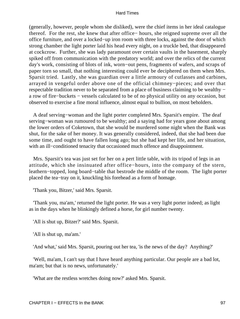(generally, however, people whom she disliked), were the chief items in her ideal catalogue thereof. For the rest, she knew that after office− hours, she reigned supreme over all the office furniture, and over a locked−up iron room with three locks, against the door of which strong chamber the light porter laid his head every night, on a truckle bed, that disappeared at cockcrow. Further, she was lady paramount over certain vaults in the basement, sharply spiked off from communication with the predatory world; and over the relics of the current day's work, consisting of blots of ink, worn−out pens, fragments of wafers, and scraps of paper torn so small, that nothing interesting could ever be deciphered on them when Mrs. Sparsit tried. Lastly, she was guardian over a little armoury of cutlasses and carbines, arrayed in vengeful order above one of the official chimney−pieces; and over that respectable tradition never to be separated from a place of business claiming to be wealthy − a row of fire−buckets − vessels calculated to be of no physical utility on any occasion, but observed to exercise a fine moral influence, almost equal to bullion, on most beholders.

 A deaf serving−woman and the light porter completed Mrs. Sparsit's empire. The deaf serving−woman was rumoured to be wealthy; and a saying had for years gone about among the lower orders of Coketown, that she would be murdered some night when the Bank was shut, for the sake of her money. It was generally considered, indeed, that she had been due some time, and ought to have fallen long ago; but she had kept her life, and her situation, with an ill−conditioned tenacity that occasioned much offence and disappointment.

 Mrs. Sparsit's tea was just set for her on a pert little table, with its tripod of legs in an attitude, which she insinuated after office−hours, into the company of the stern, leathern−topped, long board−table that bestrode the middle of the room. The light porter placed the tea−tray on it, knuckling his forehead as a form of homage.

'Thank you, Bitzer,' said Mrs. Sparsit.

 'Thank you, ma'am,' returned the light porter. He was a very light porter indeed; as light as in the days when he blinkingly defined a horse, for girl number twenty.

'All is shut up, Bitzer?' said Mrs. Sparsit.

'All is shut up, ma'am.'

'And what,' said Mrs. Sparsit, pouring out her tea, 'is the news of the day? Anything?'

 'Well, ma'am, I can't say that I have heard anything particular. Our people are a bad lot, ma'am; but that is no news, unfortunately.'

'What are the restless wretches doing now?' asked Mrs. Sparsit.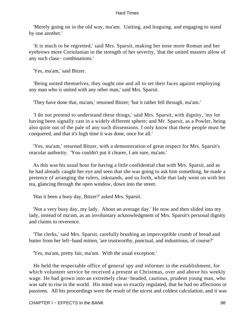'Merely going on in the old way, ma'am. Uniting, and leaguing, and engaging to stand by one another.'

 'It is much to be regretted,' said Mrs. Sparsit, making her nose more Roman and her eyebrows more Coriolanian in the strength of her severity, 'that the united masters allow of any such class− combinations.'

'Yes, ma'am,' said Bitzer.

 'Being united themselves, they ought one and all to set their faces against employing any man who is united with any other man,' said Mrs. Sparsit.

'They have done that, ma'am,' returned Bitzer; 'but it rather fell through, ma'am.'

 'I do not pretend to understand these things,' said Mrs. Sparsit, with dignity, 'my lot having been signally cast in a widely different sphere; and Mr. Sparsit, as a Powler, being also quite out of the pale of any such dissensions. I only know that these people must be conquered, and that it's high time it was done, once for all.'

 'Yes, ma'am,' returned Bitzer, with a demonstration of great respect for Mrs. Sparsit's oracular authority. 'You couldn't put it clearer, I am sure, ma'am.'

 As this was his usual hour for having a little confidential chat with Mrs. Sparsit, and as he had already caught her eye and seen that she was going to ask him something, he made a pretence of arranging the rulers, inkstands, and so forth, while that lady went on with her tea, glancing through the open window, down into the street.

'Has it been a busy day, Bitzer?' asked Mrs. Sparsit.

 'Not a very busy day, my lady. About an average day.' He now and then slided into my lady, instead of ma'am, as an involuntary acknowledgment of Mrs. Sparsit's personal dignity and claims to reverence.

 'The clerks,' said Mrs. Sparsit, carefully brushing an imperceptible crumb of bread and butter from her left−hand mitten, 'are trustworthy, punctual, and industrious, of course?'

'Yes, ma'am, pretty fair, ma'am. With the usual exception.'

 He held the respectable office of general spy and informer in the establishment, for which volunteer service he received a present at Christmas, over and above his weekly wage. He had grown into an extremely clear−headed, cautious, prudent young man, who was safe to rise in the world. His mind was so exactly regulated, that he had no affections or passions. All his proceedings were the result of the nicest and coldest calculation; and it was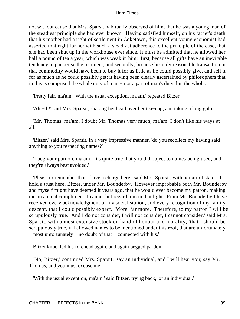not without cause that Mrs. Sparsit habitually observed of him, that he was a young man of the steadiest principle she had ever known. Having satisfied himself, on his father's death, that his mother had a right of settlement in Coketown, this excellent young economist had asserted that right for her with such a steadfast adherence to the principle of the case, that she had been shut up in the workhouse ever since. It must be admitted that he allowed her half a pound of tea a year, which was weak in him: first, because all gifts have an inevitable tendency to pauperise the recipient, and secondly, because his only reasonable transaction in that commodity would have been to buy it for as little as he could possibly give, and sell it for as much as he could possibly get; it having been clearly ascertained by philosophers that in this is comprised the whole duty of man − not a part of man's duty, but the whole.

'Pretty fair, ma'am. With the usual exception, ma'am,' repeated Bitzer.

'Ah − h!' said Mrs. Sparsit, shaking her head over her tea−cup, and taking a long gulp.

 'Mr. Thomas, ma'am, I doubt Mr. Thomas very much, ma'am, I don't like his ways at all.'

 'Bitzer,' said Mrs. Sparsit, in a very impressive manner, 'do you recollect my having said anything to you respecting names?'

 'I beg your pardon, ma'am. It's quite true that you did object to names being used, and they're always best avoided.'

 'Please to remember that I have a charge here,' said Mrs. Sparsit, with her air of state. 'I hold a trust here, Bitzer, under Mr. Bounderby. However improbable both Mr. Bounderby and myself might have deemed it years ago, that he would ever become my patron, making me an annual compliment, I cannot but regard him in that light. From Mr. Bounderby I have received every acknowledgment of my social station, and every recognition of my family descent, that I could possibly expect. More, far more. Therefore, to my patron I will be scrupulously true. And I do not consider, I will not consider, I cannot consider,' said Mrs. Sparsit, with a most extensive stock on hand of honour and morality, 'that I should be scrupulously true, if I allowed names to be mentioned under this roof, that are unfortunately − most unfortunately − no doubt of that − connected with his.'

Bitzer knuckled his forehead again, and again begged pardon.

 'No, Bitzer,' continued Mrs. Sparsit, 'say an individual, and I will hear you; say Mr. Thomas, and you must excuse me.'

'With the usual exception, ma'am,' said Bitzer, trying back, 'of an individual.'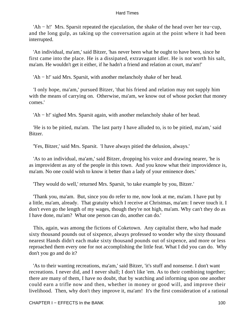'Ah − h!' Mrs. Sparsit repeated the ejaculation, the shake of the head over her tea−cup, and the long gulp, as taking up the conversation again at the point where it had been interrupted.

 'An individual, ma'am,' said Bitzer, 'has never been what he ought to have been, since he first came into the place. He is a dissipated, extravagant idler. He is not worth his salt, ma'am. He wouldn't get it either, if he hadn't a friend and relation at court, ma'am!'

'Ah − h!' said Mrs. Sparsit, with another melancholy shake of her head.

 'I only hope, ma'am,' pursued Bitzer, 'that his friend and relation may not supply him with the means of carrying on. Otherwise, ma'am, we know out of whose pocket that money comes.'

'Ah − h!' sighed Mrs. Sparsit again, with another melancholy shake of her head.

 'He is to be pitied, ma'am. The last party I have alluded to, is to be pitied, ma'am,' said Bitzer.

'Yes, Bitzer,' said Mrs. Sparsit. 'I have always pitied the delusion, always.'

 'As to an individual, ma'am,' said Bitzer, dropping his voice and drawing nearer, 'he is as improvident as any of the people in this town. And you know what their improvidence is, ma'am. No one could wish to know it better than a lady of your eminence does.'

'They would do well,' returned Mrs. Sparsit, 'to take example by you, Bitzer.'

 'Thank you, ma'am. But, since you do refer to me, now look at me, ma'am. I have put by a little, ma'am, already. That gratuity which I receive at Christmas, ma'am: I never touch it. I don't even go the length of my wages, though they're not high, ma'am. Why can't they do as I have done, ma'am? What one person can do, another can do.'

 This, again, was among the fictions of Coketown. Any capitalist there, who had made sixty thousand pounds out of sixpence, always professed to wonder why the sixty thousand nearest Hands didn't each make sixty thousand pounds out of sixpence, and more or less reproached them every one for not accomplishing the little feat. What I did you can do. Why don't you go and do it?

 'As to their wanting recreations, ma'am,' said Bitzer, 'it's stuff and nonsense. I don't want recreations. I never did, and I never shall; I don't like 'em. As to their combining together; there are many of them, I have no doubt, that by watching and informing upon one another could earn a trifle now and then, whether in money or good will, and improve their livelihood. Then, why don't they improve it, ma'am! It's the first consideration of a rational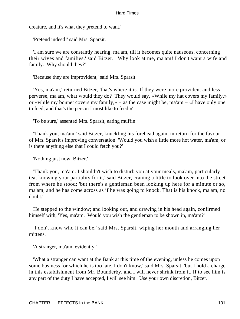creature, and it's what they pretend to want.'

'Pretend indeed!' said Mrs. Sparsit.

 'I am sure we are constantly hearing, ma'am, till it becomes quite nauseous, concerning their wives and families,' said Bitzer. 'Why look at me, ma'am! I don't want a wife and family. Why should they?'

'Because they are improvident,' said Mrs. Sparsit.

 'Yes, ma'am,' returned Bitzer, 'that's where it is. If they were more provident and less perverse, ma'am, what would they do? They would say, «While my hat covers my family,» or «while my bonnet covers my family,» − as the case might be, ma'am − «I have only one to feed, and that's the person I most like to feed.»'

'To be sure,' assented Mrs. Sparsit, eating muffin.

 'Thank you, ma'am,' said Bitzer, knuckling his forehead again, in return for the favour of Mrs. Sparsit's improving conversation. 'Would you wish a little more hot water, ma'am, or is there anything else that I could fetch you?'

'Nothing just now, Bitzer.'

 'Thank you, ma'am. I shouldn't wish to disturb you at your meals, ma'am, particularly tea, knowing your partiality for it,' said Bitzer, craning a little to look over into the street from where he stood; 'but there's a gentleman been looking up here for a minute or so, ma'am, and he has come across as if he was going to knock. That is his knock, ma'am, no doubt.'

 He stepped to the window; and looking out, and drawing in his head again, confirmed himself with, 'Yes, ma'am. Would you wish the gentleman to be shown in, ma'am?'

 'I don't know who it can be,' said Mrs. Sparsit, wiping her mouth and arranging her mittens.

'A stranger, ma'am, evidently.'

 'What a stranger can want at the Bank at this time of the evening, unless he comes upon some business for which he is too late, I don't know,' said Mrs. Sparsit, 'but I hold a charge in this establishment from Mr. Bounderby, and I will never shrink from it. If to see him is any part of the duty I have accepted, I will see him. Use your own discretion, Bitzer.'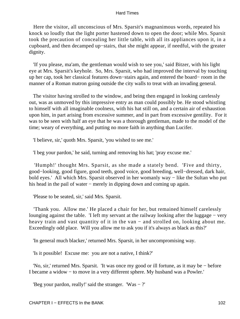Here the visitor, all unconscious of Mrs. Sparsit's magnanimous words, repeated his knock so loudly that the light porter hastened down to open the door; while Mrs. Sparsit took the precaution of concealing her little table, with all its appliances upon it, in a cupboard, and then decamped up−stairs, that she might appear, if needful, with the greater dignity.

 'If you please, ma'am, the gentleman would wish to see you,' said Bitzer, with his light eye at Mrs. Sparsit's keyhole. So, Mrs. Sparsit, who had improved the interval by touching up her cap, took her classical features down−stairs again, and entered the board− room in the manner of a Roman matron going outside the city walls to treat with an invading general.

 The visitor having strolled to the window, and being then engaged in looking carelessly out, was as unmoved by this impressive entry as man could possibly be. He stood whistling to himself with all imaginable coolness, with his hat still on, and a certain air of exhaustion upon him, in part arising from excessive summer, and in part from excessive gentility. For it was to be seen with half an eye that he was a thorough gentleman, made to the model of the time; weary of everything, and putting no more faith in anything than Lucifer.

'I believe, sir,' quoth Mrs. Sparsit, 'you wished to see me.'

'I beg your pardon,' he said, turning and removing his hat; 'pray excuse me.'

 'Humph!' thought Mrs. Sparsit, as she made a stately bend. 'Five and thirty, good−looking, good figure, good teeth, good voice, good breeding, well−dressed, dark hair, bold eyes.' All which Mrs. Sparsit observed in her womanly way − like the Sultan who put his head in the pail of water − merely in dipping down and coming up again.

'Please to be seated, sir,' said Mrs. Sparsit.

 'Thank you. Allow me.' He placed a chair for her, but remained himself carelessly lounging against the table. 'I left my servant at the railway looking after the luggage − very heavy train and vast quantity of it in the van – and strolled on, looking about me. Exceedingly odd place. Will you allow me to ask you if it's always as black as this?'

'In general much blacker,' returned Mrs. Sparsit, in her uncompromising way.

'Is it possible! Excuse me: you are not a native, I think?'

 'No, sir,' returned Mrs. Sparsit. 'It was once my good or ill fortune, as it may be − before I became a widow − to move in a very different sphere. My husband was a Powler.'

'Beg your pardon, really!' said the stranger. 'Was − ?'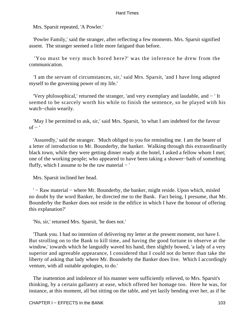Mrs. Sparsit repeated, 'A Powler.'

 'Powler Family,' said the stranger, after reflecting a few moments. Mrs. Sparsit signified assent. The stranger seemed a little more fatigued than before.

 'You must be very much bored here?' was the inference he drew from the communication.

 'I am the servant of circumstances, sir,' said Mrs. Sparsit, 'and I have long adapted myself to the governing power of my life.'

 'Very philosophical,' returned the stranger, 'and very exemplary and laudable, and − ' It seemed to be scarcely worth his while to finish the sentence, so he played with his watch−chain wearily.

 'May I be permitted to ask, sir,' said Mrs. Sparsit, 'to what I am indebted for the favour  $of -$ '

 'Assuredly,' said the stranger. 'Much obliged to you for reminding me. I am the bearer of a letter of introduction to Mr. Bounderby, the banker. Walking through this extraordinarily black town, while they were getting dinner ready at the hotel, I asked a fellow whom I met; one of the working people; who appeared to have been taking a shower−bath of something fluffy, which I assume to be the raw material  $-$ '

Mrs. Sparsit inclined her head.

 ' − Raw material − where Mr. Bounderby, the banker, might reside. Upon which, misled no doubt by the word Banker, he directed me to the Bank. Fact being, I presume, that Mr. Bounderby the Banker does not reside in the edifice in which I have the honour of offering this explanation?'

'No, sir,' returned Mrs. Sparsit, 'he does not.'

 'Thank you. I had no intention of delivering my letter at the present moment, nor have I. But strolling on to the Bank to kill time, and having the good fortune to observe at the window,' towards which he languidly waved his hand, then slightly bowed, 'a lady of a very superior and agreeable appearance, I considered that I could not do better than take the liberty of asking that lady where Mr. Bounderby the Banker does live. Which I accordingly venture, with all suitable apologies, to do.'

 The inattention and indolence of his manner were sufficiently relieved, to Mrs. Sparsit's thinking, by a certain gallantry at ease, which offered her homage too. Here he was, for instance, at this moment, all but sitting on the table, and yet lazily bending over her, as if he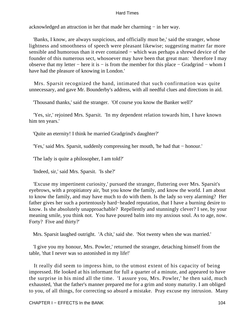acknowledged an attraction in her that made her charming − in her way.

 'Banks, I know, are always suspicious, and officially must be,' said the stranger, whose lightness and smoothness of speech were pleasant likewise; suggesting matter far more sensible and humorous than it ever contained – which was perhaps a shrewd device of the founder of this numerous sect, whosoever may have been that great man: 'therefore I may observe that my letter − here it is − is from the member for this place − Gradgrind − whom I have had the pleasure of knowing in London.'

 Mrs. Sparsit recognized the hand, intimated that such confirmation was quite unnecessary, and gave Mr. Bounderby's address, with all needful clues and directions in aid.

'Thousand thanks,' said the stranger. 'Of course you know the Banker well?'

 'Yes, sir,' rejoined Mrs. Sparsit. 'In my dependent relation towards him, I have known him ten years.'

'Quite an eternity! I think he married Gradgrind's daughter?'

'Yes,' said Mrs. Sparsit, suddenly compressing her mouth, 'he had that − honour.'

'The lady is quite a philosopher, I am told?'

'Indeed, sir,' said Mrs. Sparsit. 'Is she?'

 'Excuse my impertinent curiosity,' pursued the stranger, fluttering over Mrs. Sparsit's eyebrows, with a propitiatory air, 'but you know the family, and know the world. I am about to know the family, and may have much to do with them. Is the lady so very alarming? Her father gives her such a portentously hard−headed reputation, that I have a burning desire to know. Is she absolutely unapproachable? Repellently and stunningly clever? I see, by your meaning smile, you think not. You have poured balm into my anxious soul. As to age, now. Forty? Five and thirty?'

Mrs. Sparsit laughed outright. 'A chit,' said she. 'Not twenty when she was married.'

 'I give you my honour, Mrs. Powler,' returned the stranger, detaching himself from the table, 'that I never was so astonished in my life!'

 It really did seem to impress him, to the utmost extent of his capacity of being impressed. He looked at his informant for full a quarter of a minute, and appeared to have the surprise in his mind all the time. 'I assure you, Mrs. Powler,' he then said, much exhausted, 'that the father's manner prepared me for a grim and stony maturity. I am obliged to you, of all things, for correcting so absurd a mistake. Pray excuse my intrusion. Many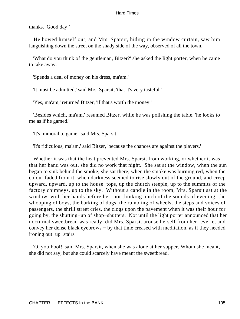thanks. Good day!'

 He bowed himself out; and Mrs. Sparsit, hiding in the window curtain, saw him languishing down the street on the shady side of the way, observed of all the town.

 'What do you think of the gentleman, Bitzer?' she asked the light porter, when he came to take away.

'Spends a deal of money on his dress, ma'am.'

'It must be admitted,' said Mrs. Sparsit, 'that it's very tasteful.'

'Yes, ma'am,' returned Bitzer, 'if that's worth the money.'

 'Besides which, ma'am,' resumed Bitzer, while he was polishing the table, 'he looks to me as if he gamed.'

'It's immoral to game,' said Mrs. Sparsit.

'It's ridiculous, ma'am,' said Bitzer, 'because the chances are against the players.'

 Whether it was that the heat prevented Mrs. Sparsit from working, or whether it was that her hand was out, she did no work that night. She sat at the window, when the sun began to sink behind the smoke; she sat there, when the smoke was burning red, when the colour faded from it, when darkness seemed to rise slowly out of the ground, and creep upward, upward, up to the house−tops, up the church steeple, up to the summits of the factory chimneys, up to the sky. Without a candle in the room, Mrs. Sparsit sat at the window, with her hands before her, not thinking much of the sounds of evening; the whooping of boys, the barking of dogs, the rumbling of wheels, the steps and voices of passengers, the shrill street cries, the clogs upon the pavement when it was their hour for going by, the shutting−up of shop−shutters. Not until the light porter announced that her nocturnal sweetbread was ready, did Mrs. Sparsit arouse herself from her reverie, and convey her dense black eyebrows − by that time creased with meditation, as if they needed ironing out−up−stairs.

 'O, you Fool!' said Mrs. Sparsit, when she was alone at her supper. Whom she meant, she did not say; but she could scarcely have meant the sweetbread.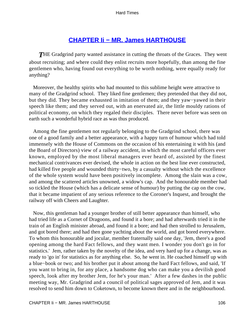# **[CHAPTER Ii − MR. James HARTHOUSE](#page-250-0)**

**THE Gradgrind party wanted assistance in cutting the throats of the Graces. They went** about recruiting; and where could they enlist recruits more hopefully, than among the fine gentlemen who, having found out everything to be worth nothing, were equally ready for anything?

 Moreover, the healthy spirits who had mounted to this sublime height were attractive to many of the Gradgrind school. They liked fine gentlemen; they pretended that they did not, but they did. They became exhausted in imitation of them; and they yaw−yawed in their speech like them; and they served out, with an enervated air, the little mouldy rations of political economy, on which they regaled their disciples. There never before was seen on earth such a wonderful hybrid race as was thus produced.

 Among the fine gentlemen not regularly belonging to the Gradgrind school, there was one of a good family and a better appearance, with a happy turn of humour which had told immensely with the House of Commons on the occasion of his entertaining it with his (and the Board of Directors) view of a railway accident, in which the most careful officers ever known, employed by the most liberal managers ever heard of, assisted by the finest mechanical contrivances ever devised, the whole in action on the best line ever constructed, had killed five people and wounded thirty−two, by a casualty without which the excellence of the whole system would have been positively incomplete. Among the slain was a cow, and among the scattered articles unowned, a widow's cap. And the honourable member had so tickled the House (which has a delicate sense of humour) by putting the cap on the cow, that it became impatient of any serious reference to the Coroner's Inquest, and brought the railway off with Cheers and Laughter.

 Now, this gentleman had a younger brother of still better appearance than himself, who had tried life as a Cornet of Dragoons, and found it a bore; and had afterwards tried it in the train of an English minister abroad, and found it a bore; and had then strolled to Jerusalem, and got bored there; and had then gone yachting about the world, and got bored everywhere. To whom this honourable and jocular, member fraternally said one day, 'Jem, there's a good opening among the hard Fact fellows, and they want men. I wonder you don't go in for statistics.' Jem, rather taken by the novelty of the idea, and very hard up for a change, was as ready to 'go in' for statistics as for anything else. So, he went in. He coached himself up with a blue−book or two; and his brother put it about among the hard Fact fellows, and said, 'If you want to bring in, for any place, a handsome dog who can make you a devilish good speech, look after my brother Jem, for he's your man.' After a few dashes in the public meeting way, Mr. Gradgrind and a council of political sages approved of Jem, and it was resolved to send him down to Coketown, to become known there and in the neighbourhood.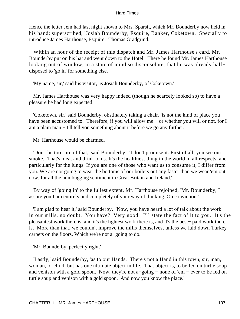Hence the letter Jem had last night shown to Mrs. Sparsit, which Mr. Bounderby now held in his hand; superscribed, 'Josiah Bounderby, Esquire, Banker, Coketown. Specially to introduce James Harthouse, Esquire. Thomas Gradgrind.'

 Within an hour of the receipt of this dispatch and Mr. James Harthouse's card, Mr. Bounderby put on his hat and went down to the Hotel. There he found Mr. James Harthouse looking out of window, in a state of mind so disconsolate, that he was already half− disposed to 'go in' for something else.

'My name, sir,' said his visitor, 'is Josiah Bounderby, of Coketown.'

 Mr. James Harthouse was very happy indeed (though he scarcely looked so) to have a pleasure he had long expected.

 'Coketown, sir,' said Bounderby, obstinately taking a chair, 'is not the kind of place you have been accustomed to. Therefore, if you will allow me − or whether you will or not, for I am a plain man − I'll tell you something about it before we go any further.'

Mr. Harthouse would be charmed.

 'Don't be too sure of that,' said Bounderby. 'I don't promise it. First of all, you see our smoke. That's meat and drink to us. It's the healthiest thing in the world in all respects, and particularly for the lungs. If you are one of those who want us to consume it, I differ from you. We are not going to wear the bottoms of our boilers out any faster than we wear 'em out now, for all the humbugging sentiment in Great Britain and Ireland.'

 By way of 'going in' to the fullest extent, Mr. Harthouse rejoined, 'Mr. Bounderby, I assure you I am entirely and completely of your way of thinking. On conviction.'

 'I am glad to hear it,' said Bounderby. 'Now, you have heard a lot of talk about the work in our mills, no doubt. You have? Very good. I'll state the fact of it to you. It's the pleasantest work there is, and it's the lightest work there is, and it's the best− paid work there is. More than that, we couldn't improve the mills themselves, unless we laid down Turkey carpets on the floors. Which we're not a−going to do.'

'Mr. Bounderby, perfectly right.'

 'Lastly,' said Bounderby, 'as to our Hands. There's not a Hand in this town, sir, man, woman, or child, but has one ultimate object in life. That object is, to be fed on turtle soup and venison with a gold spoon. Now, they're not a−going − none of 'em − ever to be fed on turtle soup and venison with a gold spoon. And now you know the place.'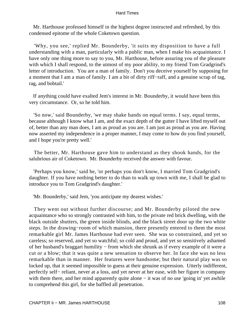Mr. Harthouse professed himself in the highest degree instructed and refreshed, by this condensed epitome of the whole Coketown question.

 'Why, you see,' replied Mr. Bounderby, 'it suits my disposition to have a full understanding with a man, particularly with a public man, when I make his acquaintance. I have only one thing more to say to you, Mr. Harthouse, before assuring you of the pleasure with which I shall respond, to the utmost of my poor ability, to my friend Tom Gradgrind's letter of introduction. You are a man of family. Don't you deceive yourself by supposing for a moment that I am a man of family. I am a bit of dirty riff−raff, and a genuine scrap of tag, rag, and bobtail.'

 If anything could have exalted Jem's interest in Mr. Bounderby, it would have been this very circumstance. Or, so he told him.

 'So now,' said Bounderby, 'we may shake hands on equal terms. I say, equal terms, because although I know what I am, and the exact depth of the gutter I have lifted myself out of, better than any man does, I am as proud as you are. I am just as proud as you are. Having now asserted my independence in a proper manner, I may come to how do you find yourself, and I hope you're pretty well.'

 The better, Mr. Harthouse gave him to understand as they shook hands, for the salubrious air of Coketown. Mr. Bounderby received the answer with favour.

 'Perhaps you know,' said he, 'or perhaps you don't know, I married Tom Gradgrind's daughter. If you have nothing better to do than to walk up town with me, I shall be glad to introduce you to Tom Gradgrind's daughter.'

'Mr. Bounderby,' said Jem, 'you anticipate my dearest wishes.'

 They went out without further discourse; and Mr. Bounderby piloted the new acquaintance who so strongly contrasted with him, to the private red brick dwelling, with the black outside shutters, the green inside blinds, and the black street door up the two white steps. In the drawing−room of which mansion, there presently entered to them the most remarkable girl Mr. James Harthouse had ever seen. She was so constrained, and yet so careless; so reserved, and yet so watchful; so cold and proud, and yet so sensitively ashamed of her husband's braggart humility − from which she shrunk as if every example of it were a cut or a blow; that it was quite a new sensation to observe her. In face she was no less remarkable than in manner. Her features were handsome; but their natural play was so locked up, that it seemed impossible to guess at their genuine expression. Utterly indifferent, perfectly self− reliant, never at a loss, and yet never at her ease, with her figure in company with them there, and her mind apparently quite alone – it was of no use 'going in' yet awhile to comprehend this girl, for she baffled all penetration.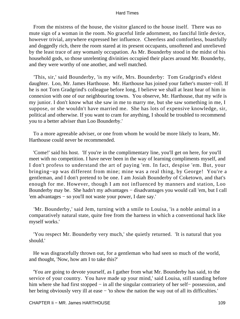From the mistress of the house, the visitor glanced to the house itself. There was no mute sign of a woman in the room. No graceful little adornment, no fanciful little device, however trivial, anywhere expressed her influence. Cheerless and comfortless, boastfully and doggedly rich, there the room stared at its present occupants, unsoftened and unrelieved by the least trace of any womanly occupation. As Mr. Bounderby stood in the midst of his household gods, so those unrelenting divinities occupied their places around Mr. Bounderby, and they were worthy of one another, and well matched.

 'This, sir,' said Bounderby, 'is my wife, Mrs. Bounderby: Tom Gradgrind's eldest daughter. Loo, Mr. James Harthouse. Mr. Harthouse has joined your father's muster−roll. If he is not Torn Gradgrind's colleague before long, I believe we shall at least hear of him in connexion with one of our neighbouring towns. You observe, Mr. Harthouse, that my wife is my junior. I don't know what she saw in me to marry me, but she saw something in me, I suppose, or she wouldn't have married me. She has lots of expensive knowledge, sir, political and otherwise. If you want to cram for anything, I should be troubled to recommend you to a better adviser than Loo Bounderby.'

 To a more agreeable adviser, or one from whom he would be more likely to learn, Mr. Harthouse could never be recommended.

 'Come!' said his host. 'If you're in the complimentary line, you'll get on here, for you'll meet with no competition. I have never been in the way of learning compliments myself, and I don't profess to understand the art of paying 'em. In fact, despise 'em. But, your bringing−up was different from mine; mine was a real thing, by George! You're a gentleman, and I don't pretend to be one. I am Josiah Bounderby of Coketown, and that's enough for me. However, though I am not influenced by manners and station, Loo Bounderby may be. She hadn't my advantages − disadvantages you would call 'em, but I call 'em advantages − so you'll not waste your power, I dare say.'

 'Mr. Bounderby,' said Jem, turning with a smile to Louisa, 'is a noble animal in a comparatively natural state, quite free from the harness in which a conventional hack like myself works.'

 'You respect Mr. Bounderby very much,' she quietly returned. 'It is natural that you should.'

 He was disgracefully thrown out, for a gentleman who had seen so much of the world, and thought, 'Now, how am I to take this?'

 'You are going to devote yourself, as I gather from what Mr. Bounderby has said, to the service of your country. You have made up your mind,' said Louisa, still standing before him where she had first stopped – in all the singular contrariety of her self– possession, and her being obviously very ill at ease – 'to show the nation the way out of all its difficulties.'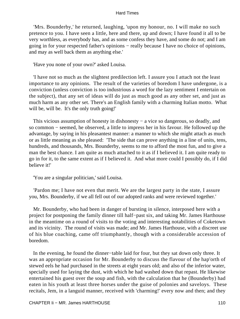'Mrs. Bounderby,' he returned, laughing, 'upon my honour, no. I will make no such pretence to you. I have seen a little, here and there, up and down; I have found it all to be very worthless, as everybody has, and as some confess they have, and some do not; and I am going in for your respected father's opinions − really because I have no choice of opinions, and may as well back them as anything else.'

'Have you none of your own?' asked Louisa.

 'I have not so much as the slightest predilection left. I assure you I attach not the least importance to any opinions. The result of the varieties of boredom I have undergone, is a conviction (unless conviction is too industrious a word for the lazy sentiment I entertain on the subject), that any set of ideas will do just as much good as any other set, and just as much harm as any other set. There's an English family with a charming Italian motto. What will be, will be. It's the only truth going!'

 This vicious assumption of honesty in dishonesty − a vice so dangerous, so deadly, and so common − seemed, he observed, a little to impress her in his favour. He followed up the advantage, by saying in his pleasantest manner: a manner to which she might attach as much or as little meaning as she pleased: 'The side that can prove anything in a line of units, tens, hundreds, and thousands, Mrs. Bounderby, seems to me to afford the most fun, and to give a man the best chance. I am quite as much attached to it as if I believed it. I am quite ready to go in for it, to the same extent as if I believed it. And what more could I possibly do, if I did believe it!'

'You are a singular politician,' said Louisa.

 'Pardon me; I have not even that merit. We are the largest party in the state, I assure you, Mrs. Bounderby, if we all fell out of our adopted ranks and were reviewed together.'

 Mr. Bounderby, who had been in danger of bursting in silence, interposed here with a project for postponing the family dinner till half−past six, and taking Mr. James Harthouse in the meantime on a round of visits to the voting and interesting notabilities of Coketown and its vicinity. The round of visits was made; and Mr. James Harthouse, with a discreet use of his blue coaching, came off triumphantly, though with a considerable accession of boredom.

 In the evening, he found the dinner−table laid for four, but they sat down only three. It was an appropriate occasion for Mr. Bounderby to discuss the flavour of the hap'orth of stewed eels he had purchased in the streets at eight years old; and also of the inferior water, specially used for laying the dust, with which he had washed down that repast. He likewise entertained his guest over the soup and fish, with the calculation that he (Bounderby) had eaten in his youth at least three horses under the guise of polonies and saveloys. These recitals, Jem, in a languid manner, received with 'charming!' every now and then; and they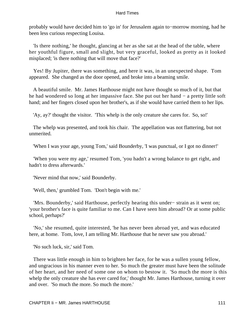probably would have decided him to 'go in' for Jerusalem again to−morrow morning, had he been less curious respecting Louisa.

 'Is there nothing,' he thought, glancing at her as she sat at the head of the table, where her youthful figure, small and slight, but very graceful, looked as pretty as it looked misplaced; 'is there nothing that will move that face?'

 Yes! By Jupiter, there was something, and here it was, in an unexpected shape. Tom appeared. She changed as the door opened, and broke into a beaming smile.

 A beautiful smile. Mr. James Harthouse might not have thought so much of it, but that he had wondered so long at her impassive face. She put out her hand − a pretty little soft hand; and her fingers closed upon her brother's, as if she would have carried them to her lips.

'Ay, ay?' thought the visitor. 'This whelp is the only creature she cares for. So, so!'

 The whelp was presented, and took his chair. The appellation was not flattering, but not unmerited.

'When I was your age, young Tom,' said Bounderby, 'I was punctual, or I got no dinner!'

 'When you were my age,' resumed Tom, 'you hadn't a wrong balance to get right, and hadn't to dress afterwards.'

'Never mind that now,' said Bounderby.

'Well, then,' grumbled Tom. 'Don't begin with me.'

 'Mrs. Bounderby,' said Harthouse, perfectly hearing this under− strain as it went on; 'your brother's face is quite familiar to me. Can I have seen him abroad? Or at some public school, perhaps?'

 'No,' she resumed, quite interested, 'he has never been abroad yet, and was educated here, at home. Tom, love, I am telling Mr. Harthouse that he never saw you abroad.'

'No such luck, sir,' said Tom.

 There was little enough in him to brighten her face, for he was a sullen young fellow, and ungracious in his manner even to her. So much the greater must have been the solitude of her heart, and her need of some one on whom to bestow it. 'So much the more is this whelp the only creature she has ever cared for,' thought Mr. James Harthouse, turning it over and over. 'So much the more. So much the more.'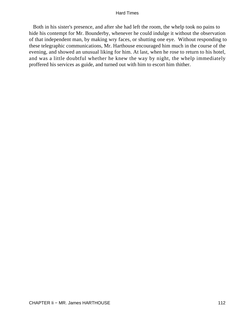Both in his sister's presence, and after she had left the room, the whelp took no pains to hide his contempt for Mr. Bounderby, whenever he could indulge it without the observation of that independent man, by making wry faces, or shutting one eye. Without responding to these telegraphic communications, Mr. Harthouse encouraged him much in the course of the evening, and showed an unusual liking for him. At last, when he rose to return to his hotel, and was a little doubtful whether he knew the way by night, the whelp immediately proffered his services as guide, and turned out with him to escort him thither.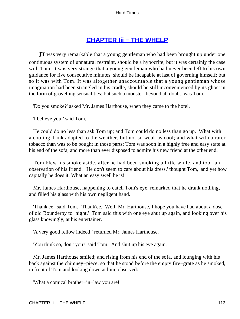## **[CHAPTER Iii − THE WHELP](#page-251-0)**

*I*T was very remarkable that a young gentleman who had been brought up under one continuous system of unnatural restraint, should be a hypocrite; but it was certainly the case with Tom. It was very strange that a young gentleman who had never been left to his own guidance for five consecutive minutes, should be incapable at last of governing himself; but so it was with Tom. It was altogether unaccountable that a young gentleman whose imagination had been strangled in his cradle, should be still inconvenienced by its ghost in the form of grovelling sensualities; but such a monster, beyond all doubt, was Tom.

'Do you smoke?' asked Mr. James Harthouse, when they came to the hotel.

'I believe you!' said Tom.

 He could do no less than ask Tom up; and Tom could do no less than go up. What with a cooling drink adapted to the weather, but not so weak as cool; and what with a rarer tobacco than was to be bought in those parts; Tom was soon in a highly free and easy state at his end of the sofa, and more than ever disposed to admire his new friend at the other end.

 Tom blew his smoke aside, after he had been smoking a little while, and took an observation of his friend. 'He don't seem to care about his dress,' thought Tom, 'and yet how capitally he does it. What an easy swell he is!'

 Mr. James Harthouse, happening to catch Tom's eye, remarked that he drank nothing, and filled his glass with his own negligent hand.

 'Thank'ee,' said Tom. 'Thank'ee. Well, Mr. Harthouse, I hope you have had about a dose of old Bounderby to−night.' Tom said this with one eye shut up again, and looking over his glass knowingly, at his entertainer.

'A very good fellow indeed!' returned Mr. James Harthouse.

'You think so, don't you?' said Tom. And shut up his eye again.

 Mr. James Harthouse smiled; and rising from his end of the sofa, and lounging with his back against the chimney−piece, so that he stood before the empty fire−grate as he smoked, in front of Tom and looking down at him, observed:

'What a comical brother−in−law you are!'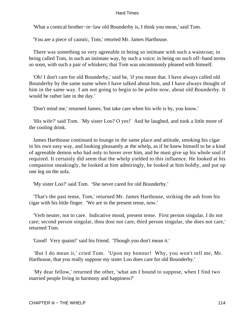'What a comical brother−in−law old Bounderby is, I think you mean,' said Tom.

'You are a piece of caustic, Tom,' retorted Mr. James Harthouse.

 There was something so very agreeable in being so intimate with such a waistcoat; in being called Tom, in such an intimate way, by such a voice; in being on such off−hand terms so soon, with such a pair of whiskers; that Tom was uncommonly pleased with himself.

 'Oh! I don't care for old Bounderby,' said he, 'if you mean that. I have always called old Bounderby by the same name when I have talked about him, and I have always thought of him in the same way. I am not going to begin to be polite now, about old Bounderby. It would be rather late in the day.'

'Don't mind me,' returned James; 'but take care when his wife is by, you know.'

 'His wife?' said Tom. 'My sister Loo? O yes!' And he laughed, and took a little more of the cooling drink.

 James Harthouse continued to lounge in the same place and attitude, smoking his cigar in his own easy way, and looking pleasantly at the whelp, as if he knew himself to be a kind of agreeable demon who had only to hover over him, and he must give up his whole soul if required. It certainly did seem that the whelp yielded to this influence. He looked at his companion sneakingly, he looked at him admiringly, he looked at him boldly, and put up one leg on the sofa.

'My sister Loo?' said Tom. 'She never cared for old Bounderby.'

 'That's the past tense, Tom,' returned Mr. James Harthouse, striking the ash from his cigar with his little finger. 'We are in the present tense, now.'

 'Verb neuter, not to care. Indicative mood, present tense. First person singular, I do not care; second person singular, thou dost not care; third person singular, she does not care,' returned Tom.

'Good! Very quaint!' said his friend. 'Though you don't mean it.'

 'But I do mean it,' cried Tom. 'Upon my honour! Why, you won't tell me, Mr. Harthouse, that you really suppose my sister Loo does care for old Bounderby.'

 'My dear fellow,' returned the other, 'what am I bound to suppose, when I find two married people living in harmony and happiness?'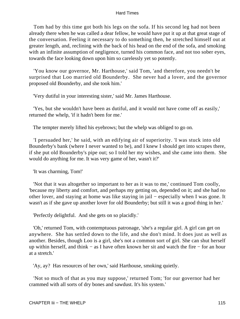Tom had by this time got both his legs on the sofa. If his second leg had not been already there when he was called a dear fellow, he would have put it up at that great stage of the conversation. Feeling it necessary to do something then, he stretched himself out at greater length, and, reclining with the back of his head on the end of the sofa, and smoking with an infinite assumption of negligence, turned his common face, and not too sober eyes, towards the face looking down upon him so carelessly yet so potently.

 'You know our governor, Mr. Harthouse,' said Tom, 'and therefore, you needn't be surprised that Loo married old Bounderby. She never had a lover, and the governor proposed old Bounderby, and she took him.'

'Very dutiful in your interesting sister,' said Mr. James Harthouse.

 'Yes, but she wouldn't have been as dutiful, and it would not have come off as easily,' returned the whelp, 'if it hadn't been for me.'

The tempter merely lifted his eyebrows; but the whelp was obliged to go on.

 'I persuaded her,' he said, with an edifying air of superiority. 'I was stuck into old Bounderby's bank (where I never wanted to be), and I knew I should get into scrapes there, if she put old Bounderby's pipe out; so I told her my wishes, and she came into them. She would do anything for me. It was very game of her, wasn't it?'

'It was charming, Tom!'

 'Not that it was altogether so important to her as it was to me,' continued Tom coolly, 'because my liberty and comfort, and perhaps my getting on, depended on it; and she had no other lover, and staying at home was like staying in jail − especially when I was gone. It wasn't as if she gave up another lover for old Bounderby; but still it was a good thing in her.'

'Perfectly delightful. And she gets on so placidly.'

 'Oh,' returned Tom, with contemptuous patronage, 'she's a regular girl. A girl can get on anywhere. She has settled down to the life, and she don't mind. It does just as well as another. Besides, though Loo is a girl, she's not a common sort of girl. She can shut herself up within herself, and think − as I have often known her sit and watch the fire − for an hour at a stretch.'

'Ay, ay? Has resources of her own,' said Harthouse, smoking quietly.

 'Not so much of that as you may suppose,' returned Tom; 'for our governor had her crammed with all sorts of dry bones and sawdust. It's his system.'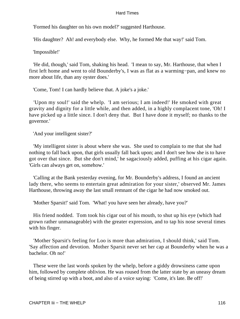'Formed his daughter on his own model?' suggested Harthouse.

'His daughter? Ah! and everybody else. Why, he formed Me that way!' said Tom.

'Impossible!'

 'He did, though,' said Tom, shaking his head. 'I mean to say, Mr. Harthouse, that when I first left home and went to old Bounderby's, I was as flat as a warming−pan, and knew no more about life, than any oyster does.'

'Come, Tom! I can hardly believe that. A joke's a joke.'

 'Upon my soul!' said the whelp. 'I am serious; I am indeed!' He smoked with great gravity and dignity for a little while, and then added, in a highly complacent tone, 'Oh! I have picked up a little since. I don't deny that. But I have done it myself; no thanks to the governor.'

'And your intelligent sister?'

 'My intelligent sister is about where she was. She used to complain to me that she had nothing to fall back upon, that girls usually fall back upon; and I don't see how she is to have got over that since. But she don't mind,' he sagaciously added, puffing at his cigar again. 'Girls can always get on, somehow.'

 'Calling at the Bank yesterday evening, for Mr. Bounderby's address, I found an ancient lady there, who seems to entertain great admiration for your sister,' observed Mr. James Harthouse, throwing away the last small remnant of the cigar he had now smoked out.

'Mother Sparsit!' said Tom. 'What! you have seen her already, have you?'

 His friend nodded. Tom took his cigar out of his mouth, to shut up his eye (which had grown rather unmanageable) with the greater expression, and to tap his nose several times with his finger.

 'Mother Sparsit's feeling for Loo is more than admiration, I should think,' said Tom. 'Say affection and devotion. Mother Sparsit never set her cap at Bounderby when he was a bachelor. Oh no!'

 These were the last words spoken by the whelp, before a giddy drowsiness came upon him, followed by complete oblivion. He was roused from the latter state by an uneasy dream of being stirred up with a boot, and also of a voice saying: 'Come, it's late. Be off!'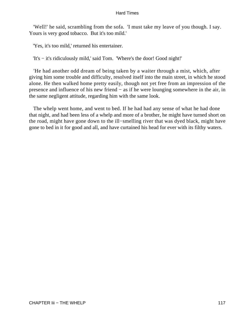'Well!' he said, scrambling from the sofa. 'I must take my leave of you though. I say. Yours is very good tobacco. But it's too mild.'

'Yes, it's too mild,' returned his entertainer.

'It's − it's ridiculously mild,' said Tom. 'Where's the door! Good night!'

 'He had another odd dream of being taken by a waiter through a mist, which, after giving him some trouble and difficulty, resolved itself into the main street, in which he stood alone. He then walked home pretty easily, though not yet free from an impression of the presence and influence of his new friend − as if he were lounging somewhere in the air, in the same negligent attitude, regarding him with the same look.

 The whelp went home, and went to bed. If he had had any sense of what he had done that night, and had been less of a whelp and more of a brother, he might have turned short on the road, might have gone down to the ill−smelling river that was dyed black, might have gone to bed in it for good and all, and have curtained his head for ever with its filthy waters.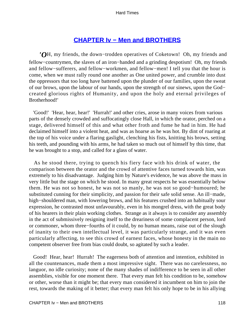## **[CHAPTER Iv − Men and BROTHERS](#page-251-0)**

*'O*H, my friends, the down−trodden operatives of Coketown! Oh, my friends and fellow−countrymen, the slaves of an iron−handed and a grinding despotism! Oh, my friends and fellow−sufferers, and fellow−workmen, and fellow−men! I tell you that the hour is come, when we must rally round one another as One united power, and crumble into dust the oppressors that too long have battened upon the plunder of our families, upon the sweat of our brows, upon the labour of our hands, upon the strength of our sinews, upon the God− created glorious rights of Humanity, and upon the holy and eternal privileges of Brotherhood!'

 'Good!' 'Hear, hear, hear!' 'Hurrah!' and other cries, arose in many voices from various parts of the densely crowded and suffocatingly close Hall, in which the orator, perched on a stage, delivered himself of this and what other froth and fume he had in him. He had declaimed himself into a violent heat, and was as hoarse as he was hot. By dint of roaring at the top of his voice under a flaring gaslight, clenching his fists, knitting his brows, setting his teeth, and pounding with his arms, he had taken so much out of himself by this time, that he was brought to a stop, and called for a glass of water.

 As he stood there, trying to quench his fiery face with his drink of water, the comparison between the orator and the crowd of attentive faces turned towards him, was extremely to his disadvantage. Judging him by Nature's evidence, he was above the mass in very little but the stage on which he stood. In many great respects he was essentially below them. He was not so honest, he was not so manly, he was not so good−humoured; he substituted cunning for their simplicity, and passion for their safe solid sense. An ill−made, high−shouldered man, with lowering brows, and his features crushed into an habitually sour expression, he contrasted most unfavourably, even in his mongrel dress, with the great body of his hearers in their plain working clothes. Strange as it always is to consider any assembly in the act of submissively resigning itself to the dreariness of some complacent person, lord or commoner, whom three−fourths of it could, by no human means, raise out of the slough of inanity to their own intellectual level, it was particularly strange, and it was even particularly affecting, to see this crowd of earnest faces, whose honesty in the main no competent observer free from bias could doubt, so agitated by such a leader.

 Good! Hear, hear! Hurrah! The eagerness both of attention and intention, exhibited in all the countenances, made them a most impressive sight. There was no carelessness, no languor, no idle curiosity; none of the many shades of indifference to be seen in all other assemblies, visible for one moment there. That every man felt his condition to be, somehow or other, worse than it might be; that every man considered it incumbent on him to join the rest, towards the making of it better; that every man felt his only hope to be in his allying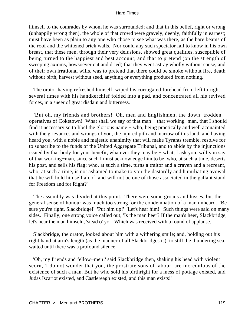himself to the comrades by whom he was surrounded; and that in this belief, right or wrong (unhappily wrong then), the whole of that crowd were gravely, deeply, faithfully in earnest; must have been as plain to any one who chose to see what was there, as the bare beams of the roof and the whitened brick walls. Nor could any such spectator fail to know in his own breast, that these men, through their very delusions, showed great qualities, susceptible of being turned to the happiest and best account; and that to pretend (on the strength of sweeping axioms, howsoever cut and dried) that they went astray wholly without cause, and of their own irrational wills, was to pretend that there could be smoke without fire, death without birth, harvest without seed, anything or everything produced from nothing.

 The orator having refreshed himself, wiped his corrugated forehead from left to right several times with his handkerchief folded into a pad, and concentrated all his revived forces, in a sneer of great disdain and bitterness.

 'But oh, my friends and brothers! Oh, men and Englishmen, the down−trodden operatives of Coketown! What shall we say of that man − that working−man, that I should find it necessary so to libel the glorious name − who, being practically and well acquainted with the grievances and wrongs of you, the injured pith and marrow of this land, and having heard you, with a noble and majestic unanimity that will make Tyrants tremble, resolve for to subscribe to the funds of the United Aggregate Tribunal, and to abide by the injunctions issued by that body for your benefit, whatever they may be − what, I ask you, will you say of that working−man, since such I must acknowledge him to be, who, at such a time, deserts his post, and sells his flag; who, at such a time, turns a traitor and a craven and a recreant, who, at such a time, is not ashamed to make to you the dastardly and humiliating avowal that he will hold himself aloof, and will not be one of those associated in the gallant stand for Freedom and for Right?'

 The assembly was divided at this point. There were some groans and hisses, but the general sense of honour was much too strong for the condemnation of a man unheard. 'Be sure you're right, Slackbridge!' 'Put him up!' 'Let's hear him!' Such things were said on many sides. Finally, one strong voice called out, 'Is the man heer? If the man's heer, Slackbridge, let's hear the man himseln, 'stead o' yo.' Which was received with a round of applause.

 Slackbridge, the orator, looked about him with a withering smile; and, holding out his right hand at arm's length (as the manner of all Slackbridges is), to still the thundering sea, waited until there was a profound silence.

 'Oh, my friends and fellow−men!' said Slackbridge then, shaking his head with violent scorn, 'I do not wonder that you, the prostrate sons of labour, are incredulous of the existence of such a man. But he who sold his birthright for a mess of pottage existed, and Judas Iscariot existed, and Castlereagh existed, and this man exists!'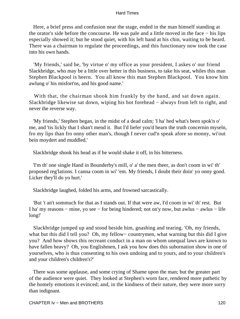Here, a brief press and confusion near the stage, ended in the man himself standing at the orator's side before the concourse. He was pale and a little moved in the face − his lips especially showed it; but he stood quiet, with his left hand at his chin, waiting to be heard. There was a chairman to regulate the proceedings, and this functionary now took the case into his own hands.

 'My friends,' said he, 'by virtue o' my office as your president, I askes o' our friend Slackbridge, who may be a little over hetter in this business, to take his seat, whiles this man Stephen Blackpool is heern. You all know this man Stephen Blackpool. You know him awlung o' his misfort'ns, and his good name.'

With that, the chairman shook him frankly by the hand, and sat down again. Slackbridge likewise sat down, wiping his hot forehead − always from left to right, and never the reverse way.

 'My friends,' Stephen began, in the midst of a dead calm; 'I ha' hed what's been spok'n o' me, and 'tis lickly that I shan't mend it. But I'd liefer you'd hearn the truth concernin myseln, fro my lips than fro onny other man's, though I never cud'n speak afore so monny, wi'out bein moydert and muddled.'

Slackbridge shook his head as if he would shake it off, in his bitterness.

 'I'm th' one single Hand in Bounderby's mill, o' a' the men theer, as don't coom in wi' th' proposed reg'lations. I canna coom in wi' 'em. My friends, I doubt their doin' yo onny good. Licker they'll do yo hurt.'

Slackbridge laughed, folded his arms, and frowned sarcastically.

 'But 't an't sommuch for that as I stands out. If that were aw, I'd coom in wi' th' rest. But I ha' my reasons − mine, yo see − for being hindered; not on'y now, but awlus − awlus − life long!'

 Slackbridge jumped up and stood beside him, gnashing and tearing. 'Oh, my friends, what but this did I tell you? Oh, my fellow− countrymen, what warning but this did I give you? And how shows this recreant conduct in a man on whom unequal laws are known to have fallen heavy? Oh, you Englishmen, I ask you how does this subornation show in one of yourselves, who is thus consenting to his own undoing and to yours, and to your children's and your children's children's?'

 There was some applause, and some crying of Shame upon the man; but the greater part of the audience were quiet. They looked at Stephen's worn face, rendered more pathetic by the homely emotions it evinced; and, in the kindness of their nature, they were more sorry than indignant.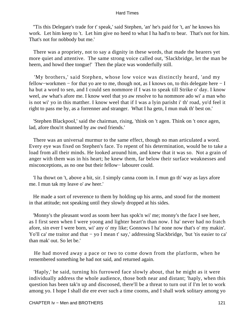''Tis this Delegate's trade for t' speak,' said Stephen, 'an' he's paid for 't, an' he knows his work. Let him keep to 't. Let him give no heed to what I ha had'n to bear. That's not for him. That's not for nobbody but me.'

 There was a propriety, not to say a dignity in these words, that made the hearers yet more quiet and attentive. The same strong voice called out, 'Slackbridge, let the man be heern, and howd thee tongue!' Then the place was wonderfully still.

 'My brothers,' said Stephen, whose low voice was distinctly heard, 'and my fellow−workmen − for that yo are to me, though not, as I knows on, to this delegate here − I ha but a word to sen, and I could sen nommore if I was to speak till Strike o' day. I know weel, aw what's afore me. I know weel that yo aw resolve to ha nommore ado wi' a man who is not wi' yo in this matther. I know weel that if I was a lyin parisht i' th' road, yo'd feel it right to pass me by, as a forrenner and stranger. What I ha getn, I mun mak th' best on.'

 'Stephen Blackpool,' said the chairman, rising, 'think on 't agen. Think on 't once agen, lad, afore thou'rt shunned by aw owd friends.'

 There was an universal murmur to the same effect, though no man articulated a word. Every eye was fixed on Stephen's face. To repent of his determination, would be to take a load from all their minds. He looked around him, and knew that it was so. Not a grain of anger with them was in his heart; he knew them, far below their surface weaknesses and misconceptions, as no one but their fellow− labourer could.

 'I ha thowt on 't, above a bit, sir. I simply canna coom in. I mun go th' way as lays afore me. I mun tak my leave o' aw heer.'

 He made a sort of reverence to them by holding up his arms, and stood for the moment in that attitude; not speaking until they slowly dropped at his sides.

 'Monny's the pleasant word as soom heer has spok'n wi' me; monny's the face I see heer, as I first seen when I were yoong and lighter heart'n than now. I ha' never had no fratch afore, sin ever I were born, wi' any o' my like; Gonnows I ha' none now that's o' my makin'. Yo'll ca' me traitor and that − yo I mean t' say,' addressing Slackbridge, 'but 'tis easier to ca' than mak' out. So let be.'

 He had moved away a pace or two to come down from the platform, when he remembered something he had not said, and returned again.

 'Haply,' he said, turning his furrowed face slowly about, that he might as it were individually address the whole audience, those both near and distant; 'haply, when this question has been tak'n up and discoosed, there'll be a threat to turn out if I'm let to work among yo. I hope I shall die ere ever such a time cooms, and I shall work solitary among yo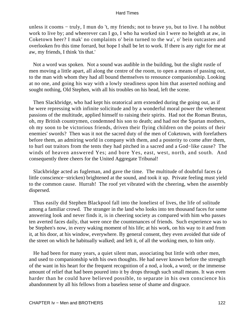unless it cooms − truly, I mun do 't, my friends; not to brave yo, but to live. I ha nobbut work to live by; and wheerever can I go, I who ha worked sin I were no heighth at aw, in Coketown heer? I mak' no complaints o' bein turned to the wa', o' bein outcasten and overlooken fro this time forrard, but hope I shall be let to work. If there is any right for me at aw, my friends, I think 'tis that.'

 Not a word was spoken. Not a sound was audible in the building, but the slight rustle of men moving a little apart, all along the centre of the room, to open a means of passing out, to the man with whom they had all bound themselves to renounce companionship. Looking at no one, and going his way with a lowly steadiness upon him that asserted nothing and sought nothing, Old Stephen, with all his troubles on his head, left the scene.

 Then Slackbridge, who had kept his oratorical arm extended during the going out, as if he were repressing with infinite solicitude and by a wonderful moral power the vehement passions of the multitude, applied himself to raising their spirits. Had not the Roman Brutus, oh, my British countrymen, condemned his son to death; and had not the Spartan mothers, oh my soon to be victorious friends, driven their flying children on the points of their enemies' swords? Then was it not the sacred duty of the men of Coketown, with forefathers before them, an admiring world in company with them, and a posterity to come after them, to hurl out traitors from the tents they had pitched in a sacred and a God−like cause? The winds of heaven answered Yes; and bore Yes, east, west, north, and south. And consequently three cheers for the United Aggregate Tribunal!

 Slackbridge acted as fugleman, and gave the time. The multitude of doubtful faces (a little conscience−stricken) brightened at the sound, and took it up. Private feeling must yield to the common cause. Hurrah! The roof yet vibrated with the cheering, when the assembly dispersed.

 Thus easily did Stephen Blackpool fall into the loneliest of lives, the life of solitude among a familiar crowd. The stranger in the land who looks into ten thousand faces for some answering look and never finds it, is in cheering society as compared with him who passes ten averted faces daily, that were once the countenances of friends. Such experience was to be Stephen's now, in every waking moment of his life; at his work, on his way to it and from it, at his door, at his window, everywhere. By general consent, they even avoided that side of the street on which he habitually walked; and left it, of all the working men, to him only.

 He had been for many years, a quiet silent man, associating but little with other men, and used to companionship with his own thoughts. He had never known before the strength of the want in his heart for the frequent recognition of a nod, a look, a word; or the immense amount of relief that had been poured into it by drops through such small means. It was even harder than he could have believed possible, to separate in his own conscience his abandonment by all his fellows from a baseless sense of shame and disgrace.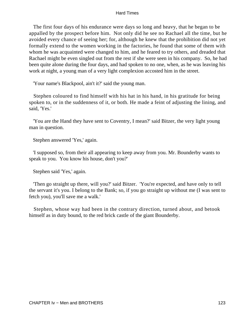The first four days of his endurance were days so long and heavy, that he began to be appalled by the prospect before him. Not only did he see no Rachael all the time, but he avoided every chance of seeing her; for, although he knew that the prohibition did not yet formally extend to the women working in the factories, he found that some of them with whom he was acquainted were changed to him, and he feared to try others, and dreaded that Rachael might be even singled out from the rest if she were seen in his company. So, he had been quite alone during the four days, and had spoken to no one, when, as he was leaving his work at night, a young man of a very light complexion accosted him in the street.

'Your name's Blackpool, ain't it?' said the young man.

 Stephen coloured to find himself with his hat in his hand, in his gratitude for being spoken to, or in the suddenness of it, or both. He made a feint of adjusting the lining, and said, 'Yes.'

 'You are the Hand they have sent to Coventry, I mean?' said Bitzer, the very light young man in question.

Stephen answered 'Yes,' again.

 'I supposed so, from their all appearing to keep away from you. Mr. Bounderby wants to speak to you. You know his house, don't you?'

Stephen said 'Yes,' again.

 'Then go straight up there, will you?' said Bitzer. 'You're expected, and have only to tell the servant it's you. I belong to the Bank; so, if you go straight up without me (I was sent to fetch you), you'll save me a walk.'

 Stephen, whose way had been in the contrary direction, turned about, and betook himself as in duty bound, to the red brick castle of the giant Bounderby.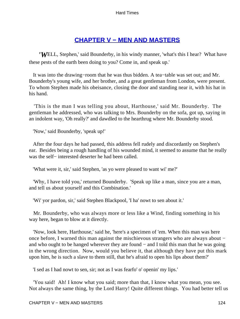## **[CHAPTER V − MEN AND MASTERS](#page-251-0)**

*'W*ELL, Stephen,' said Bounderby, in his windy manner, 'what's this I hear? What have these pests of the earth been doing to you? Come in, and speak up.'

 It was into the drawing−room that he was thus bidden. A tea−table was set out; and Mr. Bounderby's young wife, and her brother, and a great gentleman from London, were present. To whom Stephen made his obeisance, closing the door and standing near it, with his hat in his hand.

 'This is the man I was telling you about, Harthouse,' said Mr. Bounderby. The gentleman he addressed, who was talking to Mrs. Bounderby on the sofa, got up, saying in an indolent way, 'Oh really?' and dawdled to the hearthrug where Mr. Bounderby stood.

'Now,' said Bounderby, 'speak up!'

 After the four days he had passed, this address fell rudely and discordantly on Stephen's ear. Besides being a rough handling of his wounded mind, it seemed to assume that he really was the self– interested deserter he had been called.

'What were it, sir,' said Stephen, 'as yo were pleased to want wi' me?'

 'Why, I have told you,' returned Bounderby. 'Speak up like a man, since you are a man, and tell us about yourself and this Combination.'

'Wi' yor pardon, sir,' said Stephen Blackpool, 'I ha' nowt to sen about it.'

 Mr. Bounderby, who was always more or less like a Wind, finding something in his way here, began to blow at it directly.

 'Now, look here, Harthouse,' said he, 'here's a specimen of 'em. When this man was here once before, I warned this man against the mischievous strangers who are always about − and who ought to be hanged wherever they are found − and I told this man that he was going in the wrong direction. Now, would you believe it, that although they have put this mark upon him, he is such a slave to them still, that he's afraid to open his lips about them?'

'I sed as I had nowt to sen, sir; not as I was fearfo' o' openin' my lips.'

 'You said! Ah! I know what you said; more than that, I know what you mean, you see. Not always the same thing, by the Lord Harry! Quite different things. You had better tell us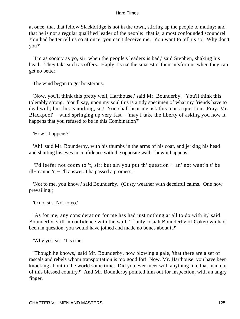at once, that that fellow Slackbridge is not in the town, stirring up the people to mutiny; and that he is not a regular qualified leader of the people: that is, a most confounded scoundrel. You had better tell us so at once; you can't deceive me. You want to tell us so. Why don't you?'

 'I'm as sooary as yo, sir, when the people's leaders is bad,' said Stephen, shaking his head. 'They taks such as offers. Haply 'tis na' the sma'est o' their misfortuns when they can get no better.'

The wind began to get boisterous.

 'Now, you'll think this pretty well, Harthouse,' said Mr. Bounderby. 'You'll think this tolerably strong. You'll say, upon my soul this is a tidy specimen of what my friends have to deal with; but this is nothing, sir! You shall hear me ask this man a question. Pray, Mr. Blackpool' − wind springing up very fast − 'may I take the liberty of asking you how it happens that you refused to be in this Combination?'

'How 't happens?'

 'Ah!' said Mr. Bounderby, with his thumbs in the arms of his coat, and jerking his head and shutting his eyes in confidence with the opposite wall: 'how it happens.'

 'I'd leefer not coom to 't, sir; but sin you put th' question − an' not want'n t' be ill−manner'n − I'll answer. I ha passed a promess.'

 'Not to me, you know,' said Bounderby. (Gusty weather with deceitful calms. One now prevailing.)

'O no, sir. Not to yo.'

 'As for me, any consideration for me has had just nothing at all to do with it,' said Bounderby, still in confidence with the wall. 'If only Josiah Bounderby of Coketown had been in question, you would have joined and made no bones about it?'

'Why yes, sir. 'Tis true.'

 'Though he knows,' said Mr. Bounderby, now blowing a gale, 'that there are a set of rascals and rebels whom transportation is too good for! Now, Mr. Harthouse, you have been knocking about in the world some time. Did you ever meet with anything like that man out of this blessed country?' And Mr. Bounderby pointed him out for inspection, with an angry finger.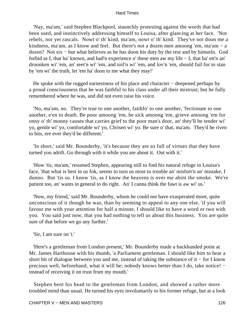'Nay, ma'am,' said Stephen Blackpool, staunchly protesting against the words that had been used, and instinctively addressing himself to Louisa, after glancing at her face. 'Not rebels, nor yet rascals. Nowt o' th' kind, ma'am, nowt o' th' kind. They've not doon me a kindness, ma'am, as I know and feel. But there's not a dozen men amoong 'em, ma'am − a dozen? Not six − but what believes as he has doon his duty by the rest and by himseln. God forbid as I, that ha' known, and had'n experience o' these men aw my life − I, that ha' ett'n an' droonken wi' 'em, an' seet'n wi' 'em, and toil'n wi' 'em, and lov'n 'em, should fail fur to stan by 'em wi' the truth, let 'em ha' doon to me what they may!'

He spoke with the rugged earnestness of his place and character – deepened perhaps by a proud consciousness that he was faithful to his class under all their mistrust; but he fully remembered where he was, and did not even raise his voice.

 'No, ma'am, no. They're true to one another, faithfo' to one another, 'fectionate to one another, e'en to death. Be poor amoong 'em, be sick amoong 'em, grieve amoong 'em for onny o' th' monny causes that carries grief to the poor man's door, an' they'll be tender wi' yo, gentle wi' yo, comfortable wi' yo, Chrisen wi' yo. Be sure o' that, ma'am. They'd be riven to bits, ere ever they'd be different.'

 'In short,' said Mr. Bounderby, 'it's because they are so full of virtues that they have turned you adrift. Go through with it while you are about it. Out with it.'

 'How 'tis, ma'am,' resumed Stephen, appearing still to find his natural refuge in Louisa's face, 'that what is best in us fok, seems to turn us most to trouble an' misfort'n an' mistake, I dunno. But 'tis so. I know 'tis, as I know the heavens is over me ahint the smoke. We're patient too, an' wants in general to do right. An' I canna think the fawt is aw wi' us.'

 'Now, my friend,' said Mr. Bounderby, whom he could not have exasperated more, quite unconscious of it though he was, than by seeming to appeal to any one else, 'if you will favour me with your attention for half a minute, I should like to have a word or two with you. You said just now, that you had nothing to tell us about this business. You are quite sure of that before we go any further.'

'Sir, I am sure on 't.'

 'Here's a gentleman from London present,' Mr. Bounderby made a backhanded point at Mr. James Harthouse with his thumb, 'a Parliament gentleman. I should like him to hear a short bit of dialogue between you and me, instead of taking the substance of it − for I know precious well, beforehand, what it will be; nobody knows better than I do, take notice! − instead of receiving it on trust from my mouth.'

 Stephen bent his head to the gentleman from London, and showed a rather more troubled mind than usual. He turned his eyes involuntarily to his former refuge, but at a look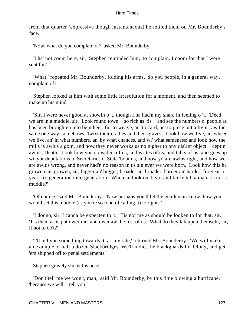from that quarter (expressive though instantaneous) he settled them on Mr. Bounderby's face.

'Now, what do you complain of?' asked Mr. Bounderby.

 'I ha' not coom here, sir,' Stephen reminded him, 'to complain. I coom for that I were sent for.'

 'What,' repeated Mr. Bounderby, folding his arms, 'do you people, in a general way, complain of?'

 Stephen looked at him with some little irresolution for a moment, and then seemed to make up his mind.

 'Sir, I were never good at showin o 't, though I ha had'n my share in feeling o 't. 'Deed we are in a muddle, sir. Look round town – so rich as 'tis – and see the numbers o' people as has been broughten into bein heer, fur to weave, an' to card, an' to piece out a livin', aw the same one way, somehows, 'twixt their cradles and their graves. Look how we live, an' wheer we live, an' in what numbers, an' by what chances, and wi' what sameness; and look how the mills is awlus a goin, and how they never works us no nigher to ony dis'ant object − ceptin awlus, Death. Look how you considers of us, and writes of us, and talks of us, and goes up wi' yor deputations to Secretaries o' State 'bout us, and how yo are awlus right, and how we are awlus wrong, and never had'n no reason in us sin ever we were born. Look how this ha growen an' growen, sir, bigger an' bigger, broader an' broader, harder an' harder, fro year to year, fro generation unto generation. Who can look on 't, sir, and fairly tell a man 'tis not a muddle?'

 'Of course,' said Mr. Bounderby. 'Now perhaps you'll let the gentleman know, how you would set this muddle (as you're so fond of calling it) to rights.'

 'I donno, sir. I canna be expecten to 't. 'Tis not me as should be looken to for that, sir. 'Tis them as is put ower me, and ower aw the rest of us. What do they tak upon themseln, sir, if not to do't?'

 'I'll tell you something towards it, at any rate,' returned Mr. Bounderby. 'We will make an example of half a dozen Slackbridges. We'll indict the blackguards for felony, and get 'em shipped off to penal settlements.'

Stephen gravely shook his head.

 'Don't tell me we won't, man,' said Mr. Bounderby, by this time blowing a hurricane, 'because we will, I tell you!'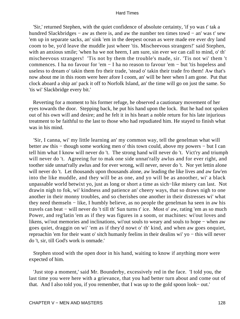'Sir,' returned Stephen, with the quiet confidence of absolute certainty, 'if yo was t' tak a hundred Slackbridges − aw as there is, and aw the number ten times towd − an' was t' sew 'em up in separate sacks, an' sink 'em in the deepest ocean as were made ere ever dry land coom to be, yo'd leave the muddle just wheer 'tis. Mischeevous strangers!' said Stephen, with an anxious smile; 'when ha we not heern, I am sure, sin ever we can call to mind, o' th' mischeevous strangers! 'Tis not by them the trouble's made, sir. 'Tis not wi' them 't commences. I ha no favour for 'em − I ha no reason to favour 'em − but 'tis hopeless and useless to dream o' takin them fro their trade, 'stead o' takin their trade fro them! Aw that's now about me in this room were heer afore I coom, an' will be heer when I am gone. Put that clock aboard a ship an' pack it off to Norfolk Island, an' the time will go on just the same. So 'tis wi' Slackbridge every bit.'

 Reverting for a moment to his former refuge, he observed a cautionary movement of her eyes towards the door. Stepping back, he put his hand upon the lock. But he had not spoken out of his own will and desire; and he felt it in his heart a noble return for his late injurious treatment to be faithful to the last to those who had repudiated him. He stayed to finish what was in his mind.

 'Sir, I canna, wi' my little learning an' my common way, tell the genelman what will better aw this − though some working men o' this town could, above my powers − but I can tell him what I know will never do 't. The strong hand will never do 't. Vict'ry and triumph will never do 't. Agreeing fur to mak one side unnat'rally awlus and for ever right, and toother side unnat'rally awlus and for ever wrong, will never, never do 't. Nor yet lettin alone will never do 't. Let thousands upon thousands alone, aw leading the like lives and aw faw'en into the like muddle, and they will be as one, and yo will be as anoother, wi' a black unpassable world betwixt yo, just as long or short a time as sich−like misery can last. Not drawin nigh to fok, wi' kindness and patience an' cheery ways, that so draws nigh to one another in their monny troubles, and so cherishes one another in their distresses wi' what they need themseln − like, I humbly believe, as no people the genelman ha seen in aw his travels can beat − will never do 't till th' Sun turns t' ice. Most o' aw, rating 'em as so much Power, and reg'latin 'em as if they was figures in a soom, or machines: wi'out loves and likens, wi'out memories and inclinations, wi'out souls to weary and souls to hope − when aw goes quiet, draggin on wi' 'em as if they'd nowt o' th' kind, and when aw goes onquiet, reproachin 'em for their want o' sitch humanly feelins in their dealins wi' yo − this will never do 't, sir, till God's work is onmade.'

 Stephen stood with the open door in his hand, waiting to know if anything more were expected of him.

 'Just stop a moment,' said Mr. Bounderby, excessively red in the face. 'I told you, the last time you were here with a grievance, that you had better turn about and come out of that. And I also told you, if you remember, that I was up to the gold spoon look− out.'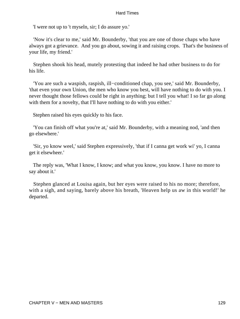'I were not up to 't myseln, sir; I do assure yo.'

 'Now it's clear to me,' said Mr. Bounderby, 'that you are one of those chaps who have always got a grievance. And you go about, sowing it and raising crops. That's the business of your life, my friend.'

 Stephen shook his head, mutely protesting that indeed he had other business to do for his life.

 'You are such a waspish, raspish, ill−conditioned chap, you see,' said Mr. Bounderby, 'that even your own Union, the men who know you best, will have nothing to do with you. I never thought those fellows could be right in anything; but I tell you what! I so far go along with them for a novelty, that I'll have nothing to do with you either.'

Stephen raised his eyes quickly to his face.

 'You can finish off what you're at,' said Mr. Bounderby, with a meaning nod, 'and then go elsewhere.'

 'Sir, yo know weel,' said Stephen expressively, 'that if I canna get work wi' yo, I canna get it elsewheer.'

 The reply was, 'What I know, I know; and what you know, you know. I have no more to say about it.'

 Stephen glanced at Louisa again, but her eyes were raised to his no more; therefore, with a sigh, and saying, barely above his breath, 'Heaven help us aw in this world!' he departed.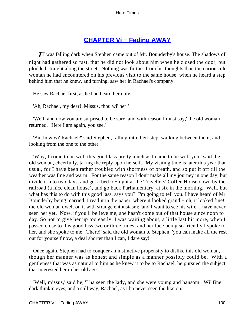# **[CHAPTER Vi − Fading AWAY](#page-251-0)**

*I*T was falling dark when Stephen came out of Mr. Bounderby's house. The shadows of night had gathered so fast, that he did not look about him when he closed the door, but plodded straight along the street. Nothing was further from his thoughts than the curious old woman he had encountered on his previous visit to the same house, when he heard a step behind him that he knew, and turning, saw her in Rachael's company.

He saw Rachael first, as he had heard her only.

'Ah, Rachael, my dear! Missus, thou wi' her!'

 'Well, and now you are surprised to be sure, and with reason I must say,' the old woman returned. 'Here I am again, you see.'

 'But how wi' Rachael?' said Stephen, falling into their step, walking between them, and looking from the one to the other.

 'Why, I come to be with this good lass pretty much as I came to be with you,' said the old woman, cheerfully, taking the reply upon herself. 'My visiting time is later this year than usual, for I have been rather troubled with shortness of breath, and so put it off till the weather was fine and warm. For the same reason I don't make all my journey in one day, but divide it into two days, and get a bed to−night at the Travellers' Coffee House down by the railroad (a nice clean house), and go back Parliamentary, at six in the morning. Well, but what has this to do with this good lass, says you? I'm going to tell you. I have heard of Mr. Bounderby being married. I read it in the paper, where it looked grand − oh, it looked fine!' the old woman dwelt on it with strange enthusiasm: 'and I want to see his wife. I have never seen her yet. Now, if you'll believe me, she hasn't come out of that house since noon to− day. So not to give her up too easily, I was waiting about, a little last bit more, when I passed close to this good lass two or three times; and her face being so friendly I spoke to her, and she spoke to me. There!' said the old woman to Stephen, 'you can make all the rest out for yourself now, a deal shorter than I can, I dare say!'

 Once again, Stephen had to conquer an instinctive propensity to dislike this old woman, though her manner was as honest and simple as a manner possibly could be. With a gentleness that was as natural to him as he knew it to be to Rachael, he pursued the subject that interested her in her old age.

 'Well, missus,' said he, 'I ha seen the lady, and she were young and hansom. Wi' fine dark thinkin eyes, and a still way, Rachael, as I ha never seen the like on.'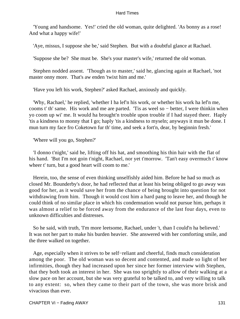'Young and handsome. Yes!' cried the old woman, quite delighted. 'As bonny as a rose! And what a happy wife!'

'Aye, missus, I suppose she be,' said Stephen. But with a doubtful glance at Rachael.

'Suppose she be? She must be. She's your master's wife,' returned the old woman.

 Stephen nodded assent. 'Though as to master,' said he, glancing again at Rachael, 'not master onny more. That's aw enden 'twixt him and me.'

'Have you left his work, Stephen?' asked Rachael, anxiously and quickly.

 'Why, Rachael,' he replied, 'whether I ha lef'n his work, or whether his work ha lef'n me, cooms t' th' same. His work and me are parted. 'Tis as weel so − better, I were thinkin when yo coom up wi' me. It would ha brought'n trouble upon trouble if I had stayed theer. Haply 'tis a kindness to monny that I go; haply 'tis a kindness to myseln; anyways it mun be done. I mun turn my face fro Coketown fur th' time, and seek a fort'n, dear, by beginnin fresh.'

'Where will you go, Stephen?'

 'I donno t'night,' said he, lifting off his hat, and smoothing his thin hair with the flat of his hand. 'But I'm not goin t'night, Rachael, nor yet t'morrow. 'Tan't easy overmuch t' know wheer t' turn, but a good heart will coom to me.'

 Herein, too, the sense of even thinking unselfishly aided him. Before he had so much as closed Mr. Bounderby's door, he had reflected that at least his being obliged to go away was good for her, as it would save her from the chance of being brought into question for not withdrawing from him. Though it would cost him a hard pang to leave her, and though he could think of no similar place in which his condemnation would not pursue him, perhaps it was almost a relief to be forced away from the endurance of the last four days, even to unknown difficulties and distresses.

 So he said, with truth, 'I'm more leetsome, Rachael, under 't, than I could'n ha believed.' It was not her part to make his burden heavier. She answered with her comforting smile, and the three walked on together.

 Age, especially when it strives to be self−reliant and cheerful, finds much consideration among the poor. The old woman was so decent and contented, and made so light of her infirmities, though they had increased upon her since her former interview with Stephen, that they both took an interest in her. She was too sprightly to allow of their walking at a slow pace on her account, but she was very grateful to be talked to, and very willing to talk to any extent: so, when they came to their part of the town, she was more brisk and vivacious than ever.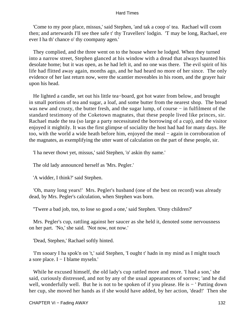'Come to my poor place, missus,' said Stephen, 'and tak a coop o' tea. Rachael will coom then; and arterwards I'll see thee safe t' thy Travellers' lodgin. 'T may be long, Rachael, ere ever I ha th' chance o' thy coompany agen.'

 They complied, and the three went on to the house where he lodged. When they turned into a narrow street, Stephen glanced at his window with a dread that always haunted his desolate home; but it was open, as he had left it, and no one was there. The evil spirit of his life had flitted away again, months ago, and he had heard no more of her since. The only evidence of her last return now, were the scantier moveables in his room, and the grayer hair upon his head.

 He lighted a candle, set out his little tea−board, got hot water from below, and brought in small portions of tea and sugar, a loaf, and some butter from the nearest shop. The bread was new and crusty, the butter fresh, and the sugar lump, of course − in fulfilment of the standard testimony of the Coketown magnates, that these people lived like princes, sir. Rachael made the tea (so large a party necessitated the borrowing of a cup), and the visitor enjoyed it mightily. It was the first glimpse of sociality the host had had for many days. He too, with the world a wide heath before him, enjoyed the meal − again in corroboration of the magnates, as exemplifying the utter want of calculation on the part of these people, sir.

'I ha never thowt yet, missus,' said Stephen, 'o' askin thy name.'

The old lady announced herself as 'Mrs. Pegler.'

'A widder, I think?' said Stephen.

 'Oh, many long years!' Mrs. Pegler's husband (one of the best on record) was already dead, by Mrs. Pegler's calculation, when Stephen was born.

''Twere a bad job, too, to lose so good a one,' said Stephen. 'Onny children?'

 Mrs. Pegler's cup, rattling against her saucer as she held it, denoted some nervousness on her part. 'No,' she said. 'Not now, not now.'

'Dead, Stephen,' Rachael softly hinted.

 'I'm sooary I ha spok'n on 't,' said Stephen, 'I ought t' hadn in my mind as I might touch a sore place. I − I blame myseln.'

 While he excused himself, the old lady's cup rattled more and more. 'I had a son,' she said, curiously distressed, and not by any of the usual appearances of sorrow; 'and he did well, wonderfully well. But he is not to be spoken of if you please. He is − 'Putting down her cup, she moved her hands as if she would have added, by her action, 'dead!' Then she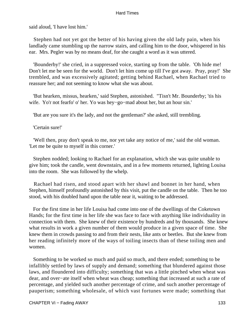said aloud, 'I have lost him.'

 Stephen had not yet got the better of his having given the old lady pain, when his landlady came stumbling up the narrow stairs, and calling him to the door, whispered in his ear. Mrs. Pegler was by no means deaf, for she caught a word as it was uttered.

 'Bounderby!' she cried, in a suppressed voice, starting up from the table. 'Oh hide me! Don't let me be seen for the world. Don't let him come up till I've got away. Pray, pray!' She trembled, and was excessively agitated; getting behind Rachael, when Rachael tried to reassure her; and not seeming to know what she was about.

 'But hearken, missus, hearken,' said Stephen, astonished. "Tisn't Mr. Bounderby; 'tis his wife. Yo'r not fearfo' o' her. Yo was hey−go−mad about her, but an hour sin.'

'But are you sure it's the lady, and not the gentleman?' she asked, still trembling.

'Certain sure!'

 'Well then, pray don't speak to me, nor yet take any notice of me,' said the old woman. 'Let me be quite to myself in this corner.'

 Stephen nodded; looking to Rachael for an explanation, which she was quite unable to give him; took the candle, went downstairs, and in a few moments returned, lighting Louisa into the room. She was followed by the whelp.

 Rachael had risen, and stood apart with her shawl and bonnet in her hand, when Stephen, himself profoundly astonished by this visit, put the candle on the table. Then he too stood, with his doubled hand upon the table near it, waiting to be addressed.

 For the first time in her life Louisa had come into one of the dwellings of the Coketown Hands; for the first time in her life she was face to face with anything like individuality in connection with them. She knew of their existence by hundreds and by thousands. She knew what results in work a given number of them would produce in a given space of time. She knew them in crowds passing to and from their nests, like ants or beetles. But she knew from her reading infinitely more of the ways of toiling insects than of these toiling men and women.

 Something to be worked so much and paid so much, and there ended; something to be infallibly settled by laws of supply and demand; something that blundered against those laws, and floundered into difficulty; something that was a little pinched when wheat was dear, and over−ate itself when wheat was cheap; something that increased at such a rate of percentage, and yielded such another percentage of crime, and such another percentage of pauperism; something wholesale, of which vast fortunes were made; something that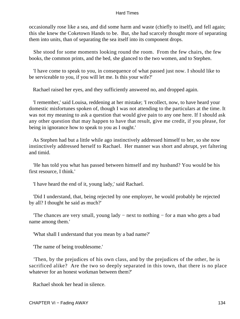occasionally rose like a sea, and did some harm and waste (chiefly to itself), and fell again; this she knew the Coketown Hands to be. But, she had scarcely thought more of separating them into units, than of separating the sea itself into its component drops.

 She stood for some moments looking round the room. From the few chairs, the few books, the common prints, and the bed, she glanced to the two women, and to Stephen.

 'I have come to speak to you, in consequence of what passed just now. I should like to be serviceable to you, if you will let me. Is this your wife?'

Rachael raised her eyes, and they sufficiently answered no, and dropped again.

 'I remember,' said Louisa, reddening at her mistake; 'I recollect, now, to have heard your domestic misfortunes spoken of, though I was not attending to the particulars at the time. It was not my meaning to ask a question that would give pain to any one here. If I should ask any other question that may happen to have that result, give me credit, if you please, for being in ignorance how to speak to you as I ought.'

 As Stephen had but a little while ago instinctively addressed himself to her, so she now instinctively addressed herself to Rachael. Her manner was short and abrupt, yet faltering and timid.

 'He has told you what has passed between himself and my husband? You would be his first resource, I think.'

'I have heard the end of it, young lady,' said Rachael.

 'Did I understand, that, being rejected by one employer, he would probably be rejected by all? I thought he said as much?'

 'The chances are very small, young lady − next to nothing − for a man who gets a bad name among them.'

'What shall I understand that you mean by a bad name?'

'The name of being troublesome.'

 'Then, by the prejudices of his own class, and by the prejudices of the other, he is sacrificed alike? Are the two so deeply separated in this town, that there is no place whatever for an honest workman between them?'

Rachael shook her head in silence.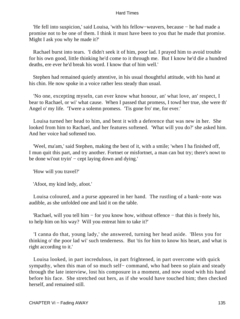'He fell into suspicion,' said Louisa, 'with his fellow−weavers, because − he had made a promise not to be one of them. I think it must have been to you that he made that promise. Might I ask you why he made it?'

 Rachael burst into tears. 'I didn't seek it of him, poor lad. I prayed him to avoid trouble for his own good, little thinking he'd come to it through me. But I know he'd die a hundred deaths, ere ever he'd break his word. I know that of him well.'

 Stephen had remained quietly attentive, in his usual thoughtful attitude, with his hand at his chin. He now spoke in a voice rather less steady than usual.

 'No one, excepting myseln, can ever know what honour, an' what love, an' respect, I bear to Rachael, or wi' what cause. When I passed that promess, I towd her true, she were th' Angel o' my life. 'Twere a solemn promess. 'Tis gone fro' me, for ever.'

 Louisa turned her head to him, and bent it with a deference that was new in her. She looked from him to Rachael, and her features softened. 'What will you do?' she asked him. And her voice had softened too.

 'Weel, ma'am,' said Stephen, making the best of it, with a smile; 'when I ha finished off, I mun quit this part, and try another. Fortnet or misfortnet, a man can but try; there's nowt to be done wi'out tryin' – cept laying down and dying.'

'How will you travel?'

'Afoot, my kind ledy, afoot.'

 Louisa coloured, and a purse appeared in her hand. The rustling of a bank−note was audible, as she unfolded one and laid it on the table.

 'Rachael, will you tell him − for you know how, without offence − that this is freely his, to help him on his way? Will you entreat him to take it?'

 'I canna do that, young lady,' she answered, turning her head aside. 'Bless you for thinking o' the poor lad wi' such tenderness. But 'tis for him to know his heart, and what is right according to it.'

 Louisa looked, in part incredulous, in part frightened, in part overcome with quick sympathy, when this man of so much self– command, who had been so plain and steady through the late interview, lost his composure in a moment, and now stood with his hand before his face. She stretched out hers, as if she would have touched him; then checked herself, and remained still.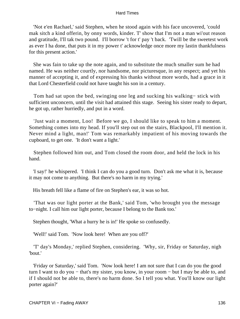'Not e'en Rachael,' said Stephen, when he stood again with his face uncovered, 'could mak sitch a kind offerin, by onny words, kinder. T' show that I'm not a man wi'out reason and gratitude, I'll tak two pound. I'll borrow 't for t' pay 't back. 'Twill be the sweetest work as ever I ha done, that puts it in my power t' acknowledge once more my lastin thankfulness for this present action.'

 She was fain to take up the note again, and to substitute the much smaller sum he had named. He was neither courtly, nor handsome, nor picturesque, in any respect; and yet his manner of accepting it, and of expressing his thanks without more words, had a grace in it that Lord Chesterfield could not have taught his son in a century.

 Tom had sat upon the bed, swinging one leg and sucking his walking− stick with sufficient unconcern, until the visit had attained this stage. Seeing his sister ready to depart, he got up, rather hurriedly, and put in a word.

 'Just wait a moment, Loo! Before we go, I should like to speak to him a moment. Something comes into my head. If you'll step out on the stairs, Blackpool, I'll mention it. Never mind a light, man!' Tom was remarkably impatient of his moving towards the cupboard, to get one. 'It don't want a light.'

 Stephen followed him out, and Tom closed the room door, and held the lock in his hand.

 'I say!' he whispered. 'I think I can do you a good turn. Don't ask me what it is, because it may not come to anything. But there's no harm in my trying.'

His breath fell like a flame of fire on Stephen's ear, it was so hot.

 'That was our light porter at the Bank,' said Tom, 'who brought you the message to−night. I call him our light porter, because I belong to the Bank too.'

Stephen thought, 'What a hurry he is in!' He spoke so confusedly.

'Well!' said Tom. 'Now look here! When are you off?'

 'T' day's Monday,' replied Stephen, considering. 'Why, sir, Friday or Saturday, nigh 'bout.'

 'Friday or Saturday,' said Tom. 'Now look here! I am not sure that I can do you the good turn I want to do you − that's my sister, you know, in your room − but I may be able to, and if I should not be able to, there's no harm done. So I tell you what. You'll know our light porter again?'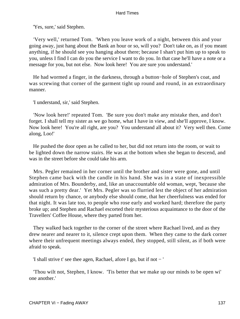'Yes, sure,' said Stephen.

 'Very well,' returned Tom. 'When you leave work of a night, between this and your going away, just hang about the Bank an hour or so, will you? Don't take on, as if you meant anything, if he should see you hanging about there; because I shan't put him up to speak to you, unless I find I can do you the service I want to do you. In that case he'll have a note or a message for you, but not else. Now look here! You are sure you understand.'

 He had wormed a finger, in the darkness, through a button−hole of Stephen's coat, and was screwing that corner of the garment tight up round and round, in an extraordinary manner.

'I understand, sir,' said Stephen.

 'Now look here!' repeated Tom. 'Be sure you don't make any mistake then, and don't forget. I shall tell my sister as we go home, what I have in view, and she'll approve, I know. Now look here! You're all right, are you? You understand all about it? Very well then. Come along, Loo!'

 He pushed the door open as he called to her, but did not return into the room, or wait to be lighted down the narrow stairs. He was at the bottom when she began to descend, and was in the street before she could take his arm.

 Mrs. Pegler remained in her corner until the brother and sister were gone, and until Stephen came back with the candle in his hand. She was in a state of inexpressible admiration of Mrs. Bounderby, and, like an unaccountable old woman, wept, 'because she was such a pretty dear.' Yet Mrs. Pegler was so flurried lest the object of her admiration should return by chance, or anybody else should come, that her cheerfulness was ended for that night. It was late too, to people who rose early and worked hard; therefore the party broke up; and Stephen and Rachael escorted their mysterious acquaintance to the door of the Travellers' Coffee House, where they parted from her.

 They walked back together to the corner of the street where Rachael lived, and as they drew nearer and nearer to it, silence crept upon them. When they came to the dark corner where their unfrequent meetings always ended, they stopped, still silent, as if both were afraid to speak.

'I shall strive t' see thee agen, Rachael, afore I go, but if not − '

 'Thou wilt not, Stephen, I know. 'Tis better that we make up our minds to be open wi' one another.'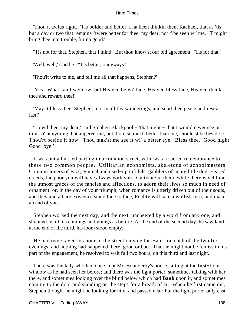'Thou'rt awlus right. 'Tis bolder and better. I ha been thinkin then, Rachael, that as 'tis but a day or two that remains, 'twere better for thee, my dear, not t' be seen wi' me. 'T might bring thee into trouble, fur no good.'

''Tis not for that, Stephen, that I mind. But thou know'st our old agreement. 'Tis for that.'

'Well, well,' said he. "Tis better, onnyways.'

'Thou'lt write to me, and tell me all that happens, Stephen?'

 'Yes. What can I say now, but Heaven be wi' thee, Heaven bless thee, Heaven thank thee and reward thee!'

 'May it bless thee, Stephen, too, in all thy wanderings, and send thee peace and rest at last!'

 'I towd thee, my dear,' said Stephen Blackpool − 'that night − that I would never see or think o' onnything that angered me, but thou, so much better than me, should'st be beside it. Thou'rt beside it now. Thou mak'st me see it wi' a better eye. Bless thee. Good night. Good−bye!'

 It was but a hurried parting in a common street, yet it was a sacred remembrance to these two common people. Utilitarian economists, skeletons of schoolmasters, Commissioners of Fact, genteel and used−up infidels, gabblers of many little dog's−eared creeds, the poor you will have always with you. Cultivate in them, while there is yet time, the utmost graces of the fancies and affections, to adorn their lives so much in need of ornament; or, in the day of your triumph, when romance is utterly driven out of their souls, and they and a bare existence stand face to face, Reality will take a wolfish turn, and make an end of you.

 Stephen worked the next day, and the next, uncheered by a word from any one, and shunned in all his comings and goings as before. At the end of the second day, he saw land; at the end of the third, his loom stood empty.

 He had overstayed his hour in the street outside the Bank, on each of the two first evenings; and nothing had happened there, good or bad. That he might not be remiss in his part of the engagement, he resolved to wait full two hours, on this third and last night.

 There was the lady who had once kept Mr. Bounderby's house, sitting at the first−floor window as he had seen her before; and there was the light porter, sometimes talking with her there, and sometimes looking over the blind below which had **Bank** upon it, and sometimes coming to the door and standing on the steps for a breath of air. When he first came out, Stephen thought he might be looking for him, and passed near; but the light porter only cast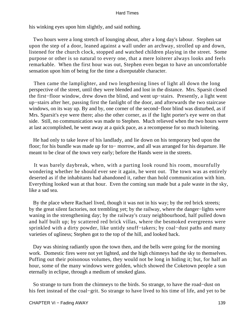his winking eyes upon him slightly, and said nothing.

 Two hours were a long stretch of lounging about, after a long day's labour. Stephen sat upon the step of a door, leaned against a wall under an archway, strolled up and down, listened for the church clock, stopped and watched children playing in the street. Some purpose or other is so natural to every one, that a mere loiterer always looks and feels remarkable. When the first hour was out, Stephen even began to have an uncomfortable sensation upon him of being for the time a disreputable character.

 Then came the lamplighter, and two lengthening lines of light all down the long perspective of the street, until they were blended and lost in the distance. Mrs. Sparsit closed the first−floor window, drew down the blind, and went up−stairs. Presently, a light went up−stairs after her, passing first the fanlight of the door, and afterwards the two staircase windows, on its way up. By and by, one corner of the second−floor blind was disturbed, as if Mrs. Sparsit's eye were there; also the other corner, as if the light porter's eye were on that side. Still, no communication was made to Stephen. Much relieved when the two hours were at last accomplished, he went away at a quick pace, as a recompense for so much loitering.

 He had only to take leave of his landlady, and lie down on his temporary bed upon the floor; for his bundle was made up for to− morrow, and all was arranged for his departure. He meant to be clear of the town very early; before the Hands were in the streets.

 It was barely daybreak, when, with a parting look round his room, mournfully wondering whether he should ever see it again, he went out. The town was as entirely deserted as if the inhabitants had abandoned it, rather than hold communication with him. Everything looked wan at that hour. Even the coming sun made but a pale waste in the sky, like a sad sea.

 By the place where Rachael lived, though it was not in his way; by the red brick streets; by the great silent factories, not trembling yet; by the railway, where the danger−lights were waning in the strengthening day; by the railway's crazy neighbourhood, half pulled down and half built up; by scattered red brick villas, where the besmoked evergreens were sprinkled with a dirty powder, like untidy snuff−takers; by coal−dust paths and many varieties of ugliness; Stephen got to the top of the hill, and looked back.

 Day was shining radiantly upon the town then, and the bells were going for the morning work. Domestic fires were not yet lighted, and the high chimneys had the sky to themselves. Puffing out their poisonous volumes, they would not be long in hiding it; but, for half an hour, some of the many windows were golden, which showed the Coketown people a sun eternally in eclipse, through a medium of smoked glass.

 So strange to turn from the chimneys to the birds. So strange, to have the road−dust on his feet instead of the coal−grit. So strange to have lived to his time of life, and yet to be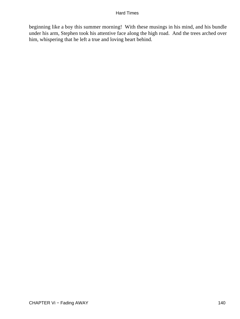beginning like a boy this summer morning! With these musings in his mind, and his bundle under his arm, Stephen took his attentive face along the high road. And the trees arched over him, whispering that he left a true and loving heart behind.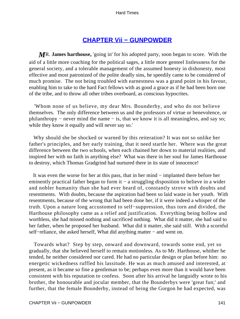## **[CHAPTER Vii − GUNPOWDER](#page-251-0)**

*M*R. **James harthouse,** 'going in' for his adopted party, soon began to score. With the aid of a little more coaching for the political sages, a little more genteel listlessness for the general society, and a tolerable management of the assumed honesty in dishonesty, most effective and most patronized of the polite deadly sins, he speedily came to be considered of much promise. The not being troubled with earnestness was a grand point in his favour, enabling him to take to the hard Fact fellows with as good a grace as if he had been born one of the tribe, and to throw all other tribes overboard, as conscious hypocrites.

 'Whom none of us believe, my dear Mrs. Bounderby, and who do not believe themselves. The only difference between us and the professors of virtue or benevolence, or philanthropy − never mind the name − is, that we know it is all meaningless, and say so; while they know it equally and will never say so.'

 Why should she be shocked or warned by this reiteration? It was not so unlike her father's principles, and her early training, that it need startle her. Where was the great difference between the two schools, when each chained her down to material realities, and inspired her with no faith in anything else? What was there in her soul for James Harthouse to destroy, which Thomas Gradgrind had nurtured there in its state of innocence!

 It was even the worse for her at this pass, that in her mind − implanted there before her eminently practical father began to form it – a struggling disposition to believe in a wider and nobler humanity than she had ever heard of, constantly strove with doubts and resentments. With doubts, because the aspiration had been so laid waste in her youth. With resentments, because of the wrong that had been done her, if it were indeed a whisper of the truth. Upon a nature long accustomed to self−suppression, thus torn and divided, the Harthouse philosophy came as a relief and justification. Everything being hollow and worthless, she had missed nothing and sacrificed nothing. What did it matter, she had said to her father, when he proposed her husband. What did it matter, she said still. With a scornful self–reliance, she asked herself, What did anything matter – and went on.

 Towards what? Step by step, onward and downward, towards some end, yet so gradually, that she believed herself to remain motionless. As to Mr. Harthouse, whither he tended, he neither considered nor cared. He had no particular design or plan before him: no energetic wickedness ruffled his lassitude. He was as much amused and interested, at present, as it became so fine a gentleman to be; perhaps even more than it would have been consistent with his reputation to confess. Soon after his arrival he languidly wrote to his brother, the honourable and jocular member, that the Bounderbys were 'great fun;' and further, that the female Bounderby, instead of being the Gorgon he had expected, was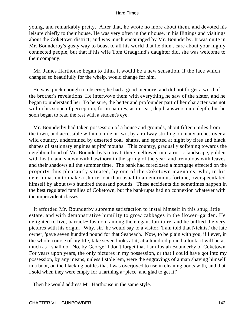young, and remarkably pretty. After that, he wrote no more about them, and devoted his leisure chiefly to their house. He was very often in their house, in his flittings and visitings about the Coketown district; and was much encouraged by Mr. Bounderby. It was quite in Mr. Bounderby's gusty way to boast to all his world that he didn't care about your highly connected people, but that if his wife Tom Gradgrind's daughter did, she was welcome to their company.

 Mr. James Harthouse began to think it would be a new sensation, if the face which changed so beautifully for the whelp, would change for him.

 He was quick enough to observe; he had a good memory, and did not forget a word of the brother's revelations. He interwove them with everything he saw of the sister, and he began to understand her. To be sure, the better and profounder part of her character was not within his scope of perception; for in natures, as in seas, depth answers unto depth; but he soon began to read the rest with a student's eye.

 Mr. Bounderby had taken possession of a house and grounds, about fifteen miles from the town, and accessible within a mile or two, by a railway striding on many arches over a wild country, undermined by deserted coal−shafts, and spotted at night by fires and black shapes of stationary engines at pits' mouths. This country, gradually softening towards the neighbourhood of Mr. Bounderby's retreat, there mellowed into a rustic landscape, golden with heath, and snowy with hawthorn in the spring of the year, and tremulous with leaves and their shadows all the summer time. The bank had foreclosed a mortgage effected on the property thus pleasantly situated, by one of the Coketown magnates, who, in his determination to make a shorter cut than usual to an enormous fortune, overspeculated himself by about two hundred thousand pounds. These accidents did sometimes happen in the best regulated families of Coketown, but the bankrupts had no connexion whatever with the improvident classes.

 It afforded Mr. Bounderby supreme satisfaction to instal himself in this snug little estate, and with demonstrative humility to grow cabbages in the flower−garden. He delighted to live, barrack− fashion, among the elegant furniture, and he bullied the very pictures with his origin. 'Why, sir,' he would say to a visitor, 'I am told that Nickits,' the late owner, 'gave seven hundred pound for that Seabeach. Now, to be plain with you, if I ever, in the whole course of my life, take seven looks at it, at a hundred pound a look, it will be as much as I shall do. No, by George! I don't forget that I am Josiah Bounderby of Coketown. For years upon years, the only pictures in my possession, or that I could have got into my possession, by any means, unless I stole 'em, were the engravings of a man shaving himself in a boot, on the blacking bottles that I was overjoyed to use in cleaning boots with, and that I sold when they were empty for a farthing a−piece, and glad to get it!'

Then he would address Mr. Harthouse in the same style.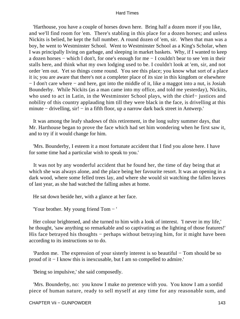'Harthouse, you have a couple of horses down here. Bring half a dozen more if you like, and we'll find room for 'em. There's stabling in this place for a dozen horses; and unless Nickits is belied, he kept the full number. A round dozen of 'em, sir. When that man was a boy, he went to Westminster School. Went to Westminster School as a King's Scholar, when I was principally living on garbage, and sleeping in market baskets. Why, if I wanted to keep a dozen horses − which I don't, for one's enough for me − I couldn't bear to see 'em in their stalls here, and think what my own lodging used to be. I couldn't look at 'em, sir, and not order 'em out. Yet so things come round. You see this place; you know what sort of a place it is; you are aware that there's not a completer place of its size in this kingdom or elsewhere − I don't care where − and here, got into the middle of it, like a maggot into a nut, is Josiah Bounderby. While Nickits (as a man came into my office, and told me yesterday), Nickits, who used to act in Latin, in the Westminster School plays, with the chief− justices and nobility of this country applauding him till they were black in the face, is drivelling at this minute − drivelling, sir! − in a fifth floor, up a narrow dark back street in Antwerp.'

 It was among the leafy shadows of this retirement, in the long sultry summer days, that Mr. Harthouse began to prove the face which had set him wondering when he first saw it, and to try if it would change for him.

 'Mrs. Bounderby, I esteem it a most fortunate accident that I find you alone here. I have for some time had a particular wish to speak to you.'

 It was not by any wonderful accident that he found her, the time of day being that at which she was always alone, and the place being her favourite resort. It was an opening in a dark wood, where some felled trees lay, and where she would sit watching the fallen leaves of last year, as she had watched the falling ashes at home.

He sat down beside her, with a glance at her face.

'Your brother. My young friend Tom − '

 Her colour brightened, and she turned to him with a look of interest. 'I never in my life,' he thought, 'saw anything so remarkable and so captivating as the lighting of those features!' His face betrayed his thoughts – perhaps without betraying him, for it might have been according to its instructions so to do.

 'Pardon me. The expression of your sisterly interest is so beautiful − Tom should be so proud of it − I know this is inexcusable, but I am so compelled to admire.'

'Being so impulsive,' she said composedly.

 'Mrs. Bounderby, no: you know I make no pretence with you. You know I am a sordid piece of human nature, ready to sell myself at any time for any reasonable sum, and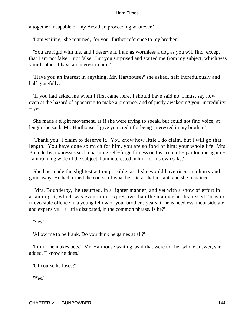altogether incapable of any Arcadian proceeding whatever.'

'I am waiting,' she returned, 'for your further reference to my brother.'

 'You are rigid with me, and I deserve it. I am as worthless a dog as you will find, except that I am not false − not false. But you surprised and started me from my subject, which was your brother. I have an interest in him.'

 'Have you an interest in anything, Mr. Harthouse?' she asked, half incredulously and half gratefully.

 'If you had asked me when I first came here, I should have said no. I must say now − even at the hazard of appearing to make a pretence, and of justly awakening your incredulity − yes.'

 She made a slight movement, as if she were trying to speak, but could not find voice; at length she said, 'Mr. Harthouse, I give you credit for being interested in my brother.'

 'Thank you. I claim to deserve it. You know how little I do claim, but I will go that length. You have done so much for him, you are so fond of him; your whole life, Mrs. Bounderby, expresses such charming self−forgetfulness on his account − pardon me again − I am running wide of the subject. I am interested in him for his own sake.'

 She had made the slightest action possible, as if she would have risen in a hurry and gone away. He had turned the course of what he said at that instant, and she remained.

 'Mrs. Bounderby,' he resumed, in a lighter manner, and yet with a show of effort in assuming it, which was even more expressive than the manner he dismissed; 'it is no irrevocable offence in a young fellow of your brother's years, if he is heedless, inconsiderate, and expensive − a little dissipated, in the common phrase. Is he?'

'Yes.'

'Allow me to be frank. Do you think he games at all?'

 'I think he makes bets.' Mr. Harthouse waiting, as if that were not her whole answer, she added, 'I know he does.'

'Of course he loses?'

'Yes.'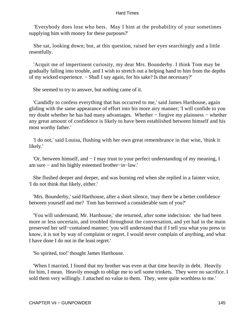'Everybody does lose who bets. May I hint at the probability of your sometimes supplying him with money for these purposes?'

 She sat, looking down; but, at this question, raised her eyes searchingly and a little resentfully.

 'Acquit me of impertinent curiosity, my dear Mrs. Bounderby. I think Tom may be gradually falling into trouble, and I wish to stretch out a helping hand to him from the depths of my wicked experience. − Shall I say again, for his sake? Is that necessary?'

She seemed to try to answer, but nothing came of it.

 'Candidly to confess everything that has occurred to me,' said James Harthouse, again gliding with the same appearance of effort into his more airy manner; 'I will confide to you my doubt whether he has had many advantages. Whether − forgive my plainness − whether any great amount of confidence is likely to have been established between himself and his most worthy father.'

 'I do not,' said Louisa, flushing with her own great remembrance in that wise, 'think it likely.'

 'Or, between himself, and − I may trust to your perfect understanding of my meaning, I am sure − and his highly esteemed brother−in−law.'

 She flushed deeper and deeper, and was burning red when she replied in a fainter voice, 'I do not think that likely, either.'

 'Mrs. Bounderby,' said Harthouse, after a short silence, 'may there be a better confidence between yourself and me? Tom has borrowed a considerable sum of you?'

 'You will understand, Mr. Harthouse,' she returned, after some indecision: she had been more or less uncertain, and troubled throughout the conversation, and yet had in the main preserved her self−contained manner; 'you will understand that if I tell you what you press to know, it is not by way of complaint or regret. I would never complain of anything, and what I have done I do not in the least regret.'

'So spirited, too!' thought James Harthouse.

 'When I married, I found that my brother was even at that time heavily in debt. Heavily for him, I mean. Heavily enough to oblige me to sell some trinkets. They were no sacrifice. I sold them very willingly. I attached no value to them. They, were quite worthless to me.'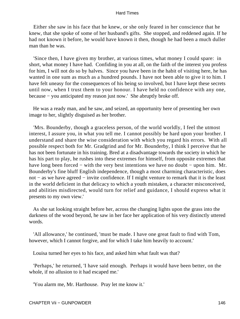Either she saw in his face that he knew, or she only feared in her conscience that he knew, that she spoke of some of her husband's gifts. She stopped, and reddened again. If he had not known it before, he would have known it then, though he had been a much duller man than he was.

 'Since then, I have given my brother, at various times, what money I could spare: in short, what money I have had. Confiding in you at all, on the faith of the interest you profess for him, I will not do so by halves. Since you have been in the habit of visiting here, he has wanted in one sum as much as a hundred pounds. I have not been able to give it to him. I have felt uneasy for the consequences of his being so involved, but I have kept these secrets until now, when I trust them to your honour. I have held no confidence with any one, because − you anticipated my reason just now.' She abruptly broke off.

 He was a ready man, and he saw, and seized, an opportunity here of presenting her own image to her, slightly disguised as her brother.

 'Mrs. Bounderby, though a graceless person, of the world worldly, I feel the utmost interest, I assure you, in what you tell me. I cannot possibly be hard upon your brother. I understand and share the wise consideration with which you regard his errors. With all possible respect both for Mr. Gradgrind and for Mr. Bounderby, I think I perceive that he has not been fortunate in his training. Bred at a disadvantage towards the society in which he has his part to play, he rushes into these extremes for himself, from opposite extremes that have long been forced – with the very best intentions we have no doubt – upon him. Mr. Bounderby's fine bluff English independence, though a most charming characteristic, does not – as we have agreed – invite confidence. If I might venture to remark that it is the least in the world deficient in that delicacy to which a youth mistaken, a character misconceived, and abilities misdirected, would turn for relief and guidance, I should express what it presents to my own view.'

 As she sat looking straight before her, across the changing lights upon the grass into the darkness of the wood beyond, he saw in her face her application of his very distinctly uttered words.

 'All allowance,' he continued, 'must be made. I have one great fault to find with Tom, however, which I cannot forgive, and for which I take him heavily to account.'

Louisa turned her eyes to his face, and asked him what fault was that?

 'Perhaps,' he returned, 'I have said enough. Perhaps it would have been better, on the whole, if no allusion to it had escaped me.'

'You alarm me, Mr. Harthouse. Pray let me know it.'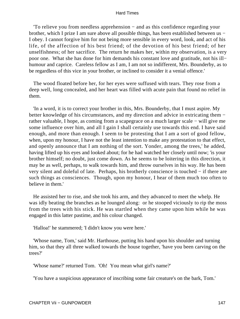'To relieve you from needless apprehension − and as this confidence regarding your brother, which I prize I am sure above all possible things, has been established between us − I obey. I cannot forgive him for not being more sensible in every word, look, and act of his life, of the affection of his best friend; of the devotion of his best friend; of her unselfishness; of her sacrifice. The return he makes her, within my observation, is a very poor one. What she has done for him demands his constant love and gratitude, not his ill− humour and caprice. Careless fellow as I am, I am not so indifferent, Mrs. Bounderby, as to be regardless of this vice in your brother, or inclined to consider it a venial offence.'

 The wood floated before her, for her eyes were suffused with tears. They rose from a deep well, long concealed, and her heart was filled with acute pain that found no relief in them.

 'In a word, it is to correct your brother in this, Mrs. Bounderby, that I must aspire. My better knowledge of his circumstances, and my direction and advice in extricating them − rather valuable, I hope, as coming from a scapegrace on a much larger scale − will give me some influence over him, and all I gain I shall certainly use towards this end. I have said enough, and more than enough. I seem to be protesting that I am a sort of good fellow, when, upon my honour, I have not the least intention to make any protestation to that effect, and openly announce that I am nothing of the sort. Yonder, among the trees,' he added, having lifted up his eyes and looked about; for he had watched her closely until now; 'is your brother himself; no doubt, just come down. As he seems to be loitering in this direction, it may be as well, perhaps, to walk towards him, and throw ourselves in his way. He has been very silent and doleful of late. Perhaps, his brotherly conscience is touched − if there are such things as consciences. Though, upon my honour, I hear of them much too often to believe in them.'

 He assisted her to rise, and she took his arm, and they advanced to meet the whelp. He was idly beating the branches as he lounged along: or he stooped viciously to rip the moss from the trees with his stick. He was startled when they came upon him while he was engaged in this latter pastime, and his colour changed.

'Halloa!' he stammered; 'I didn't know you were here.'

 'Whose name, Tom,' said Mr. Harthouse, putting his hand upon his shoulder and turning him, so that they all three walked towards the house together, 'have you been carving on the trees?'

'Whose name?' returned Tom. 'Oh! You mean what girl's name?'

'You have a suspicious appearance of inscribing some fair creature's on the bark, Tom.'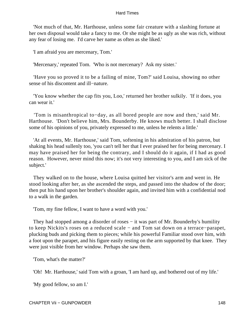'Not much of that, Mr. Harthouse, unless some fair creature with a slashing fortune at her own disposal would take a fancy to me. Or she might be as ugly as she was rich, without any fear of losing me. I'd carve her name as often as she liked.'

'I am afraid you are mercenary, Tom.'

'Mercenary,' repeated Tom. 'Who is not mercenary? Ask my sister.'

 'Have you so proved it to be a failing of mine, Tom?' said Louisa, showing no other sense of his discontent and ill−nature.

 'You know whether the cap fits you, Loo,' returned her brother sulkily. 'If it does, you can wear it.'

 'Tom is misanthropical to−day, as all bored people are now and then,' said Mr. Harthouse. 'Don't believe him, Mrs. Bounderby. He knows much better. I shall disclose some of his opinions of you, privately expressed to me, unless he relents a little.'

 'At all events, Mr. Harthouse,' said Tom, softening in his admiration of his patron, but shaking his head sullenly too, 'you can't tell her that I ever praised her for being mercenary. I may have praised her for being the contrary, and I should do it again, if I had as good reason. However, never mind this now; it's not very interesting to you, and I am sick of the subject.'

 They walked on to the house, where Louisa quitted her visitor's arm and went in. He stood looking after her, as she ascended the steps, and passed into the shadow of the door; then put his hand upon her brother's shoulder again, and invited him with a confidential nod to a walk in the garden.

'Tom, my fine fellow, I want to have a word with you.'

They had stopped among a disorder of roses – it was part of Mr. Bounderby's humility to keep Nickits's roses on a reduced scale − and Tom sat down on a terrace−parapet, plucking buds and picking them to pieces; while his powerful Familiar stood over him, with a foot upon the parapet, and his figure easily resting on the arm supported by that knee. They were just visible from her window. Perhaps she saw them.

'Tom, what's the matter?'

'Oh! Mr. Harthouse,' said Tom with a groan, 'I am hard up, and bothered out of my life.'

'My good fellow, so am I.'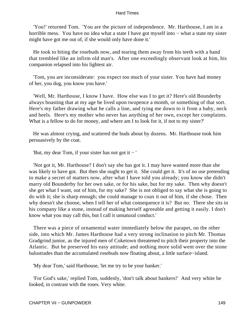'You!' returned Tom. 'You are the picture of independence. Mr. Harthouse, I am in a horrible mess. You have no idea what a state I have got myself into − what a state my sister might have got me out of, if she would only have done it.'

 He took to biting the rosebuds now, and tearing them away from his teeth with a hand that trembled like an infirm old man's. After one exceedingly observant look at him, his companion relapsed into his lightest air.

 'Tom, you are inconsiderate: you expect too much of your sister. You have had money of her, you dog, you know you have.'

 'Well, Mr. Harthouse, I know I have. How else was I to get it? Here's old Bounderby always boasting that at my age he lived upon twopence a month, or something of that sort. Here's my father drawing what he calls a line, and tying me down to it from a baby, neck and heels. Here's my mother who never has anything of her own, except her complaints. What is a fellow to do for money, and where am I to look for it, if not to my sister?'

 He was almost crying, and scattered the buds about by dozens. Mr. Harthouse took him persuasively by the coat.

'But, my dear Tom, if your sister has not got it − '

 'Not got it, Mr. Harthouse? I don't say she has got it. I may have wanted more than she was likely to have got. But then she ought to get it. She could get it. It's of no use pretending to make a secret of matters now, after what I have told you already; you know she didn't marry old Bounderby for her own sake, or for his sake, but for my sake. Then why doesn't she get what I want, out of him, for my sake? She is not obliged to say what she is going to do with it; she is sharp enough; she could manage to coax it out of him, if she chose. Then why doesn't she choose, when I tell her of what consequence it is? But no. There she sits in his company like a stone, instead of making herself agreeable and getting it easily. I don't know what you may call this, but I call it unnatural conduct.'

 There was a piece of ornamental water immediately below the parapet, on the other side, into which Mr. James Harthouse had a very strong inclination to pitch Mr. Thomas Gradgrind junior, as the injured men of Coketown threatened to pitch their property into the Atlantic. But he preserved his easy attitude; and nothing more solid went over the stone balustrades than the accumulated rosebuds now floating about, a little surface−island.

'My dear Tom,' said Harthouse, 'let me try to be your banker.'

 'For God's sake,' replied Tom, suddenly, 'don't talk about bankers!' And very white he looked, in contrast with the roses. Very white.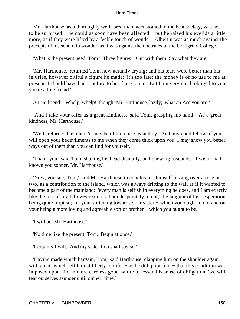Mr. Harthouse, as a thoroughly well−bred man, accustomed to the best society, was not to be surprised − he could as soon have been affected − but he raised his eyelids a little more, as if they were lifted by a feeble touch of wonder. Albeit it was as much against the precepts of his school to wonder, as it was against the doctrines of the Gradgrind College.

'What is the present need, Tom? Three figures? Out with them. Say what they are.'

 'Mr. Harthouse,' returned Tom, now actually crying; and his tears were better than his injuries, however pitiful a figure he made: 'it's too late; the money is of no use to me at present. I should have had it before to be of use to me. But I am very much obliged to you; you're a true friend.'

A true friend! 'Whelp, whelp!' thought Mr. Harthouse, lazily; 'what an Ass you are!'

 'And I take your offer as a great kindness,' said Tom, grasping his hand. 'As a great kindness, Mr. Harthouse.'

 'Well,' returned the other, 'it may be of more use by and by. And, my good fellow, if you will open your bedevilments to me when they come thick upon you, I may show you better ways out of them than you can find for yourself.'

 'Thank you,' said Tom, shaking his head dismally, and chewing rosebuds. 'I wish I had known you sooner, Mr. Harthouse.'

 'Now, you see, Tom,' said Mr. Harthouse in conclusion, himself tossing over a rose or two, as a contribution to the island, which was always drifting to the wall as if it wanted to become a part of the mainland: 'every man is selfish in everything he does, and I am exactly like the rest of my fellow−creatures. I am desperately intent;' the languor of his desperation being quite tropical; 'on your softening towards your sister – which you ought to do; and on your being a more loving and agreeable sort of brother − which you ought to be.'

'I will be, Mr. Harthouse.'

'No time like the present, Tom. Begin at once.'

'Certainly I will. And my sister Loo shall say so.'

 'Having made which bargain, Tom,' said Harthouse, clapping him on the shoulder again, with an air which left him at liberty to infer – as he did, poor fool – that this condition was imposed upon him in mere careless good nature to lessen his sense of obligation, 'we will tear ourselves asunder until dinner−time.'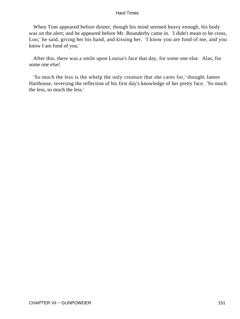When Tom appeared before dinner, though his mind seemed heavy enough, his body was on the alert; and he appeared before Mr. Bounderby came in. 'I didn't mean to be cross, Loo,' he said, giving her his hand, and kissing her. 'I know you are fond of me, and you know I am fond of you.'

 After this, there was a smile upon Louisa's face that day, for some one else. Alas, for some one else!

 'So much the less is the whelp the only creature that she cares for,' thought James Harthouse, reversing the reflection of his first day's knowledge of her pretty face. 'So much the less, so much the less.'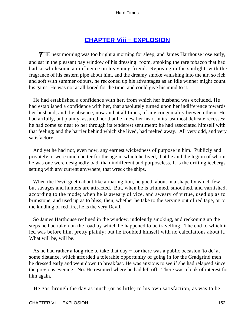## **[CHAPTER Viii − EXPLOSION](#page-251-0)**

**THE** next morning was too bright a morning for sleep, and James Harthouse rose early, and sat in the pleasant bay window of his dressing−room, smoking the rare tobacco that had had so wholesome an influence on his young friend. Reposing in the sunlight, with the fragrance of his eastern pipe about him, and the dreamy smoke vanishing into the air, so rich and soft with summer odours, he reckoned up his advantages as an idle winner might count his gains. He was not at all bored for the time, and could give his mind to it.

 He had established a confidence with her, from which her husband was excluded. He had established a confidence with her, that absolutely turned upon her indifference towards her husband, and the absence, now and at all times, of any congeniality between them. He had artfully, but plainly, assured her that he knew her heart in its last most delicate recesses; he had come so near to her through its tenderest sentiment; he had associated himself with that feeling; and the barrier behind which she lived, had melted away. All very odd, and very satisfactory!

 And yet he had not, even now, any earnest wickedness of purpose in him. Publicly and privately, it were much better for the age in which he lived, that he and the legion of whom he was one were designedly bad, than indifferent and purposeless. It is the drifting icebergs setting with any current anywhere, that wreck the ships.

 When the Devil goeth about like a roaring lion, he goeth about in a shape by which few but savages and hunters are attracted. But, when he is trimmed, smoothed, and varnished, according to the mode; when he is aweary of vice, and aweary of virtue, used up as to brimstone, and used up as to bliss; then, whether he take to the serving out of red tape, or to the kindling of red fire, he is the very Devil.

 So James Harthouse reclined in the window, indolently smoking, and reckoning up the steps he had taken on the road by which he happened to be travelling. The end to which it led was before him, pretty plainly; but he troubled himself with no calculations about it. What will be, will be.

 As he had rather a long ride to take that day − for there was a public occasion 'to do' at some distance, which afforded a tolerable opportunity of going in for the Gradgrind men − he dressed early and went down to breakfast. He was anxious to see if she had relapsed since the previous evening. No. He resumed where he had left off. There was a look of interest for him again.

He got through the day as much (or as little) to his own satisfaction, as was to be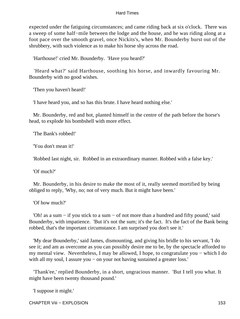expected under the fatiguing circumstances; and came riding back at six o'clock. There was a sweep of some half−mile between the lodge and the house, and he was riding along at a foot pace over the smooth gravel, once Nickits's, when Mr. Bounderby burst out of the shrubbery, with such violence as to make his horse shy across the road.

'Harthouse!' cried Mr. Bounderby. 'Have you heard?'

 'Heard what?' said Harthouse, soothing his horse, and inwardly favouring Mr. Bounderby with no good wishes.

'Then you haven't heard!'

'I have heard you, and so has this brute. I have heard nothing else.'

 Mr. Bounderby, red and hot, planted himself in the centre of the path before the horse's head, to explode his bombshell with more effect.

'The Bank's robbed!'

'You don't mean it!'

'Robbed last night, sir. Robbed in an extraordinary manner. Robbed with a false key.'

'Of much?'

 Mr. Bounderby, in his desire to make the most of it, really seemed mortified by being obliged to reply, 'Why, no; not of very much. But it might have been.'

'Of how much?'

 'Oh! as a sum − if you stick to a sum − of not more than a hundred and fifty pound,' said Bounderby, with impatience. 'But it's not the sum; it's the fact. It's the fact of the Bank being robbed, that's the important circumstance. I am surprised you don't see it.'

 'My dear Bounderby,' said James, dismounting, and giving his bridle to his servant, 'I do see it; and am as overcome as you can possibly desire me to be, by the spectacle afforded to my mental view. Nevertheless, I may be allowed, I hope, to congratulate you − which I do with all my soul, I assure you − on your not having sustained a greater loss.'

 'Thank'ee,' replied Bounderby, in a short, ungracious manner. 'But I tell you what. It might have been twenty thousand pound.'

'I suppose it might.'

CHAPTER Viii − EXPLOSION 153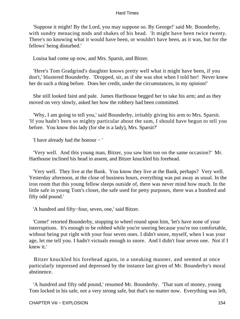'Suppose it might! By the Lord, you may suppose so. By George!' said Mr. Bounderby, with sundry menacing nods and shakes of his head. 'It might have been twice twenty. There's no knowing what it would have been, or wouldn't have been, as it was, but for the fellows' being disturbed.'

Louisa had come up now, and Mrs. Sparsit, and Bitzer.

 'Here's Tom Gradgrind's daughter knows pretty well what it might have been, if you don't,' blustered Bounderby. 'Dropped, sir, as if she was shot when I told her! Never knew her do such a thing before. Does her credit, under the circumstances, in my opinion!'

 She still looked faint and pale. James Harthouse begged her to take his arm; and as they moved on very slowly, asked her how the robbery had been committed.

 'Why, I am going to tell you,' said Bounderby, irritably giving his arm to Mrs. Sparsit. 'If you hadn't been so mighty particular about the sum, I should have begun to tell you before. You know this lady (for she is a lady), Mrs. Sparsit?'

'I have already had the honour − '

 'Very well. And this young man, Bitzer, you saw him too on the same occasion?' Mr. Harthouse inclined his head in assent, and Bitzer knuckled his forehead.

 'Very well. They live at the Bank. You know they live at the Bank, perhaps? Very well. Yesterday afternoon, at the close of business hours, everything was put away as usual. In the iron room that this young fellow sleeps outside of, there was never mind how much. In the little safe in young Tom's closet, the safe used for petty purposes, there was a hundred and fifty odd pound.'

'A hundred and fifty−four, seven, one,' said Bitzer.

 'Come!' retorted Bounderby, stopping to wheel round upon him, 'let's have none of your interruptions. It's enough to be robbed while you're snoring because you're too comfortable, without being put right with your four seven ones. I didn't snore, myself, when I was your age, let me tell you. I hadn't victuals enough to snore. And I didn't four seven one. Not if I knew it.'

 Bitzer knuckled his forehead again, in a sneaking manner, and seemed at once particularly impressed and depressed by the instance last given of Mr. Bounderby's moral abstinence.

 'A hundred and fifty odd pound,' resumed Mr. Bounderby. 'That sum of money, young Tom locked in his safe, not a very strong safe, but that's no matter now. Everything was left,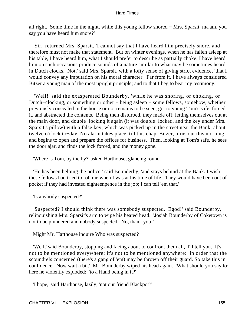all right. Some time in the night, while this young fellow snored − Mrs. Sparsit, ma'am, you say you have heard him snore?'

 'Sir,' returned Mrs. Sparsit, 'I cannot say that I have heard him precisely snore, and therefore must not make that statement. But on winter evenings, when he has fallen asleep at his table, I have heard him, what I should prefer to describe as partially choke. I have heard him on such occasions produce sounds of a nature similar to what may be sometimes heard in Dutch clocks. Not,' said Mrs. Sparsit, with a lofty sense of giving strict evidence, 'that I would convey any imputation on his moral character. Far from it. I have always considered Bitzer a young man of the most upright principle; and to that I beg to bear my testimony.'

 'Well!' said the exasperated Bounderby, 'while he was snoring, or choking, or Dutch−clocking, or something or other − being asleep − some fellows, somehow, whether previously concealed in the house or not remains to be seen, got to young Tom's safe, forced it, and abstracted the contents. Being then disturbed, they made off; letting themselves out at the main door, and double−locking it again (it was double−locked, and the key under Mrs. Sparsit's pillow) with a false key, which was picked up in the street near the Bank, about twelve o'clock to−day. No alarm takes place, till this chap, Bitzer, turns out this morning, and begins to open and prepare the offices for business. Then, looking at Tom's safe, he sees the door ajar, and finds the lock forced, and the money gone.'

'Where is Tom, by the by?' asked Harthouse, glancing round.

 'He has been helping the police,' said Bounderby, 'and stays behind at the Bank. I wish these fellows had tried to rob me when I was at his time of life. They would have been out of pocket if they had invested eighteenpence in the job; I can tell 'em that.'

'Is anybody suspected?'

 'Suspected? I should think there was somebody suspected. Egod!' said Bounderby, relinquishing Mrs. Sparsit's arm to wipe his heated head. 'Josiah Bounderby of Coketown is not to be plundered and nobody suspected. No, thank you!'

Might Mr. Harthouse inquire Who was suspected?

 'Well,' said Bounderby, stopping and facing about to confront them all, 'I'll tell you. It's not to be mentioned everywhere; it's not to be mentioned anywhere: in order that the scoundrels concerned (there's a gang of 'em) may be thrown off their guard. So take this in confidence. Now wait a bit.' Mr. Bounderby wiped his head again. 'What should you say to;' here he violently exploded: 'to a Hand being in it?'

'I hope,' said Harthouse, lazily, 'not our friend Blackpot?'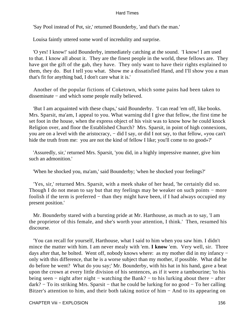'Say Pool instead of Pot, sir,' returned Bounderby, 'and that's the man.'

Louisa faintly uttered some word of incredulity and surprise.

 'O yes! I know!' said Bounderby, immediately catching at the sound. 'I know! I am used to that. I know all about it. They are the finest people in the world, these fellows are. They have got the gift of the gab, they have. They only want to have their rights explained to them, they do. But I tell you what. Show me a dissatisfied Hand, and I'll show you a man that's fit for anything bad, I don't care what it is.'

 Another of the popular fictions of Coketown, which some pains had been taken to disseminate − and which some people really believed.

 'But I am acquainted with these chaps,' said Bounderby. 'I can read 'em off, like books. Mrs. Sparsit, ma'am, I appeal to you. What warning did I give that fellow, the first time he set foot in the house, when the express object of his visit was to know how he could knock Religion over, and floor the Established Church? Mrs. Sparsit, in point of high connexions, you are on a level with the aristocracy, – did I say, or did I not say, to that fellow, «you can't hide the truth from me: you are not the kind of fellow I like; you'll come to no good»?'

 'Assuredly, sir,' returned Mrs. Sparsit, 'you did, in a highly impressive manner, give him such an admonition.'

'When he shocked you, ma'am,' said Bounderby; 'when he shocked your feelings?'

 'Yes, sir,' returned Mrs. Sparsit, with a meek shake of her head, 'he certainly did so. Though I do not mean to say but that my feelings may be weaker on such points – more foolish if the term is preferred – than they might have been, if I had always occupied my present position.'

 Mr. Bounderby stared with a bursting pride at Mr. Harthouse, as much as to say, 'I am the proprietor of this female, and she's worth your attention, I think.' Then, resumed his discourse.

 'You can recall for yourself, Harthouse, what I said to him when you saw him. I didn't mince the matter with him. I am never mealy with 'em. **I know** 'em. Very well, sir. Three days after that, he bolted. Went off, nobody knows where: as my mother did in my infancy − only with this difference, that he is a worse subject than my mother, if possible. What did he do before he went? What do you say;' Mr. Bounderby, with his hat in his hand, gave a beat upon the crown at every little division of his sentences, as if it were a tambourine; 'to his being seen − night after night − watching the Bank? − to his lurking about there − after dark? – To its striking Mrs. Sparsit – that he could be lurking for no good – To her calling Bitzer's attention to him, and their both taking notice of him − And to its appearing on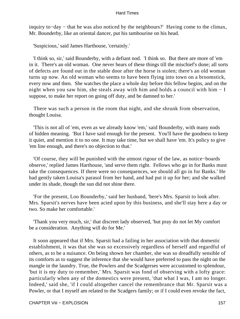inquiry to−day − that he was also noticed by the neighbours?' Having come to the climax, Mr. Bounderby, like an oriental dancer, put his tambourine on his head.

'Suspicious,' said James Harthouse, 'certainly.'

 'I think so, sir,' said Bounderby, with a defiant nod. 'I think so. But there are more of 'em in it. There's an old woman. One never hears of these things till the mischief's done; all sorts of defects are found out in the stable door after the horse is stolen; there's an old woman turns up now. An old woman who seems to have been flying into town on a broomstick, every now and then. She watches the place a whole day before this fellow begins, and on the night when you saw him, she steals away with him and holds a council with him − I suppose, to make her report on going off duty, and be damned to her.'

 There was such a person in the room that night, and she shrunk from observation, thought Louisa.

 'This is not all of 'em, even as we already know 'em,' said Bounderby, with many nods of hidden meaning. 'But I have said enough for the present. You'll have the goodness to keep it quiet, and mention it to no one. It may take time, but we shall have 'em. It's policy to give 'em line enough, and there's no objection to that.'

 'Of course, they will be punished with the utmost rigour of the law, as notice−boards observe,' replied James Harthouse, 'and serve them right. Fellows who go in for Banks must take the consequences. If there were no consequences, we should all go in for Banks.' He had gently taken Louisa's parasol from her hand, and had put it up for her; and she walked under its shade, though the sun did not shine there.

 'For the present, Loo Bounderby,' said her husband, 'here's Mrs. Sparsit to look after. Mrs. Sparsit's nerves have been acted upon by this business, and she'll stay here a day or two. So make her comfortable.'

 'Thank you very much, sir,' that discreet lady observed, 'but pray do not let My comfort be a consideration. Anything will do for Me.'

 It soon appeared that if Mrs. Sparsit had a failing in her association with that domestic establishment, it was that she was so excessively regardless of herself and regardful of others, as to be a nuisance. On being shown her chamber, she was so dreadfully sensible of its comforts as to suggest the inference that she would have preferred to pass the night on the mangle in the laundry. True, the Powlers and the Scadgerses were accustomed to splendour, 'but it is my duty to remember,' Mrs. Sparsit was fond of observing with a lofty grace: particularly when any of the domestics were present, 'that what I was, I am no longer. Indeed,' said she, 'if I could altogether cancel the remembrance that Mr. Sparsit was a Powler, or that I myself am related to the Scadgers family; or if I could even revoke the fact,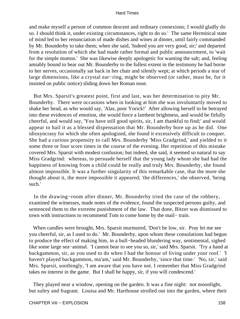and make myself a person of common descent and ordinary connexions; I would gladly do so. I should think it, under existing circumstances, right to do so.' The same Hermitical state of mind led to her renunciation of made dishes and wines at dinner, until fairly commanded by Mr. Bounderby to take them; when she said, 'Indeed you are very good, sir;' and departed from a resolution of which she had made rather formal and public announcement, to 'wait for the simple mutton.' She was likewise deeply apologetic for wanting the salt; and, feeling amiably bound to bear out Mr. Bounderby to the fullest extent in the testimony he had borne to her nerves, occasionally sat back in her chair and silently wept; at which periods a tear of large dimensions, like a crystal ear−ring, might be observed (or rather, must be, for it insisted on public notice) sliding down her Roman nose.

 But Mrs. Sparsit's greatest point, first and last, was her determination to pity Mr. Bounderby. There were occasions when in looking at him she was involuntarily moved to shake her head, as who would say, 'Alas, poor Yorick!' After allowing herself to be betrayed into these evidences of emotion, she would force a lambent brightness, and would be fitfully cheerful, and would say, 'You have still good spirits, sir, I am thankful to find;' and would appear to hail it as a blessed dispensation that Mr. Bounderby bore up as he did. One idiosyncrasy for which she often apologized, she found it excessively difficult to conquer. She had a curious propensity to call Mrs. Bounderby 'Miss Gradgrind,' and yielded to it some three or four score times in the course of the evening. Her repetition of this mistake covered Mrs. Sparsit with modest confusion; but indeed, she said, it seemed so natural to say Miss Gradgrind: whereas, to persuade herself that the young lady whom she had had the happiness of knowing from a child could be really and truly Mrs. Bounderby, she found almost impossible. It was a further singularity of this remarkable case, that the more she thought about it, the more impossible it appeared; 'the differences,' she observed, 'being such.'

 In the drawing−room after dinner, Mr. Bounderby tried the case of the robbery, examined the witnesses, made notes of the evidence, found the suspected persons guilty, and sentenced them to the extreme punishment of the law. That done, Bitzer was dismissed to town with instructions to recommend Tom to come home by the mail− train.

 When candles were brought, Mrs. Sparsit murmured, 'Don't be low, sir. Pray let me see you cheerful, sir, as I used to do.' Mr. Bounderby, upon whom these consolations had begun to produce the effect of making him, in a bull−headed blundering way, sentimental, sighed like some large sea−animal. 'I cannot bear to see you so, sir,' said Mrs. Sparsit. 'Try a hand at backgammon, sir, as you used to do when I had the honour of living under your roof.' 'I haven't played backgammon, ma'am,' said Mr. Bounderby, 'since that time.' 'No, sir,' said Mrs. Sparsit, soothingly, 'I am aware that you have not. I remember that Miss Gradgrind takes no interest in the game. But I shall be happy, sir, if you will condescend.'

 They played near a window, opening on the garden. It was a fine night: not moonlight, but sultry and fragrant. Louisa and Mr. Harthouse strolled out into the garden, where their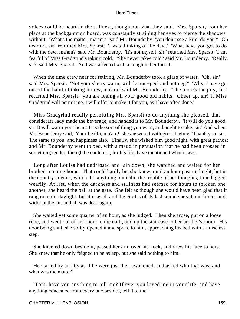voices could be heard in the stillness, though not what they said. Mrs. Sparsit, from her place at the backgammon board, was constantly straining her eyes to pierce the shadows without. 'What's the matter, ma'am? ' said Mr. Bounderby; 'you don't see a Fire, do you?' 'Oh dear no, sir,' returned Mrs. Sparsit, 'I was thinking of the dew.' 'What have you got to do with the dew, ma'am?' said Mr. Bounderby. 'It's not myself, sir,' returned Mrs. Sparsit, 'I am fearful of Miss Gradgrind's taking cold.' 'She never takes cold,' said Mr. Bounderby. 'Really, sir?' said Mrs. Sparsit. And was affected with a cough in her throat.

 When the time drew near for retiring, Mr. Bounderby took a glass of water. 'Oh, sir?' said Mrs. Sparsit. 'Not your sherry warm, with lemon−peel and nutmeg?' 'Why, I have got out of the habit of taking it now, ma'am,' said Mr. Bounderby. 'The more's the pity, sir,' returned Mrs. Sparsit; 'you are losing all your good old habits. Cheer up, sir! If Miss Gradgrind will permit me, I will offer to make it for you, as I have often done.'

 Miss Gradgrind readily permitting Mrs. Sparsit to do anything she pleased, that considerate lady made the beverage, and handed it to Mr. Bounderby. 'It will do you good, sir. It will warm your heart. It is the sort of thing you want, and ought to take, sir.' And when Mr. Bounderby said, 'Your health, ma'am!' she answered with great feeling, 'Thank you, sir. The same to you, and happiness also.' Finally, she wished him good night, with great pathos; and Mr. Bounderby went to bed, with a maudlin persuasion that he had been crossed in something tender, though he could not, for his life, have mentioned what it was.

 Long after Louisa had undressed and lain down, she watched and waited for her brother's coming home. That could hardly be, she knew, until an hour past midnight; but in the country silence, which did anything but calm the trouble of her thoughts, time lagged wearily. At last, when the darkness and stillness had seemed for hours to thicken one another, she heard the bell at the gate. She felt as though she would have been glad that it rang on until daylight; but it ceased, and the circles of its last sound spread out fainter and wider in the air, and all was dead again.

 She waited yet some quarter of an hour, as she judged. Then she arose, put on a loose robe, and went out of her room in the dark, and up the staircase to her brother's room. His door being shut, she softly opened it and spoke to him, approaching his bed with a noiseless step.

 She kneeled down beside it, passed her arm over his neck, and drew his face to hers. She knew that he only feigned to be asleep, but she said nothing to him.

 He started by and by as if he were just then awakened, and asked who that was, and what was the matter?

 'Tom, have you anything to tell me? If ever you loved me in your life, and have anything concealed from every one besides, tell it to me.'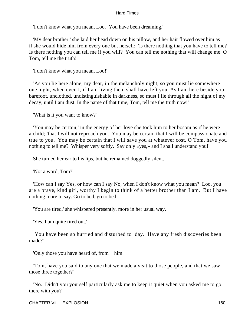'I don't know what you mean, Loo. You have been dreaming.'

 'My dear brother:' she laid her head down on his pillow, and her hair flowed over him as if she would hide him from every one but herself: 'is there nothing that you have to tell me? Is there nothing you can tell me if you will? You can tell me nothing that will change me. O Tom, tell me the truth!'

'I don't know what you mean, Loo!'

 'As you lie here alone, my dear, in the melancholy night, so you must lie somewhere one night, when even I, if I am living then, shall have left you. As I am here beside you, barefoot, unclothed, undistinguishable in darkness, so must I lie through all the night of my decay, until I am dust. In the name of that time, Tom, tell me the truth now!'

'What is it you want to know?'

 'You may be certain;' in the energy of her love she took him to her bosom as if he were a child; 'that I will not reproach you. You may be certain that I will be compassionate and true to you. You may be certain that I will save you at whatever cost. O Tom, have you nothing to tell me? Whisper very softly. Say only «yes,» and I shall understand you!'

She turned her ear to his lips, but he remained doggedly silent.

'Not a word, Tom?'

 'How can I say Yes, or how can I say No, when I don't know what you mean? Loo, you are a brave, kind girl, worthy I begin to think of a better brother than I am. But I have nothing more to say. Go to bed, go to bed.'

'You are tired,' she whispered presently, more in her usual way.

'Yes, I am quite tired out.'

 'You have been so hurried and disturbed to−day. Have any fresh discoveries been made?'

'Only those you have heard of, from − him.'

 'Tom, have you said to any one that we made a visit to those people, and that we saw those three together?'

 'No. Didn't you yourself particularly ask me to keep it quiet when you asked me to go there with you?'

CHAPTER Viii – EXPLOSION 160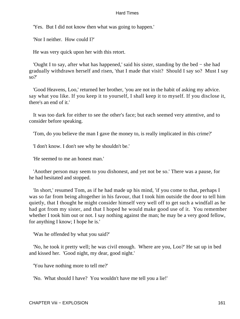'Yes. But I did not know then what was going to happen.'

'Nor I neither. How could I?'

He was very quick upon her with this retort.

 'Ought I to say, after what has happened,' said his sister, standing by the bed − she had gradually withdrawn herself and risen, 'that I made that visit? Should I say so? Must I say so?'

 'Good Heavens, Loo,' returned her brother, 'you are not in the habit of asking my advice. say what you like. If you keep it to yourself, I shall keep it to myself. If you disclose it, there's an end of it.'

 It was too dark for either to see the other's face; but each seemed very attentive, and to consider before speaking.

'Tom, do you believe the man I gave the money to, is really implicated in this crime?'

'I don't know. I don't see why he shouldn't be.'

'He seemed to me an honest man.'

 'Another person may seem to you dishonest, and yet not be so.' There was a pause, for he had hesitated and stopped.

 'In short,' resumed Tom, as if he had made up his mind, 'if you come to that, perhaps I was so far from being altogether in his favour, that I took him outside the door to tell him quietly, that I thought he might consider himself very well off to get such a windfall as he had got from my sister, and that I hoped he would make good use of it. You remember whether I took him out or not. I say nothing against the man; he may be a very good fellow, for anything I know; I hope he is.'

'Was he offended by what you said?'

 'No, he took it pretty well; he was civil enough. Where are you, Loo?' He sat up in bed and kissed her. 'Good night, my dear, good night.'

'You have nothing more to tell me?'

'No. What should I have? You wouldn't have me tell you a lie!'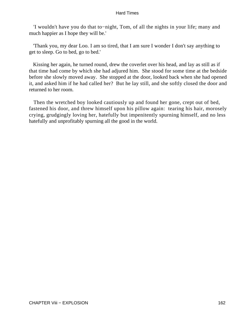'I wouldn't have you do that to−night, Tom, of all the nights in your life; many and much happier as I hope they will be.'

 'Thank you, my dear Loo. I am so tired, that I am sure I wonder I don't say anything to get to sleep. Go to bed, go to bed.'

 Kissing her again, he turned round, drew the coverlet over his head, and lay as still as if that time had come by which she had adjured him. She stood for some time at the bedside before she slowly moved away. She stopped at the door, looked back when she had opened it, and asked him if he had called her? But he lay still, and she softly closed the door and returned to her room.

 Then the wretched boy looked cautiously up and found her gone, crept out of bed, fastened his door, and threw himself upon his pillow again: tearing his hair, morosely crying, grudgingly loving her, hatefully but impenitently spurning himself, and no less hatefully and unprofitably spurning all the good in the world.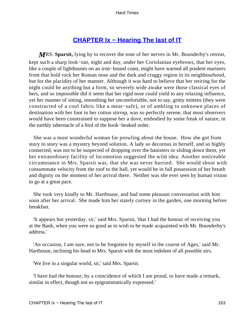# **CHAPTER Ix - Hearing The last of IT**

*M*RS. **Sparsit,** lying by to recover the tone of her nerves in Mr. Bounderby's retreat, kept such a sharp look−out, night and day, under her Coriolanian eyebrows, that her eyes, like a couple of lighthouses on an iron−bound coast, might have warned all prudent mariners from that bold rock her Roman nose and the dark and craggy region in its neighbourhood, but for the placidity of her manner. Although it was hard to believe that her retiring for the night could be anything but a form, so severely wide awake were those classical eyes of hers, and so impossible did it seem that her rigid nose could yield to any relaxing influence, yet her manner of sitting, smoothing her uncomfortable, not to say, gritty mittens (they were constructed of a cool fabric like a meat−safe), or of ambling to unknown places of destination with her foot in her cotton stirrup, was so perfectly serene, that most observers would have been constrained to suppose her a dove, embodied by some freak of nature, in the earthly tabernacle of a bird of the hook−beaked order.

 She was a most wonderful woman for prowling about the house. How she got from story to story was a mystery beyond solution. A lady so decorous in herself, and so highly connected, was not to be suspected of dropping over the banisters or sliding down them, yet her extraordinary facility of locomotion suggested the wild idea. Another noticeable circumstance in Mrs. Sparsit was, that she was never hurried. She would shoot with consummate velocity from the roof to the hall, yet would be in full possession of her breath and dignity on the moment of her arrival there. Neither was she ever seen by human vision to go at a great pace.

 She took very kindly to Mr. Harthouse, and had some pleasant conversation with him soon after her arrival. She made him her stately curtsey in the garden, one morning before breakfast.

 'It appears but yesterday, sir,' said Mrs. Sparsit, 'that I had the honour of receiving you at the Bank, when you were so good as to wish to be made acquainted with Mr. Bounderby's address.'

 'An occasion, I am sure, not to be forgotten by myself in the course of Ages,' said Mr. Harthouse, inclining his head to Mrs. Sparsit with the most indolent of all possible airs.

'We live in a singular world, sir,' said Mrs. Sparsit.

 'I have had the honour, by a coincidence of which I am proud, to have made a remark, similar in effect, though not so epigrammatically expressed.'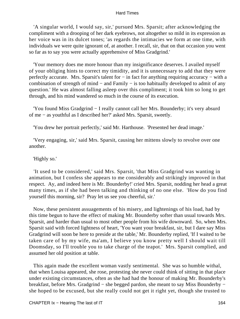'A singular world, I would say, sir,' pursued Mrs. Sparsit; after acknowledging the compliment with a drooping of her dark eyebrows, not altogether so mild in its expression as her voice was in its dulcet tones; 'as regards the intimacies we form at one time, with individuals we were quite ignorant of, at another. I recall, sir, that on that occasion you went so far as to say you were actually apprehensive of Miss Gradgrind.'

 'Your memory does me more honour than my insignificance deserves. I availed myself of your obliging hints to correct my timidity, and it is unnecessary to add that they were perfectly accurate. Mrs. Sparsit's talent for – in fact for anything requiring accuracy – with a combination of strength of mind − and Family − is too habitually developed to admit of any question.' He was almost falling asleep over this compliment; it took him so long to get through, and his mind wandered so much in the course of its execution.

 'You found Miss Gradgrind − I really cannot call her Mrs. Bounderby; it's very absurd of me − as youthful as I described her?' asked Mrs. Sparsit, sweetly.

'You drew her portrait perfectly,' said Mr. Harthouse. 'Presented her dead image.'

 'Very engaging, sir,' said Mrs. Sparsit, causing her mittens slowly to revolve over one another.

### 'Highly so.'

 'It used to be considered,' said Mrs. Sparsit, 'that Miss Gradgrind was wanting in animation, but I confess she appears to me considerably and strikingly improved in that respect. Ay, and indeed here is Mr. Bounderby!' cried Mrs. Sparsit, nodding her head a great many times, as if she had been talking and thinking of no one else. 'How do you find yourself this morning, sir? Pray let us see you cheerful, sir.'

 Now, these persistent assuagements of his misery, and lightenings of his load, had by this time begun to have the effect of making Mr. Bounderby softer than usual towards Mrs. Sparsit, and harder than usual to most other people from his wife downward. So, when Mrs. Sparsit said with forced lightness of heart, 'You want your breakfast, sir, but I dare say Miss Gradgrind will soon be here to preside at the table,' Mr. Bounderby replied, 'If I waited to be taken care of by my wife, ma'am, I believe you know pretty well I should wait till Doomsday, so I'll trouble you to take charge of the teapot.' Mrs. Sparsit complied, and assumed her old position at table.

 This again made the excellent woman vastly sentimental. She was so humble withal, that when Louisa appeared, she rose, protesting she never could think of sitting in that place under existing circumstances, often as she had had the honour of making Mr. Bounderby's breakfast, before Mrs. Gradgrind − she begged pardon, she meant to say Miss Bounderby − she hoped to be excused, but she really could not get it right yet, though she trusted to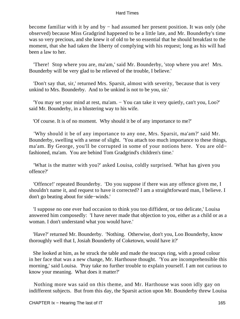become familiar with it by and by − had assumed her present position. It was only (she observed) because Miss Gradgrind happened to be a little late, and Mr. Bounderby's time was so very precious, and she knew it of old to be so essential that he should breakfast to the moment, that she had taken the liberty of complying with his request; long as his will had been a law to her.

 'There! Stop where you are, ma'am,' said Mr. Bounderby, 'stop where you are! Mrs. Bounderby will be very glad to be relieved of the trouble, I believe.'

 'Don't say that, sir,' returned Mrs. Sparsit, almost with severity, 'because that is very unkind to Mrs. Bounderby. And to be unkind is not to be you, sir.'

'You may set your mind at rest, ma'am. – You can take it very quietly, can't you, Loo?' said Mr. Bounderby, in a blustering way to his wife.

'Of course. It is of no moment. Why should it be of any importance to me?'

 'Why should it be of any importance to any one, Mrs. Sparsit, ma'am?' said Mr. Bounderby, swelling with a sense of slight. 'You attach too much importance to these things, ma'am. By George, you'll be corrupted in some of your notions here. You are old− fashioned, ma'am. You are behind Tom Gradgrind's children's time.'

 'What is the matter with you?' asked Louisa, coldly surprised. 'What has given you offence?'

 'Offence!' repeated Bounderby. 'Do you suppose if there was any offence given me, I shouldn't name it, and request to have it corrected? I am a straightforward man, I believe. I don't go beating about for side−winds.'

 'I suppose no one ever had occasion to think you too diffident, or too delicate,' Louisa answered him composedly: 'I have never made that objection to you, either as a child or as a woman. I don't understand what you would have.'

 'Have?' returned Mr. Bounderby. 'Nothing. Otherwise, don't you, Loo Bounderby, know thoroughly well that I, Josiah Bounderby of Coketown, would have it?'

 She looked at him, as he struck the table and made the teacups ring, with a proud colour in her face that was a new change, Mr. Harthouse thought. 'You are incomprehensible this morning,' said Louisa. 'Pray take no further trouble to explain yourself. I am not curious to know your meaning. What does it matter?'

 Nothing more was said on this theme, and Mr. Harthouse was soon idly gay on indifferent subjects. But from this day, the Sparsit action upon Mr. Bounderby threw Louisa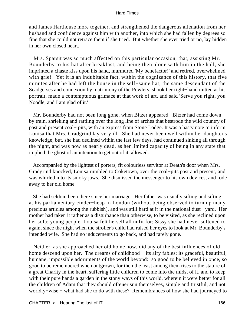and James Harthouse more together, and strengthened the dangerous alienation from her husband and confidence against him with another, into which she had fallen by degrees so fine that she could not retrace them if she tried. But whether she ever tried or no, lay hidden in her own closed heart.

 Mrs. Sparsit was so much affected on this particular occasion, that, assisting Mr. Bounderby to his hat after breakfast, and being then alone with him in the hall, she imprinted a chaste kiss upon his hand, murmured 'My benefactor!' and retired, overwhelmed with grief. Yet it is an indubitable fact, within the cognizance of this history, that five minutes after he had left the house in the self−same hat, the same descendant of the Scadgerses and connexion by matrimony of the Powlers, shook her right−hand mitten at his portrait, made a contemptuous grimace at that work of art, and said 'Serve you right, you Noodle, and I am glad of it.'

 Mr. Bounderby had not been long gone, when Bitzer appeared. Bitzer had come down by train, shrieking and rattling over the long line of arches that bestrode the wild country of past and present coal− pits, with an express from Stone Lodge. It was a hasty note to inform Louisa that Mrs. Gradgrind lay very ill. She had never been well within her daughter's knowledge; but, she had declined within the last few days, had continued sinking all through the night, and was now as nearly dead, as her limited capacity of being in any state that implied the ghost of an intention to get out of it, allowed.

 Accompanied by the lightest of porters, fit colourless servitor at Death's door when Mrs. Gradgrind knocked, Louisa rumbled to Coketown, over the coal−pits past and present, and was whirled into its smoky jaws. She dismissed the messenger to his own devices, and rode away to her old home.

 She had seldom been there since her marriage. Her father was usually sifting and sifting at his parliamentary cinder−heap in London (without being observed to turn up many precious articles among the rubbish), and was still hard at it in the national dust− yard. Her mother had taken it rather as a disturbance than otherwise, to be visited, as she reclined upon her sofa; young people, Louisa felt herself all unfit for; Sissy she had never softened to again, since the night when the stroller's child had raised her eyes to look at Mr. Bounderby's intended wife. She had no inducements to go back, and had rarely gone.

 Neither, as she approached her old home now, did any of the best influences of old home descend upon her. The dreams of childhood – its airy fables; its graceful, beautiful, humane, impossible adornments of the world beyond: so good to be believed in once, so good to be remembered when outgrown, for then the least among them rises to the stature of a great Charity in the heart, suffering little children to come into the midst of it, and to keep with their pure hands a garden in the stony ways of this world, wherein it were better for all the children of Adam that they should oftener sun themselves, simple and trustful, and not worldly−wise − what had she to do with these? Remembrances of how she had journeyed to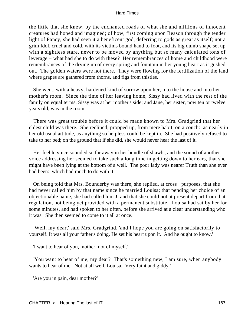the little that she knew, by the enchanted roads of what she and millions of innocent creatures had hoped and imagined; of how, first coming upon Reason through the tender light of Fancy, she had seen it a beneficent god, deferring to gods as great as itself; not a grim Idol, cruel and cold, with its victims bound hand to foot, and its big dumb shape set up with a sightless stare, never to be moved by anything but so many calculated tons of leverage − what had she to do with these? Her remembrances of home and childhood were remembrances of the drying up of every spring and fountain in her young heart as it gushed out. The golden waters were not there. They were flowing for the fertilization of the land where grapes are gathered from thorns, and figs from thistles.

 She went, with a heavy, hardened kind of sorrow upon her, into the house and into her mother's room. Since the time of her leaving home, Sissy had lived with the rest of the family on equal terms. Sissy was at her mother's side; and Jane, her sister, now ten or twelve years old, was in the room.

 There was great trouble before it could be made known to Mrs. Gradgrind that her eldest child was there. She reclined, propped up, from mere habit, on a couch: as nearly in her old usual attitude, as anything so helpless could be kept in. She had positively refused to take to her bed; on the ground that if she did, she would never hear the last of it.

 Her feeble voice sounded so far away in her bundle of shawls, and the sound of another voice addressing her seemed to take such a long time in getting down to her ears, that she might have been lying at the bottom of a well. The poor lady was nearer Truth than she ever had been: which had much to do with it.

 On being told that Mrs. Bounderby was there, she replied, at cross− purposes, that she had never called him by that name since he married Louisa; that pending her choice of an objectionable name, she had called him J; and that she could not at present depart from that regulation, not being yet provided with a permanent substitute. Louisa had sat by her for some minutes, and had spoken to her often, before she arrived at a clear understanding who it was. She then seemed to come to it all at once.

 'Well, my dear,' said Mrs. Gradgrind, 'and I hope you are going on satisfactorily to yourself. It was all your father's doing. He set his heart upon it. And he ought to know.'

'I want to hear of you, mother; not of myself.'

 'You want to hear of me, my dear? That's something new, I am sure, when anybody wants to hear of me. Not at all well, Louisa. Very faint and giddy.'

'Are you in pain, dear mother?'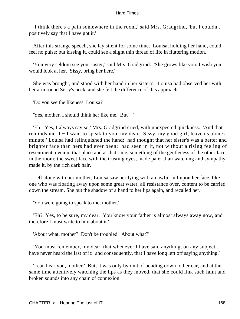'I think there's a pain somewhere in the room,' said Mrs. Gradgrind, 'but I couldn't positively say that I have got it.'

 After this strange speech, she lay silent for some time. Louisa, holding her hand, could feel no pulse; but kissing it, could see a slight thin thread of life in fluttering motion.

 'You very seldom see your sister,' said Mrs. Gradgrind. 'She grows like you. I wish you would look at her. Sissy, bring her here.'

 She was brought, and stood with her hand in her sister's. Louisa had observed her with her arm round Sissy's neck, and she felt the difference of this approach.

'Do you see the likeness, Louisa?'

'Yes, mother. I should think her like me. But − '

 'Eh! Yes, I always say so,' Mrs. Gradgrind cried, with unexpected quickness. 'And that reminds me. I − I want to speak to you, my dear. Sissy, my good girl, leave us alone a minute.' Louisa had relinquished the hand: had thought that her sister's was a better and brighter face than hers had ever been: had seen in it, not without a rising feeling of resentment, even in that place and at that time, something of the gentleness of the other face in the room; the sweet face with the trusting eyes, made paler than watching and sympathy made it, by the rich dark hair.

 Left alone with her mother, Louisa saw her lying with an awful lull upon her face, like one who was floating away upon some great water, all resistance over, content to be carried down the stream. She put the shadow of a hand to her lips again, and recalled her.

'You were going to speak to me, mother.'

 'Eh? Yes, to be sure, my dear. You know your father is almost always away now, and therefore I must write to him about it.'

'About what, mother? Don't be troubled. About what?'

 'You must remember, my dear, that whenever I have said anything, on any subject, I have never heard the last of it: and consequently, that I have long left off saying anything.'

 'I can hear you, mother.' But, it was only by dint of bending down to her ear, and at the same time attentively watching the lips as they moved, that she could link such faint and broken sounds into any chain of connexion.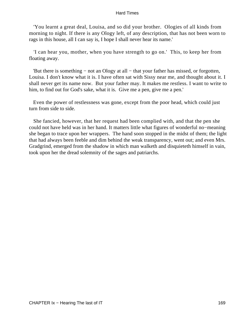'You learnt a great deal, Louisa, and so did your brother. Ologies of all kinds from morning to night. If there is any Ology left, of any description, that has not been worn to rags in this house, all I can say is, I hope I shall never hear its name.'

 'I can hear you, mother, when you have strength to go on.' This, to keep her from floating away.

 'But there is something − not an Ology at all − that your father has missed, or forgotten, Louisa. I don't know what it is. I have often sat with Sissy near me, and thought about it. I shall never get its name now. But your father may. It makes me restless. I want to write to him, to find out for God's sake, what it is. Give me a pen, give me a pen.'

 Even the power of restlessness was gone, except from the poor head, which could just turn from side to side.

 She fancied, however, that her request had been complied with, and that the pen she could not have held was in her hand. It matters little what figures of wonderful no−meaning she began to trace upon her wrappers. The hand soon stopped in the midst of them; the light that had always been feeble and dim behind the weak transparency, went out; and even Mrs. Gradgrind, emerged from the shadow in which man walketh and disquieteth himself in vain, took upon her the dread solemnity of the sages and patriarchs.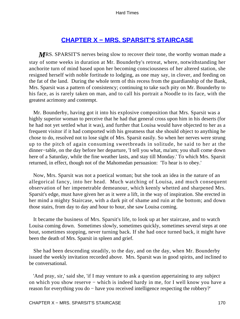## **[CHAPTER X − MRS. SPARSIT'S STAIRCASE](#page-251-0)**

*MRS*. SPARSIT'S nerves being slow to recover their tone, the worthy woman made a stay of some weeks in duration at Mr. Bounderby's retreat, where, notwithstanding her anchorite turn of mind based upon her becoming consciousness of her altered station, she resigned herself with noble fortitude to lodging, as one may say, in clover, and feeding on the fat of the land. During the whole term of this recess from the guardianship of the Bank, Mrs. Sparsit was a pattern of consistency; continuing to take such pity on Mr. Bounderby to his face, as is rarely taken on man, and to call his portrait a Noodle to its face, with the greatest acrimony and contempt.

 Mr. Bounderby, having got it into his explosive composition that Mrs. Sparsit was a highly superior woman to perceive that he had that general cross upon him in his deserts (for he had not yet settled what it was), and further that Louisa would have objected to her as a frequent visitor if it had comported with his greatness that she should object to anything he chose to do, resolved not to lose sight of Mrs. Sparsit easily. So when her nerves were strung up to the pitch of again consuming sweetbreads in solitude, he said to her at the dinner−table, on the day before her departure, 'I tell you what, ma'am; you shall come down here of a Saturday, while the fine weather lasts, and stay till Monday.' To which Mrs. Sparsit returned, in effect, though not of the Mahomedan persuasion: 'To hear is to obey.'

 Now, Mrs. Sparsit was not a poetical woman; but she took an idea in the nature of an allegorical fancy, into her head. Much watching of Louisa, and much consequent observation of her impenetrable demeanour, which keenly whetted and sharpened Mrs. Sparsit's edge, must have given her as it were a lift, in the way of inspiration. She erected in her mind a mighty Staircase, with a dark pit of shame and ruin at the bottom; and down those stairs, from day to day and hour to hour, she saw Louisa coming.

 It became the business of Mrs. Sparsit's life, to look up at her staircase, and to watch Louisa coming down. Sometimes slowly, sometimes quickly, sometimes several steps at one bout, sometimes stopping, never turning back. If she had once turned back, it might have been the death of Mrs. Sparsit in spleen and grief.

 She had been descending steadily, to the day, and on the day, when Mr. Bounderby issued the weekly invitation recorded above. Mrs. Sparsit was in good spirits, and inclined to be conversational.

 'And pray, sir,' said she, 'if I may venture to ask a question appertaining to any subject on which you show reserve − which is indeed hardy in me, for I well know you have a reason for everything you do − have you received intelligence respecting the robbery?'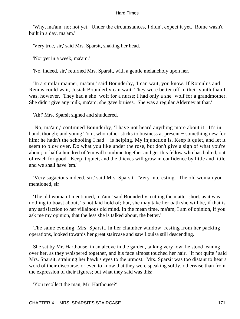'Why, ma'am, no; not yet. Under the circumstances, I didn't expect it yet. Rome wasn't built in a day, ma'am.'

'Very true, sir,' said Mrs. Sparsit, shaking her head.

'Nor yet in a week, ma'am.'

'No, indeed, sir,' returned Mrs. Sparsit, with a gentle melancholy upon her.

 'In a similar manner, ma'am,' said Bounderby, 'I can wait, you know. If Romulus and Remus could wait, Josiah Bounderby can wait. They were better off in their youth than I was, however. They had a she−wolf for a nurse; I had only a she−wolf for a grandmother. She didn't give any milk, ma'am; she gave bruises. She was a regular Alderney at that.'

'Ah!' Mrs. Sparsit sighed and shuddered.

 'No, ma'am,' continued Bounderby, 'I have not heard anything more about it. It's in hand, though; and young Tom, who rather sticks to business at present – something new for him; he hadn't the schooling I had − is helping. My injunction is, Keep it quiet, and let it seem to blow over. Do what you like under the rose, but don't give a sign of what you're about; or half a hundred of 'em will combine together and get this fellow who has bolted, out of reach for good. Keep it quiet, and the thieves will grow in confidence by little and little, and we shall have 'em.'

 'Very sagacious indeed, sir,' said Mrs. Sparsit. 'Very interesting. The old woman you mentioned, sir − '

 'The old woman I mentioned, ma'am,' said Bounderby, cutting the matter short, as it was nothing to boast about, 'is not laid hold of; but, she may take her oath she will be, if that is any satisfaction to her villainous old mind. In the mean time, ma'am, I am of opinion, if you ask me my opinion, that the less she is talked about, the better.'

 The same evening, Mrs. Sparsit, in her chamber window, resting from her packing operations, looked towards her great staircase and saw Louisa still descending.

 She sat by Mr. Harthouse, in an alcove in the garden, talking very low; he stood leaning over her, as they whispered together, and his face almost touched her hair. 'If not quite!' said Mrs. Sparsit, straining her hawk's eyes to the utmost. Mrs. Sparsit was too distant to hear a word of their discourse, or even to know that they were speaking softly, otherwise than from the expression of their figures; but what they said was this:

'You recollect the man, Mr. Harthouse?'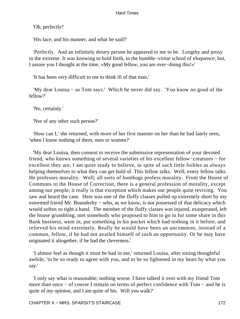'Oh, perfectly!'

'His face, and his manner, and what he said?'

 'Perfectly. And an infinitely dreary person he appeared to me to be. Lengthy and prosy in the extreme. It was knowing to hold forth, in the humble−virtue school of eloquence; but, I assure you I thought at the time, «My good fellow, you are over−doing this!»'

'It has been very difficult to me to think ill of that man.'

 'My dear Louisa − as Tom says.' Which he never did say. 'You know no good of the fellow?'

'No, certainly.'

'Nor of any other such person?'

 'How can I,' she returned, with more of her first manner on her than he had lately seen, 'when I know nothing of them, men or women?'

 'My dear Louisa, then consent to receive the submissive representation of your devoted friend, who knows something of several varieties of his excellent fellow−creatures − for excellent they are, I am quite ready to believe, in spite of such little foibles as always helping themselves to what they can get hold of. This fellow talks. Well; every fellow talks. He professes morality. Well; all sorts of humbugs profess morality. From the House of Commons to the House of Correction, there is a general profession of morality, except among our people; it really is that exception which makes our people quite reviving. You saw and heard the case. Here was one of the fluffy classes pulled up extremely short by my esteemed friend Mr. Bounderby – who, as we know, is not possessed of that delicacy which would soften so tight a hand. The member of the fluffy classes was injured, exasperated, left the house grumbling, met somebody who proposed to him to go in for some share in this Bank business, went in, put something in his pocket which had nothing in it before, and relieved his mind extremely. Really he would have been an uncommon, instead of a common, fellow, if he had not availed himself of such an opportunity. Or he may have originated it altogether, if he had the cleverness.'

 'I almost feel as though it must be bad in me,' returned Louisa, after sitting thoughtful awhile, 'to be so ready to agree with you, and to be so lightened in my heart by what you say.'

 'I only say what is reasonable; nothing worse. I have talked it over with my friend Tom more than once − of course I remain on terms of perfect confidence with Tom − and he is quite of my opinion, and I am quite of his. Will you walk?'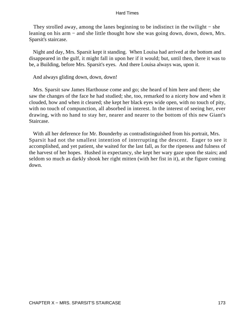They strolled away, among the lanes beginning to be indistinct in the twilight – she leaning on his arm − and she little thought how she was going down, down, down, Mrs. Sparsit's staircase.

 Night and day, Mrs. Sparsit kept it standing. When Louisa had arrived at the bottom and disappeared in the gulf, it might fall in upon her if it would; but, until then, there it was to be, a Building, before Mrs. Sparsit's eyes. And there Louisa always was, upon it.

And always gliding down, down, down!

 Mrs. Sparsit saw James Harthouse come and go; she heard of him here and there; she saw the changes of the face he had studied; she, too, remarked to a nicety how and when it clouded, how and when it cleared; she kept her black eyes wide open, with no touch of pity, with no touch of compunction, all absorbed in interest. In the interest of seeing her, ever drawing, with no hand to stay her, nearer and nearer to the bottom of this new Giant's Staircase.

 With all her deference for Mr. Bounderby as contradistinguished from his portrait, Mrs. Sparsit had not the smallest intention of interrupting the descent. Eager to see it accomplished, and yet patient, she waited for the last fall, as for the ripeness and fulness of the harvest of her hopes. Hushed in expectancy, she kept her wary gaze upon the stairs; and seldom so much as darkly shook her right mitten (with her fist in it), at the figure coming down.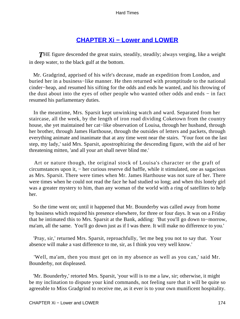## **[CHAPTER Xi − Lower and LOWER](#page-251-0)**

*T*HE figure descended the great stairs, steadily, steadily; always verging, like a weight in deep water, to the black gulf at the bottom.

 Mr. Gradgrind, apprised of his wife's decease, made an expedition from London, and buried her in a business−like manner. He then returned with promptitude to the national cinder−heap, and resumed his sifting for the odds and ends he wanted, and his throwing of the dust about into the eyes of other people who wanted other odds and ends − in fact resumed his parliamentary duties.

 In the meantime, Mrs. Sparsit kept unwinking watch and ward. Separated from her staircase, all the week, by the length of iron road dividing Coketown from the country house, she yet maintained her cat−like observation of Louisa, through her husband, through her brother, through James Harthouse, through the outsides of letters and packets, through everything animate and inanimate that at any time went near the stairs. 'Your foot on the last step, my lady,' said Mrs. Sparsit, apostrophizing the descending figure, with the aid of her threatening mitten, 'and all your art shall never blind me.'

 Art or nature though, the original stock of Louisa's character or the graft of circumstances upon it, − her curious reserve did baffle, while it stimulated, one as sagacious as Mrs. Sparsit. There were times when Mr. James Harthouse was not sure of her. There were times when he could not read the face he had studied so long; and when this lonely girl was a greater mystery to him, than any woman of the world with a ring of satellites to help her.

 So the time went on; until it happened that Mr. Bounderby was called away from home by business which required his presence elsewhere, for three or four days. It was on a Friday that he intimated this to Mrs. Sparsit at the Bank, adding: 'But you'll go down to−morrow, ma'am, all the same. You'll go down just as if I was there. It will make no difference to you.'

 'Pray, sir,' returned Mrs. Sparsit, reproachfully, 'let me beg you not to say that. Your absence will make a vast difference to me, sir, as I think you very well know.'

 'Well, ma'am, then you must get on in my absence as well as you can,' said Mr. Bounderby, not displeased.

 'Mr. Bounderby,' retorted Mrs. Sparsit, 'your will is to me a law, sir; otherwise, it might be my inclination to dispute your kind commands, not feeling sure that it will be quite so agreeable to Miss Gradgrind to receive me, as it ever is to your own munificent hospitality.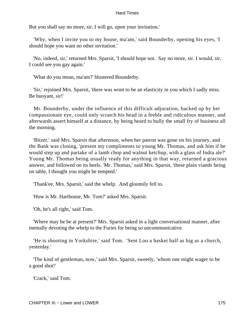But you shall say no more, sir. I will go, upon your invitation.'

 'Why, when I invite you to my house, ma'am,' said Bounderby, opening his eyes, 'I should hope you want no other invitation.'

 'No, indeed, sir,' returned Mrs. Sparsit, 'I should hope not. Say no more, sir. I would, sir, I could see you gay again.'

'What do you mean, ma'am?' blustered Bounderby.

 'Sir,' rejoined Mrs. Sparsit, 'there was wont to be an elasticity in you which I sadly miss. Be buoyant, sir!'

 Mr. Bounderby, under the influence of this difficult adjuration, backed up by her compassionate eye, could only scratch his head in a feeble and ridiculous manner, and afterwards assert himself at a distance, by being heard to bully the small fry of business all the morning.

 'Bitzer,' said Mrs. Sparsit that afternoon, when her patron was gone on his journey, and the Bank was closing, 'present my compliments to young Mr. Thomas, and ask him if he would step up and partake of a lamb chop and walnut ketchup, with a glass of India ale?' Young Mr. Thomas being usually ready for anything in that way, returned a gracious answer, and followed on its heels. 'Mr. Thomas,' said Mrs. Sparsit, 'these plain viands being on table, I thought you might be tempted.'

'Thank'ee, Mrs. Sparsit,' said the whelp. And gloomily fell to.

'How is Mr. Harthouse, Mr. Tom?' asked Mrs. Sparsit.

'Oh, he's all right,' said Tom.

 'Where may he be at present?' Mrs. Sparsit asked in a light conversational manner, after mentally devoting the whelp to the Furies for being so uncommunicative.

 'He is shooting in Yorkshire,' said Tom. 'Sent Loo a basket half as big as a church, yesterday.'

 'The kind of gentleman, now,' said Mrs. Sparsit, sweetly, 'whom one might wager to be a good shot!'

'Crack,' said Tom.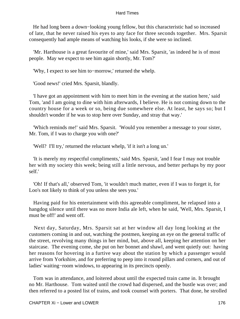He had long been a down−looking young fellow, but this characteristic had so increased of late, that he never raised his eyes to any face for three seconds together. Mrs. Sparsit consequently had ample means of watching his looks, if she were so inclined.

 'Mr. Harthouse is a great favourite of mine,' said Mrs. Sparsit, 'as indeed he is of most people. May we expect to see him again shortly, Mr. Tom?'

'Why, I expect to see him to−morrow,' returned the whelp.

'Good news!' cried Mrs. Sparsit, blandly.

 'I have got an appointment with him to meet him in the evening at the station here,' said Tom, 'and I am going to dine with him afterwards, I believe. He is not coming down to the country house for a week or so, being due somewhere else. At least, he says so; but I shouldn't wonder if he was to stop here over Sunday, and stray that way.'

 'Which reminds me!' said Mrs. Sparsit. 'Would you remember a message to your sister, Mr. Tom, if I was to charge you with one?'

'Well? I'll try,' returned the reluctant whelp, 'if it isn't a long un.'

 'It is merely my respectful compliments,' said Mrs. Sparsit, 'and I fear I may not trouble her with my society this week; being still a little nervous, and better perhaps by my poor self.'

 'Oh! If that's all,' observed Tom, 'it wouldn't much matter, even if I was to forget it, for Loo's not likely to think of you unless she sees you.'

 Having paid for his entertainment with this agreeable compliment, he relapsed into a hangdog silence until there was no more India ale left, when he said, 'Well, Mrs. Sparsit, I must be off!' and went off.

 Next day, Saturday, Mrs. Sparsit sat at her window all day long looking at the customers coming in and out, watching the postmen, keeping an eye on the general traffic of the street, revolving many things in her mind, but, above all, keeping her attention on her staircase. The evening come, she put on her bonnet and shawl, and went quietly out: having her reasons for hovering in a furtive way about the station by which a passenger would arrive from Yorkshire, and for preferring to peep into it round pillars and corners, and out of ladies' waiting−room windows, to appearing in its precincts openly.

 Tom was in attendance, and loitered about until the expected train came in. It brought no Mr. Harthouse. Tom waited until the crowd had dispersed, and the bustle was over; and then referred to a posted list of trains, and took counsel with porters. That done, he strolled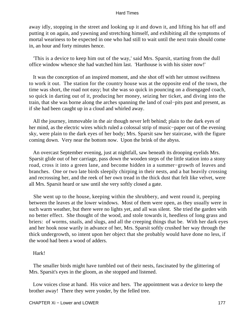away idly, stopping in the street and looking up it and down it, and lifting his hat off and putting it on again, and yawning and stretching himself, and exhibiting all the symptoms of mortal weariness to be expected in one who had still to wait until the next train should come in, an hour and forty minutes hence.

 'This is a device to keep him out of the way,' said Mrs. Sparsit, starting from the dull office window whence she had watched him last. 'Harthouse is with his sister now!'

 It was the conception of an inspired moment, and she shot off with her utmost swiftness to work it out. The station for the country house was at the opposite end of the town, the time was short, the road not easy; but she was so quick in pouncing on a disengaged coach, so quick in darting out of it, producing her money, seizing her ticket, and diving into the train, that she was borne along the arches spanning the land of coal−pits past and present, as if she had been caught up in a cloud and whirled away.

 All the journey, immovable in the air though never left behind; plain to the dark eyes of her mind, as the electric wires which ruled a colossal strip of music−paper out of the evening sky, were plain to the dark eyes of her body; Mrs. Sparsit saw her staircase, with the figure coming down. Very near the bottom now. Upon the brink of the abyss.

 An overcast September evening, just at nightfall, saw beneath its drooping eyelids Mrs. Sparsit glide out of her carriage, pass down the wooden steps of the little station into a stony road, cross it into a green lane, and become hidden in a summer−growth of leaves and branches. One or two late birds sleepily chirping in their nests, and a bat heavily crossing and recrossing her, and the reek of her own tread in the thick dust that felt like velvet, were all Mrs. Sparsit heard or saw until she very softly closed a gate.

 She went up to the house, keeping within the shrubbery, and went round it, peeping between the leaves at the lower windows. Most of them were open, as they usually were in such warm weather, but there were no lights yet, and all was silent. She tried the garden with no better effect. She thought of the wood, and stole towards it, heedless of long grass and briers: of worms, snails, and slugs, and all the creeping things that be. With her dark eyes and her hook nose warily in advance of her, Mrs. Sparsit softly crushed her way through the thick undergrowth, so intent upon her object that she probably would have done no less, if the wood had been a wood of adders.

### Hark!

 The smaller birds might have tumbled out of their nests, fascinated by the glittering of Mrs. Sparsit's eyes in the gloom, as she stopped and listened.

 Low voices close at hand. His voice and hers. The appointment was a device to keep the brother away! There they were yonder, by the felled tree.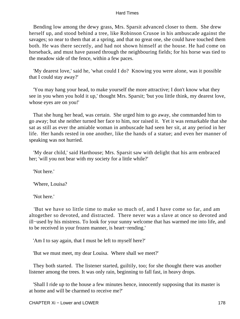Bending low among the dewy grass, Mrs. Sparsit advanced closer to them. She drew herself up, and stood behind a tree, like Robinson Crusoe in his ambuscade against the savages; so near to them that at a spring, and that no great one, she could have touched them both. He was there secretly, and had not shown himself at the house. He had come on horseback, and must have passed through the neighbouring fields; for his horse was tied to the meadow side of the fence, within a few paces.

 'My dearest love,' said he, 'what could I do? Knowing you were alone, was it possible that I could stay away?'

 'You may hang your head, to make yourself the more attractive; I don't know what they see in you when you hold it up,' thought Mrs. Sparsit; 'but you little think, my dearest love, whose eyes are on you!'

 That she hung her head, was certain. She urged him to go away, she commanded him to go away; but she neither turned her face to him, nor raised it. Yet it was remarkable that she sat as still as ever the amiable woman in ambuscade had seen her sit, at any period in her life. Her hands rested in one another, like the hands of a statue; and even her manner of speaking was not hurried.

 'My dear child,' said Harthouse; Mrs. Sparsit saw with delight that his arm embraced her; 'will you not bear with my society for a little while?'

'Not here.'

'Where, Louisa?

'Not here.'

 'But we have so little time to make so much of, and I have come so far, and am altogether so devoted, and distracted. There never was a slave at once so devoted and ill−used by his mistress. To look for your sunny welcome that has warmed me into life, and to be received in your frozen manner, is heart−rending.'

'Am I to say again, that I must be left to myself here?'

'But we must meet, my dear Louisa. Where shall we meet?'

 They both started. The listener started, guiltily, too; for she thought there was another listener among the trees. It was only rain, beginning to fall fast, in heavy drops.

 'Shall I ride up to the house a few minutes hence, innocently supposing that its master is at home and will be charmed to receive me?'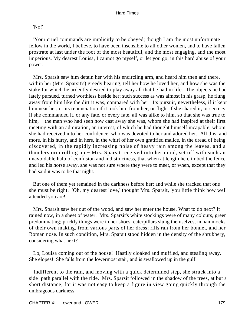### 'No!'

 'Your cruel commands are implicitly to be obeyed; though I am the most unfortunate fellow in the world, I believe, to have been insensible to all other women, and to have fallen prostrate at last under the foot of the most beautiful, and the most engaging, and the most imperious. My dearest Louisa, I cannot go myself, or let you go, in this hard abuse of your power.'

 Mrs. Sparsit saw him detain her with his encircling arm, and heard him then and there, within her (Mrs. Sparsit's) greedy hearing, tell her how he loved her, and how she was the stake for which he ardently desired to play away all that he had in life. The objects he had lately pursued, turned worthless beside her; such success as was almost in his grasp, he flung away from him like the dirt it was, compared with her. Its pursuit, nevertheless, if it kept him near her, or its renunciation if it took him from her, or flight if she shared it, or secrecy if she commanded it, or any fate, or every fate, all was alike to him, so that she was true to him, – the man who had seen how cast away she was, whom she had inspired at their first meeting with an admiration, an interest, of which he had thought himself incapable, whom she had received into her confidence, who was devoted to her and adored her. All this, and more, in his hurry, and in hers, in the whirl of her own gratified malice, in the dread of being discovered, in the rapidly increasing noise of heavy rain among the leaves, and a thunderstorm rolling up − Mrs. Sparsit received into her mind, set off with such an unavoidable halo of confusion and indistinctness, that when at length he climbed the fence and led his horse away, she was not sure where they were to meet, or when, except that they had said it was to be that night.

 But one of them yet remained in the darkness before her; and while she tracked that one she must be right. 'Oh, my dearest love,' thought Mrs. Sparsit, 'you little think how well attended you are!'

 Mrs. Sparsit saw her out of the wood, and saw her enter the house. What to do next? It rained now, in a sheet of water. Mrs. Sparsit's white stockings were of many colours, green predominating; prickly things were in her shoes; caterpillars slung themselves, in hammocks of their own making, from various parts of her dress; rills ran from her bonnet, and her Roman nose. In such condition, Mrs. Sparsit stood hidden in the density of the shrubbery, considering what next?

 Lo, Louisa coming out of the house! Hastily cloaked and muffled, and stealing away. She elopes! She falls from the lowermost stair, and is swallowed up in the gulf.

 Indifferent to the rain, and moving with a quick determined step, she struck into a side−path parallel with the ride. Mrs. Sparsit followed in the shadow of the trees, at but a short distance; for it was not easy to keep a figure in view going quickly through the umbrageous darkness.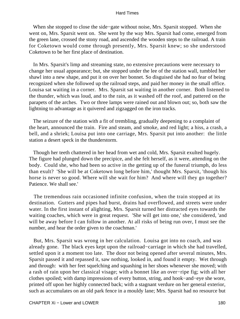When she stopped to close the side−gate without noise, Mrs. Sparsit stopped. When she went on, Mrs. Sparsit went on. She went by the way Mrs. Sparsit had come, emerged from the green lane, crossed the stony road, and ascended the wooden steps to the railroad. A train for Coketown would come through presently, Mrs. Sparsit knew; so she understood Coketown to be her first place of destination.

 In Mrs. Sparsit's limp and streaming state, no extensive precautions were necessary to change her usual appearance; but, she stopped under the lee of the station wall, tumbled her shawl into a new shape, and put it on over her bonnet. So disguised she had no fear of being recognized when she followed up the railroad steps, and paid her money in the small office. Louisa sat waiting in a corner. Mrs. Sparsit sat waiting in another corner. Both listened to the thunder, which was loud, and to the rain, as it washed off the roof, and pattered on the parapets of the arches. Two or three lamps were rained out and blown out; so, both saw the lightning to advantage as it quivered and zigzagged on the iron tracks.

 The seizure of the station with a fit of trembling, gradually deepening to a complaint of the heart, announced the train. Fire and steam, and smoke, and red light; a hiss, a crash, a bell, and a shriek; Louisa put into one carriage, Mrs. Sparsit put into another: the little station a desert speck in the thunderstorm.

 Though her teeth chattered in her head from wet and cold, Mrs. Sparsit exulted hugely. The figure had plunged down the precipice, and she felt herself, as it were, attending on the body. Could she, who had been so active in the getting up of the funeral triumph, do less than exult? 'She will be at Coketown long before him,' thought Mrs. Sparsit, 'though his horse is never so good. Where will she wait for him? And where will they go together? Patience. We shall see.'

 The tremendous rain occasioned infinite confusion, when the train stopped at its destination. Gutters and pipes had burst, drains had overflowed, and streets were under water. In the first instant of alighting, Mrs. Sparsit turned her distracted eyes towards the waiting coaches, which were in great request. 'She will get into one,' she considered, 'and will be away before I can follow in another. At all risks of being run over, I must see the number, and hear the order given to the coachman.'

 But, Mrs. Sparsit was wrong in her calculation. Louisa got into no coach, and was already gone. The black eyes kept upon the railroad−carriage in which she had travelled, settled upon it a moment too late. The door not being opened after several minutes, Mrs. Sparsit passed it and repassed it, saw nothing, looked in, and found it empty. Wet through and through: with her feet squelching and squashing in her shoes whenever she moved; with a rash of rain upon her classical visage; with a bonnet like an over−ripe fig; with all her clothes spoiled; with damp impressions of every button, string, and hook−and−eye she wore, printed off upon her highly connected back; with a stagnant verdure on her general exterior, such as accumulates on an old park fence in a mouldy lane; Mrs. Sparsit had no resource but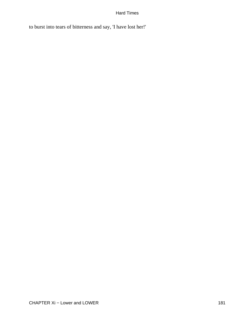to burst into tears of bitterness and say, 'I have lost her!'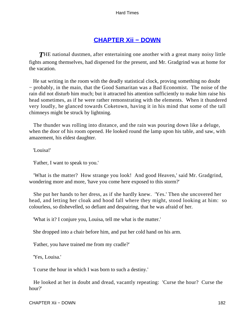### **[CHAPTER Xii − DOWN](#page-251-0)**

**THE** national dustmen, after entertaining one another with a great many noisy little fights among themselves, had dispersed for the present, and Mr. Gradgrind was at home for the vacation.

 He sat writing in the room with the deadly statistical clock, proving something no doubt − probably, in the main, that the Good Samaritan was a Bad Economist. The noise of the rain did not disturb him much; but it attracted his attention sufficiently to make him raise his head sometimes, as if he were rather remonstrating with the elements. When it thundered very loudly, he glanced towards Coketown, having it in his mind that some of the tall chimneys might be struck by lightning.

 The thunder was rolling into distance, and the rain was pouring down like a deluge, when the door of his room opened. He looked round the lamp upon his table, and saw, with amazement, his eldest daughter.

'Louisa!'

'Father, I want to speak to you.'

 'What is the matter? How strange you look! And good Heaven,' said Mr. Gradgrind, wondering more and more, 'have you come here exposed to this storm?'

 She put her hands to her dress, as if she hardly knew. 'Yes.' Then she uncovered her head, and letting her cloak and hood fall where they might, stood looking at him: so colourless, so dishevelled, so defiant and despairing, that he was afraid of her.

'What is it? I conjure you, Louisa, tell me what is the matter.'

She dropped into a chair before him, and put her cold hand on his arm.

'Father, you have trained me from my cradle?'

'Yes, Louisa.'

'I curse the hour in which I was born to such a destiny.'

 He looked at her in doubt and dread, vacantly repeating: 'Curse the hour? Curse the hour?'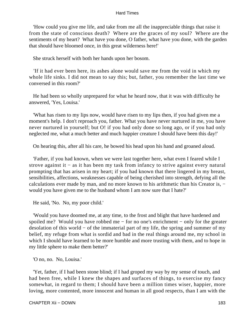'How could you give me life, and take from me all the inappreciable things that raise it from the state of conscious death? Where are the graces of my soul? Where are the sentiments of my heart? What have you done, O father, what have you done, with the garden that should have bloomed once, in this great wilderness here!'

She struck herself with both her hands upon her bosom.

 'If it had ever been here, its ashes alone would save me from the void in which my whole life sinks. I did not mean to say this; but, father, you remember the last time we conversed in this room?'

 He had been so wholly unprepared for what he heard now, that it was with difficulty he answered, 'Yes, Louisa.'

 'What has risen to my lips now, would have risen to my lips then, if you had given me a moment's help. I don't reproach you, father. What you have never nurtured in me, you have never nurtured in yourself; but O! if you had only done so long ago, or if you had only neglected me, what a much better and much happier creature I should have been this day!'

On hearing this, after all his care, he bowed his head upon his hand and groaned aloud.

 'Father, if you had known, when we were last together here, what even I feared while I strove against it − as it has been my task from infancy to strive against every natural prompting that has arisen in my heart; if you had known that there lingered in my breast, sensibilities, affections, weaknesses capable of being cherished into strength, defying all the calculations ever made by man, and no more known to his arithmetic than his Creator is, − would you have given me to the husband whom I am now sure that I hate?'

He said, 'No. No, my poor child.'

 'Would you have doomed me, at any time, to the frost and blight that have hardened and spoiled me? Would you have robbed me – for no one's enrichment – only for the greater desolation of this world − of the immaterial part of my life, the spring and summer of my belief, my refuge from what is sordid and bad in the real things around me, my school in which I should have learned to be more humble and more trusting with them, and to hope in my little sphere to make them better?'

'O no, no. No, Louisa.'

 'Yet, father, if I had been stone blind; if I had groped my way by my sense of touch, and had been free, while I knew the shapes and surfaces of things, to exercise my fancy somewhat, in regard to them; I should have been a million times wiser, happier, more loving, more contented, more innocent and human in all good respects, than I am with the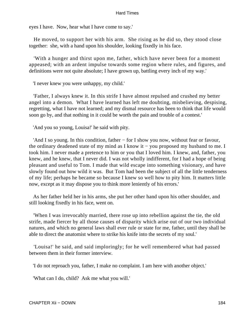eyes I have. Now, hear what I have come to say.'

 He moved, to support her with his arm. She rising as he did so, they stood close together: she, with a hand upon his shoulder, looking fixedly in his face.

 'With a hunger and thirst upon me, father, which have never been for a moment appeased; with an ardent impulse towards some region where rules, and figures, and definitions were not quite absolute; I have grown up, battling every inch of my way.'

'I never knew you were unhappy, my child.'

 'Father, I always knew it. In this strife I have almost repulsed and crushed my better angel into a demon. What I have learned has left me doubting, misbelieving, despising, regretting, what I have not learned; and my dismal resource has been to think that life would soon go by, and that nothing in it could be worth the pain and trouble of a contest.'

'And you so young, Louisa!' he said with pity.

 'And I so young. In this condition, father − for I show you now, without fear or favour, the ordinary deadened state of my mind as I know it − you proposed my husband to me. I took him. I never made a pretence to him or you that I loved him. I knew, and, father, you knew, and he knew, that I never did. I was not wholly indifferent, for I had a hope of being pleasant and useful to Tom. I made that wild escape into something visionary, and have slowly found out how wild it was. But Tom had been the subject of all the little tenderness of my life; perhaps he became so because I knew so well how to pity him. It matters little now, except as it may dispose you to think more leniently of his errors.'

 As her father held her in his arms, she put her other hand upon his other shoulder, and still looking fixedly in his face, went on.

 'When I was irrevocably married, there rose up into rebellion against the tie, the old strife, made fiercer by all those causes of disparity which arise out of our two individual natures, and which no general laws shall ever rule or state for me, father, until they shall be able to direct the anatomist where to strike his knife into the secrets of my soul.'

 'Louisa!' he said, and said imploringly; for he well remembered what had passed between them in their former interview.

'I do not reproach you, father, I make no complaint. I am here with another object.'

'What can I do, child? Ask me what you will.'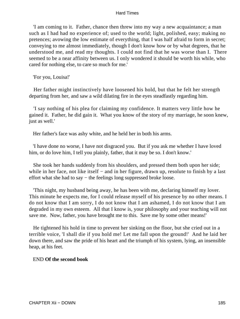'I am coming to it. Father, chance then threw into my way a new acquaintance; a man such as I had had no experience of; used to the world; light, polished, easy; making no pretences; avowing the low estimate of everything, that I was half afraid to form in secret; conveying to me almost immediately, though I don't know how or by what degrees, that he understood me, and read my thoughts. I could not find that he was worse than I. There seemed to be a near affinity between us. I only wondered it should be worth his while, who cared for nothing else, to care so much for me.'

'For you, Louisa!'

 Her father might instinctively have loosened his hold, but that he felt her strength departing from her, and saw a wild dilating fire in the eyes steadfastly regarding him.

 'I say nothing of his plea for claiming my confidence. It matters very little how he gained it. Father, he did gain it. What you know of the story of my marriage, he soon knew, just as well.'

Her father's face was ashy white, and he held her in both his arms.

 'I have done no worse, I have not disgraced you. But if you ask me whether I have loved him, or do love him, I tell you plainly, father, that it may be so. I don't know.'

 She took her hands suddenly from his shoulders, and pressed them both upon her side; while in her face, not like itself – and in her figure, drawn up, resolute to finish by a last effort what she had to say − the feelings long suppressed broke loose.

 'This night, my husband being away, he has been with me, declaring himself my lover. This minute he expects me, for I could release myself of his presence by no other means. I do not know that I am sorry, I do not know that I am ashamed, I do not know that I am degraded in my own esteem. All that I know is, your philosophy and your teaching will not save me. Now, father, you have brought me to this. Save me by some other means!'

 He tightened his hold in time to prevent her sinking on the floor, but she cried out in a terrible voice, 'I shall die if you hold me! Let me fall upon the ground!' And he laid her down there, and saw the pride of his heart and the triumph of his system, lying, an insensible heap, at his feet.

### END **Of the second book**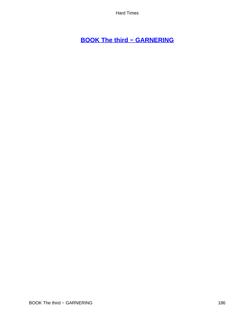# **[BOOK The third − GARNERING](#page-251-0)**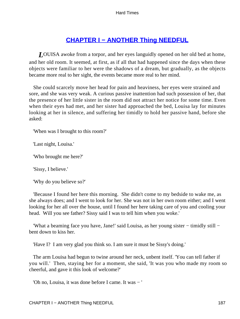## **[CHAPTER I − ANOTHER Thing NEEDFUL](#page-251-0)**

*L*OUISA awoke from a torpor, and her eyes languidly opened on her old bed at home, and her old room. It seemed, at first, as if all that had happened since the days when these objects were familiar to her were the shadows of a dream, but gradually, as the objects became more real to her sight, the events became more real to her mind.

 She could scarcely move her head for pain and heaviness, her eyes were strained and sore, and she was very weak. A curious passive inattention had such possession of her, that the presence of her little sister in the room did not attract her notice for some time. Even when their eyes had met, and her sister had approached the bed, Louisa lay for minutes looking at her in silence, and suffering her timidly to hold her passive hand, before she asked:

'When was I brought to this room?'

'Last night, Louisa.'

'Who brought me here?'

'Sissy, I believe.'

'Why do you believe so?'

 'Because I found her here this morning. She didn't come to my bedside to wake me, as she always does; and I went to look for her. She was not in her own room either; and I went looking for her all over the house, until I found her here taking care of you and cooling your head. Will you see father? Sissy said I was to tell him when you woke.'

 'What a beaming face you have, Jane!' said Louisa, as her young sister − timidly still − bent down to kiss her.

'Have I? I am very glad you think so. I am sure it must be Sissy's doing.'

 The arm Louisa had begun to twine around her neck, unbent itself. 'You can tell father if you will.' Then, staying her for a moment, she said, 'It was you who made my room so cheerful, and gave it this look of welcome?'

'Oh no, Louisa, it was done before I came. It was − '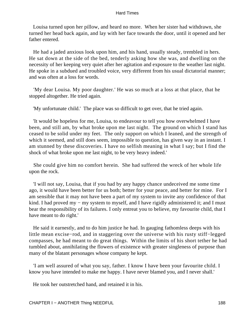Louisa turned upon her pillow, and heard no more. When her sister had withdrawn, she turned her head back again, and lay with her face towards the door, until it opened and her father entered.

 He had a jaded anxious look upon him, and his hand, usually steady, trembled in hers. He sat down at the side of the bed, tenderly asking how she was, and dwelling on the necessity of her keeping very quiet after her agitation and exposure to the weather last night. He spoke in a subdued and troubled voice, very different from his usual dictatorial manner; and was often at a loss for words.

 'My dear Louisa. My poor daughter.' He was so much at a loss at that place, that he stopped altogether. He tried again.

'My unfortunate child.' The place was so difficult to get over, that he tried again.

 'It would be hopeless for me, Louisa, to endeavour to tell you how overwhelmed I have been, and still am, by what broke upon me last night. The ground on which I stand has ceased to be solid under my feet. The only support on which I leaned, and the strength of which it seemed, and still does seem, impossible to question, has given way in an instant. I am stunned by these discoveries. I have no selfish meaning in what I say; but I find the shock of what broke upon me last night, to be very heavy indeed.'

 She could give him no comfort herein. She had suffered the wreck of her whole life upon the rock.

 'I will not say, Louisa, that if you had by any happy chance undeceived me some time ago, it would have been better for us both; better for your peace, and better for mine. For I am sensible that it may not have been a part of my system to invite any confidence of that kind. I had proved my − my system to myself, and I have rigidly administered it; and I must bear the responsibility of its failures. I only entreat you to believe, my favourite child, that I have meant to do right.'

 He said it earnestly, and to do him justice he had. In gauging fathomless deeps with his little mean excise−rod, and in staggering over the universe with his rusty stiff−legged compasses, he had meant to do great things. Within the limits of his short tether he had tumbled about, annihilating the flowers of existence with greater singleness of purpose than many of the blatant personages whose company he kept.

 'I am well assured of what you say, father. I know I have been your favourite child. I know you have intended to make me happy. I have never blamed you, and I never shall.'

He took her outstretched hand, and retained it in his.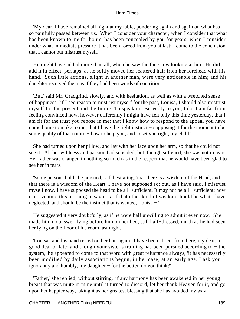'My dear, I have remained all night at my table, pondering again and again on what has so painfully passed between us. When I consider your character; when I consider that what has been known to me for hours, has been concealed by you for years; when I consider under what immediate pressure it has been forced from you at last; I come to the conclusion that I cannot but mistrust myself.'

 He might have added more than all, when he saw the face now looking at him. He did add it in effect, perhaps, as he softly moved her scattered hair from her forehead with his hand. Such little actions, slight in another man, were very noticeable in him; and his daughter received them as if they had been words of contrition.

 'But,' said Mr. Gradgrind, slowly, and with hesitation, as well as with a wretched sense of happiness, 'if I see reason to mistrust myself for the past, Louisa, I should also mistrust myself for the present and the future. To speak unreservedly to you, I do. I am far from feeling convinced now, however differently I might have felt only this time yesterday, that I am fit for the trust you repose in me; that I know how to respond to the appeal you have come home to make to me; that I have the right instinct − supposing it for the moment to be some quality of that nature – how to help you, and to set you right, my child.'

 She had turned upon her pillow, and lay with her face upon her arm, so that he could not see it. All her wildness and passion had subsided; but, though softened, she was not in tears. Her father was changed in nothing so much as in the respect that he would have been glad to see her in tears.

 'Some persons hold,' he pursued, still hesitating, 'that there is a wisdom of the Head, and that there is a wisdom of the Heart. I have not supposed so; but, as I have said, I mistrust myself now. I have supposed the head to be all−sufficient. It may not be all− sufficient; how can I venture this morning to say it is! If that other kind of wisdom should be what I have neglected, and should be the instinct that is wanted, Louisa − '

 He suggested it very doubtfully, as if he were half unwilling to admit it even now. She made him no answer, lying before him on her bed, still half−dressed, much as he had seen her lying on the floor of his room last night.

 'Louisa,' and his hand rested on her hair again, 'I have been absent from here, my dear, a good deal of late; and though your sister's training has been pursued according to − the system,' he appeared to come to that word with great reluctance always, 'it has necessarily been modified by daily associations begun, in her case, at an early age. I ask you − ignorantly and humbly, my daughter − for the better, do you think?'

 'Father,' she replied, without stirring, 'if any harmony has been awakened in her young breast that was mute in mine until it turned to discord, let her thank Heaven for it, and go upon her happier way, taking it as her greatest blessing that she has avoided my way.'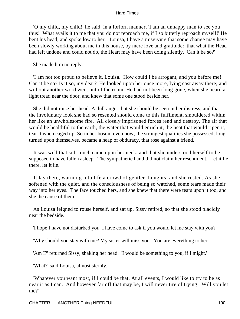'O my child, my child!' he said, in a forlorn manner, 'I am an unhappy man to see you thus! What avails it to me that you do not reproach me, if I so bitterly reproach myself!' He bent his head, and spoke low to her. 'Louisa, I have a misgiving that some change may have been slowly working about me in this house, by mere love and gratitude: that what the Head had left undone and could not do, the Heart may have been doing silently. Can it be so?'

She made him no reply.

 'I am not too proud to believe it, Louisa. How could I be arrogant, and you before me! Can it be so? Is it so, my dear?' He looked upon her once more, lying cast away there; and without another word went out of the room. He had not been long gone, when she heard a light tread near the door, and knew that some one stood beside her.

 She did not raise her head. A dull anger that she should be seen in her distress, and that the involuntary look she had so resented should come to this fulfilment, smouldered within her like an unwholesome fire. All closely imprisoned forces rend and destroy. The air that would be healthful to the earth, the water that would enrich it, the heat that would ripen it, tear it when caged up. So in her bosom even now; the strongest qualities she possessed, long turned upon themselves, became a heap of obduracy, that rose against a friend.

 It was well that soft touch came upon her neck, and that she understood herself to be supposed to have fallen asleep. The sympathetic hand did not claim her resentment. Let it lie there, let it lie.

 It lay there, warming into life a crowd of gentler thoughts; and she rested. As she softened with the quiet, and the consciousness of being so watched, some tears made their way into her eyes. The face touched hers, and she knew that there were tears upon it too, and she the cause of them.

 As Louisa feigned to rouse herself, and sat up, Sissy retired, so that she stood placidly near the bedside.

'I hope I have not disturbed you. I have come to ask if you would let me stay with you?'

'Why should you stay with me? My sister will miss you. You are everything to her.'

'Am I?' returned Sissy, shaking her head. 'I would be something to you, if I might.'

'What?' said Louisa, almost sternly.

 'Whatever you want most, if I could be that. At all events, I would like to try to be as near it as I can. And however far off that may be, I will never tire of trying. Will you let me?'

CHAPTER I – ANOTHER Thing NEEDFUL 190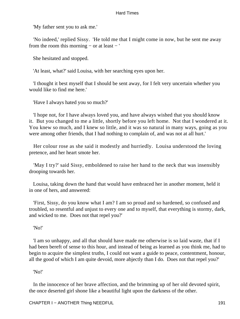'My father sent you to ask me.'

 'No indeed,' replied Sissy. 'He told me that I might come in now, but he sent me away from the room this morning  $-$  or at least  $-$ '

She hesitated and stopped.

'At least, what?' said Louisa, with her searching eyes upon her.

 'I thought it best myself that I should be sent away, for I felt very uncertain whether you would like to find me here.'

'Have I always hated you so much?'

 'I hope not, for I have always loved you, and have always wished that you should know it. But you changed to me a little, shortly before you left home. Not that I wondered at it. You knew so much, and I knew so little, and it was so natural in many ways, going as you were among other friends, that I had nothing to complain of, and was not at all hurt.'

 Her colour rose as she said it modestly and hurriedly. Louisa understood the loving pretence, and her heart smote her.

 'May I try?' said Sissy, emboldened to raise her hand to the neck that was insensibly drooping towards her.

 Louisa, taking down the hand that would have embraced her in another moment, held it in one of hers, and answered:

 'First, Sissy, do you know what I am? I am so proud and so hardened, so confused and troubled, so resentful and unjust to every one and to myself, that everything is stormy, dark, and wicked to me. Does not that repel you?'

'No!'

 'I am so unhappy, and all that should have made me otherwise is so laid waste, that if I had been bereft of sense to this hour, and instead of being as learned as you think me, had to begin to acquire the simplest truths, I could not want a guide to peace, contentment, honour, all the good of which I am quite devoid, more abjectly than I do. Does not that repel you?'

'No!'

 In the innocence of her brave affection, and the brimming up of her old devoted spirit, the once deserted girl shone like a beautiful light upon the darkness of the other.

CHAPTER I − ANOTHER Thing NEEDFUL 191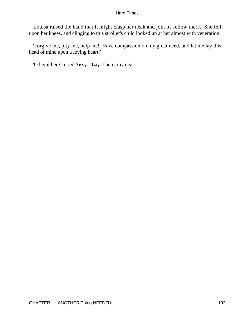Louisa raised the hand that it might clasp her neck and join its fellow there. She fell upon her knees, and clinging to this stroller's child looked up at her almost with veneration.

 'Forgive me, pity me, help me! Have compassion on my great need, and let me lay this head of mine upon a loving heart!'

'O lay it here!' cried Sissy. 'Lay it here, my dear.'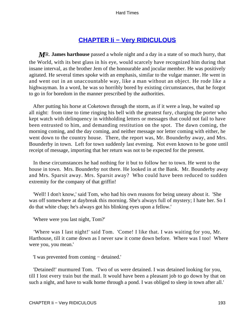## **[CHAPTER Ii − Very RIDICULOUS](#page-251-0)**

*M*R. **James harthouse** passed a whole night and a day in a state of so much hurry, that the World, with its best glass in his eye, would scarcely have recognized him during that insane interval, as the brother Jem of the honourable and jocular member. He was positively agitated. He several times spoke with an emphasis, similar to the vulgar manner. He went in and went out in an unaccountable way, like a man without an object. He rode like a highwayman. In a word, he was so horribly bored by existing circumstances, that he forgot to go in for boredom in the manner prescribed by the authorities.

 After putting his horse at Coketown through the storm, as if it were a leap, he waited up all night: from time to time ringing his bell with the greatest fury, charging the porter who kept watch with delinquency in withholding letters or messages that could not fail to have been entrusted to him, and demanding restitution on the spot. The dawn coming, the morning coming, and the day coming, and neither message nor letter coming with either, he went down to the country house. There, the report was, Mr. Bounderby away, and Mrs. Bounderby in town. Left for town suddenly last evening. Not even known to be gone until receipt of message, importing that her return was not to be expected for the present.

 In these circumstances he had nothing for it but to follow her to town. He went to the house in town. Mrs. Bounderby not there. He looked in at the Bank. Mr. Bounderby away and Mrs. Sparsit away. Mrs. Sparsit away? Who could have been reduced to sudden extremity for the company of that griffin!

 'Well! I don't know,' said Tom, who had his own reasons for being uneasy about it. 'She was off somewhere at daybreak this morning. She's always full of mystery; I hate her. So I do that white chap; he's always got his blinking eyes upon a fellow.'

'Where were you last night, Tom?'

 'Where was I last night!' said Tom. 'Come! I like that. I was waiting for you, Mr. Harthouse, till it came down as I never saw it come down before. Where was I too! Where were you, you mean.'

'I was prevented from coming − detained.'

 'Detained!' murmured Tom. 'Two of us were detained. I was detained looking for you, till I lost every train but the mail. It would have been a pleasant job to go down by that on such a night, and have to walk home through a pond. I was obliged to sleep in town after all.'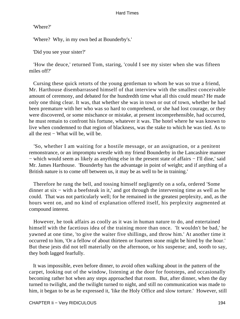'Where?'

'Where? Why, in my own bed at Bounderby's.'

'Did you see your sister?'

 'How the deuce,' returned Tom, staring, 'could I see my sister when she was fifteen miles off?'

 Cursing these quick retorts of the young gentleman to whom he was so true a friend, Mr. Harthouse disembarrassed himself of that interview with the smallest conceivable amount of ceremony, and debated for the hundredth time what all this could mean? He made only one thing clear. It was, that whether she was in town or out of town, whether he had been premature with her who was so hard to comprehend, or she had lost courage, or they were discovered, or some mischance or mistake, at present incomprehensible, had occurred, he must remain to confront his fortune, whatever it was. The hotel where he was known to live when condemned to that region of blackness, was the stake to which he was tied. As to all the rest − What will be, will be.

 'So, whether I am waiting for a hostile message, or an assignation, or a penitent remonstrance, or an impromptu wrestle with my friend Bounderby in the Lancashire manner − which would seem as likely as anything else in the present state of affairs − I'll dine,' said Mr. James Harthouse. 'Bounderby has the advantage in point of weight; and if anything of a British nature is to come off between us, it may be as well to be in training.'

 Therefore he rang the bell, and tossing himself negligently on a sofa, ordered 'Some dinner at six − with a beefsteak in it,' and got through the intervening time as well as he could. That was not particularly well; for he remained in the greatest perplexity, and, as the hours went on, and no kind of explanation offered itself, his perplexity augmented at compound interest.

 However, he took affairs as coolly as it was in human nature to do, and entertained himself with the facetious idea of the training more than once. 'It wouldn't be bad,' he yawned at one time, 'to give the waiter five shillings, and throw him.' At another time it occurred to him, 'Or a fellow of about thirteen or fourteen stone might be hired by the hour.' But these jests did not tell materially on the afternoon, or his suspense; and, sooth to say, they both lagged fearfully.

 It was impossible, even before dinner, to avoid often walking about in the pattern of the carpet, looking out of the window, listening at the door for footsteps, and occasionally becoming rather hot when any steps approached that room. But, after dinner, when the day turned to twilight, and the twilight turned to night, and still no communication was made to him, it began to be as he expressed it, 'like the Holy Office and slow torture.' However, still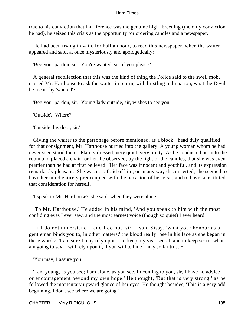true to his conviction that indifference was the genuine high−breeding (the only conviction he had), he seized this crisis as the opportunity for ordering candles and a newspaper.

 He had been trying in vain, for half an hour, to read this newspaper, when the waiter appeared and said, at once mysteriously and apologetically:

'Beg your pardon, sir. You're wanted, sir, if you please.'

 A general recollection that this was the kind of thing the Police said to the swell mob, caused Mr. Harthouse to ask the waiter in return, with bristling indignation, what the Devil he meant by 'wanted'?

'Beg your pardon, sir. Young lady outside, sir, wishes to see you.'

'Outside? Where?'

'Outside this door, sir.'

 Giving the waiter to the personage before mentioned, as a block− head duly qualified for that consignment, Mr. Harthouse hurried into the gallery. A young woman whom he had never seen stood there. Plainly dressed, very quiet, very pretty. As he conducted her into the room and placed a chair for her, he observed, by the light of the candles, that she was even prettier than he had at first believed. Her face was innocent and youthful, and its expression remarkably pleasant. She was not afraid of him, or in any way disconcerted; she seemed to have her mind entirely preoccupied with the occasion of her visit, and to have substituted that consideration for herself.

'I speak to Mr. Harthouse?' she said, when they were alone.

 'To Mr. Harthouse.' He added in his mind, 'And you speak to him with the most confiding eyes I ever saw, and the most earnest voice (though so quiet) I ever heard.'

 'If I do not understand − and I do not, sir' − said Sissy, 'what your honour as a gentleman binds you to, in other matters:' the blood really rose in his face as she began in these words: 'I am sure I may rely upon it to keep my visit secret, and to keep secret what I am going to say. I will rely upon it, if you will tell me I may so far trust − '

'You may, I assure you.'

 'I am young, as you see; I am alone, as you see. In coming to you, sir, I have no advice or encouragement beyond my own hope.' He thought, 'But that is very strong,' as he followed the momentary upward glance of her eyes. He thought besides, 'This is a very odd beginning. I don't see where we are going.'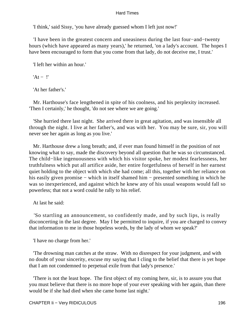'I think,' said Sissy, 'you have already guessed whom I left just now!'

 'I have been in the greatest concern and uneasiness during the last four−and−twenty hours (which have appeared as many years),' he returned, 'on a lady's account. The hopes I have been encouraged to form that you come from that lady, do not deceive me, I trust.'

'I left her within an hour.'

'At − !'

'At her father's.'

 Mr. Harthouse's face lengthened in spite of his coolness, and his perplexity increased. 'Then I certainly,' he thought, 'do not see where we are going.'

 'She hurried there last night. She arrived there in great agitation, and was insensible all through the night. I live at her father's, and was with her. You may be sure, sir, you will never see her again as long as you live.'

 Mr. Harthouse drew a long breath; and, if ever man found himself in the position of not knowing what to say, made the discovery beyond all question that he was so circumstanced. The child−like ingenuousness with which his visitor spoke, her modest fearlessness, her truthfulness which put all artifice aside, her entire forgetfulness of herself in her earnest quiet holding to the object with which she had come; all this, together with her reliance on his easily given promise − which in itself shamed him − presented something in which he was so inexperienced, and against which he knew any of his usual weapons would fall so powerless; that not a word could he rally to his relief.

At last he said:

 'So startling an announcement, so confidently made, and by such lips, is really disconcerting in the last degree. May I be permitted to inquire, if you are charged to convey that information to me in those hopeless words, by the lady of whom we speak?'

'I have no charge from her.'

 'The drowning man catches at the straw. With no disrespect for your judgment, and with no doubt of your sincerity, excuse my saying that I cling to the belief that there is yet hope that I am not condemned to perpetual exile from that lady's presence.'

 'There is not the least hope. The first object of my coming here, sir, is to assure you that you must believe that there is no more hope of your ever speaking with her again, than there would be if she had died when she came home last night.'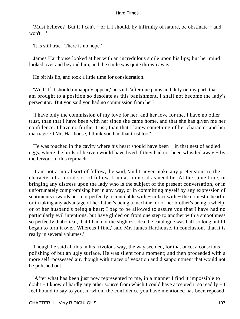'Must believe? But if I can't − or if I should, by infirmity of nature, be obstinate − and won't  $-$ '

'It is still true. There is no hope.'

 James Harthouse looked at her with an incredulous smile upon his lips; but her mind looked over and beyond him, and the smile was quite thrown away.

He bit his lip, and took a little time for consideration.

 'Well! If it should unhappily appear,' he said, 'after due pains and duty on my part, that I am brought to a position so desolate as this banishment, I shall not become the lady's persecutor. But you said you had no commission from her?'

 'I have only the commission of my love for her, and her love for me. I have no other trust, than that I have been with her since she came home, and that she has given me her confidence. I have no further trust, than that I know something of her character and her marriage. O Mr. Harthouse, I think you had that trust too!'

He was touched in the cavity where his heart should have been – in that nest of addled eggs, where the birds of heaven would have lived if they had not been whistled away − by the fervour of this reproach.

 'I am not a moral sort of fellow,' he said, 'and I never make any pretensions to the character of a moral sort of fellow. I am as immoral as need be. At the same time, in bringing any distress upon the lady who is the subject of the present conversation, or in unfortunately compromising her in any way, or in committing myself by any expression of sentiments towards her, not perfectly reconcilable with – in fact with – the domestic hearth; or in taking any advantage of her father's being a machine, or of her brother's being a whelp, or of her husband's being a bear; I beg to be allowed to assure you that I have had no particularly evil intentions, but have glided on from one step to another with a smoothness so perfectly diabolical, that I had not the slightest idea the catalogue was half so long until I began to turn it over. Whereas I find,' said Mr. James Harthouse, in conclusion, 'that it is really in several volumes.'

 Though he said all this in his frivolous way, the way seemed, for that once, a conscious polishing of but an ugly surface. He was silent for a moment; and then proceeded with a more self−possessed air, though with traces of vexation and disappointment that would not be polished out.

 'After what has been just now represented to me, in a manner I find it impossible to doubt − I know of hardly any other source from which I could have accepted it so readily − I feel bound to say to you, in whom the confidence you have mentioned has been reposed,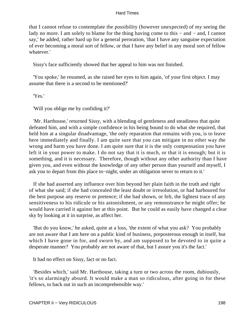that I cannot refuse to contemplate the possibility (however unexpected) of my seeing the lady no more. I am solely to blame for the thing having come to this − and − and, I cannot say,' he added, rather hard up for a general peroration, 'that I have any sanguine expectation of ever becoming a moral sort of fellow, or that I have any belief in any moral sort of fellow whatever<sup>'</sup>

Sissy's face sufficiently showed that her appeal to him was not finished.

 'You spoke,' he resumed, as she raised her eyes to him again, 'of your first object. I may assume that there is a second to be mentioned?'

'Yes.'

'Will you oblige me by confiding it?'

 'Mr. Harthouse,' returned Sissy, with a blending of gentleness and steadiness that quite defeated him, and with a simple confidence in his being bound to do what she required, that held him at a singular disadvantage, 'the only reparation that remains with you, is to leave here immediately and finally. I am quite sure that you can mitigate in no other way the wrong and harm you have done. I am quite sure that it is the only compensation you have left it in your power to make. I do not say that it is much, or that it is enough; but it is something, and it is necessary. Therefore, though without any other authority than I have given you, and even without the knowledge of any other person than yourself and myself, I ask you to depart from this place to−night, under an obligation never to return to it.'

 If she had asserted any influence over him beyond her plain faith in the truth and right of what she said; if she had concealed the least doubt or irresolution, or had harboured for the best purpose any reserve or pretence; if she had shown, or felt, the lightest trace of any sensitiveness to his ridicule or his astonishment, or any remonstrance he might offer; he would have carried it against her at this point. But he could as easily have changed a clear sky by looking at it in surprise, as affect her.

 'But do you know,' he asked, quite at a loss, 'the extent of what you ask? You probably are not aware that I am here on a public kind of business, preposterous enough in itself, but which I have gone in for, and sworn by, and am supposed to be devoted to in quite a desperate manner? You probably are not aware of that, but I assure you it's the fact.'

It had no effect on Sissy, fact or no fact.

 'Besides which,' said Mr. Harthouse, taking a turn or two across the room, dubiously, 'it's so alarmingly absurd. It would make a man so ridiculous, after going in for these fellows, to back out in such an incomprehensible way.'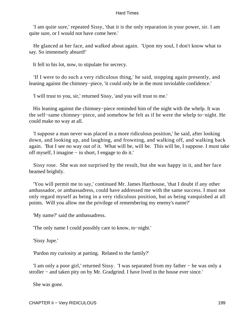'I am quite sure,' repeated Sissy, 'that it is the only reparation in your power, sir. I am quite sure, or I would not have come here.'

 He glanced at her face, and walked about again. 'Upon my soul, I don't know what to say. So immensely absurd!'

It fell to his lot, now, to stipulate for secrecy.

 'If I were to do such a very ridiculous thing,' he said, stopping again presently, and leaning against the chimney−piece, 'it could only be in the most inviolable confidence.'

'I will trust to you, sir,' returned Sissy, 'and you will trust to me.'

 His leaning against the chimney−piece reminded him of the night with the whelp. It was the self−same chimney−piece, and somehow he felt as if he were the whelp to−night. He could make no way at all.

 'I suppose a man never was placed in a more ridiculous position,' he said, after looking down, and looking up, and laughing, and frowning, and walking off, and walking back again. 'But I see no way out of it. What will be, will be. This will be, I suppose. I must take off myself, I imagine − in short, I engage to do it.'

 Sissy rose. She was not surprised by the result, but she was happy in it, and her face beamed brightly.

 'You will permit me to say,' continued Mr. James Harthouse, 'that I doubt if any other ambassador, or ambassadress, could have addressed me with the same success. I must not only regard myself as being in a very ridiculous position, but as being vanquished at all points. Will you allow me the privilege of remembering my enemy's name?'

'My name?' said the ambassadress.

'The only name I could possibly care to know, to−night.'

'Sissy Jupe.'

'Pardon my curiosity at parting. Related to the family?'

 'I am only a poor girl,' returned Sissy. 'I was separated from my father − he was only a stroller – and taken pity on by Mr. Gradgrind. I have lived in the house ever since.'

She was gone.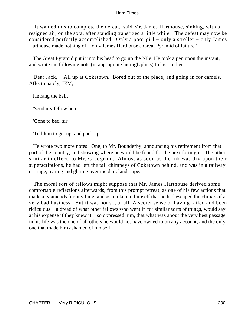'It wanted this to complete the defeat,' said Mr. James Harthouse, sinking, with a resigned air, on the sofa, after standing transfixed a little while. 'The defeat may now be considered perfectly accomplished. Only a poor girl − only a stroller − only James Harthouse made nothing of – only James Harthouse a Great Pyramid of failure.'

 The Great Pyramid put it into his head to go up the Nile. He took a pen upon the instant, and wrote the following note (in appropriate hieroglyphics) to his brother:

Dear Jack, – All up at Coketown. Bored out of the place, and going in for camels. Affectionately, JEM,

He rang the bell.

'Send my fellow here.'

'Gone to bed, sir.'

'Tell him to get up, and pack up.'

 He wrote two more notes. One, to Mr. Bounderby, announcing his retirement from that part of the country, and showing where he would be found for the next fortnight. The other, similar in effect, to Mr. Gradgrind. Almost as soon as the ink was dry upon their superscriptions, he had left the tall chimneys of Coketown behind, and was in a railway carriage, tearing and glaring over the dark landscape.

 The moral sort of fellows might suppose that Mr. James Harthouse derived some comfortable reflections afterwards, from this prompt retreat, as one of his few actions that made any amends for anything, and as a token to himself that he had escaped the climax of a very bad business. But it was not so, at all. A secret sense of having failed and been ridiculous − a dread of what other fellows who went in for similar sorts of things, would say at his expense if they knew it − so oppressed him, that what was about the very best passage in his life was the one of all others he would not have owned to on any account, and the only one that made him ashamed of himself.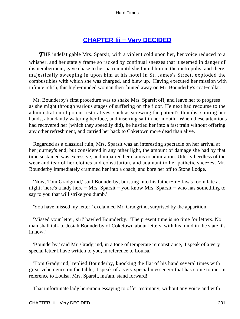### **[CHAPTER Iii − Very DECIDED](#page-251-0)**

**THE** indefatigable Mrs. Sparsit, with a violent cold upon her, her voice reduced to a whisper, and her stately frame so racked by continual sneezes that it seemed in danger of dismemberment, gave chase to her patron until she found him in the metropolis; and there, majestically sweeping in upon him at his hotel in St. James's Street, exploded the combustibles with which she was charged, and blew up. Having executed her mission with infinite relish, this high−minded woman then fainted away on Mr. Bounderby's coat−collar.

 Mr. Bounderby's first procedure was to shake Mrs. Sparsit off, and leave her to progress as she might through various stages of suffering on the floor. He next had recourse to the administration of potent restoratives, such as screwing the patient's thumbs, smiting her hands, abundantly watering her face, and inserting salt in her mouth. When these attentions had recovered her (which they speedily did), he hustled her into a fast train without offering any other refreshment, and carried her back to Coketown more dead than alive.

 Regarded as a classical ruin, Mrs. Sparsit was an interesting spectacle on her arrival at her journey's end; but considered in any other light, the amount of damage she had by that time sustained was excessive, and impaired her claims to admiration. Utterly heedless of the wear and tear of her clothes and constitution, and adamant to her pathetic sneezes, Mr. Bounderby immediately crammed her into a coach, and bore her off to Stone Lodge.

 'Now, Tom Gradgrind,' said Bounderby, bursting into his father−in− law's room late at night; 'here's a lady here − Mrs. Sparsit − you know Mrs. Sparsit − who has something to say to you that will strike you dumb.'

'You have missed my letter!' exclaimed Mr. Gradgrind, surprised by the apparition.

 'Missed your letter, sir!' bawled Bounderby. 'The present time is no time for letters. No man shall talk to Josiah Bounderby of Coketown about letters, with his mind in the state it's in now.'

 'Bounderby,' said Mr. Gradgrind, in a tone of temperate remonstrance, 'I speak of a very special letter I have written to you, in reference to Louisa.'

 'Tom Gradgrind,' replied Bounderby, knocking the flat of his hand several times with great vehemence on the table, 'I speak of a very special messenger that has come to me, in reference to Louisa. Mrs. Sparsit, ma'am, stand forward!'

That unfortunate lady hereupon essaying to offer testimony, without any voice and with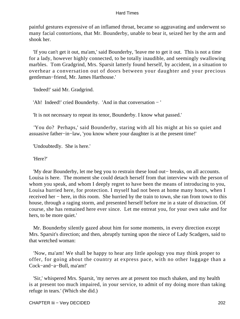painful gestures expressive of an inflamed throat, became so aggravating and underwent so many facial contortions, that Mr. Bounderby, unable to bear it, seized her by the arm and shook her.

 'If you can't get it out, ma'am,' said Bounderby, 'leave me to get it out. This is not a time for a lady, however highly connected, to be totally inaudible, and seemingly swallowing marbles. Tom Gradgrind, Mrs. Sparsit latterly found herself, by accident, in a situation to overhear a conversation out of doors between your daughter and your precious gentleman−friend, Mr. James Harthouse.'

'Indeed!' said Mr. Gradgrind.

'Ah! Indeed!' cried Bounderby. 'And in that conversation − '

'It is not necessary to repeat its tenor, Bounderby. I know what passed.'

 'You do? Perhaps,' said Bounderby, staring with all his might at his so quiet and assuasive father−in−law, 'you know where your daughter is at the present time!'

'Undoubtedly. She is here.'

'Here?'

 'My dear Bounderby, let me beg you to restrain these loud out− breaks, on all accounts. Louisa is here. The moment she could detach herself from that interview with the person of whom you speak, and whom I deeply regret to have been the means of introducing to you, Louisa hurried here, for protection. I myself had not been at home many hours, when I received her − here, in this room. She hurried by the train to town, she ran from town to this house, through a raging storm, and presented herself before me in a state of distraction. Of course, she has remained here ever since. Let me entreat you, for your own sake and for hers, to be more quiet.'

 Mr. Bounderby silently gazed about him for some moments, in every direction except Mrs. Sparsit's direction; and then, abruptly turning upon the niece of Lady Scadgers, said to that wretched woman:

 'Now, ma'am! We shall be happy to hear any little apology you may think proper to offer, for going about the country at express pace, with no other luggage than a Cock−and−a−Bull, ma'am!'

 'Sir,' whispered Mrs. Sparsit, 'my nerves are at present too much shaken, and my health is at present too much impaired, in your service, to admit of my doing more than taking refuge in tears.' (Which she did.)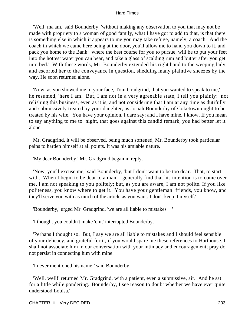'Well, ma'am,' said Bounderby, 'without making any observation to you that may not be made with propriety to a woman of good family, what I have got to add to that, is that there is something else in which it appears to me you may take refuge, namely, a coach. And the coach in which we came here being at the door, you'll allow me to hand you down to it, and pack you home to the Bank: where the best course for you to pursue, will be to put your feet into the hottest water you can bear, and take a glass of scalding rum and butter after you get into bed.' With these words, Mr. Bounderby extended his right hand to the weeping lady, and escorted her to the conveyance in question, shedding many plaintive sneezes by the way. He soon returned alone.

 'Now, as you showed me in your face, Tom Gradgrind, that you wanted to speak to me,' he resumed, 'here I am. But, I am not in a very agreeable state, I tell you plainly: not relishing this business, even as it is, and not considering that I am at any time as dutifully and submissively treated by your daughter, as Josiah Bounderby of Coketown ought to be treated by his wife. You have your opinion, I dare say; and I have mine, I know. If you mean to say anything to me to−night, that goes against this candid remark, you had better let it alone.'

 Mr. Gradgrind, it will be observed, being much softened, Mr. Bounderby took particular pains to harden himself at all points. It was his amiable nature.

'My dear Bounderby,' Mr. Gradgrind began in reply.

 'Now, you'll excuse me,' said Bounderby, 'but I don't want to be too dear. That, to start with. When I begin to be dear to a man, I generally find that his intention is to come over me. I am not speaking to you politely; but, as you are aware, I am not polite. If you like politeness, you know where to get it. You have your gentleman−friends, you know, and they'll serve you with as much of the article as you want. I don't keep it myself.'

'Bounderby,' urged Mr. Gradgrind, 'we are all liable to mistakes − '

'I thought you couldn't make 'em,' interrupted Bounderby.

 'Perhaps I thought so. But, I say we are all liable to mistakes and I should feel sensible of your delicacy, and grateful for it, if you would spare me these references to Harthouse. I shall not associate him in our conversation with your intimacy and encouragement; pray do not persist in connecting him with mine.'

'I never mentioned his name!' said Bounderby.

 'Well, well!' returned Mr. Gradgrind, with a patient, even a submissive, air. And he sat for a little while pondering. 'Bounderby, I see reason to doubt whether we have ever quite understood Louisa.'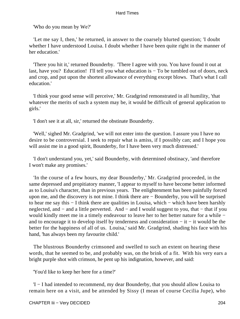'Who do you mean by We?'

 'Let me say I, then,' he returned, in answer to the coarsely blurted question; 'I doubt whether I have understood Louisa. I doubt whether I have been quite right in the manner of her education.'

 'There you hit it,' returned Bounderby. 'There I agree with you. You have found it out at last, have you? Education! I'll tell you what education is − To be tumbled out of doors, neck and crop, and put upon the shortest allowance of everything except blows. That's what I call education.'

 'I think your good sense will perceive,' Mr. Gradgrind remonstrated in all humility, 'that whatever the merits of such a system may be, it would be difficult of general application to girls.'

'I don't see it at all, sir,' returned the obstinate Bounderby.

 'Well,' sighed Mr. Gradgrind, 'we will not enter into the question. I assure you I have no desire to be controversial. I seek to repair what is amiss, if I possibly can; and I hope you will assist me in a good spirit, Bounderby, for I have been very much distressed.'

 'I don't understand you, yet,' said Bounderby, with determined obstinacy, 'and therefore I won't make any promises.'

 'In the course of a few hours, my dear Bounderby,' Mr. Gradgrind proceeded, in the same depressed and propitiatory manner, 'I appear to myself to have become better informed as to Louisa's character, than in previous years. The enlightenment has been painfully forced upon me, and the discovery is not mine. I think there are − Bounderby, you will be surprised to hear me say this − I think there are qualities in Louisa, which − which have been harshly neglected, and − and a little perverted. And − and I would suggest to you, that − that if you would kindly meet me in a timely endeavour to leave her to her better nature for a while − and to encourage it to develop itself by tenderness and consideration − it − it would be the better for the happiness of all of us. Louisa,' said Mr. Gradgrind, shading his face with his hand, 'has always been my favourite child.'

 The blustrous Bounderby crimsoned and swelled to such an extent on hearing these words, that he seemed to be, and probably was, on the brink of a fit. With his very ears a bright purple shot with crimson, he pent up his indignation, however, and said:

'You'd like to keep her here for a time?'

 'I − I had intended to recommend, my dear Bounderby, that you should allow Louisa to remain here on a visit, and be attended by Sissy (I mean of course Cecilia Jupe), who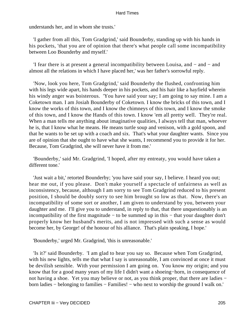understands her, and in whom she trusts.'

 'I gather from all this, Tom Gradgrind,' said Bounderby, standing up with his hands in his pockets, 'that you are of opinion that there's what people call some incompatibility between Loo Bounderby and myself.'

 'I fear there is at present a general incompatibility between Louisa, and − and − and almost all the relations in which I have placed her,' was her father's sorrowful reply.

 'Now, look you here, Tom Gradgrind,' said Bounderby the flushed, confronting him with his legs wide apart, his hands deeper in his pockets, and his hair like a hayfield wherein his windy anger was boisterous. 'You have said your say; I am going to say mine. I am a Coketown man. I am Josiah Bounderby of Coketown. I know the bricks of this town, and I know the works of this town, and I know the chimneys of this town, and I know the smoke of this town, and I know the Hands of this town. I know 'em all pretty well. They're real. When a man tells me anything about imaginative qualities, I always tell that man, whoever he is, that I know what he means. He means turtle soup and venison, with a gold spoon, and that he wants to be set up with a coach and six. That's what your daughter wants. Since you are of opinion that she ought to have what she wants, I recommend you to provide it for her. Because, Tom Gradgrind, she will never have it from me.'

 'Bounderby,' said Mr. Gradgrind, 'I hoped, after my entreaty, you would have taken a different tone.'

 'Just wait a bit,' retorted Bounderby; 'you have said your say, I believe. I heard you out; hear me out, if you please. Don't make yourself a spectacle of unfairness as well as inconsistency, because, although I am sorry to see Tom Gradgrind reduced to his present position, I should be doubly sorry to see him brought so low as that. Now, there's an incompatibility of some sort or another, I am given to understand by you, between your daughter and me. I'll give you to understand, in reply to that, that there unquestionably is an incompatibility of the first magnitude − to be summed up in this − that your daughter don't properly know her husband's merits, and is not impressed with such a sense as would become her, by George! of the honour of his alliance. That's plain speaking, I hope.'

'Bounderby,' urged Mr. Gradgrind, 'this is unreasonable.'

 'Is it?' said Bounderby. 'I am glad to hear you say so. Because when Tom Gradgrind, with his new lights, tells me that what I say is unreasonable. I am convinced at once it must be devilish sensible. With your permission I am going on. You know my origin; and you know that for a good many years of my life I didn't want a shoeing−horn, in consequence of not having a shoe. Yet you may believe or not, as you think proper, that there are ladies − born ladies − belonging to families − Families! − who next to worship the ground I walk on.'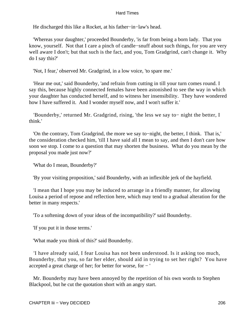He discharged this like a Rocket, at his father−in−law's head.

 'Whereas your daughter,' proceeded Bounderby, 'is far from being a born lady. That you know, yourself. Not that I care a pinch of candle−snuff about such things, for you are very well aware I don't; but that such is the fact, and you, Tom Gradgrind, can't change it. Why do I say this?'

'Not, I fear,' observed Mr. Gradgrind, in a low voice, 'to spare me.'

 'Hear me out,' said Bounderby, 'and refrain from cutting in till your turn comes round. I say this, because highly connected females have been astonished to see the way in which your daughter has conducted herself, and to witness her insensibility. They have wondered how I have suffered it. And I wonder myself now, and I won't suffer it.'

 'Bounderby,' returned Mr. Gradgrind, rising, 'the less we say to− night the better, I think.'

 'On the contrary, Tom Gradgrind, the more we say to−night, the better, I think. That is,' the consideration checked him, 'till I have said all I mean to say, and then I don't care how soon we stop. I come to a question that may shorten the business. What do you mean by the proposal you made just now?'

'What do I mean, Bounderby?'

'By your visiting proposition,' said Bounderby, with an inflexible jerk of the hayfield.

 'I mean that I hope you may be induced to arrange in a friendly manner, for allowing Louisa a period of repose and reflection here, which may tend to a gradual alteration for the better in many respects.'

'To a softening down of your ideas of the incompatibility?' said Bounderby.

'If you put it in those terms.'

'What made you think of this?' said Bounderby.

 'I have already said, I fear Louisa has not been understood. Is it asking too much, Bounderby, that you, so far her elder, should aid in trying to set her right? You have accepted a great charge of her; for better for worse, for − '

 Mr. Bounderby may have been annoyed by the repetition of his own words to Stephen Blackpool, but he cut the quotation short with an angry start.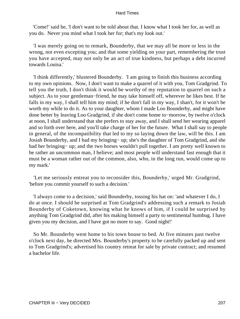'Come!' said he, 'I don't want to be told about that. I know what I took her for, as well as you do. Never you mind what I took her for; that's my look out.'

 'I was merely going on to remark, Bounderby, that we may all be more or less in the wrong, not even excepting you; and that some yielding on your part, remembering the trust you have accepted, may not only be an act of true kindness, but perhaps a debt incurred towards Louisa.'

 'I think differently,' blustered Bounderby. 'I am going to finish this business according to my own opinions. Now, I don't want to make a quarrel of it with you, Tom Gradgrind. To tell you the truth, I don't think it would be worthy of my reputation to quarrel on such a subject. As to your gentleman−friend, he may take himself off, wherever he likes best. If he falls in my way, I shall tell him my mind; if he don't fall in my way, I shan't, for it won't be worth my while to do it. As to your daughter, whom I made Loo Bounderby, and might have done better by leaving Loo Gradgrind, if she don't come home to−morrow, by twelve o'clock at noon, I shall understand that she prefers to stay away, and I shall send her wearing apparel and so forth over here, and you'll take charge of her for the future. What I shall say to people in general, of the incompatibility that led to my so laying down the law, will be this. I am Josiah Bounderby, and I had my bringing− up; she's the daughter of Tom Gradgrind, and she had her bringing− up; and the two horses wouldn't pull together. I am pretty well known to be rather an uncommon man, I believe; and most people will understand fast enough that it must be a woman rather out of the common, also, who, in the long run, would come up to my mark.'

 'Let me seriously entreat you to reconsider this, Bounderby,' urged Mr. Gradgrind, 'before you commit yourself to such a decision.'

 'I always come to a decision,' said Bounderby, tossing his hat on: 'and whatever I do, I do at once. I should be surprised at Tom Gradgrind's addressing such a remark to Josiah Bounderby of Coketown, knowing what he knows of him, if I could be surprised by anything Tom Gradgrind did, after his making himself a party to sentimental humbug. I have given you my decision, and I have got no more to say. Good night!'

 So Mr. Bounderby went home to his town house to bed. At five minutes past twelve o'clock next day, he directed Mrs. Bounderby's property to be carefully packed up and sent to Tom Gradgrind's; advertised his country retreat for sale by private contract; and resumed a bachelor life.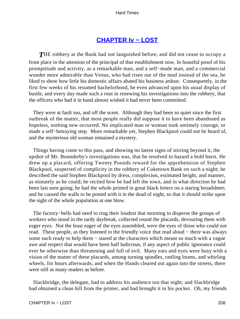### **[CHAPTER Iv − LOST](#page-251-0)**

**THE** robbery at the Bank had not languished before, and did not cease to occupy a front place in the attention of the principal of that establishment now. In boastful proof of his promptitude and activity, as a remarkable man, and a self−made man, and a commercial wonder more admirable than Venus, who had risen out of the mud instead of the sea, he liked to show how little his domestic affairs abated his business ardour. Consequently, in the first few weeks of his resumed bachelorhood, he even advanced upon his usual display of bustle, and every day made such a rout in renewing his investigations into the robbery, that the officers who had it in hand almost wished it had never been committed.

 They were at fault too, and off the scent. Although they had been so quiet since the first outbreak of the matter, that most people really did suppose it to have been abandoned as hopeless, nothing new occurred. No implicated man or woman took untimely courage, or made a self−betraying step. More remarkable yet, Stephen Blackpool could not be heard of, and the mysterious old woman remained a mystery.

 Things having come to this pass, and showing no latent signs of stirring beyond it, the upshot of Mr. Bounderby's investigations was, that he resolved to hazard a bold burst. He drew up a placard, offering Twenty Pounds reward for the apprehension of Stephen Blackpool, suspected of complicity in the robbery of Coketown Bank on such a night; he described the said Stephen Blackpool by dress, complexion, estimated height, and manner, as minutely as he could; he recited how he had left the town, and in what direction he had been last seen going; he had the whole printed in great black letters on a staring broadsheet; and he caused the walls to be posted with it in the dead of night, so that it should strike upon the sight of the whole population at one blow.

The factory–bells had need to ring their loudest that morning to disperse the groups of workers who stood in the tardy daybreak, collected round the placards, devouring them with eager eyes. Not the least eager of the eyes assembled, were the eyes of those who could not read. These people, as they listened to the friendly voice that read aloud − there was always some such ready to help them – stared at the characters which meant so much with a vague awe and respect that would have been half ludicrous, if any aspect of public ignorance could ever be otherwise than threatening and full of evil. Many ears and eyes were busy with a vision of the matter of these placards, among turning spindles, rattling looms, and whirling wheels, for hours afterwards; and when the Hands cleared out again into the streets, there were still as many readers as before.

 Slackbridge, the delegate, had to address his audience too that night; and Slackbridge had obtained a clean bill from the printer, and had brought it in his pocket. Oh, my friends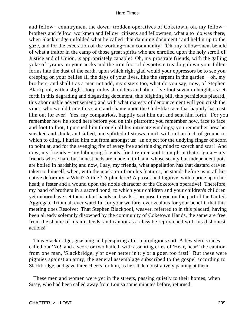and fellow− countrymen, the down−trodden operatives of Coketown, oh, my fellow− brothers and fellow−workmen and fellow−citizens and fellowmen, what a to−do was there, when Slackbridge unfolded what he called 'that damning document,' and held it up to the gaze, and for the execration of the working−man community! 'Oh, my fellow−men, behold of what a traitor in the camp of those great spirits who are enrolled upon the holy scroll of Justice and of Union, is appropriately capable! Oh, my prostrate friends, with the galling yoke of tyrants on your necks and the iron foot of despotism treading down your fallen forms into the dust of the earth, upon which right glad would your oppressors be to see you creeping on your bellies all the days of your lives, like the serpent in the garden − oh, my brothers, and shall I as a man not add, my sisters too, what do you say, now, of Stephen Blackpool, with a slight stoop in his shoulders and about five foot seven in height, as set forth in this degrading and disgusting document, this blighting bill, this pernicious placard, this abominable advertisement; and with what majesty of denouncement will you crush the viper, who would bring this stain and shame upon the God−like race that happily has cast him out for ever! Yes, my compatriots, happily cast him out and sent him forth! For you remember how he stood here before you on this platform; you remember how, face to face and foot to foot, I pursued him through all his intricate windings; you remember how he sneaked and slunk, and sidled, and splitted of straws, until, with not an inch of ground to which to cling, I hurled him out from amongst us: an object for the undying finger of scorn to point at, and for the avenging fire of every free and thinking mind to scorch and scar! And now, my friends – my labouring friends, for I rejoice and triumph in that stigma – my friends whose hard but honest beds are made in toil, and whose scanty but independent pots are boiled in hardship; and now, I say, my friends, what appellation has that dastard craven taken to himself, when, with the mask torn from his features, he stands before us in all his native deformity, a What? A thief! A plunderer! A proscribed fugitive, with a price upon his head; a fester and a wound upon the noble character of the Coketown operative! Therefore, my band of brothers in a sacred bond, to which your children and your children's children yet unborn have set their infant hands and seals, I propose to you on the part of the United Aggregate Tribunal, ever watchful for your welfare, ever zealous for your benefit, that this meeting does Resolve: That Stephen Blackpool, weaver, referred to in this placard, having been already solemnly disowned by the community of Coketown Hands, the same are free from the shame of his misdeeds, and cannot as a class be reproached with his dishonest actions!'

 Thus Slackbridge; gnashing and perspiring after a prodigious sort. A few stern voices called out 'No!' and a score or two hailed, with assenting cries of 'Hear, hear!' the caution from one man, 'Slackbridge, y'or over hetter in't; y'or a goen too fast!' But these were pigmies against an army; the general assemblage subscribed to the gospel according to Slackbridge, and gave three cheers for him, as he sat demonstratively panting at them.

 These men and women were yet in the streets, passing quietly to their homes, when Sissy, who had been called away from Louisa some minutes before, returned.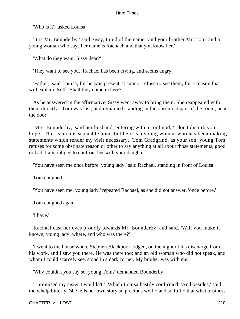'Who is it?' asked Louisa.

 'It is Mr. Bounderby,' said Sissy, timid of the name, 'and your brother Mr. Tom, and a young woman who says her name is Rachael, and that you know her.'

'What do they want, Sissy dear?'

'They want to see you. Rachael has been crying, and seems angry.'

 'Father,' said Louisa, for he was present, 'I cannot refuse to see them, for a reason that will explain itself. Shall they come in here?'

 As he answered in the affirmative, Sissy went away to bring them. She reappeared with them directly. Tom was last; and remained standing in the obscurest part of the room, near the door.

 'Mrs. Bounderby,' said her husband, entering with a cool nod, 'I don't disturb you, I hope. This is an unseasonable hour, but here is a young woman who has been making statements which render my visit necessary. Tom Gradgrind, as your son, young Tom, refuses for some obstinate reason or other to say anything at all about those statements, good or bad, I am obliged to confront her with your daughter.'

'You have seen me once before, young lady,' said Rachael, standing in front of Louisa.

Tom coughed.

'You have seen me, young lady,' repeated Rachael, as she did not answer, 'once before.'

Tom coughed again.

'I have.'

 Rachael cast her eyes proudly towards Mr. Bounderby, and said, 'Will you make it known, young lady, where, and who was there?'

 'I went to the house where Stephen Blackpool lodged, on the night of his discharge from his work, and I saw you there. He was there too; and an old woman who did not speak, and whom I could scarcely see, stood in a dark corner. My brother was with me.'

'Why couldn't you say so, young Tom?' demanded Bounderby.

 'I promised my sister I wouldn't.' Which Louisa hastily confirmed. 'And besides,' said the whelp bitterly, 'she tells her own story so precious well − and so full − that what business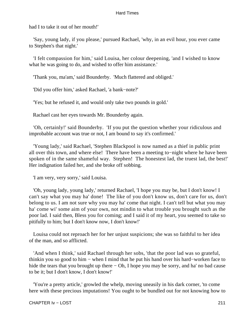had I to take it out of her mouth!'

 'Say, young lady, if you please,' pursued Rachael, 'why, in an evil hour, you ever came to Stephen's that night.'

 'I felt compassion for him,' said Louisa, her colour deepening, 'and I wished to know what he was going to do, and wished to offer him assistance.'

'Thank you, ma'am,' said Bounderby. 'Much flattered and obliged.'

'Did you offer him,' asked Rachael, 'a bank−note?'

'Yes; but he refused it, and would only take two pounds in gold.'

Rachael cast her eyes towards Mr. Bounderby again.

 'Oh, certainly!' said Bounderby. 'If you put the question whether your ridiculous and improbable account was true or not, I am bound to say it's confirmed.'

 'Young lady,' said Rachael, 'Stephen Blackpool is now named as a thief in public print all over this town, and where else! There have been a meeting to−night where he have been spoken of in the same shameful way. Stephen! The honestest lad, the truest lad, the best!' Her indignation failed her, and she broke off sobbing.

'I am very, very sorry,' said Louisa.

 'Oh, young lady, young lady,' returned Rachael, 'I hope you may be, but I don't know! I can't say what you may ha' done! The like of you don't know us, don't care for us, don't belong to us. I am not sure why you may ha' come that night. I can't tell but what you may ha' come wi' some aim of your own, not mindin to what trouble you brought such as the poor lad. I said then, Bless you for coming; and I said it of my heart, you seemed to take so pitifully to him; but I don't know now, I don't know!'

 Louisa could not reproach her for her unjust suspicions; she was so faithful to her idea of the man, and so afflicted.

 'And when I think,' said Rachael through her sobs, 'that the poor lad was so grateful, thinkin you so good to him − when I mind that he put his hand over his hard−worken face to hide the tears that you brought up there − Oh, I hope you may be sorry, and ha' no bad cause to be it; but I don't know, I don't know!'

 'You're a pretty article,' growled the whelp, moving uneasily in his dark corner, 'to come here with these precious imputations! You ought to be bundled out for not knowing how to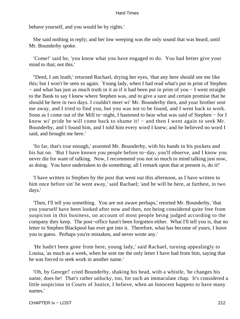behave yourself, and you would be by rights.'

 She said nothing in reply; and her low weeping was the only sound that was heard, until Mr. Bounderby spoke.

 'Come!' said he, 'you know what you have engaged to do. You had better give your mind to that; not this.'

 ''Deed, I am loath,' returned Rachael, drying her eyes, 'that any here should see me like this; but I won't be seen so again. Young lady, when I had read what's put in print of Stephen − and what has just as much truth in it as if it had been put in print of you − I went straight to the Bank to say I knew where Stephen was, and to give a sure and certain promise that he should be here in two days. I couldn't meet wi' Mr. Bounderby then, and your brother sent me away, and I tried to find you, but you was not to be found, and I went back to work. Soon as I come out of the Mill to−night, I hastened to hear what was said of Stephen − for I know wi' pride he will come back to shame it! − and then I went again to seek Mr. Bounderby, and I found him, and I told him every word I knew; and he believed no word I said, and brought me here.'

 'So far, that's true enough,' assented Mr. Bounderby, with his hands in his pockets and his hat on. 'But I have known you people before to−day, you'll observe, and I know you never die for want of talking. Now, I recommend you not so much to mind talking just now, as doing. You have undertaken to do something; all I remark upon that at present is, do it!'

 'I have written to Stephen by the post that went out this afternoon, as I have written to him once before sin' he went away,' said Rachael; 'and he will be here, at furthest, in two days.'

 'Then, I'll tell you something. You are not aware perhaps,' retorted Mr. Bounderby, 'that you yourself have been looked after now and then, not being considered quite free from suspicion in this business, on account of most people being judged according to the company they keep. The post−office hasn't been forgotten either. What I'll tell you is, that no letter to Stephen Blackpool has ever got into it. Therefore, what has become of yours, I leave you to guess. Perhaps you're mistaken, and never wrote any.'

 'He hadn't been gone from here, young lady,' said Rachael, turning appealingly to Louisa, 'as much as a week, when he sent me the only letter I have had from him, saying that he was forced to seek work in another name.'

 'Oh, by George!' cried Bounderby, shaking his head, with a whistle, 'he changes his name, does he! That's rather unlucky, too, for such an immaculate chap. It's considered a little suspicious in Courts of Justice, I believe, when an Innocent happens to have many names.'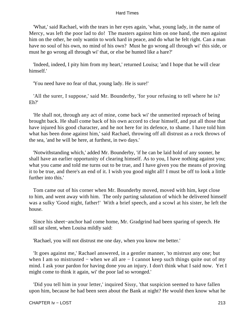'What,' said Rachael, with the tears in her eyes again, 'what, young lady, in the name of Mercy, was left the poor lad to do! The masters against him on one hand, the men against him on the other, he only wantin to work hard in peace, and do what he felt right. Can a man have no soul of his own, no mind of his own? Must he go wrong all through wi' this side, or must he go wrong all through wi' that, or else be hunted like a hare?'

 'Indeed, indeed, I pity him from my heart,' returned Louisa; 'and I hope that he will clear himself.'

'You need have no fear of that, young lady. He is sure!'

 'All the surer, I suppose,' said Mr. Bounderby, 'for your refusing to tell where he is? Eh?'

 'He shall not, through any act of mine, come back wi' the unmerited reproach of being brought back. He shall come back of his own accord to clear himself, and put all those that have injured his good character, and he not here for its defence, to shame. I have told him what has been done against him,' said Rachael, throwing off all distrust as a rock throws of the sea, 'and he will be here, at furthest, in two days.'

 'Notwithstanding which,' added Mr. Bounderby, 'if he can be laid hold of any sooner, he shall have an earlier opportunity of clearing himself. As to you, I have nothing against you; what you came and told me turns out to be true, and I have given you the means of proving it to be true, and there's an end of it. I wish you good night all! I must be off to look a little further into this.'

 Tom came out of his corner when Mr. Bounderby moved, moved with him, kept close to him, and went away with him. The only parting salutation of which he delivered himself was a sulky 'Good night, father!' With a brief speech, and a scowl at his sister, he left the house.

 Since his sheet−anchor had come home, Mr. Gradgrind had been sparing of speech. He still sat silent, when Louisa mildly said:

'Rachael, you will not distrust me one day, when you know me better.'

 'It goes against me,' Rachael answered, in a gentler manner, 'to mistrust any one; but when I am so mistrusted – when we all are – I cannot keep such things quite out of my mind. I ask your pardon for having done you an injury. I don't think what I said now. Yet I might come to think it again, wi' the poor lad so wronged.'

 'Did you tell him in your letter,' inquired Sissy, 'that suspicion seemed to have fallen upon him, because he had been seen about the Bank at night? He would then know what he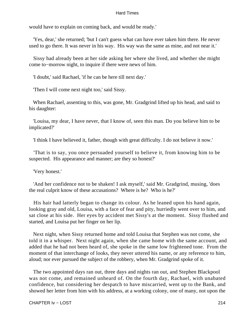would have to explain on coming back, and would be ready.'

 'Yes, dear,' she returned; 'but I can't guess what can have ever taken him there. He never used to go there. It was never in his way. His way was the same as mine, and not near it.'

 Sissy had already been at her side asking her where she lived, and whether she might come to−morrow night, to inquire if there were news of him.

'I doubt,' said Rachael, 'if he can be here till next day.'

'Then I will come next night too,' said Sissy.

 When Rachael, assenting to this, was gone, Mr. Gradgrind lifted up his head, and said to his daughter:

 'Louisa, my dear, I have never, that I know of, seen this man. Do you believe him to be implicated?'

'I think I have believed it, father, though with great difficulty. I do not believe it now.'

 'That is to say, you once persuaded yourself to believe it, from knowing him to be suspected. His appearance and manner; are they so honest?'

'Very honest.'

 'And her confidence not to be shaken! I ask myself,' said Mr. Gradgrind, musing, 'does the real culprit know of these accusations? Where is he? Who is he?'

 His hair had latterly began to change its colour. As he leaned upon his hand again, looking gray and old, Louisa, with a face of fear and pity, hurriedly went over to him, and sat close at his side. Her eyes by accident met Sissy's at the moment. Sissy flushed and started, and Louisa put her finger on her lip.

 Next night, when Sissy returned home and told Louisa that Stephen was not come, she told it in a whisper. Next night again, when she came home with the same account, and added that he had not been heard of, she spoke in the same low frightened tone. From the moment of that interchange of looks, they never uttered his name, or any reference to him, aloud; nor ever pursued the subject of the robbery, when Mr. Gradgrind spoke of it.

 The two appointed days ran out, three days and nights ran out, and Stephen Blackpool was not come, and remained unheard of. On the fourth day, Rachael, with unabated confidence, but considering her despatch to have miscarried, went up to the Bank, and showed her letter from him with his address, at a working colony, one of many, not upon the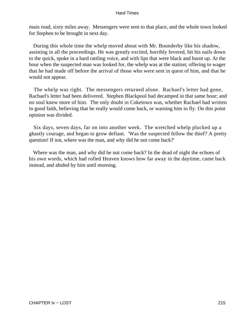main road, sixty miles away. Messengers were sent to that place, and the whole town looked for Stephen to be brought in next day.

 During this whole time the whelp moved about with Mr. Bounderby like his shadow, assisting in all the proceedings. He was greatly excited, horribly fevered, bit his nails down to the quick, spoke in a hard rattling voice, and with lips that were black and burnt up. At the hour when the suspected man was looked for, the whelp was at the station; offering to wager that he had made off before the arrival of those who were sent in quest of him, and that he would not appear.

 The whelp was right. The messengers returned alone. Rachael's letter had gone, Rachael's letter had been delivered. Stephen Blackpool had decamped in that same hour; and no soul knew more of him. The only doubt in Coketown was, whether Rachael had written in good faith, believing that he really would come back, or warning him to fly. On this point opinion was divided.

 Six days, seven days, far on into another week. The wretched whelp plucked up a ghastly courage, and began to grow defiant. 'Was the suspected fellow the thief? A pretty question! If not, where was the man, and why did he not come back?'

 Where was the man, and why did he not come back? In the dead of night the echoes of his own words, which had rolled Heaven knows how far away in the daytime, came back instead, and abided by him until morning.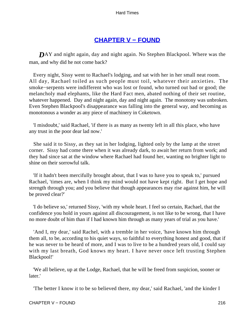# **[CHAPTER V − FOUND](#page-251-0)**

<span id="page-216-0"></span>**D**AY and night again, day and night again. No Stephen Blackpool. Where was the man, and why did he not come back?

 Every night, Sissy went to Rachael's lodging, and sat with her in her small neat room. All day, Rachael toiled as such people must toil, whatever their anxieties. The smoke−serpents were indifferent who was lost or found, who turned out bad or good; the melancholy mad elephants, like the Hard Fact men, abated nothing of their set routine, whatever happened. Day and night again, day and night again. The monotony was unbroken. Even Stephen Blackpool's disappearance was falling into the general way, and becoming as monotonous a wonder as any piece of machinery in Coketown.

 'I misdoubt,' said Rachael, 'if there is as many as twenty left in all this place, who have any trust in the poor dear lad now.'

 She said it to Sissy, as they sat in her lodging, lighted only by the lamp at the street corner. Sissy had come there when it was already dark, to await her return from work; and they had since sat at the window where Rachael had found her, wanting no brighter light to shine on their sorrowful talk.

 'If it hadn't been mercifully brought about, that I was to have you to speak to,' pursued Rachael, 'times are, when I think my mind would not have kept right. But I get hope and strength through you; and you believe that though appearances may rise against him, he will be proved clear?'

 'I do believe so,' returned Sissy, 'with my whole heart. I feel so certain, Rachael, that the confidence you hold in yours against all discouragement, is not like to be wrong, that I have no more doubt of him than if I had known him through as many years of trial as you have.'

 'And I, my dear,' said Rachel, with a tremble in her voice, 'have known him through them all, to be, according to his quiet ways, so faithful to everything honest and good, that if he was never to be heard of more, and I was to live to be a hundred years old, I could say with my last breath, God knows my heart. I have never once left trusting Stephen Blackpool!'

 'We all believe, up at the Lodge, Rachael, that he will be freed from suspicion, sooner or later.'

'The better I know it to be so believed there, my dear,' said Rachael, 'and the kinder I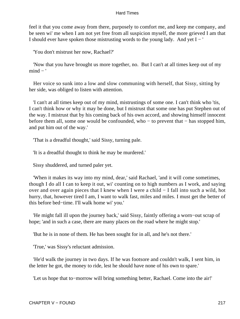feel it that you come away from there, purposely to comfort me, and keep me company, and be seen wi' me when I am not yet free from all suspicion myself, the more grieved I am that I should ever have spoken those mistrusting words to the young lady. And yet I − '

'You don't mistrust her now, Rachael?'

 'Now that you have brought us more together, no. But I can't at all times keep out of my  $mind - '$ 

 Her voice so sunk into a low and slow communing with herself, that Sissy, sitting by her side, was obliged to listen with attention.

 'I can't at all times keep out of my mind, mistrustings of some one. I can't think who 'tis, I can't think how or why it may be done, but I mistrust that some one has put Stephen out of the way. I mistrust that by his coming back of his own accord, and showing himself innocent before them all, some one would be confounded, who − to prevent that − has stopped him, and put him out of the way.'

'That is a dreadful thought,' said Sissy, turning pale.

'It is a dreadful thought to think he may be murdered.'

Sissy shuddered, and turned paler yet.

 'When it makes its way into my mind, dear,' said Rachael, 'and it will come sometimes, though I do all I can to keep it out, wi' counting on to high numbers as I work, and saying over and over again pieces that I knew when I were a child − I fall into such a wild, hot hurry, that, however tired I am, I want to walk fast, miles and miles. I must get the better of this before bed−time. I'll walk home wi' you.'

 'He might fall ill upon the journey back,' said Sissy, faintly offering a worn−out scrap of hope; 'and in such a case, there are many places on the road where he might stop.'

'But he is in none of them. He has been sought for in all, and he's not there.'

'True,' was Sissy's reluctant admission.

 'He'd walk the journey in two days. If he was footsore and couldn't walk, I sent him, in the letter he got, the money to ride, lest he should have none of his own to spare.'

'Let us hope that to−morrow will bring something better, Rachael. Come into the air!'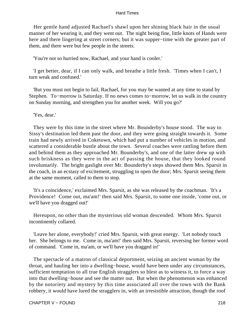Her gentle hand adjusted Rachael's shawl upon her shining black hair in the usual manner of her wearing it, and they went out. The night being fine, little knots of Hands were here and there lingering at street corners; but it was supper−time with the greater part of them, and there were but few people in the streets.

'You're not so hurried now, Rachael, and your hand is cooler.'

 'I get better, dear, if I can only walk, and breathe a little fresh. 'Times when I can't, I turn weak and confused.'

 'But you must not begin to fail, Rachael, for you may be wanted at any time to stand by Stephen. To−morrow is Saturday. If no news comes to−morrow, let us walk in the country on Sunday morning, and strengthen you for another week. Will you go?'

'Yes, dear.'

 They were by this time in the street where Mr. Bounderby's house stood. The way to Sissy's destination led them past the door, and they were going straight towards it. Some train had newly arrived in Coketown, which had put a number of vehicles in motion, and scattered a considerable bustle about the town. Several coaches were rattling before them and behind them as they approached Mr. Bounderby's, and one of the latter drew up with such briskness as they were in the act of passing the house, that they looked round involuntarily. The bright gaslight over Mr. Bounderby's steps showed them Mrs. Sparsit in the coach, in an ecstasy of excitement, struggling to open the door; Mrs. Sparsit seeing them at the same moment, called to them to stop.

 'It's a coincidence,' exclaimed Mrs. Sparsit, as she was released by the coachman. 'It's a Providence! Come out, ma'am!' then said Mrs. Sparsit, to some one inside, 'come out, or we'll have you dragged out!'

 Hereupon, no other than the mysterious old woman descended. Whom Mrs. Sparsit incontinently collared.

 'Leave her alone, everybody!' cried Mrs. Sparsit, with great energy. 'Let nobody touch her. She belongs to me. Come in, ma'am!' then said Mrs. Sparsit, reversing her former word of command. 'Come in, ma'am, or we'll have you dragged in!'

 The spectacle of a matron of classical deportment, seizing an ancient woman by the throat, and hauling her into a dwelling−house, would have been under any circumstances, sufficient temptation to all true English stragglers so blest as to witness it, to force a way into that dwelling−house and see the matter out. But when the phenomenon was enhanced by the notoriety and mystery by this time associated all over the town with the Bank robbery, it would have lured the stragglers in, with an irresistible attraction, though the roof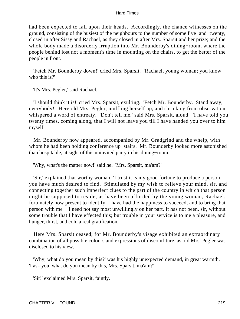had been expected to fall upon their heads. Accordingly, the chance witnesses on the ground, consisting of the busiest of the neighbours to the number of some five−and−twenty, closed in after Sissy and Rachael, as they closed in after Mrs. Sparsit and her prize; and the whole body made a disorderly irruption into Mr. Bounderby's dining−room, where the people behind lost not a moment's time in mounting on the chairs, to get the better of the people in front.

 'Fetch Mr. Bounderby down!' cried Mrs. Sparsit. 'Rachael, young woman; you know who this is?'

'It's Mrs. Pegler,' said Rachael.

 'I should think it is!' cried Mrs. Sparsit, exulting. 'Fetch Mr. Bounderby. Stand away, everybody!' Here old Mrs. Pegler, muffling herself up, and shrinking from observation, whispered a word of entreaty. 'Don't tell me,' said Mrs. Sparsit, aloud. 'I have told you twenty times, coming along, that I will not leave you till I have handed you over to him myself.'

 Mr. Bounderby now appeared, accompanied by Mr. Gradgrind and the whelp, with whom he had been holding conference up−stairs. Mr. Bounderby looked more astonished than hospitable, at sight of this uninvited party in his dining−room.

'Why, what's the matter now!' said he. 'Mrs. Sparsit, ma'am?'

 'Sir,' explained that worthy woman, 'I trust it is my good fortune to produce a person you have much desired to find. Stimulated by my wish to relieve your mind, sir, and connecting together such imperfect clues to the part of the country in which that person might be supposed to reside, as have been afforded by the young woman, Rachael, fortunately now present to identify, I have had the happiness to succeed, and to bring that person with me − I need not say most unwillingly on her part. It has not been, sir, without some trouble that I have effected this; but trouble in your service is to me a pleasure, and hunger, thirst, and cold a real gratification.'

 Here Mrs. Sparsit ceased; for Mr. Bounderby's visage exhibited an extraordinary combination of all possible colours and expressions of discomfiture, as old Mrs. Pegler was disclosed to his view.

 'Why, what do you mean by this?' was his highly unexpected demand, in great warmth. 'I ask you, what do you mean by this, Mrs. Sparsit, ma'am?'

'Sir!' exclaimed Mrs. Sparsit, faintly.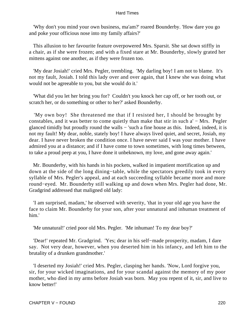'Why don't you mind your own business, ma'am?' roared Bounderby. 'How dare you go and poke your officious nose into my family affairs?'

 This allusion to her favourite feature overpowered Mrs. Sparsit. She sat down stiffly in a chair, as if she were frozen; and with a fixed stare at Mr. Bounderby, slowly grated her mittens against one another, as if they were frozen too.

 'My dear Josiah!' cried Mrs. Pegler, trembling. 'My darling boy! I am not to blame. It's not my fault, Josiah. I told this lady over and over again, that I knew she was doing what would not be agreeable to you, but she would do it.'

 'What did you let her bring you for? Couldn't you knock her cap off, or her tooth out, or scratch her, or do something or other to her?' asked Bounderby.

 'My own boy! She threatened me that if I resisted her, I should be brought by constables, and it was better to come quietly than make that stir in such a' − Mrs. Pegler glanced timidly but proudly round the walls − 'such a fine house as this. Indeed, indeed, it is not my fault! My dear, noble, stately boy! I have always lived quiet, and secret, Josiah, my dear. I have never broken the condition once. I have never said I was your mother. I have admired you at a distance; and if I have come to town sometimes, with long times between, to take a proud peep at you, I have done it unbeknown, my love, and gone away again.'

 Mr. Bounderby, with his hands in his pockets, walked in impatient mortification up and down at the side of the long dining−table, while the spectators greedily took in every syllable of Mrs. Pegler's appeal, and at each succeeding syllable became more and more round−eyed. Mr. Bounderby still walking up and down when Mrs. Pegler had done, Mr. Gradgrind addressed that maligned old lady:

 'I am surprised, madam,' he observed with severity, 'that in your old age you have the face to claim Mr. Bounderby for your son, after your unnatural and inhuman treatment of him.'

'Me unnatural!' cried poor old Mrs. Pegler. 'Me inhuman! To my dear boy?'

 'Dear!' repeated Mr. Gradgrind. 'Yes; dear in his self−made prosperity, madam, I dare say. Not very dear, however, when you deserted him in his infancy, and left him to the brutality of a drunken grandmother.'

 'I deserted my Josiah!' cried Mrs. Pegler, clasping her hands. 'Now, Lord forgive you, sir, for your wicked imaginations, and for your scandal against the memory of my poor mother, who died in my arms before Josiah was born. May you repent of it, sir, and live to know better!'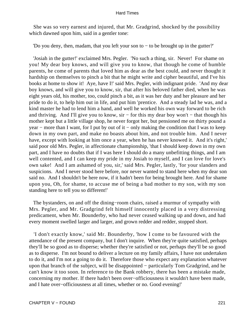She was so very earnest and injured, that Mr. Gradgrind, shocked by the possibility which dawned upon him, said in a gentler tone:

'Do you deny, then, madam, that you left your son to − to be brought up in the gutter?'

 'Josiah in the gutter!' exclaimed Mrs. Pegler. 'No such a thing, sir. Never! For shame on you! My dear boy knows, and will give you to know, that though he come of humble parents, he come of parents that loved him as dear as the best could, and never thought it hardship on themselves to pinch a bit that he might write and cipher beautiful, and I've his books at home to show it! Aye, have I!' said Mrs. Pegler, with indignant pride. 'And my dear boy knows, and will give you to know, sir, that after his beloved father died, when he was eight years old, his mother, too, could pinch a bit, as it was her duty and her pleasure and her pride to do it, to help him out in life, and put him 'prentice. And a steady lad he was, and a kind master he had to lend him a hand, and well he worked his own way forward to be rich and thriving. And I'll give you to know, sir − for this my dear boy won't − that though his mother kept but a little village shop, he never forgot her, but pensioned me on thirty pound a year – more than I want, for I put by out of it – only making the condition that I was to keep down in my own part, and make no boasts about him, and not trouble him. And I never have, except with looking at him once a year, when he has never knowed it. And it's right,' said poor old Mrs. Pegler, in affectionate championship, 'that I should keep down in my own part, and I have no doubts that if I was here I should do a many unbefitting things, and I am well contented, and I can keep my pride in my Josiah to myself, and I can love for love's own sake! And I am ashamed of you, sir,' said Mrs. Pegler, lastly, 'for your slanders and suspicions. And I never stood here before, nor never wanted to stand here when my dear son said no. And I shouldn't be here now, if it hadn't been for being brought here. And for shame upon you, Oh, for shame, to accuse me of being a bad mother to my son, with my son standing here to tell you so different!'

 The bystanders, on and off the dining−room chairs, raised a murmur of sympathy with Mrs. Pegler, and Mr. Gradgrind felt himself innocently placed in a very distressing predicament, when Mr. Bounderby, who had never ceased walking up and down, and had every moment swelled larger and larger, and grown redder and redder, stopped short.

 'I don't exactly know,' said Mr. Bounderby, 'how I come to be favoured with the attendance of the present company, but I don't inquire. When they're quite satisfied, perhaps they'll be so good as to disperse; whether they're satisfied or not, perhaps they'll be so good as to disperse. I'm not bound to deliver a lecture on my family affairs, I have not undertaken to do it, and I'm not a going to do it. Therefore those who expect any explanation whatever upon that branch of the subject, will be disappointed − particularly Tom Gradgrind, and he can't know it too soon. In reference to the Bank robbery, there has been a mistake made, concerning my mother. If there hadn't been over−officiousness it wouldn't have been made, and I hate over−officiousness at all times, whether or no. Good evening!'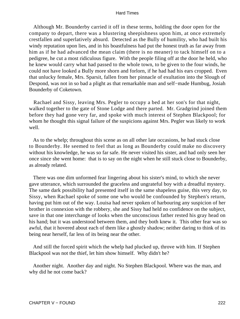Although Mr. Bounderby carried it off in these terms, holding the door open for the company to depart, there was a blustering sheepishness upon him, at once extremely crestfallen and superlatively absurd. Detected as the Bully of humility, who had built his windy reputation upon lies, and in his boastfulness had put the honest truth as far away from him as if he had advanced the mean claim (there is no meaner) to tack himself on to a pedigree, he cut a most ridiculous figure. With the people filing off at the door he held, who he knew would carry what had passed to the whole town, to be given to the four winds, he could not have looked a Bully more shorn and forlorn, if he had had his ears cropped. Even that unlucky female, Mrs. Sparsit, fallen from her pinnacle of exultation into the Slough of Despond, was not in so bad a plight as that remarkable man and self−made Humbug, Josiah Bounderby of Coketown.

 Rachael and Sissy, leaving Mrs. Pegler to occupy a bed at her son's for that night, walked together to the gate of Stone Lodge and there parted. Mr. Gradgrind joined them before they had gone very far, and spoke with much interest of Stephen Blackpool; for whom he thought this signal failure of the suspicions against Mrs. Pegler was likely to work well.

 As to the whelp; throughout this scene as on all other late occasions, he had stuck close to Bounderby. He seemed to feel that as long as Bounderby could make no discovery without his knowledge, he was so far safe. He never visited his sister, and had only seen her once since she went home: that is to say on the night when he still stuck close to Bounderby, as already related.

 There was one dim unformed fear lingering about his sister's mind, to which she never gave utterance, which surrounded the graceless and ungrateful boy with a dreadful mystery. The same dark possibility had presented itself in the same shapeless guise, this very day, to Sissy, when Rachael spoke of some one who would be confounded by Stephen's return, having put him out of the way. Louisa had never spoken of harbouring any suspicion of her brother in connexion with the robbery, she and Sissy had held no confidence on the subject, save in that one interchange of looks when the unconscious father rested his gray head on his hand; but it was understood between them, and they both knew it. This other fear was so awful, that it hovered about each of them like a ghostly shadow; neither daring to think of its being near herself, far less of its being near the other.

 And still the forced spirit which the whelp had plucked up, throve with him. If Stephen Blackpool was not the thief, let him show himself. Why didn't he?

 Another night. Another day and night. No Stephen Blackpool. Where was the man, and why did he not come back?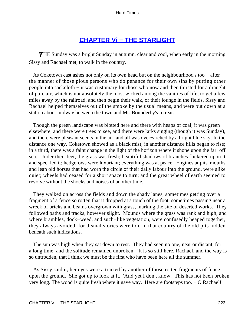# **[CHAPTER Vi − THE STARLIGHT](#page-251-0)**

<span id="page-223-0"></span>**THE Sunday was a bright Sunday in autumn, clear and cool, when early in the morning** Sissy and Rachael met, to walk in the country.

 As Coketown cast ashes not only on its own head but on the neighbourhood's too − after the manner of those pious persons who do penance for their own sins by putting other people into sackcloth − it was customary for those who now and then thirsted for a draught of pure air, which is not absolutely the most wicked among the vanities of life, to get a few miles away by the railroad, and then begin their walk, or their lounge in the fields. Sissy and Rachael helped themselves out of the smoke by the usual means, and were put down at a station about midway between the town and Mr. Bounderby's retreat.

 Though the green landscape was blotted here and there with heaps of coal, it was green elsewhere, and there were trees to see, and there were larks singing (though it was Sunday), and there were pleasant scents in the air, and all was over−arched by a bright blue sky. In the distance one way, Coketown showed as a black mist; in another distance hills began to rise; in a third, there was a faint change in the light of the horizon where it shone upon the far−off sea. Under their feet, the grass was fresh; beautiful shadows of branches flickered upon it, and speckled it; hedgerows were luxuriant; everything was at peace. Engines at pits' mouths, and lean old horses that had worn the circle of their daily labour into the ground, were alike quiet; wheels had ceased for a short space to turn; and the great wheel of earth seemed to revolve without the shocks and noises of another time.

 They walked on across the fields and down the shady lanes, sometimes getting over a fragment of a fence so rotten that it dropped at a touch of the foot, sometimes passing near a wreck of bricks and beams overgrown with grass, marking the site of deserted works. They followed paths and tracks, however slight. Mounds where the grass was rank and high, and where brambles, dock−weed, and such−like vegetation, were confusedly heaped together, they always avoided; for dismal stories were told in that country of the old pits hidden beneath such indications.

 The sun was high when they sat down to rest. They had seen no one, near or distant, for a long time; and the solitude remained unbroken. 'It is so still here, Rachael, and the way is so untrodden, that I think we must be the first who have been here all the summer.'

 As Sissy said it, her eyes were attracted by another of those rotten fragments of fence upon the ground. She got up to look at it. 'And yet I don't know. This has not been broken very long. The wood is quite fresh where it gave way. Here are footsteps too. − O Rachael!'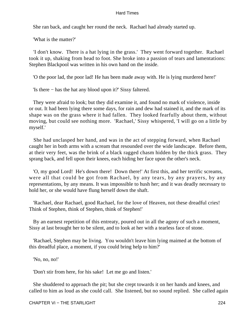She ran back, and caught her round the neck. Rachael had already started up.

'What is the matter?'

 'I don't know. There is a hat lying in the grass.' They went forward together. Rachael took it up, shaking from head to foot. She broke into a passion of tears and lamentations: Stephen Blackpool was written in his own hand on the inside.

'O the poor lad, the poor lad! He has been made away with. He is lying murdered here!'

'Is there − has the hat any blood upon it?' Sissy faltered.

 They were afraid to look; but they did examine it, and found no mark of violence, inside or out. It had been lying there some days, for rain and dew had stained it, and the mark of its shape was on the grass where it had fallen. They looked fearfully about them, without moving, but could see nothing more. 'Rachael,' Sissy whispered, 'I will go on a little by myself.'

 She had unclasped her hand, and was in the act of stepping forward, when Rachael caught her in both arms with a scream that resounded over the wide landscape. Before them, at their very feet, was the brink of a black ragged chasm hidden by the thick grass. They sprang back, and fell upon their knees, each hiding her face upon the other's neck.

 'O, my good Lord! He's down there! Down there!' At first this, and her terrific screams, were all that could be got from Rachael, by any tears, by any prayers, by any representations, by any means. It was impossible to hush her; and it was deadly necessary to hold her, or she would have flung herself down the shaft.

 'Rachael, dear Rachael, good Rachael, for the love of Heaven, not these dreadful cries! Think of Stephen, think of Stephen, think of Stephen!'

 By an earnest repetition of this entreaty, poured out in all the agony of such a moment, Sissy at last brought her to be silent, and to look at her with a tearless face of stone.

 'Rachael, Stephen may be living. You wouldn't leave him lying maimed at the bottom of this dreadful place, a moment, if you could bring help to him?'

'No, no, no!'

'Don't stir from here, for his sake! Let me go and listen.'

 She shuddered to approach the pit; but she crept towards it on her hands and knees, and called to him as loud as she could call. She listened, but no sound replied. She called again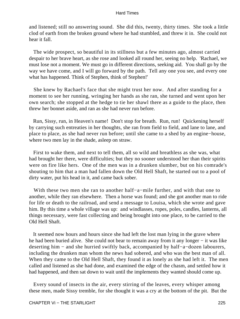and listened; still no answering sound. She did this, twenty, thirty times. She took a little clod of earth from the broken ground where he had stumbled, and threw it in. She could not hear it fall.

 The wide prospect, so beautiful in its stillness but a few minutes ago, almost carried despair to her brave heart, as she rose and looked all round her, seeing no help. 'Rachael, we must lose not a moment. We must go in different directions, seeking aid. You shall go by the way we have come, and I will go forward by the path. Tell any one you see, and every one what has happened. Think of Stephen, think of Stephen!'

 She knew by Rachael's face that she might trust her now. And after standing for a moment to see her running, wringing her hands as she ran, she turned and went upon her own search; she stopped at the hedge to tie her shawl there as a guide to the place, then threw her bonnet aside, and ran as she had never run before.

 Run, Sissy, run, in Heaven's name! Don't stop for breath. Run, run! Quickening herself by carrying such entreaties in her thoughts, she ran from field to field, and lane to lane, and place to place, as she had never run before; until she came to a shed by an engine−house, where two men lay in the shade, asleep on straw.

 First to wake them, and next to tell them, all so wild and breathless as she was, what had brought her there, were difficulties; but they no sooner understood her than their spirits were on fire like hers. One of the men was in a drunken slumber, but on his comrade's shouting to him that a man had fallen down the Old Hell Shaft, he started out to a pool of dirty water, put his head in it, and came back sober.

 With these two men she ran to another half−a−mile further, and with that one to another, while they ran elsewhere. Then a horse was found; and she got another man to ride for life or death to the railroad, and send a message to Louisa, which she wrote and gave him. By this time a whole village was up: and windlasses, ropes, poles, candles, lanterns, all things necessary, were fast collecting and being brought into one place, to be carried to the Old Hell Shaft.

 It seemed now hours and hours since she had left the lost man lying in the grave where he had been buried alive. She could not bear to remain away from it any longer – it was like deserting him − and she hurried swiftly back, accompanied by half−a−dozen labourers, including the drunken man whom the news had sobered, and who was the best man of all. When they came to the Old Hell Shaft, they found it as lonely as she had left it. The men called and listened as she had done, and examined the edge of the chasm, and settled how it had happened, and then sat down to wait until the implements they wanted should come up.

 Every sound of insects in the air, every stirring of the leaves, every whisper among these men, made Sissy tremble, for she thought it was a cry at the bottom of the pit. But the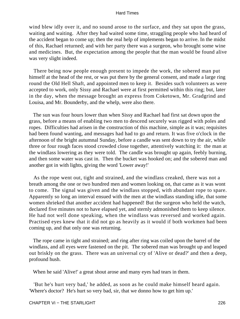wind blew idly over it, and no sound arose to the surface, and they sat upon the grass, waiting and waiting. After they had waited some time, straggling people who had heard of the accident began to come up; then the real help of implements began to arrive. In the midst of this, Rachael returned; and with her party there was a surgeon, who brought some wine and medicines. But, the expectation among the people that the man would be found alive was very slight indeed.

 There being now people enough present to impede the work, the sobered man put himself at the head of the rest, or was put there by the general consent, and made a large ring round the Old Hell Shaft, and appointed men to keep it. Besides such volunteers as were accepted to work, only Sissy and Rachael were at first permitted within this ring; but, later in the day, when the message brought an express from Coketown, Mr. Gradgrind and Louisa, and Mr. Bounderby, and the whelp, were also there.

 The sun was four hours lower than when Sissy and Rachael had first sat down upon the grass, before a means of enabling two men to descend securely was rigged with poles and ropes. Difficulties had arisen in the construction of this machine, simple as it was; requisites had been found wanting, and messages had had to go and return. It was five o'clock in the afternoon of the bright autumnal Sunday, before a candle was sent down to try the air, while three or four rough faces stood crowded close together, attentively watching it: the man at the windlass lowering as they were told. The candle was brought up again, feebly burning, and then some water was cast in. Then the bucket was hooked on; and the sobered man and another got in with lights, giving the word 'Lower away!'

 As the rope went out, tight and strained, and the windlass creaked, there was not a breath among the one or two hundred men and women looking on, that came as it was wont to come. The signal was given and the windlass stopped, with abundant rope to spare. Apparently so long an interval ensued with the men at the windlass standing idle, that some women shrieked that another accident had happened! But the surgeon who held the watch, declared five minutes not to have elapsed yet, and sternly admonished them to keep silence. He had not well done speaking, when the windlass was reversed and worked again. Practised eyes knew that it did not go as heavily as it would if both workmen had been coming up, and that only one was returning.

 The rope came in tight and strained; and ring after ring was coiled upon the barrel of the windlass, and all eyes were fastened on the pit. The sobered man was brought up and leaped out briskly on the grass. There was an universal cry of 'Alive or dead?' and then a deep, profound hush.

When he said 'Alive!' a great shout arose and many eyes had tears in them.

 'But he's hurt very bad,' he added, as soon as he could make himself heard again. 'Where's doctor? He's hurt so very bad, sir, that we donno how to get him up.'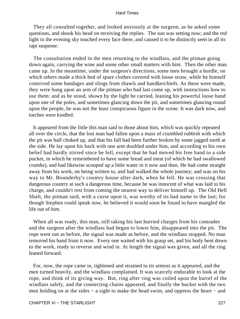They all consulted together, and looked anxiously at the surgeon, as he asked some questions, and shook his head on receiving the replies. The sun was setting now; and the red light in the evening sky touched every face there, and caused it to be distinctly seen in all its rapt suspense.

 The consultation ended in the men returning to the windlass, and the pitman going down again, carrying the wine and some other small matters with him. Then the other man came up. In the meantime, under the surgeon's directions, some men brought a hurdle, on which others made a thick bed of spare clothes covered with loose straw, while he himself contrived some bandages and slings from shawls and handkerchiefs. As these were made, they were hung upon an arm of the pitman who had last come up, with instructions how to use them: and as he stood, shown by the light he carried, leaning his powerful loose hand upon one of the poles, and sometimes glancing down the pit, and sometimes glancing round upon the people, he was not the least conspicuous figure in the scene. It was dark now, and torches were kindled.

 It appeared from the little this man said to those about him, which was quickly repeated all over the circle, that the lost man had fallen upon a mass of crumbled rubbish with which the pit was half choked up, and that his fall had been further broken by some jagged earth at the side. He lay upon his back with one arm doubled under him, and according to his own belief had hardly stirred since he fell, except that he had moved his free hand to a side pocket, in which he remembered to have some bread and meat (of which he had swallowed crumbs), and had likewise scooped up a little water in it now and then. He had come straight away from his work, on being written to, and had walked the whole journey; and was on his way to Mr. Bounderby's country house after dark, when he fell. He was crossing that dangerous country at such a dangerous time, because he was innocent of what was laid to his charge, and couldn't rest from coming the nearest way to deliver himself up. The Old Hell Shaft, the pitman said, with a curse upon it, was worthy of its bad name to the last; for though Stephen could speak now, he believed it would soon be found to have mangled the life out of him.

 When all was ready, this man, still taking his last hurried charges from his comrades and the surgeon after the windlass had begun to lower him, disappeared into the pit. The rope went out as before, the signal was made as before, and the windlass stopped. No man removed his hand from it now. Every one waited with his grasp set, and his body bent down to the work, ready to reverse and wind in. At length the signal was given, and all the ring leaned forward.

 For, now, the rope came in, tightened and strained to its utmost as it appeared, and the men turned heavily, and the windlass complained. It was scarcely endurable to look at the rope, and think of its giving way. But, ring after ring was coiled upon the barrel of the windlass safely, and the connecting chains appeared, and finally the bucket with the two men holding on at the sides – a sight to make the head swim, and oppress the heart – and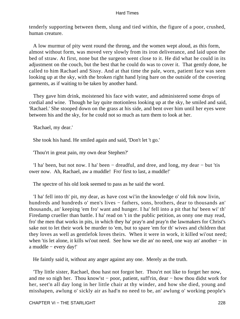tenderly supporting between them, slung and tied within, the figure of a poor, crushed, human creature.

 A low murmur of pity went round the throng, and the women wept aloud, as this form, almost without form, was moved very slowly from its iron deliverance, and laid upon the bed of straw. At first, none but the surgeon went close to it. He did what he could in its adjustment on the couch, but the best that he could do was to cover it. That gently done, he called to him Rachael and Sissy. And at that time the pale, worn, patient face was seen looking up at the sky, with the broken right hand lying bare on the outside of the covering garments, as if waiting to be taken by another hand.

 They gave him drink, moistened his face with water, and administered some drops of cordial and wine. Though he lay quite motionless looking up at the sky, he smiled and said, 'Rachael.' She stooped down on the grass at his side, and bent over him until her eyes were between his and the sky, for he could not so much as turn them to look at her.

'Rachael, my dear.'

She took his hand. He smiled again and said, 'Don't let 't go.'

'Thou'rt in great pain, my own dear Stephen?'

 'I ha' been, but not now. I ha' been − dreadful, and dree, and long, my dear − but 'tis ower now. Ah, Rachael, aw a muddle! Fro' first to last, a muddle!'

The spectre of his old look seemed to pass as he said the word.

 'I ha' fell into th' pit, my dear, as have cost wi'in the knowledge o' old fok now livin, hundreds and hundreds o' men's lives − fathers, sons, brothers, dear to thousands an' thousands, an' keeping 'em fro' want and hunger. I ha' fell into a pit that ha' been wi' th' Firedamp crueller than battle. I ha' read on 't in the public petition, as onny one may read, fro' the men that works in pits, in which they ha' pray'n and pray'n the lawmakers for Christ's sake not to let their work be murder to 'em, but to spare 'em for th' wives and children that they loves as well as gentlefok loves theirs. When it were in work, it killed wi'out need; when 'tis let alone, it kills wi'out need. See how we die an' no need, one way an' another − in a muddle − every day!'

He faintly said it, without any anger against any one. Merely as the truth.

 'Thy little sister, Rachael, thou hast not forgot her. Thou'rt not like to forget her now, and me so nigh her. Thou know'st − poor, patient, suff'rin, dear − how thou didst work for her, seet'n all day long in her little chair at thy winder, and how she died, young and misshapen, awlung o' sickly air as had'n no need to be, an' awlung o' working people's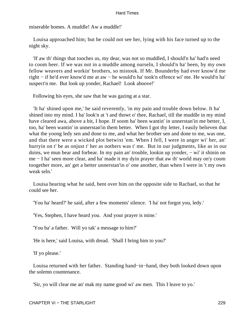miserable homes. A muddle! Aw a muddle!'

 Louisa approached him; but he could not see her, lying with his face turned up to the night sky.

 'If aw th' things that tooches us, my dear, was not so muddled, I should'n ha' had'n need to coom heer. If we was not in a muddle among ourseln, I should'n ha' been, by my own fellow weavers and workin' brothers, so mistook. If Mr. Bounderby had ever know'd me right − if he'd ever know'd me at aw − he would'n ha' took'n offence wi' me. He would'n ha' suspect'n me. But look up yonder, Rachael! Look aboove!'

Following his eyes, she saw that he was gazing at a star.

 'It ha' shined upon me,' he said reverently, 'in my pain and trouble down below. It ha' shined into my mind. I ha' look'n at 't and thowt o' thee, Rachael, till the muddle in my mind have cleared awa, above a bit, I hope. If soom ha' been wantin' in unnerstan'in me better, I, too, ha' been wantin' in unnerstan'in them better. When I got thy letter, I easily believen that what the yoong ledy sen and done to me, and what her brother sen and done to me, was one, and that there were a wicked plot betwixt 'em. When I fell, I were in anger wi' her, an' hurryin on t' be as onjust t' her as oothers was t' me. But in our judgments, like as in our doins, we mun bear and forbear. In my pain an' trouble, lookin up yonder, − wi' it shinin on me − I ha' seen more clear, and ha' made it my dyin prayer that aw th' world may on'y coom toogether more, an' get a better unnerstan'in o' one another, than when I were in 't my own weak seln.'

 Louisa hearing what he said, bent over him on the opposite side to Rachael, so that he could see her.

'You ha' heard?' he said, after a few moments' silence. 'I ha' not forgot you, ledy.'

'Yes, Stephen, I have heard you. And your prayer is mine.'

'You ha' a father. Will yo tak' a message to him?'

'He is here,' said Louisa, with dread. 'Shall I bring him to you?'

'If yo please.'

 Louisa returned with her father. Standing hand−in−hand, they both looked down upon the solemn countenance.

'Sir, yo will clear me an' mak my name good wi' aw men. This I leave to yo.'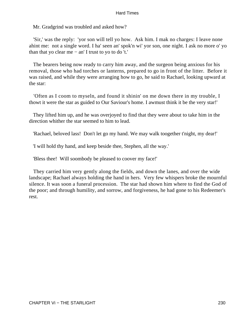Mr. Gradgrind was troubled and asked how?

 'Sir,' was the reply: 'yor son will tell yo how. Ask him. I mak no charges: I leave none ahint me: not a single word. I ha' seen an' spok'n wi' yor son, one night. I ask no more o' yo than that yo clear me − an' I trust to yo to do 't.'

 The bearers being now ready to carry him away, and the surgeon being anxious for his removal, those who had torches or lanterns, prepared to go in front of the litter. Before it was raised, and while they were arranging how to go, he said to Rachael, looking upward at the star:

 'Often as I coom to myseln, and found it shinin' on me down there in my trouble, I thowt it were the star as guided to Our Saviour's home. I awmust think it be the very star!'

 They lifted him up, and he was overjoyed to find that they were about to take him in the direction whither the star seemed to him to lead.

'Rachael, beloved lass! Don't let go my hand. We may walk toogether t'night, my dear!'

'I will hold thy hand, and keep beside thee, Stephen, all the way.'

'Bless thee! Will soombody be pleased to coover my face!'

 They carried him very gently along the fields, and down the lanes, and over the wide landscape; Rachael always holding the hand in hers. Very few whispers broke the mournful silence. It was soon a funeral procession. The star had shown him where to find the God of the poor; and through humility, and sorrow, and forgiveness, he had gone to his Redeemer's rest.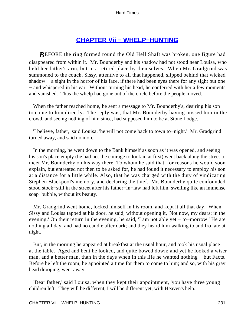# **[CHAPTER Vii − WHELP−HUNTING](#page-251-0)**

<span id="page-231-0"></span>*BEFORE* the ring formed round the Old Hell Shaft was broken, one figure had disappeared from within it. Mr. Bounderby and his shadow had not stood near Louisa, who held her father's arm, but in a retired place by themselves. When Mr. Gradgrind was summoned to the couch, Sissy, attentive to all that happened, slipped behind that wicked shadow − a sight in the horror of his face, if there had been eyes there for any sight but one − and whispered in his ear. Without turning his head, he conferred with her a few moments, and vanished. Thus the whelp had gone out of the circle before the people moved.

 When the father reached home, he sent a message to Mr. Bounderby's, desiring his son to come to him directly. The reply was, that Mr. Bounderby having missed him in the crowd, and seeing nothing of him since, had supposed him to be at Stone Lodge.

 'I believe, father,' said Louisa, 'he will not come back to town to−night.' Mr. Gradgrind turned away, and said no more.

 In the morning, he went down to the Bank himself as soon as it was opened, and seeing his son's place empty (he had not the courage to look in at first) went back along the street to meet Mr. Bounderby on his way there. To whom he said that, for reasons he would soon explain, but entreated not then to be asked for, he had found it necessary to employ his son at a distance for a little while. Also, that he was charged with the duty of vindicating Stephen Blackpool's memory, and declaring the thief. Mr. Bounderby quite confounded, stood stock−still in the street after his father−in−law had left him, swelling like an immense soap−bubble, without its beauty.

 Mr. Gradgrind went home, locked himself in his room, and kept it all that day. When Sissy and Louisa tapped at his door, he said, without opening it, 'Not now, my dears; in the evening.' On their return in the evening, he said, 'I am not able yet − to−morrow.' He ate nothing all day, and had no candle after dark; and they heard him walking to and fro late at night.

 But, in the morning he appeared at breakfast at the usual hour, and took his usual place at the table. Aged and bent he looked, and quite bowed down; and yet he looked a wiser man, and a better man, than in the days when in this life he wanted nothing – but Facts. Before he left the room, he appointed a time for them to come to him; and so, with his gray head drooping, went away.

 'Dear father,' said Louisa, when they kept their appointment, 'you have three young children left. They will be different, I will be different yet, with Heaven's help.'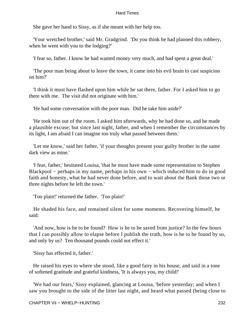She gave her hand to Sissy, as if she meant with her help too.

 'Your wretched brother,' said Mr. Gradgrind. 'Do you think he had planned this robbery, when he went with you to the lodging?'

'I fear so, father. I know he had wanted money very much, and had spent a great deal.'

 'The poor man being about to leave the town, it came into his evil brain to cast suspicion on him?'

 'I think it must have flashed upon him while he sat there, father. For I asked him to go there with me. The visit did not originate with him.'

'He had some conversation with the poor man. Did he take him aside?'

 'He took him out of the room. I asked him afterwards, why he had done so, and he made a plausible excuse; but since last night, father, and when I remember the circumstances by its light, I am afraid I can imagine too truly what passed between them.'

 'Let me know,' said her father, 'if your thoughts present your guilty brother in the same dark view as mine.'

 'I fear, father,' hesitated Louisa, 'that he must have made some representation to Stephen Blackpool − perhaps in my name, perhaps in his own − which induced him to do in good faith and honesty, what he had never done before, and to wait about the Bank those two or three nights before he left the town.'

'Too plain!' returned the father. 'Too plain!'

 He shaded his face, and remained silent for some moments. Recovering himself, he said:

 'And now, how is he to be found? How is he to be saved from justice? In the few hours that I can possibly allow to elapse before I publish the truth, how is he to be found by us, and only by us? Ten thousand pounds could not effect it.'

'Sissy has effected it, father.'

 He raised his eyes to where she stood, like a good fairy in his house, and said in a tone of softened gratitude and grateful kindness, 'It is always you, my child!'

 'We had our fears,' Sissy explained, glancing at Louisa, 'before yesterday; and when I saw you brought to the side of the litter last night, and heard what passed (being close to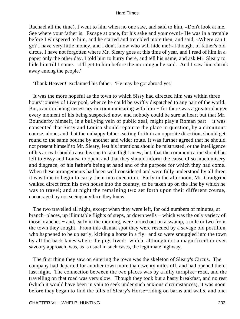Rachael all the time), I went to him when no one saw, and said to him, «Don't look at me. See where your father is. Escape at once, for his sake and your own!» He was in a tremble before I whispered to him, and he started and trembled more then, and said, «Where can I go? I have very little money, and I don't know who will hide me!» I thought of father's old circus. I have not forgotten where Mr. Sleary goes at this time of year, and I read of him in a paper only the other day. I told him to hurry there, and tell his name, and ask Mr. Sleary to hide him till I came. «I'll get to him before the morning,» he said. And I saw him shrink away among the people.'

'Thank Heaven!' exclaimed his father. 'He may be got abroad yet.'

 It was the more hopeful as the town to which Sissy had directed him was within three hours' journey of Liverpool, whence he could be swiftly dispatched to any part of the world. But, caution being necessary in communicating with him − for there was a greater danger every moment of his being suspected now, and nobody could be sure at heart but that Mr. Bounderby himself, in a bullying vein of public zeal, might play a Roman part − it was consented that Sissy and Louisa should repair to the place in question, by a circuitous course, alone; and that the unhappy father, setting forth in an opposite direction, should get round to the same bourne by another and wider route. It was further agreed that he should not present himself to Mr. Sleary, lest his intentions should be mistrusted, or the intelligence of his arrival should cause his son to take flight anew; but, that the communication should be left to Sissy and Louisa to open; and that they should inform the cause of so much misery and disgrace, of his father's being at hand and of the purpose for which they had come. When these arrangements had been well considered and were fully understood by all three, it was time to begin to carry them into execution. Early in the afternoon, Mr. Gradgrind walked direct from his own house into the country, to be taken up on the line by which he was to travel; and at night the remaining two set forth upon their different course, encouraged by not seeing any face they knew.

 The two travelled all night, except when they were left, for odd numbers of minutes, at branch−places, up illimitable flights of steps, or down wells − which was the only variety of those branches − and, early in the morning, were turned out on a swamp, a mile or two from the town they sought. From this dismal spot they were rescued by a savage old postilion, who happened to be up early, kicking a horse in a fly: and so were smuggled into the town by all the back lanes where the pigs lived: which, although not a magnificent or even savoury approach, was, as is usual in such cases, the legitimate highway.

 The first thing they saw on entering the town was the skeleton of Sleary's Circus. The company had departed for another town more than twenty miles off, and had opened there last night. The connection between the two places was by a hilly turnpike−road, and the travelling on that road was very slow. Though they took but a hasty breakfast, and no rest (which it would have been in vain to seek under such anxious circumstances), it was noon before they began to find the bills of Sleary's Horse−riding on barns and walls, and one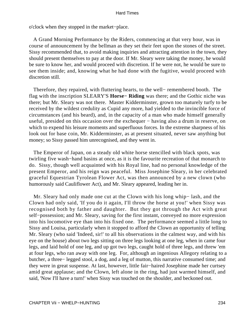o'clock when they stopped in the market−place.

 A Grand Morning Performance by the Riders, commencing at that very hour, was in course of announcement by the bellman as they set their feet upon the stones of the street. Sissy recommended that, to avoid making inquiries and attracting attention in the town, they should present themselves to pay at the door. If Mr. Sleary were taking the money, he would be sure to know her, and would proceed with discretion. If he were not, he would be sure to see them inside; and, knowing what he had done with the fugitive, would proceed with discretion still.

 Therefore, they repaired, with fluttering hearts, to the well− remembered booth. The flag with the inscription SLEARY'S **Horse− Riding** was there; and the Gothic niche was there; but Mr. Sleary was not there. Master Kidderminster, grown too maturely turfy to be received by the wildest credulity as Cupid any more, had yielded to the invincible force of circumstances (and his beard), and, in the capacity of a man who made himself generally useful, presided on this occasion over the exchequer – having also a drum in reserve, on which to expend his leisure moments and superfluous forces. In the extreme sharpness of his look out for base coin, Mr. Kidderminster, as at present situated, never saw anything but money; so Sissy passed him unrecognised, and they went in.

 The Emperor of Japan, on a steady old white horse stencilled with black spots, was twirling five wash−hand basins at once, as it is the favourite recreation of that monarch to do. Sissy, though well acquainted with his Royal line, had no personal knowledge of the present Emperor, and his reign was peaceful. Miss Josephine Sleary, in her celebrated graceful Equestrian Tyrolean Flower Act, was then announced by a new clown (who humorously said Cauliflower Act), and Mr. Sleary appeared, leading her in.

 Mr. Sleary had only made one cut at the Clown with his long whip− lash, and the Clown had only said, 'If you do it again, I'll throw the horse at you!' when Sissy was recognised both by father and daughter. But they got through the Act with great self−possession; and Mr. Sleary, saving for the first instant, conveyed no more expression into his locomotive eye than into his fixed one. The performance seemed a little long to Sissy and Louisa, particularly when it stopped to afford the Clown an opportunity of telling Mr. Sleary (who said 'Indeed, sir!' to all his observations in the calmest way, and with his eye on the house) about two legs sitting on three legs looking at one leg, when in came four legs, and laid hold of one leg, and up got two legs, caught hold of three legs, and threw 'em at four legs, who ran away with one leg. For, although an ingenious Allegory relating to a butcher, a three− legged stool, a dog, and a leg of mutton, this narrative consumed time; and they were in great suspense. At last, however, little fair−haired Josephine made her curtsey amid great applause; and the Clown, left alone in the ring, had just warmed himself, and said, 'Now I'll have a turn!' when Sissy was touched on the shoulder, and beckoned out.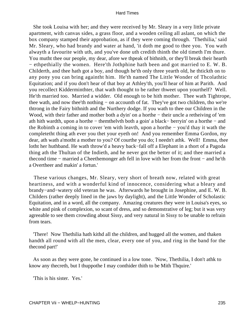She took Louisa with her; and they were received by Mr. Sleary in a very little private apartment, with canvas sides, a grass floor, and a wooden ceiling all aslant, on which the box company stamped their approbation, as if they were coming through. 'Thethilia,' said Mr. Sleary, who had brandy and water at hand, 'it doth me good to thee you. You wath alwayth a favourite with uth, and you've done uth credith thinth the old timeth I'm thure. You mutht thee our people, my dear, afore we thpeak of bithnith, or they'll break their hearth − ethpethially the women. Here'th Jothphine hath been and got married to E. W. B. Childerth, and thee hath got a boy, and though he'th only three yearth old, he thtickth on to any pony you can bring againtht him. He'th named The Little Wonder of Thcolathtic Equitation; and if you don't hear of that boy at Athley'th, you'll hear of him at Parith. And you recollect Kidderminthter, that wath thought to be rather thweet upon yourthelf? Well. He'th married too. Married a widder. Old enough to be hith mother. Thee wath Tightrope, thee wath, and now thee'th nothing − on accounth of fat. They've got two children, tho we're thtrong in the Fairy bithnith and the Nurthery dodge. If you wath to thee our Children in the Wood, with their father and mother both a dyin' on a horthe − their uncle a retheiving of 'em ath hith wardth, upon a horthe − themthelvth both a goin' a black− berryin' on a horthe − and the Robinth a coming in to cover 'em with leavth, upon a horthe − you'd thay it wath the completetht thing ath ever you thet your eyeth on! And you remember Emma Gordon, my dear, ath wath a'motht a mother to you? Of courthe you do; I needn't athk. Well! Emma, thee lotht her huthband. He wath throw'd a heavy back−fall off a Elephant in a thort of a Pagoda thing ath the Thultan of the Indieth, and he never got the better of it; and thee married a thecond time − married a Cheethemonger ath fell in love with her from the front − and he'th a Overtheer and makin' a fortun.'

 These various changes, Mr. Sleary, very short of breath now, related with great heartiness, and with a wonderful kind of innocence, considering what a bleary and brandy−and−watery old veteran he was. Afterwards he brought in Josephine, and E. W. B. Childers (rather deeply lined in the jaws by daylight), and the Little Wonder of Scholastic Equitation, and in a word, all the company. Amazing creatures they were in Louisa's eyes, so white and pink of complexion, so scant of dress, and so demonstrative of leg; but it was very agreeable to see them crowding about Sissy, and very natural in Sissy to be unable to refrain from tears.

 'There! Now Thethilia hath kithd all the children, and hugged all the women, and thaken handth all round with all the men, clear, every one of you, and ring in the band for the thecond part!'

 As soon as they were gone, he continued in a low tone. 'Now, Thethilia, I don't athk to know any thecreth, but I thuppothe I may conthider thith to be Mith Thquire.'

'This is his sister. Yes.'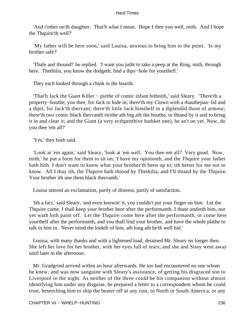'And t'other on'th daughter. That'h what I mean. Hope I thee you well, mith. And I hope the Thquire'th well?'

 'My father will be here soon,' said Louisa, anxious to bring him to the point. 'Is my brother safe?'

 'Thafe and thound!' he replied. 'I want you jutht to take a peep at the Ring, mith, through here. Thethilia, you know the dodgeth; find a thpy−hole for yourthelf.'

They each looked through a chink in the boards.

 'That'h Jack the Giant Killer − piethe of comic infant bithnith,' said Sleary. 'There'th a property−houthe, you thee, for Jack to hide in; there'th my Clown with a thauthepan−lid and a thpit, for Jack'th thervant; there'th little Jack himthelf in a thplendid thoot of armour; there'th two comic black thervanth twithe ath big ath the houthe, to thtand by it and to bring it in and clear it; and the Giant (a very ecthpenthive bathket one), he an't on yet. Now, do you thee 'em all?'

'Yes,' they both said.

 'Look at 'em again,' said Sleary, 'look at 'em well. You thee em all? Very good. Now, mith;' he put a form for them to sit on; 'I have my opinionth, and the Thquire your father hath hith. I don't want to know what your brother'th been up to; ith better for me not to know. All I thay ith, the Thquire hath thtood by Thethilia, and I'll thtand by the Thquire. Your brother ith one them black thervanth.'

Louisa uttered an exclamation, partly of distress, partly of satisfaction.

 'Ith a fact,' said Sleary, 'and even knowin' it, you couldn't put your finger on him. Let the Thquire come. I thall keep your brother here after the performanth. I thant undreth him, nor yet wath hith paint off. Let the Thquire come here after the performanth, or come here yourthelf after the performanth, and you thall find your brother, and have the whole plathe to talk to him in. Never mind the lookth of him, ath long ath he'th well hid.'

 Louisa, with many thanks and with a lightened load, detained Mr. Sleary no longer then. She left her love for her brother, with her eyes full of tears; and she and Sissy went away until later in the afternoon.

 Mr. Gradgrind arrived within an hour afterwards. He too had encountered no one whom he knew; and was now sanguine with Sleary's assistance, of getting his disgraced son to Liverpool in the night. As neither of the three could be his companion without almost identifying him under any disguise, he prepared a letter to a correspondent whom he could trust, beseeching him to ship the bearer off at any cost, to North or South America, or any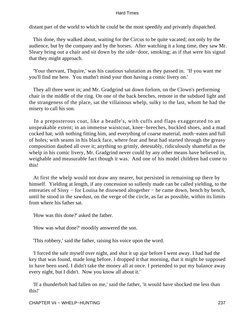distant part of the world to which he could be the most speedily and privately dispatched.

 This done, they walked about, waiting for the Circus to be quite vacated; not only by the audience, but by the company and by the horses. After watching it a long time, they saw Mr. Sleary bring out a chair and sit down by the side−door, smoking; as if that were his signal that they might approach.

 'Your thervant, Thquire,' was his cautious salutation as they passed in. 'If you want me you'll find me here. You muthn't mind your thon having a comic livery on.'

 They all three went in; and Mr. Gradgrind sat down forlorn, on the Clown's performing chair in the middle of the ring. On one of the back benches, remote in the subdued light and the strangeness of the place, sat the villainous whelp, sulky to the last, whom he had the misery to call his son.

 In a preposterous coat, like a beadle's, with cuffs and flaps exaggerated to an unspeakable extent; in an immense waistcoat, knee−breeches, buckled shoes, and a mad cocked hat; with nothing fitting him, and everything of coarse material, moth−eaten and full of holes; with seams in his black face, where fear and heat had started through the greasy composition daubed all over it; anything so grimly, detestably, ridiculously shameful as the whelp in his comic livery, Mr. Gradgrind never could by any other means have believed in, weighable and measurable fact though it was. And one of his model children had come to this!

 At first the whelp would not draw any nearer, but persisted in remaining up there by himself. Yielding at length, if any concession so sullenly made can be called yielding, to the entreaties of Sissy − for Louisa he disowned altogether − he came down, bench by bench, until he stood in the sawdust, on the verge of the circle, as far as possible, within its limits from where his father sat.

'How was this done?' asked the father.

'How was what done?' moodily answered the son.

'This robbery,' said the father, raising his voice upon the word.

 'I forced the safe myself over night, and shut it up ajar before I went away. I had had the key that was found, made long before. I dropped it that morning, that it might be supposed to have been used. I didn't take the money all at once. I pretended to put my balance away every night, but I didn't. Now you know all about it.'

 'If a thunderbolt had fallen on me,' said the father, 'it would have shocked me less than this!'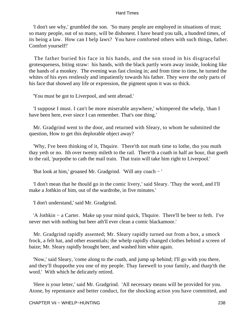'I don't see why,' grumbled the son. 'So many people are employed in situations of trust; so many people, out of so many, will be dishonest. I have heard you talk, a hundred times, of its being a law. How can I help laws? You have comforted others with such things, father. Comfort yourself!'

 The father buried his face in his hands, and the son stood in his disgraceful grotesqueness, biting straw: his hands, with the black partly worn away inside, looking like the hands of a monkey. The evening was fast closing in; and from time to time, he turned the whites of his eyes restlessly and impatiently towards his father. They were the only parts of his face that showed any life or expression, the pigment upon it was so thick.

'You must be got to Liverpool, and sent abroad.'

 'I suppose I must. I can't be more miserable anywhere,' whimpered the whelp, 'than I have been here, ever since I can remember. That's one thing.'

 Mr. Gradgrind went to the door, and returned with Sleary, to whom he submitted the question, How to get this deplorable object away?

 'Why, I've been thinking of it, Thquire. There'th not muth time to lothe, tho you muth thay yeth or no. Ith over twenty mileth to the rail. There'th a coath in half an hour, that goeth to the rail, 'purpothe to cath the mail train. That train will take him right to Liverpool.'

'But look at him,' groaned Mr. Gradgrind. 'Will any coach − '

 'I don't mean that he thould go in the comic livery,' said Sleary. 'Thay the word, and I'll make a Jothkin of him, out of the wardrobe, in five minutes.'

'I don't understand,' said Mr. Gradgrind.

 'A Jothkin − a Carter. Make up your mind quick, Thquire. There'll be beer to feth. I've never met with nothing but beer ath'll ever clean a comic blackamoor.'

 Mr. Gradgrind rapidly assented; Mr. Sleary rapidly turned out from a box, a smock frock, a felt hat, and other essentials; the whelp rapidly changed clothes behind a screen of baize; Mr. Sleary rapidly brought beer, and washed him white again.

 'Now,' said Sleary, 'come along to the coath, and jump up behind; I'll go with you there, and they'll thuppothe you one of my people. Thay farewell to your family, and tharp'th the word.' With which he delicately retired.

 'Here is your letter,' said Mr. Gradgrind. 'All necessary means will be provided for you. Atone, by repentance and better conduct, for the shocking action you have committed, and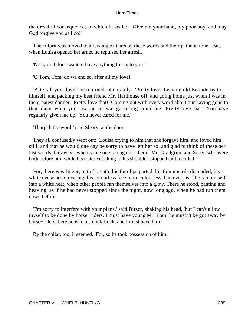the dreadful consequences to which it has led. Give me your hand, my poor boy, and may God forgive you as I do!'

 The culprit was moved to a few abject tears by these words and their pathetic tone. But, when Louisa opened her arms, he repulsed her afresh.

'Not you. I don't want to have anything to say to you!'

'O Tom, Tom, do we end so, after all my love!'

 'After all your love!' he returned, obdurately. 'Pretty love! Leaving old Bounderby to himself, and packing my best friend Mr. Harthouse off, and going home just when I was in the greatest danger. Pretty love that! Coming out with every word about our having gone to that place, when you saw the net was gathering round me. Pretty love that! You have regularly given me up. You never cared for me.'

'Tharp'th the word!' said Sleary, at the door.

 They all confusedly went out: Louisa crying to him that she forgave him, and loved him still, and that he would one day be sorry to have left her so, and glad to think of these her last words, far away: when some one ran against them. Mr. Gradgrind and Sissy, who were both before him while his sister yet clung to his shoulder, stopped and recoiled.

 For, there was Bitzer, out of breath, his thin lips parted, his thin nostrils distended, his white eyelashes quivering, his colourless face more colourless than ever, as if he ran himself into a white heat, when other people ran themselves into a glow. There he stood, panting and heaving, as if he had never stopped since the night, now long ago, when he had run them down before.

 'I'm sorry to interfere with your plans,' said Bitzer, shaking his head, 'but I can't allow myself to be done by horse−riders. I must have young Mr. Tom; he mustn't be got away by horse−riders; here he is in a smock frock, and I must have him!'

By the collar, too, it seemed. For, so he took possession of him.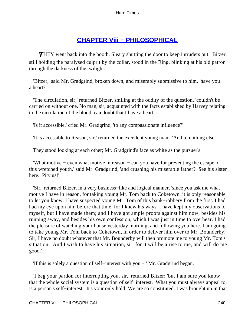# **[CHAPTER Viii − PHILOSOPHICAL](#page-251-0)**

<span id="page-240-0"></span>**THEY** went back into the booth, Sleary shutting the door to keep intruders out. Bitzer, still holding the paralysed culprit by the collar, stood in the Ring, blinking at his old patron through the darkness of the twilight.

 'Bitzer,' said Mr. Gradgrind, broken down, and miserably submissive to him, 'have you a heart?'

 'The circulation, sir,' returned Bitzer, smiling at the oddity of the question, 'couldn't be carried on without one. No man, sir, acquainted with the facts established by Harvey relating to the circulation of the blood, can doubt that I have a heart.'

'Is it accessible,' cried Mr. Gradgrind, 'to any compassionate influence?'

'It is accessible to Reason, sir,' returned the excellent young man. 'And to nothing else.'

They stood looking at each other; Mr. Gradgrind's face as white as the pursuer's.

 'What motive − even what motive in reason − can you have for preventing the escape of this wretched youth,' said Mr. Gradgrind, 'and crushing his miserable father? See his sister here. Pity us!'

 'Sir,' returned Bitzer, in a very business−like and logical manner, 'since you ask me what motive I have in reason, for taking young Mr. Tom back to Coketown, it is only reasonable to let you know. I have suspected young Mr. Tom of this bank−robbery from the first. I had had my eye upon him before that time, for I knew his ways. I have kept my observations to myself, but I have made them; and I have got ample proofs against him now, besides his running away, and besides his own confession, which I was just in time to overhear. I had the pleasure of watching your house yesterday morning, and following you here. I am going to take young Mr. Tom back to Coketown, in order to deliver him over to Mr. Bounderby. Sir, I have no doubt whatever that Mr. Bounderby will then promote me to young Mr. Tom's situation. And I wish to have his situation, sir, for it will be a rise to me, and will do me good.'

'If this is solely a question of self−interest with you − ' Mr. Gradgrind began.

 'I beg your pardon for interrupting you, sir,' returned Bitzer; 'but I am sure you know that the whole social system is a question of self−interest. What you must always appeal to, is a person's self−interest. It's your only hold. We are so constituted. I was brought up in that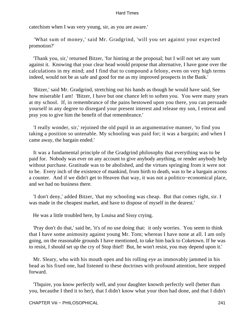catechism when I was very young, sir, as you are aware.'

 'What sum of money,' said Mr. Gradgrind, 'will you set against your expected promotion?'

 'Thank you, sir,' returned Bitzer, 'for hinting at the proposal; but I will not set any sum against it. Knowing that your clear head would propose that alternative, I have gone over the calculations in my mind; and I find that to compound a felony, even on very high terms indeed, would not be as safe and good for me as my improved prospects in the Bank.'

 'Bitzer,' said Mr. Gradgrind, stretching out his hands as though he would have said, See how miserable I am! 'Bitzer, I have but one chance left to soften you. You were many years at my school. If, in remembrance of the pains bestowed upon you there, you can persuade yourself in any degree to disregard your present interest and release my son, I entreat and pray you to give him the benefit of that remembrance.'

 'I really wonder, sir,' rejoined the old pupil in an argumentative manner, 'to find you taking a position so untenable. My schooling was paid for; it was a bargain; and when I came away, the bargain ended.'

 It was a fundamental principle of the Gradgrind philosophy that everything was to be paid for. Nobody was ever on any account to give anybody anything, or render anybody help without purchase. Gratitude was to be abolished, and the virtues springing from it were not to be. Every inch of the existence of mankind, from birth to death, was to be a bargain across a counter. And if we didn't get to Heaven that way, it was not a politico−economical place, and we had no business there.

 'I don't deny,' added Bitzer, 'that my schooling was cheap. But that comes right, sir. I was made in the cheapest market, and have to dispose of myself in the dearest.'

He was a little troubled here, by Louisa and Sissy crying.

 'Pray don't do that,' said he, 'it's of no use doing that: it only worries. You seem to think that I have some animosity against young Mr. Tom; whereas I have none at all. I am only going, on the reasonable grounds I have mentioned, to take him back to Coketown. If he was to resist, I should set up the cry of Stop thief! But, he won't resist, you may depend upon it.'

 Mr. Sleary, who with his mouth open and his rolling eye as immovably jammed in his head as his fixed one, had listened to these doctrines with profound attention, here stepped forward.

 'Thquire, you know perfectly well, and your daughter knowth perfectly well (better than you, becauthe I thed it to her), that I didn't know what your thon had done, and that I didn't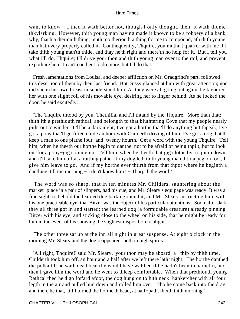want to know − I thed it wath better not, though I only thought, then, it wath thome thkylarking. However, thith young man having made it known to be a robbery of a bank, why, that'h a theriouth thing; muth too theriouth a thing for me to compound, ath thith young man hath very properly called it. Conthequently, Thquire, you muthn't quarrel with me if I take thith young man'th thide, and thay he'th right and there'th no help for it. But I tell you what I'll do, Thquire; I'll drive your thon and thith young man over to the rail, and prevent expothure here. I can't conthent to do more, but I'll do that.'

 Fresh lamentations from Louisa, and deeper affliction on Mr. Gradgrind's part, followed this desertion of them by their last friend. But, Sissy glanced at him with great attention; nor did she in her own breast misunderstand him. As they were all going out again, he favoured her with one slight roll of his movable eye, desiring her to linger behind. As he locked the door, he said excitedly:

 'The Thquire thtood by you, Thethilia, and I'll thtand by the Thquire. More than that: thith ith a prethiouth rathcal, and belongth to that bluthtering Cove that my people nearly pitht out o' winder. It'll be a dark night; I've got a horthe that'll do anything but thpeak; I've got a pony that'll go fifteen mile an hour with Childerth driving of him; I've got a dog that'll keep a man to one plathe four−and−twenty hourth. Get a word with the young Thquire. Tell him, when he theeth our horthe begin to danthe, not to be afraid of being thpilt, but to look out for a pony−gig coming up. Tell him, when he theeth that gig clothe by, to jump down, and it'll take him off at a rattling pathe. If my dog leth thith young man thtir a peg on foot, I give him leave to go. And if my horthe ever thtirth from that thpot where he beginth a danthing, till the morning − I don't know him? − Tharp'th the word!'

 The word was so sharp, that in ten minutes Mr. Childers, sauntering about the market−place in a pair of slippers, had his cue, and Mr. Sleary's equipage was ready. It was a fine sight, to behold the learned dog barking round it, and Mr. Sleary instructing him, with his one practicable eye, that Bitzer was the object of his particular attentions. Soon after dark they all three got in and started; the learned dog (a formidable creature) already pinning Bitzer with his eye, and sticking close to the wheel on his side, that he might be ready for him in the event of his showing the slightest disposition to alight.

 The other three sat up at the inn all night in great suspense. At eight o'clock in the morning Mr. Sleary and the dog reappeared: both in high spirits.

 'All right, Thquire!' said Mr. Sleary, 'your thon may be aboard−a− thip by thith time. Childerth took him off, an hour and a half after we left there latht night. The horthe danthed the polka till he wath dead beat (he would have walthed if he hadn't been in harneth), and then I gave him the word and he went to thleep comfortable. When that prethiouth young Rathcal thed he'd go for'ard afoot, the dog hung on to hith neck−hankercher with all four legth in the air and pulled him down and rolled him over. Tho he come back into the drag, and there he that, 'till I turned the horthe'th head, at half−patht thixth thith morning.'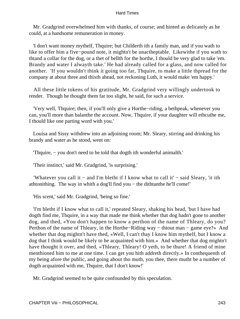Mr. Gradgrind overwhelmed him with thanks, of course; and hinted as delicately as he could, at a handsome remuneration in money.

 'I don't want money mythelf, Thquire; but Childerth ith a family man, and if you wath to like to offer him a five−pound note, it mightn't be unactheptable. Likewithe if you wath to thtand a collar for the dog, or a thet of bellth for the horthe, I thould be very glad to take 'em. Brandy and water I alwayth take.' He had already called for a glass, and now called for another. 'If you wouldn't think it going too far, Thquire, to make a little thpread for the company at about three and thixth ahead, not reckoning Luth, it would make 'em happy.'

 All these little tokens of his gratitude, Mr. Gradgrind very willingly undertook to render. Though he thought them far too slight, he said, for such a service.

 'Very well, Thquire; then, if you'll only give a Horthe−riding, a bethpeak, whenever you can, you'll more than balanthe the account. Now, Thquire, if your daughter will ethcuthe me, I thould like one parting word with you.'

 Louisa and Sissy withdrew into an adjoining room; Mr. Sleary, stirring and drinking his brandy and water as he stood, went on:

'Thquire, − you don't need to be told that dogth ith wonderful animalth.'

'Their instinct,' said Mr. Gradgrind, 'is surprising.'

 'Whatever you call it − and I'm bletht if I know what to call it' − said Sleary, 'it ith athtonithing. The way in whith a dog'll find you − the dithtanthe he'll come!'

'His scent,' said Mr. Gradgrind, 'being so fine.'

 'I'm bletht if I know what to call it,' repeated Sleary, shaking his head, 'but I have had dogth find me, Thquire, in a way that made me think whether that dog hadn't gone to another dog, and thed, «You don't happen to know a perthon of the name of Thleary, do you? Perthon of the name of Thleary, in the Horthe–Riding way – thtout man – game eye?» And whether that dog mightn't have thed, «Well, I can't thay I know him mythelf, but I know a dog that I think would be likely to be acquainted with him.» And whether that dog mightn't have thought it over, and thed, «Thleary, Thleary! O yeth, to be thure! A friend of mine menthioned him to me at one time. I can get you hith addreth directly.» In conthequenth of my being afore the public, and going about tho muth, you thee, there mutht be a number of dogth acquainted with me, Thquire, that I don't know!'

Mr. Gradgrind seemed to be quite confounded by this speculation.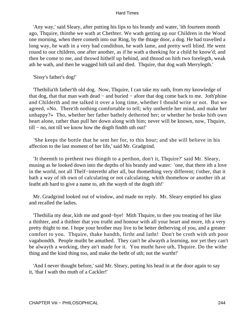'Any way,' said Sleary, after putting his lips to his brandy and water, 'ith fourteen month ago, Thquire, thinthe we wath at Chethter. We wath getting up our Children in the Wood one morning, when there cometh into our Ring, by the thtage door, a dog. He had travelled a long way, he wath in a very bad condithon, he wath lame, and pretty well blind. He went round to our children, one after another, as if he wath a theeking for a child he know'd; and then he come to me, and throwd hithelf up behind, and thtood on hith two forelegth, weak ath he wath, and then he wagged hith tail and died. Thquire, that dog wath Merrylegth.'

'Sissy's father's dog!'

 'Thethilia'th father'th old dog. Now, Thquire, I can take my oath, from my knowledge of that dog, that that man wath dead − and buried − afore that dog come back to me. Joth'phine and Childerth and me talked it over a long time, whether I thould write or not. But we agreed, «No. There'th nothing comfortable to tell; why unthettle her mind, and make her unhappy?» Tho, whether her father bathely detherted her; or whether he broke hith own heart alone, rather than pull her down along with him; never will be known, now, Thquire, till − no, not till we know how the dogth findth uth out!'

 'She keeps the bottle that he sent her for, to this hour; and she will believe in his affection to the last moment of her life,' said Mr. Gradgrind.

 'It theemth to prethent two thingth to a perthon, don't it, Thquire?' said Mr. Sleary, musing as he looked down into the depths of his brandy and water: 'one, that there ith a love in the world, not all Thelf−interetht after all, but thomething very different; t'other, that it bath a way of ith own of calculating or not calculating, whith thomehow or another ith at leatht ath hard to give a name to, ath the wayth of the dogth ith!'

 Mr. Gradgrind looked out of window, and made no reply. Mr. Sleary emptied his glass and recalled the ladies.

 'Thethilia my dear, kith me and good−bye! Mith Thquire, to thee you treating of her like a thithter, and a thithter that you trutht and honour with all your heart and more, ith a very pretty thight to me. I hope your brother may live to be better detherving of you, and a greater comfort to you. Thquire, thake handth, firtht and latht! Don't be croth with uth poor vagabondth. People mutht be amuthed. They can't be alwayth a learning, nor yet they can't be alwayth a working, they an't made for it. You mutht have uth, Thquire. Do the withe thing and the kind thing too, and make the betht of uth; not the wurtht!'

 'And I never thought before,' said Mr. Sleary, putting his head in at the door again to say it, 'that I wath tho muth of a Cackler!'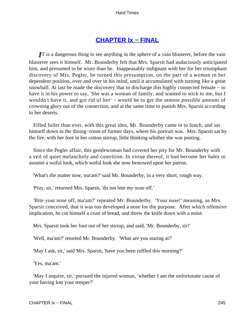# **[CHAPTER Ix − FINAL](#page-251-0)**

<span id="page-245-0"></span>*I*T is a dangerous thing to see anything in the sphere of a vain blusterer, before the vain blusterer sees it himself. Mr. Bounderby felt that Mrs. Sparsit had audaciously anticipated him, and presumed to be wiser than he. Inappeasably indignant with her for her triumphant discovery of Mrs. Pegler, he turned this presumption, on the part of a woman in her dependent position, over and over in his mind, until it accumulated with turning like a great snowball. At last he made the discovery that to discharge this highly connected female − to have it in his power to say, 'She was a woman of family, and wanted to stick to me, but I wouldn't have it, and got rid of her' – would be to get the utmost possible amount of crowning glory out of the connection, and at the same time to punish Mrs. Sparsit according to her deserts.

 Filled fuller than ever, with this great idea, Mr. Bounderby came in to lunch, and sat himself down in the dining−room of former days, where his portrait was. Mrs. Sparsit sat by the fire, with her foot in her cotton stirrup, little thinking whither she was posting.

 Since the Pegler affair, this gentlewoman had covered her pity for Mr. Bounderby with a veil of quiet melancholy and contrition. In virtue thereof, it had become her habit to assume a woful look, which woful look she now bestowed upon her patron.

'What's the matter now, ma'am?' said Mr. Bounderby, in a very short, rough way.

'Pray, sir,' returned Mrs. Sparsit, 'do not bite my nose off.'

 'Bite your nose off, ma'am?' repeated Mr. Bounderby. 'Your nose!' meaning, as Mrs. Sparsit conceived, that it was too developed a nose for the purpose. After which offensive implication, he cut himself a crust of bread, and threw the knife down with a noise.

Mrs. Sparsit took her foot out of her stirrup, and said, 'Mr. Bounderby, sir!'

'Well, ma'am?' retorted Mr. Bounderby. 'What are you staring at?'

'May I ask, sir,' said Mrs. Sparsit, 'have you been ruffled this morning?'

'Yes, ma'am.'

 'May I inquire, sir,' pursued the injured woman, 'whether I am the unfortunate cause of your having lost your temper?'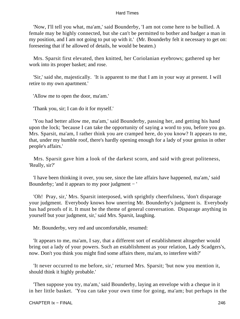'Now, I'll tell you what, ma'am,' said Bounderby, 'I am not come here to be bullied. A female may be highly connected, but she can't be permitted to bother and badger a man in my position, and I am not going to put up with it.' (Mr. Bounderby felt it necessary to get on: foreseeing that if he allowed of details, he would be beaten.)

 Mrs. Sparsit first elevated, then knitted, her Coriolanian eyebrows; gathered up her work into its proper basket; and rose.

 'Sir,' said she, majestically. 'It is apparent to me that I am in your way at present. I will retire to my own apartment.'

'Allow me to open the door, ma'am.'

'Thank you, sir; I can do it for myself.'

 'You had better allow me, ma'am,' said Bounderby, passing her, and getting his hand upon the lock; 'because I can take the opportunity of saying a word to you, before you go. Mrs. Sparsit, ma'am, I rather think you are cramped here, do you know? It appears to me, that, under my humble roof, there's hardly opening enough for a lady of your genius in other people's affairs.'

 Mrs. Sparsit gave him a look of the darkest scorn, and said with great politeness, 'Really, sir?'

 'I have been thinking it over, you see, since the late affairs have happened, ma'am,' said Bounderby; 'and it appears to my poor judgment − '

 'Oh! Pray, sir,' Mrs. Sparsit interposed, with sprightly cheerfulness, 'don't disparage your judgment. Everybody knows how unerring Mr. Bounderby's judgment is. Everybody has had proofs of it. It must be the theme of general conversation. Disparage anything in yourself but your judgment, sir,' said Mrs. Sparsit, laughing.

Mr. Bounderby, very red and uncomfortable, resumed:

 'It appears to me, ma'am, I say, that a different sort of establishment altogether would bring out a lady of your powers. Such an establishment as your relation, Lady Scadgers's, now. Don't you think you might find some affairs there, ma'am, to interfere with?'

 'It never occurred to me before, sir,' returned Mrs. Sparsit; 'but now you mention it, should think it highly probable.'

 'Then suppose you try, ma'am,' said Bounderby, laying an envelope with a cheque in it in her little basket. 'You can take your own time for going, ma'am; but perhaps in the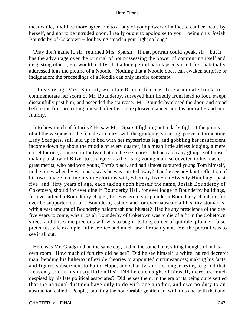meanwhile, it will be more agreeable to a lady of your powers of mind, to eat her meals by herself, and not to be intruded upon. I really ought to apologise to you – being only Josiah Bounderby of Coketown − for having stood in your light so long.'

 'Pray don't name it, sir,' returned Mrs. Sparsit. 'If that portrait could speak, sir − but it has the advantage over the original of not possessing the power of committing itself and disgusting others, − it would testify, that a long period has elapsed since I first habitually addressed it as the picture of a Noodle. Nothing that a Noodle does, can awaken surprise or indignation; the proceedings of a Noodle can only inspire contempt.'

 Thus saying, Mrs. Sparsit, with her Roman features like a medal struck to commemorate her scorn of Mr. Bounderby, surveyed him fixedly from head to foot, swept disdainfully past him, and ascended the staircase. Mr. Bounderby closed the door, and stood before the fire; projecting himself after his old explosive manner into his portrait − and into futurity.

 Into how much of futurity? He saw Mrs. Sparsit fighting out a daily fight at the points of all the weapons in the female armoury, with the grudging, smarting, peevish, tormenting Lady Scadgers, still laid up in bed with her mysterious leg, and gobbling her insufficient income down by about the middle of every quarter, in a mean little airless lodging, a mere closet for one, a mere crib for two; but did he see more? Did he catch any glimpse of himself making a show of Bitzer to strangers, as the rising young man, so devoted to his master's great merits, who had won young Tom's place, and had almost captured young Tom himself, in the times when by various rascals he was spirited away? Did he see any faint reflection of his own image making a vain−glorious will, whereby five−and−twenty Humbugs, past five−and−fifty years of age, each taking upon himself the name, Josiah Bounderby of Coketown, should for ever dine in Bounderby Hall, for ever lodge in Bounderby buildings, for ever attend a Bounderby chapel, for ever go to sleep under a Bounderby chaplain, for ever be supported out of a Bounderby estate, and for ever nauseate all healthy stomachs, with a vast amount of Bounderby balderdash and bluster? Had he any prescience of the day, five years to come, when Josiah Bounderby of Coketown was to die of a fit in the Coketown street, and this same precious will was to begin its long career of quibble, plunder, false pretences, vile example, little service and much law? Probably not. Yet the portrait was to see it all out.

 Here was Mr. Gradgrind on the same day, and in the same hour, sitting thoughtful in his own room. How much of futurity did he see? Did he see himself, a white−haired decrepit man, bending his hitherto inflexible theories to appointed circumstances; making his facts and figures subservient to Faith, Hope, and Charity; and no longer trying to grind that Heavenly trio in his dusty little mills? Did he catch sight of himself, therefore much despised by his late political associates? Did he see them, in the era of its being quite settled that the national dustmen have only to do with one another, and owe no duty to an abstraction called a People, 'taunting the honourable gentleman' with this and with that and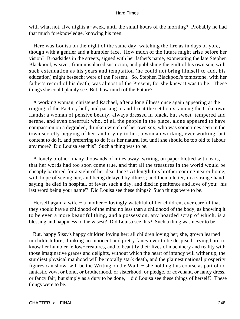with what not, five nights a−week, until the small hours of the morning? Probably he had that much foreknowledge, knowing his men.

 Here was Louisa on the night of the same day, watching the fire as in days of yore, though with a gentler and a humbler face. How much of the future might arise before her vision? Broadsides in the streets, signed with her father's name, exonerating the late Stephen Blackpool, weaver, from misplaced suspicion, and publishing the guilt of his own son, with such extenuation as his years and temptation (he could not bring himself to add, his education) might beseech; were of the Present. So, Stephen Blackpool's tombstone, with her father's record of his death, was almost of the Present, for she knew it was to be. These things she could plainly see. But, how much of the Future?

 A working woman, christened Rachael, after a long illness once again appearing at the ringing of the Factory bell, and passing to and fro at the set hours, among the Coketown Hands; a woman of pensive beauty, always dressed in black, but sweet−tempered and serene, and even cheerful; who, of all the people in the place, alone appeared to have compassion on a degraded, drunken wretch of her own sex, who was sometimes seen in the town secretly begging of her, and crying to her; a woman working, ever working, but content to do it, and preferring to do it as her natural lot, until she should be too old to labour any more? Did Louisa see this? Such a thing was to be.

 A lonely brother, many thousands of miles away, writing, on paper blotted with tears, that her words had too soon come true, and that all the treasures in the world would be cheaply bartered for a sight of her dear face? At length this brother coming nearer home, with hope of seeing her, and being delayed by illness; and then a letter, in a strange hand, saying 'he died in hospital, of fever, such a day, and died in penitence and love of you: his last word being your name'? Did Louisa see these things? Such things were to be.

 Herself again a wife − a mother − lovingly watchful of her children, ever careful that they should have a childhood of the mind no less than a childhood of the body, as knowing it to be even a more beautiful thing, and a possession, any hoarded scrap of which, is a blessing and happiness to the wisest? Did Louisa see this? Such a thing was never to be.

 But, happy Sissy's happy children loving her; all children loving her; she, grown learned in childish lore; thinking no innocent and pretty fancy ever to be despised; trying hard to know her humbler fellow−creatures, and to beautify their lives of machinery and reality with those imaginative graces and delights, without which the heart of infancy will wither up, the sturdiest physical manhood will be morally stark death, and the plainest national prosperity figures can show, will be the Writing on the Wall, − she holding this course as part of no fantastic vow, or bond, or brotherhood, or sisterhood, or pledge, or covenant, or fancy dress, or fancy fair; but simply as a duty to be done, – did Louisa see these things of herself? These things were to be.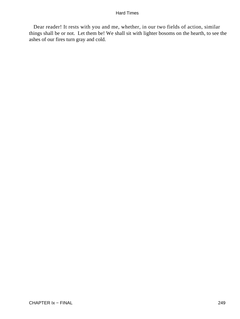Dear reader! It rests with you and me, whether, in our two fields of action, similar things shall be or not. Let them be! We shall sit with lighter bosoms on the hearth, to see the ashes of our fires turn gray and cold.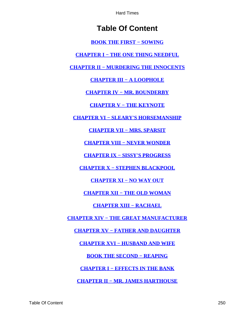# **Table Of Content**

**[BOOK THE FIRST − SOWING](#page-3-0)**

**[CHAPTER I − THE ONE THING NEEDFUL](#page-4-0)**

**[CHAPTER II − MURDERING THE INNOCENTS](#page-5-0)**

**[CHAPTER III − A LOOPHOLE](#page-10-0)**

**[CHAPTER IV − MR. BOUNDERBY](#page-14-0)**

**[CHAPTER V − THE KEYNOTE](#page-20-0)**

**[CHAPTER VI − SLEARY'S HORSEMANSHIP](#page-25-0)**

**[CHAPTER VII − MRS. SPARSIT](#page-36-0)**

**[CHAPTER VIII − NEVER WONDER](#page-42-0)**

**[CHAPTER IX − SISSY'S PROGRESS](#page-47-0)**

**[CHAPTER X − STEPHEN BLACKPOOL](#page-54-0)**

**[CHAPTER XI − NO WAY OUT](#page-59-0)**

**[CHAPTER XII − THE OLD WOMAN](#page-66-0)**

**[CHAPTER XIII − RACHAEL](#page-70-0)**

**[CHAPTER XIV − THE GREAT MANUFACTURER](#page-77-0)**

**[CHAPTER XV − FATHER AND DAUGHTER](#page-82-0)**

**[CHAPTER XVI − HUSBAND AND WIFE](#page-89-0)**

**[BOOK THE SECOND − REAPING](#page-94-0)**

**[CHAPTER I − EFFECTS IN THE BANK](#page-95-0)**

**[CHAPTER II − MR. JAMES HARTHOUSE](#page-106-0)**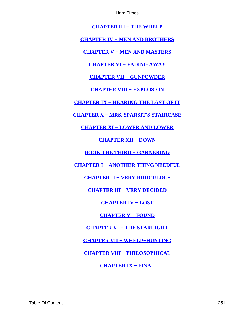**[CHAPTER III − THE WHELP](#page-113-0)**

<span id="page-251-0"></span>**[CHAPTER IV − MEN AND BROTHERS](#page-118-0)**

**[CHAPTER V − MEN AND MASTERS](#page-124-0)**

**[CHAPTER VI − FADING AWAY](#page-130-0)**

**[CHAPTER VII − GUNPOWDER](#page-141-0)**

**[CHAPTER VIII − EXPLOSION](#page-152-0)**

**[CHAPTER IX − HEARING THE LAST OF IT](#page-163-0)**

**[CHAPTER X − MRS. SPARSIT'S STAIRCASE](#page-170-0)**

**[CHAPTER XI − LOWER AND LOWER](#page-174-0)**

**[CHAPTER XII − DOWN](#page-182-0)**

**[BOOK THE THIRD − GARNERING](#page-186-0)**

**[CHAPTER I − ANOTHER THING NEEDFUL](#page-187-0)**

**[CHAPTER II − VERY RIDICULOUS](#page-193-0)**

**[CHAPTER III − VERY DECIDED](#page-201-0)**

**[CHAPTER IV − LOST](#page-208-0)**

**[CHAPTER V − FOUND](#page-216-0)**

**[CHAPTER VI − THE STARLIGHT](#page-223-0)**

**[CHAPTER VII − WHELP−HUNTING](#page-231-0)**

**[CHAPTER VIII − PHILOSOPHICAL](#page-240-0)**

**[CHAPTER IX − FINAL](#page-245-0)**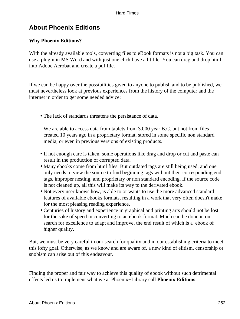# **About Phoenix Editions**

## **Why Phoenix Editions?**

With the already available tools, converting files to eBook formats is not a big task. You can use a plugin in MS Word and with just one click have a lit file. You can drag and drop html into Adobe Acrobat and create a pdf file.

If we can be happy over the possibilities given to anyone to publish and to be published, we must nevertheless look at previous experiences from the history of the computer and the internet in order to get some needed advice:

• The lack of standards threatens the persistance of data.

We are able to access data from tablets from 3.000 year B.C. but not from files created 10 years ago in a proprietary format, stored in some specific non standard media, or even in previous versions of existing products.

- If not enough care is taken, some operations like drag and drop or cut and paste can result in the production of corrupted data.
- Many ebooks come from html files. But outdated tags are still being used, and one only needs to view the source to find beginning tags without their corresponding end tags, improper nesting, and proprietary or non standard encoding. If the source code is not cleaned up, all this will make its way to the derivated ebook.
- Not every user knows how, is able to or wants to use the more advanced standard features of available ebooks formats, resulting in a work that very often doesn't make for the most pleasing reading experience.
- Centuries of history and experience in graphical and printing arts should not be lost for the sake of speed in converting to an ebook format. Much can be done in our search for excellence to adapt and improve, the end result of which is a ebook of higher quality.

But, we must be very careful in our search for quality and in our establishing criteria to meet this lofty goal. Otherwise, as we know and are aware of, a new kind of elitism, censorship or snobism can arise out of this endeavour.

Finding the proper and fair way to achieve this quality of ebook without such detrimental effects led us to implement what we at Phoenix−Library call **Phoenix Editions**.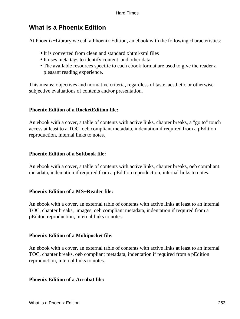# **What is a Phoenix Edition**

At Phoenix−Library we call a Phoenix Edition, an ebook with the following characteristics:

- It is converted from clean and standard xhtml/xml files
- It uses meta tags to identify content, and other data
- The available resources specific to each ebook format are used to give the reader a pleasant reading experience.

This means: objectives and normative criteria, regardless of taste, aesthetic or otherwise subjective evaluations of contents and/or presentation.

## **Phoenix Edition of a RocketEdition file:**

An ebook with a cover, a table of contents with active links, chapter breaks, a "go to" touch access at least to a TOC, oeb compliant metadata, indentation if required from a pEdition reproduction, internal links to notes.

## **Phoenix Edition of a Softbook file:**

An ebook with a cover, a table of contents with active links, chapter breaks, oeb compliant metadata, indentation if required from a pEdition reproduction, internal links to notes.

#### **Phoenix Edition of a MS−Reader file:**

An ebook with a cover, an external table of contents with active links at least to an internal TOC, chapter breaks, images, oeb compliant metadata, indentation if required from a pEditon reproduction, internal links to notes.

## **Phoenix Edition of a Mobipocket file:**

An ebook with a cover, an external table of contents with active links at least to an internal TOC, chapter breaks, oeb compliant metadata, indentation if required from a pEdition reproduction, internal links to notes.

#### **Phoenix Edition of a Acrobat file:**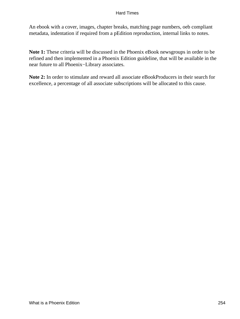#### Hard Times

An ebook with a cover, images, chapter breaks, matching page numbers, oeb compliant metadata, indentation if required from a pEdition reproduction, internal links to notes.

**Note 1:** These criteria will be discussed in the Phoenix eBook newsgroups in order to be refined and then implemented in a Phoenix Edition guideline, that will be available in the near future to all Phoenix−Library associates.

**Note 2:** In order to stimulate and reward all associate eBookProducers in their search for excellence, a percentage of all associate subscriptions will be allocated to this cause.